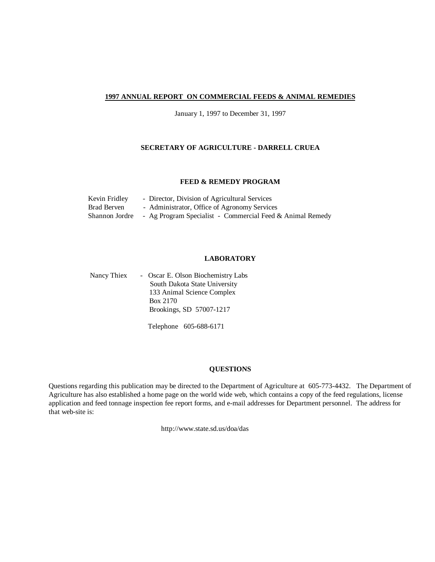#### **1997 ANNUAL REPORT ON COMMERCIAL FEEDS & ANIMAL REMEDIES**

January 1, 1997 to December 31, 1997

#### **SECRETARY OF AGRICULTURE - DARRELL CRUEA**

#### **FEED & REMEDY PROGRAM**

| Kevin Fridley | - Director, Division of Agricultural Services                            |
|---------------|--------------------------------------------------------------------------|
| Brad Berven   | - Administrator, Office of Agronomy Services                             |
|               | Shannon Jordre - Ag Program Specialist - Commercial Feed & Animal Remedy |

#### **LABORATORY**

Nancy Thiex - Oscar E. Olson Biochemistry Labs South Dakota State University 133 Animal Science Complex Box 2170 Brookings, SD 57007-1217

Telephone 605-688-6171

#### **QUESTIONS**

Questions regarding this publication may be directed to the Department of Agriculture at 605-773-4432. The Department of Agriculture has also established a home page on the world wide web, which contains a copy of the feed regulations, license application and feed tonnage inspection fee report forms, and e-mail addresses for Department personnel. The address for that web-site is:

http://www.state.sd.us/doa/das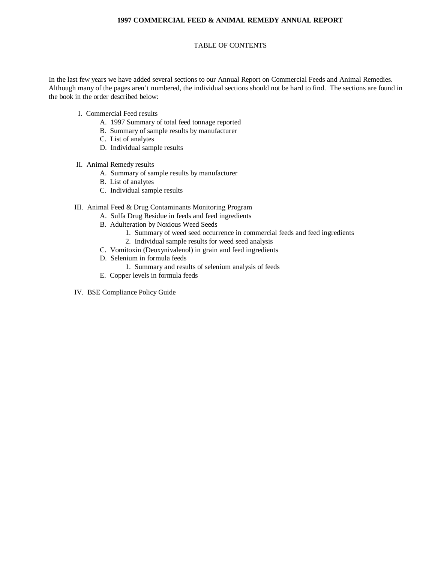#### **1997 COMMERCIAL FEED & ANIMAL REMEDY ANNUAL REPORT**

#### TABLE OF CONTENTS

In the last few years we have added several sections to our Annual Report on Commercial Feeds and Animal Remedies. Although many of the pages aren't numbered, the individual sections should not be hard to find. The sections are found in the book in the order described below:

- I. Commercial Feed results
	- A. 1997 Summary of total feed tonnage reported
	- B. Summary of sample results by manufacturer
	- C. List of analytes
	- D. Individual sample results
- II. Animal Remedy results
	- A. Summary of sample results by manufacturer
	- B. List of analytes
	- C. Individual sample results

#### III. Animal Feed & Drug Contaminants Monitoring Program

- A. Sulfa Drug Residue in feeds and feed ingredients
- B. Adulteration by Noxious Weed Seeds
	- 1. Summary of weed seed occurrence in commercial feeds and feed ingredients
	- 2. Individual sample results for weed seed analysis
- C. Vomitoxin (Deoxynivalenol) in grain and feed ingredients
- D. Selenium in formula feeds
	- 1. Summary and results of selenium analysis of feeds
- E. Copper levels in formula feeds
- IV. BSE Compliance Policy Guide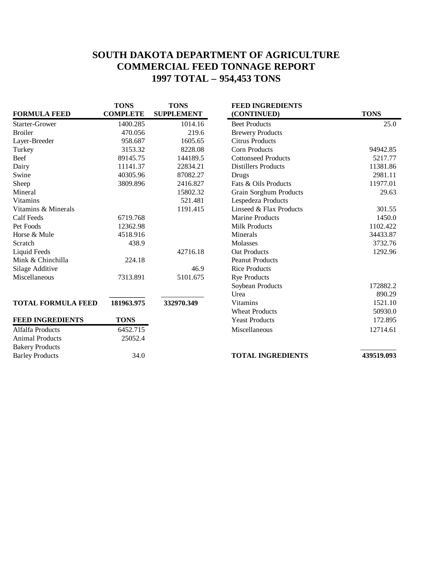# **SOUTH DAKOTA DEPARTMENT OF AGRICULTURE COMMERCIAL FEED TONNAGE REPORT 1997 TOTAL – 954,453 TONS**

|                           | <b>TONS</b>     | <b>TONS</b>       | <b>FEED INGREDIENTS</b>    |             |
|---------------------------|-----------------|-------------------|----------------------------|-------------|
| <b>FORMULA FEED</b>       | <b>COMPLETE</b> | <b>SUPPLEMENT</b> | (CONTINUED)                | <b>TONS</b> |
| <b>Starter-Grower</b>     | 1400.285        | 1014.16           | <b>Beet Products</b>       | 25.0        |
| <b>Broiler</b>            | 470.056         | 219.6             | <b>Brewery Products</b>    |             |
| Layer-Breeder             | 958.687         | 1605.65           | <b>Citrus Products</b>     |             |
| Turkey                    | 3153.32         | 8228.08           | <b>Corn Products</b>       | 94942.85    |
| <b>Beef</b>               | 89145.75        | 144189.5          | <b>Cottonseed Products</b> | 5217.77     |
| Dairy                     | 11141.37        | 22834.21          | <b>Distillers Products</b> | 11381.86    |
| Swine                     | 40305.96        | 87082.27          | Drugs                      | 2981.11     |
| Sheep                     | 3809.896        | 2416.827          | Fats & Oils Products       | 11977.01    |
| Mineral                   |                 | 15802.32          | Grain Sorghum Products     | 29.63       |
| <b>Vitamins</b>           |                 | 521.481           | Lespedeza Products         |             |
| Vitamins & Minerals       |                 | 1191.415          | Linseed & Flax Products    | 301.55      |
| Calf Feeds                | 6719.768        |                   | <b>Marine Products</b>     | 1450.0      |
| Pet Foods                 | 12362.98        |                   | <b>Milk Products</b>       | 1102.422    |
| Horse & Mule              | 4518.916        |                   | Minerals                   | 34433.87    |
| Scratch                   | 438.9           |                   | Molasses                   | 3732.76     |
| Liquid Feeds              |                 | 42716.18          | Oat Products               | 1292.96     |
| Mink & Chinchilla         | 224.18          |                   | <b>Peanut Products</b>     |             |
| Silage Additive           |                 | 46.9              | <b>Rice Products</b>       |             |
| Miscellaneous             | 7313.891        | 5101.675          | <b>Rye Products</b>        |             |
|                           |                 |                   | Soybean Products           | 172882.2    |
|                           |                 |                   | Urea                       | 890.29      |
| <b>TOTAL FORMULA FEED</b> | 181963.975      | 332970.349        | <b>Vitamins</b>            | 1521.10     |
|                           |                 |                   | <b>Wheat Products</b>      | 50930.0     |
| <b>FEED INGREDIENTS</b>   | <b>TONS</b>     |                   | <b>Yeast Products</b>      | 172.895     |
| Alfalfa Products          | 6452.715        |                   | Miscellaneous              | 12714.61    |
| <b>Animal Products</b>    | 25052.4         |                   |                            |             |
| <b>Bakery Products</b>    |                 |                   |                            |             |
| <b>Barley Products</b>    | 34.0            |                   | <b>TOTAL INGREDIENTS</b>   | 439519.093  |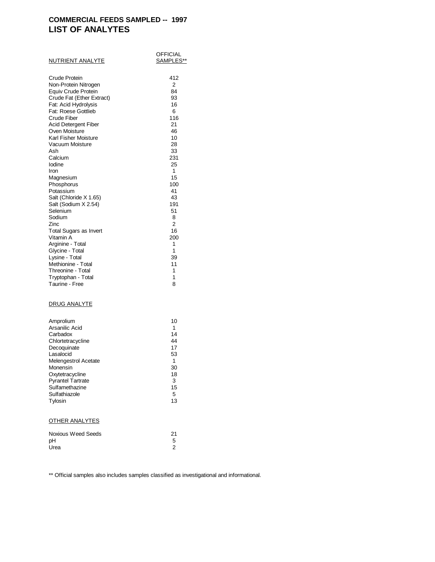### **COMMERCIAL FEEDS SAMPLED -- 1997 LIST OF ANALYTES**

| <u>NUTRIENT ANALYTE</u>       | OFFICIAL<br>SAMPLES** |
|-------------------------------|-----------------------|
| Crude Protein                 | 412                   |
| Non-Protein Nitrogen          | 2                     |
| Equiv Crude Protein           | 84                    |
| Crude Fat (Ether Extract)     | 93                    |
| Fat: Acid Hydrolysis          | 16                    |
| Fat: Roese Gottlieb           | 6                     |
| Crude Fiber                   | 116                   |
| Acid Detergent Fiber          | 21                    |
| Oven Moisture                 | 46                    |
| Karl Fisher Moisture          | 10                    |
| Vacuum Moisture               | 28                    |
| Ash                           | 33                    |
| Calcium                       | 231                   |
| Iodine                        | 25                    |
| Iron                          | 1                     |
| Magnesium                     | 15                    |
| Phosphorus                    | 100                   |
| Potassium                     | 41                    |
| Salt (Chloride X 1.65)        | 43                    |
| Salt (Sodium X 2.54)          | 191                   |
| Selenium                      | 51                    |
| Sodium                        | 8                     |
| Zinc                          | 2                     |
| <b>Total Sugars as Invert</b> | 16                    |
| Vitamin A                     | 200                   |
| Arginine - Total              | 1                     |
| Glycine - Total               | 1                     |
| Lysine - Total                | 39                    |
| Methionine - Total            | 11                    |
| Threonine - Total             | 1                     |
| Tryptophan - Total            | 1                     |
| Taurine - Free                | 8                     |
| <u>DRUG ANALYTE</u>           |                       |
| Amprolium                     | 10                    |
| Arsanilic Acid                | 1                     |
| Carbadox                      | 14                    |
| Chlortetracycline             | 44                    |
| Decoquinate                   | 17                    |
| Lasalocid                     | 53                    |
| Melengestrol Acetate          | 1                     |
| Monensin                      | 30                    |
| Oxytetracycline               | 18                    |
| <b>Pyrantel Tartrate</b>      | 3                     |
| Sulfamethazine                | 15                    |
| Sulfathiazole                 | 5                     |
| Tylosin                       | 13                    |
| <b>OTHER ANALYTES</b>         |                       |
| <b>Noxious Weed Seeds</b>     | 21                    |
| рH                            | 5                     |
| Urea                          | 2                     |

\*\* Official samples also includes samples classified as investigational and informational.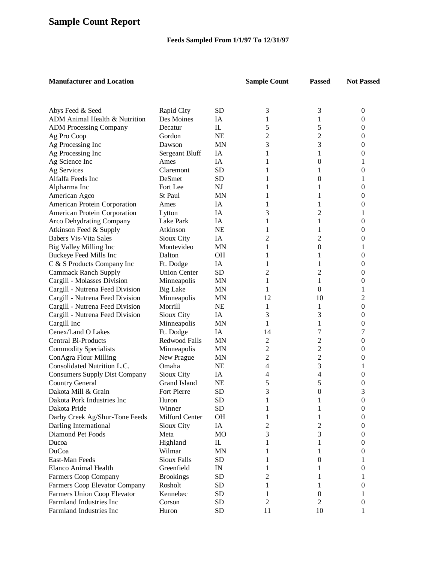# **Sample Count Report**

## **Feeds Sampled From 1/1/97 To 12/31/97**

| <b>Manufacturer and Location</b>     |                     |               | <b>Sample Count</b> | <b>Passed</b>    | <b>Not Passed</b> |
|--------------------------------------|---------------------|---------------|---------------------|------------------|-------------------|
|                                      |                     |               |                     |                  |                   |
| Abys Feed & Seed                     | Rapid City          | <b>SD</b>     | 3                   | 3                | $\overline{0}$    |
| ADM Animal Health & Nutrition        | Des Moines          | IA            | 1                   | 1                | 0                 |
| <b>ADM Processing Company</b>        | Decatur             | $\mathbbm{L}$ | 5                   | 5                | 0                 |
| Ag Pro Coop                          | Gordon              | <b>NE</b>     | $\overline{c}$      | $\overline{c}$   | 0                 |
| Ag Processing Inc                    | Dawson              | <b>MN</b>     | 3                   | 3                | 0                 |
| Ag Processing Inc                    | Sergeant Bluff      | IA            | 1                   | 1                | 0                 |
| Ag Science Inc                       | Ames                | IA            | 1                   | $\boldsymbol{0}$ | 1                 |
| Ag Services                          | Claremont           | <b>SD</b>     | 1                   | 1                | 0                 |
| Alfalfa Feeds Inc                    | DeSmet              | <b>SD</b>     | 1                   | $\boldsymbol{0}$ | 1                 |
| Alpharma Inc                         | Fort Lee            | NJ            | 1                   | 1                | 0                 |
| American Agco                        | St Paul             | <b>MN</b>     | 1                   | 1                | 0                 |
| American Protein Corporation         | Ames                | IA            | 1                   | 1                | 0                 |
| American Protein Corporation         | Lytton              | IA            | 3                   | $\overline{c}$   | 1                 |
| Arco Dehydrating Company             | Lake Park           | IA            | 1                   | 1                | 0                 |
| Atkinson Feed & Supply               | Atkinson            | <b>NE</b>     | 1                   | 1                | 0                 |
| <b>Babers Vis-Vita Sales</b>         | Sioux City          | IA            | $\overline{c}$      | 2                | 0                 |
| Big Valley Milling Inc               | Montevideo          | <b>MN</b>     | 1                   | $\boldsymbol{0}$ | 1                 |
| Buckeye Feed Mills Inc               | Dalton              | <b>OH</b>     | 1                   | 1                | 0                 |
| C & S Products Company Inc           | Ft. Dodge           | IA            | 1                   | 1                | 0                 |
| <b>Cammack Ranch Supply</b>          | <b>Union Center</b> | <b>SD</b>     | $\overline{2}$      | $\overline{c}$   | 0                 |
| Cargill - Molasses Division          | Minneapolis         | <b>MN</b>     | 1                   | 1                | 0                 |
| Cargill - Nutrena Feed Division      | <b>Big Lake</b>     | <b>MN</b>     | 1                   | $\boldsymbol{0}$ | 1                 |
| Cargill - Nutrena Feed Division      | Minneapolis         | <b>MN</b>     | 12                  | 10               | $\overline{c}$    |
| Cargill - Nutrena Feed Division      | Morrill             | <b>NE</b>     | 1                   | 1                | $\boldsymbol{0}$  |
| Cargill - Nutrena Feed Division      | Sioux City          | IA            | 3                   | 3                | 0                 |
| Cargill Inc                          | Minneapolis         | <b>MN</b>     | 1                   | 1                | 0                 |
| Cenex/Land O Lakes                   | Ft. Dodge           | IA            | 14                  | 7                | 7                 |
| <b>Central Bi-Products</b>           | Redwood Falls       | <b>MN</b>     | $\overline{c}$      | $\overline{c}$   | 0                 |
| <b>Commodity Specialists</b>         | Minneapolis         | <b>MN</b>     | $\overline{c}$      | $\overline{2}$   | 0                 |
| ConAgra Flour Milling                | New Prague          | <b>MN</b>     | $\overline{c}$      | $\overline{2}$   | 0                 |
| Consolidated Nutrition L.C.          | Omaha               | <b>NE</b>     | 4                   | 3                | 1                 |
| <b>Consumers Supply Dist Company</b> | Sioux City          | IA            | 4                   | 4                | 0                 |
| <b>Country General</b>               | Grand Island        | <b>NE</b>     | 5                   | 5                | 0                 |
| Dakota Mill & Grain                  | Fort Pierre         | <b>SD</b>     | 3                   | $\mathbf{0}$     | 3                 |
| Dakota Pork Industries Inc           | Huron               | <b>SD</b>     | 1                   | 1                | $\boldsymbol{0}$  |
| Dakota Pride                         | Winner              | <b>SD</b>     |                     | 1                | 0                 |
| Darby Creek Ag/Shur-Tone Feeds       | Milford Center      | <b>OH</b>     | 1                   | 1                | 0                 |
| Darling International                | Sioux City          | IA            | $\overline{c}$      | 2                | 0                 |
| Diamond Pet Foods                    | Meta                | MO            | 3                   | 3                | 0                 |
| Ducoa                                | Highland            | $\rm IL$      |                     | 1                | 0                 |
| <b>DuCoa</b>                         | Wilmar              | <b>MN</b>     | 1                   | 1                | 0                 |
| East-Man Feeds                       | <b>Sioux Falls</b>  | <b>SD</b>     |                     | 0                |                   |
| <b>Elanco Animal Health</b>          | Greenfield          | IN            |                     |                  | $\theta$          |
| Farmers Coop Company                 | <b>Brookings</b>    | <b>SD</b>     | 2                   |                  |                   |
| Farmers Coop Elevator Company        | Rosholt             | <b>SD</b>     | 1                   |                  | 0                 |
| Farmers Union Coop Elevator          | Kennebec            | <b>SD</b>     |                     | 0                |                   |
| Farmland Industries Inc              | Corson              | <b>SD</b>     | 2                   | $\overline{2}$   | $\boldsymbol{0}$  |
| Farmland Industries Inc              | Huron               | <b>SD</b>     | 11                  | 10               | 1                 |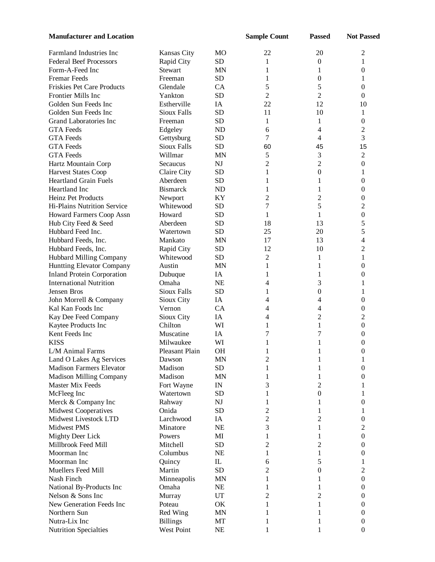| <b>Manufacturer and Location</b>                            |                    |                 | <b>Sample Count</b> | <b>Passed</b>                      | <b>Not Passed</b> |
|-------------------------------------------------------------|--------------------|-----------------|---------------------|------------------------------------|-------------------|
| Farmland Industries Inc                                     | Kansas City        | MO              | 22                  | 20                                 | 2                 |
| <b>Federal Beef Processors</b>                              | Rapid City         | <b>SD</b>       | 1                   | $\boldsymbol{0}$                   | 1                 |
| Form-A-Feed Inc                                             | Stewart            | MN              | 1                   | 1                                  | 0                 |
| Fremar Feeds                                                | Freeman            | <b>SD</b>       | 1                   | 0                                  | 1                 |
| <b>Friskies Pet Care Products</b>                           | Glendale           | <b>CA</b>       | 5                   | 5                                  | $\overline{0}$    |
| Frontier Mills Inc                                          | Yankton            | <b>SD</b>       | $\overline{2}$      | $\overline{2}$                     | $\mathbf{0}$      |
| Golden Sun Feeds Inc                                        | Estherville        | IA              | 22                  | 12                                 | 10                |
| Golden Sun Feeds Inc                                        | <b>Sioux Falls</b> | <b>SD</b>       | 11                  | 10                                 | 1                 |
| Grand Laboratories Inc                                      | Freeman            | <b>SD</b>       | 1                   | 1                                  | $\overline{0}$    |
| <b>GTA</b> Feeds                                            | Edgeley            | ND              | 6                   | 4                                  | $\boldsymbol{2}$  |
| <b>GTA</b> Feeds                                            | Gettysburg         | <b>SD</b>       | 7                   | $\overline{4}$                     | 3                 |
| <b>GTA</b> Feeds                                            | <b>Sioux Falls</b> | <b>SD</b>       | 60                  | 45                                 | 15                |
| <b>GTA</b> Feeds                                            | Willmar            | MN              | 5                   | 3                                  | $\overline{2}$    |
| Hartz Mountain Corp                                         | Secaucus           | N <sub>J</sub>  | 2                   | $\overline{2}$                     | $\mathbf{0}$      |
| Harvest States Coop                                         | Claire City        | <b>SD</b>       | 1                   | $\boldsymbol{0}$                   | 1                 |
| <b>Heartland Grain Fuels</b>                                | Aberdeen           | <b>SD</b>       | 1                   | 1                                  | $\overline{0}$    |
| Heartland Inc                                               | <b>Bismarck</b>    | ND              | 1                   | 1                                  | 0                 |
| Heinz Pet Products                                          | Newport            | KY              | 2                   | $\overline{2}$                     | $\overline{0}$    |
| Hi-Plains Nutrition Service                                 | Whitewood          | <b>SD</b>       | 7                   | 5                                  | $\overline{c}$    |
| Howard Farmers Coop Assn                                    | Howard             | <b>SD</b>       | 1                   | 1                                  | $\boldsymbol{0}$  |
| Hub City Feed & Seed                                        | Aberdeen           | <b>SD</b>       | 18                  | 13                                 | 5                 |
| Hubbard Feed Inc.                                           | Watertown          | <b>SD</b>       | 25                  | 20                                 | 5                 |
| Hubbard Feeds, Inc.                                         | Mankato            | MN              | 17                  | 13                                 | 4                 |
| Hubbard Feeds, Inc.                                         | Rapid City         | <b>SD</b>       | 12                  | 10                                 | $\overline{c}$    |
| Hubbard Milling Company                                     | Whitewood          | <b>SD</b>       | 2                   | 1                                  | 1                 |
| Huntting Elevator Company                                   | Austin             | MN              | 1                   | 1                                  | 0                 |
| <b>Inland Protein Corporation</b>                           | Dubuque            | IA              | 1                   | 1                                  | 0                 |
| <b>International Nutrition</b>                              | Omaha              | <b>NE</b>       | 4                   | 3                                  | 1                 |
| Jensen Bros                                                 | Sioux Falls        | <b>SD</b>       | 1                   | $\boldsymbol{0}$                   | 1                 |
| John Morrell & Company                                      | Sioux City         | IA              | 4                   | 4                                  | 0                 |
| Kal Kan Foods Inc                                           | Vernon             | <b>CA</b>       | 4                   | 4                                  | $\overline{0}$    |
| Kay Dee Feed Company                                        | Sioux City         | IA              | 4                   | $\overline{2}$                     | $\overline{c}$    |
| Kaytee Products Inc                                         | Chilton            | WI              | 1                   | 1                                  | $\overline{0}$    |
| Kent Feeds Inc                                              | Muscatine          | IA              | 7                   | 7                                  | 0                 |
| <b>KISS</b>                                                 | Milwaukee          | WI              | 1                   | 1                                  | 0                 |
| L/M Animal Farms                                            | Pleasant Plain     | <b>OH</b>       |                     |                                    | $\boldsymbol{0}$  |
|                                                             | Dawson             | MN              | $\mathbf{1}$        | $\mathbf{1}$<br>1                  | 1                 |
| Land O Lakes Ag Services<br><b>Madison Farmers Elevator</b> | Madison            | <b>SD</b>       | 2                   |                                    |                   |
|                                                             |                    |                 | 1                   | 1                                  | 0                 |
| <b>Madison Milling Company</b>                              | Madison            | MN              | 1                   | 1                                  | 0                 |
| Master Mix Feeds                                            | Fort Wayne         | IN<br><b>SD</b> | 3                   | $\overline{c}$<br>$\boldsymbol{0}$ | 1                 |
| McFleeg Inc                                                 | Watertown          |                 | 1                   |                                    | 1                 |
| Merck & Company Inc                                         | Rahway             | NJ              | 1                   | 1                                  | 0                 |
| <b>Midwest Cooperatives</b>                                 | Onida              | <b>SD</b>       | $\overline{c}$      | 1                                  | 1                 |
| Midwest Livestock LTD                                       | Larchwood          | IA              | $\overline{c}$      | 2                                  | 0                 |
| <b>Midwest PMS</b>                                          | Minatore           | NE              | 3                   | 1                                  | 2                 |
| Mighty Deer Lick                                            | Powers             | MI              | 1                   | 1                                  | $\overline{0}$    |
| Millbrook Feed Mill                                         | Mitchell           | <b>SD</b>       | $\overline{c}$      | $\overline{c}$                     | 0                 |
| Moorman Inc                                                 | Columbus           | <b>NE</b>       | 1                   | 1                                  | 0                 |
| Moorman Inc                                                 | Quincy             | $\mathbbm{L}$   | 6                   | 5                                  | 1                 |
| Muellers Feed Mill                                          | Martin             | <b>SD</b>       | 2                   | $\overline{0}$                     | 2                 |
| Nash Finch                                                  | Minneapolis        | MN              | 1                   | 1                                  | $\overline{0}$    |
| National By-Products Inc                                    | Omaha              | <b>NE</b>       | 1                   | 1                                  | 0                 |
| Nelson & Sons Inc                                           | Murray             | UT              | $\overline{c}$      | 2                                  | 0                 |
| New Generation Feeds Inc                                    | Poteau             | OK              | 1                   | 1                                  | $\theta$          |
| Northern Sun                                                | Red Wing           | MN              | 1                   | 1                                  | 0                 |
| Nutra-Lix Inc                                               | <b>Billings</b>    | MT              | 1                   | 1                                  | 0                 |
| <b>Nutrition Specialties</b>                                | West Point         | NE              | 1                   | 1                                  | $\boldsymbol{0}$  |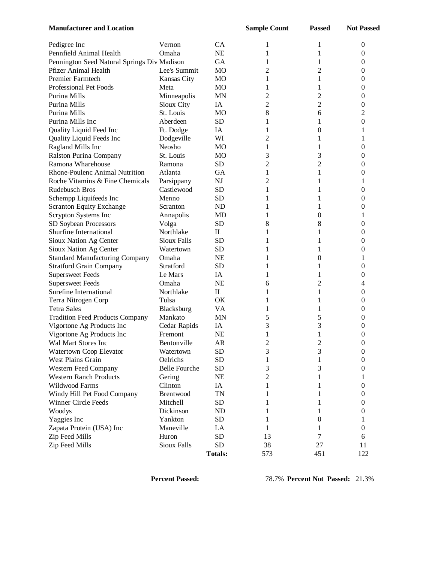| <b>Manufacturer and Location</b>            |                      |                | <b>Sample Count</b> | <b>Passed</b>    | <b>Not Passed</b> |
|---------------------------------------------|----------------------|----------------|---------------------|------------------|-------------------|
| Pedigree Inc                                | Vernon               | CA             | 1                   |                  | $\overline{0}$    |
| Pennfield Animal Health                     | Omaha                | <b>NE</b>      | 1                   | 1                | 0                 |
| Pennington Seed Natural Springs Div Madison |                      | <b>GA</b>      | 1                   | 1                | 0                 |
| Pfizer Animal Health                        | Lee's Summit         | <b>MO</b>      | 2                   | 2                | 0                 |
| Premier Farmtech                            | Kansas City          | M <sub>O</sub> | 1                   | 1                | 0                 |
| Professional Pet Foods                      | Meta                 | M <sub>O</sub> | 1                   | 1                | 0                 |
| Purina Mills                                | Minneapolis          | <b>MN</b>      | 2                   | $\overline{c}$   | 0                 |
| Purina Mills                                | Sioux City           | IA             | 2                   | $\overline{c}$   | 0                 |
| Purina Mills                                | St. Louis            | <b>MO</b>      | 8                   | 6                | 2                 |
| Purina Mills Inc                            | Aberdeen             | SD             | 1                   | 1                | $\overline{0}$    |
| Quality Liquid Feed Inc                     | Ft. Dodge            | IA             | 1                   | $\overline{0}$   | 1                 |
| Quality Liquid Feeds Inc                    | Dodgeville           | WI             | 2                   | 1                | 1                 |
| Ragland Mills Inc                           | Neosho               | M <sub>O</sub> | 1                   | 1                | 0                 |
| Ralston Purina Company                      | St. Louis            | M <sub>O</sub> | 3                   | 3                | 0                 |
| Ramona Wharehouse                           | Ramona               | SD             | 2                   | 2                | 0                 |
| Rhone-Poulenc Animal Nutrition              | Atlanta              | GA             | 1                   | 1                | 0                 |
| Roche Vitamins & Fine Chemicals             | Parsippany           | NJ             | 2                   |                  | 1                 |
| Rudebusch Bros                              | Castlewood           | <b>SD</b>      | 1                   |                  | 0                 |
| Schempp Liquifeeds Inc                      | Menno                | <b>SD</b>      | 1                   |                  | 0                 |
| <b>Scranton Equity Exchange</b>             | Scranton             | ND             | 1                   | 1                | 0                 |
| Scrypton Systems Inc                        | Annapolis            | MD             | 1                   | $\overline{0}$   | 1                 |
| SD Soybean Processors                       | Volga                | <b>SD</b>      | 8                   | 8                | 0                 |
| Shurfine International                      | Northlake            | IL             | 1                   |                  | 0                 |
| Sioux Nation Ag Center                      | Sioux Falls          | <b>SD</b>      | 1                   | 1                | 0                 |
| Sioux Nation Ag Center                      | Watertown            | <b>SD</b>      | 1                   | 1                | 0                 |
| <b>Standard Manufacturing Company</b>       | Omaha                | <b>NE</b>      | 1                   | 0                | 1                 |
| <b>Stratford Grain Company</b>              | Stratford            | <b>SD</b>      | 1                   |                  | 0                 |
| <b>Supersweet Feeds</b>                     | Le Mars              | IA             | 1                   | 1                | 0                 |
| <b>Supersweet Feeds</b>                     | Omaha                | <b>NE</b>      | 6                   | 2                | 4                 |
| Surefine International                      | Northlake            | IL             | 1                   | 1                | 0                 |
| Terra Nitrogen Corp                         | Tulsa                | OK             | 1                   | 1                | 0                 |
| <b>Tetra Sales</b>                          | Blacksburg           | VA             | 1                   | 1                | 0                 |
| <b>Tradition Feed Products Company</b>      | Mankato              | <b>MN</b>      | 5                   | 5                | 0                 |
| Vigortone Ag Products Inc                   | Cedar Rapids         | IA             | 3                   | 3                | 0                 |
| Vigortone Ag Products Inc                   | Fremont              | <b>NE</b>      | 1                   | 1                | 0                 |
| Wal Mart Stores Inc                         | Bentonville          | AR             | $\overline{2}$      | 2                | $\boldsymbol{0}$  |
| Watertown Coop Elevator                     | Watertown            | SD             | 3                   | 3                | $\mathbf{0}$      |
| West Plains Grain                           | Oelrichs             | SD             | 1                   | 1                | $\mathbf{0}$      |
| Western Feed Company                        | <b>Belle Fourche</b> | <b>SD</b>      | 3                   | 3                | 0                 |
| <b>Western Ranch Products</b>               | Gering               | <b>NE</b>      | $\overline{c}$      | 1                | 1                 |
| Wildwood Farms                              | Clinton              | IA             | 1                   | 1                | 0                 |
| Windy Hill Pet Food Company                 | Brentwood            | <b>TN</b>      | 1                   | 1                | 0                 |
| <b>Winner Circle Feeds</b>                  | Mitchell             | SD             | 1                   | 1                | 0                 |
| Woodys                                      | Dickinson            | ND             | 1                   | 1                | 0                 |
| Yaggies Inc                                 | Yankton              | SD             | 1                   | $\boldsymbol{0}$ | 1                 |
| Zapata Protein (USA) Inc                    | Maneville            | LA             | 1                   | 1                | 0                 |
| Zip Feed Mills                              | Huron                | <b>SD</b>      | 13                  | 7                | 6                 |
| Zip Feed Mills                              | Sioux Falls          | <b>SD</b>      | 38                  | 27               | 11                |
|                                             |                      | <b>Totals:</b> | 573                 | 451              | 122               |

**Percent Passed:** 78.7% **Percent Not Passed:** 21.3%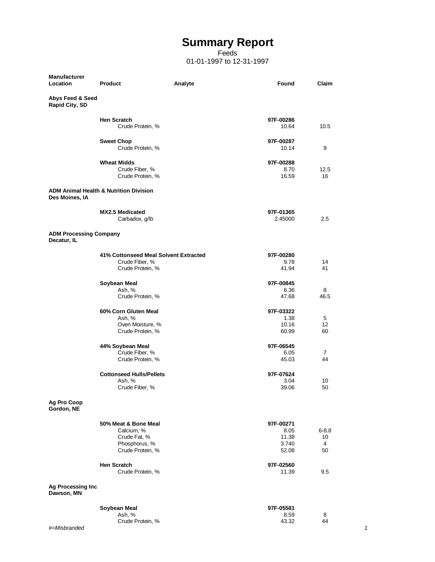## **Summary Report**

#### Feeds

01-01-1997 to 12-31-1997

| <b>Manufacturer</b><br><b>Location</b>        | <b>Product</b>                                                                          | Analyte | Found                                        | Claim                      |
|-----------------------------------------------|-----------------------------------------------------------------------------------------|---------|----------------------------------------------|----------------------------|
| <b>Abys Feed &amp; Seed</b><br>Rapid City, SD |                                                                                         |         |                                              |                            |
|                                               | <b>Hen Scratch</b><br>Crude Protein, %                                                  |         | 97F-00286<br>10.64                           | 10.5                       |
|                                               | <b>Sweet Chop</b><br>Crude Protein, %                                                   |         | 97F-00287<br>10.14                           | 9                          |
|                                               | <b>Wheat Midds</b><br>Crude Fiber, %<br>Crude Protein, %                                |         | 97F-00288<br>8.70<br>16.59                   | 12.5<br>16                 |
| Des Moines, IA                                | <b>ADM Animal Health &amp; Nutrition Division</b>                                       |         |                                              |                            |
|                                               | <b>MX2.5 Medicated</b><br>Carbadox, g/lb                                                |         | 97F-01365<br>2.45000                         | 2.5                        |
| <b>ADM Processing Company</b><br>Decatur, IL  |                                                                                         |         |                                              |                            |
|                                               | 41% Cottonseed Meal Solvent Extracted<br>Crude Fiber, %<br>Crude Protein, %             |         | 97F-00280<br>9.78<br>41.94                   | 14<br>41                   |
|                                               | Soybean Meal<br>Ash, %<br>Crude Protein, %                                              |         | 97F-00845<br>6.36<br>47.68                   | 8<br>46.5                  |
|                                               | 60% Corn Gluten Meal<br>Ash, %<br>Oven Moisture, %<br>Crude Protein, %                  |         | 97F-03322<br>1.38<br>10.16<br>60.99          | 5<br>12<br>60              |
|                                               | 44% Soybean Meal<br>Crude Fiber, %<br>Crude Protein, %                                  |         | 97F-06545<br>6.05<br>45.03                   | 7<br>44                    |
|                                               | <b>Cottonseed Hulls/Pellets</b><br>Ash, %<br>Crude Fiber, %                             |         | 97F-07624<br>3.04<br>39.06                   | 10<br>50                   |
| <b>Ag Pro Coop</b><br>Gordon, NE              |                                                                                         |         |                                              |                            |
|                                               | 50% Meat & Bone Meal<br>Calcium, %<br>Crude Fat, %<br>Phosphorus, %<br>Crude Protein, % |         | 97F-00271<br>8.05<br>11.38<br>3.740<br>52.08 | $6 - 8.8$<br>10<br>4<br>50 |
|                                               | <b>Hen Scratch</b><br>Crude Protein, %                                                  |         | 97F-02560<br>11.39                           | 9.5                        |
| Ag Processing Inc<br>Dawson, MN               |                                                                                         |         |                                              |                            |
|                                               | Soybean Meal<br>Ash, %<br>Crude Protein, %                                              |         | 97F-05581<br>8.59<br>43.32                   | 8<br>44                    |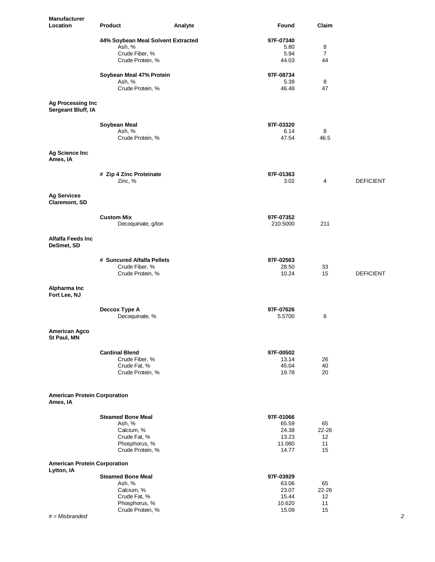| <b>Manufacturer</b><br>Location                   | <b>Product</b>                    | Analyte                            | Found               | Claim       |                  |
|---------------------------------------------------|-----------------------------------|------------------------------------|---------------------|-------------|------------------|
|                                                   |                                   |                                    |                     |             |                  |
|                                                   |                                   | 44% Soybean Meal Solvent Extracted | 97F-07340<br>5.80   |             |                  |
|                                                   | Ash, %<br>Crude Fiber, %          |                                    | 5.94                | 8<br>7      |                  |
|                                                   | Crude Protein, %                  |                                    | 44.03               | 44          |                  |
|                                                   | Soybean Meal 47% Protein          |                                    | 97F-08734           |             |                  |
|                                                   | Ash, %                            |                                    | 5.39                | 8           |                  |
|                                                   | Crude Protein, %                  |                                    | 46.48               | 47          |                  |
| Ag Processing Inc<br>Sergeant Bluff, IA           |                                   |                                    |                     |             |                  |
|                                                   | Soybean Meal                      |                                    | 97F-03320           |             |                  |
|                                                   | Ash, %                            |                                    | 6.14                | 8           |                  |
|                                                   | Crude Protein, %                  |                                    | 47.54               | 46.5        |                  |
|                                                   |                                   |                                    |                     |             |                  |
| Ag Science Inc<br>Ames, IA                        |                                   |                                    |                     |             |                  |
|                                                   | # Zip 4 Zinc Proteinate           |                                    | 97F-01363           |             |                  |
|                                                   | Zinc, %                           |                                    | 3.02                | 4           | <b>DEFICIENT</b> |
| <b>Ag Services</b><br>Claremont, SD               |                                   |                                    |                     |             |                  |
|                                                   | <b>Custom Mix</b>                 |                                    | 97F-07352           |             |                  |
|                                                   | Decoquinate, g/ton                |                                    | 210.5000            | 211         |                  |
| Alfalfa Feeds Inc<br>DeSmet, SD                   |                                   |                                    |                     |             |                  |
|                                                   | # Suncured Alfalfa Pellets        |                                    | 97F-02563           |             |                  |
|                                                   | Crude Fiber, %                    |                                    | 28.50               | 33          |                  |
|                                                   | Crude Protein, %                  |                                    | 10.24               | 15          | <b>DEFICIENT</b> |
| Alpharma Inc<br>Fort Lee, NJ                      |                                   |                                    |                     |             |                  |
|                                                   | Deccox Type A<br>Decoquinate, %   |                                    | 97F-07626<br>5.5700 | 6           |                  |
| <b>American Agco</b><br>St Paul, MN               |                                   |                                    |                     |             |                  |
|                                                   | <b>Cardinal Blend</b>             |                                    | 97F-00502           |             |                  |
|                                                   | Crude Fiber, %                    |                                    | 13.14               | 26          |                  |
|                                                   | Crude Fat, %                      |                                    | 45.04               | 40          |                  |
|                                                   | Crude Protein, %                  |                                    | 19.78               | 20          |                  |
| <b>American Protein Corporation</b><br>Ames, IA   |                                   |                                    |                     |             |                  |
|                                                   | <b>Steamed Bone Meal</b>          |                                    | 97F-01066           |             |                  |
|                                                   | Ash, %                            |                                    | 65.59               | 65          |                  |
|                                                   | Calcium, %                        |                                    | 24.38               | 22-26       |                  |
|                                                   | Crude Fat, %                      |                                    | 13.23               | 12          |                  |
|                                                   | Phosphorus, %<br>Crude Protein, % |                                    | 11.080<br>14.77     | 11<br>15    |                  |
|                                                   |                                   |                                    |                     |             |                  |
| <b>American Protein Corporation</b><br>Lytton, IA |                                   |                                    |                     |             |                  |
|                                                   | <b>Steamed Bone Meal</b>          |                                    | 97F-03929           |             |                  |
|                                                   | Ash, %                            |                                    | 63.06               | 65          |                  |
|                                                   | Calcium, %<br>Crude Fat, %        |                                    | 23.07<br>15.44      | 22-26<br>12 |                  |
|                                                   | Phosphorus, %                     |                                    | 10.620              | 11          |                  |
|                                                   | Crude Protein, %                  |                                    | 15.09               | 15          |                  |
| $#$ = Misbranded                                  |                                   |                                    |                     |             | $\overline{c}$   |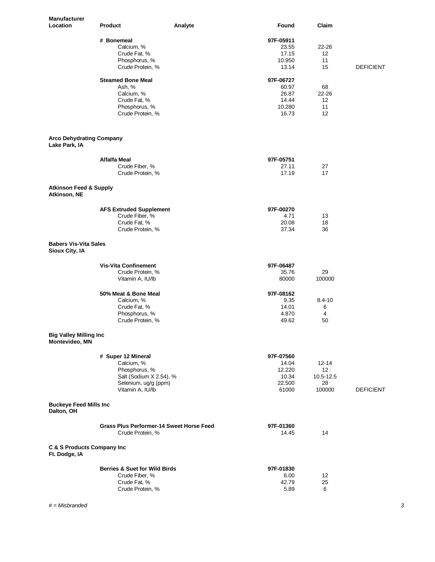| <b>Manufacturer</b><br><b>Location</b>            | <b>Product</b>                                                      | Analyte | Found              | Claim                   |                  |
|---------------------------------------------------|---------------------------------------------------------------------|---------|--------------------|-------------------------|------------------|
|                                                   |                                                                     |         |                    |                         |                  |
|                                                   | # Bonemeal<br>Calcium, %                                            |         | 97F-05911<br>23.55 | 22-26                   |                  |
|                                                   | Crude Fat, %                                                        |         | 17.15              | 12                      |                  |
|                                                   | Phosphorus, %                                                       |         | 10.950             | 11                      |                  |
|                                                   | Crude Protein, %                                                    |         | 13.14              | 15                      | <b>DEFICIENT</b> |
|                                                   | <b>Steamed Bone Meal</b>                                            |         | 97F-06727          |                         |                  |
|                                                   | Ash, %                                                              |         | 60.97              | 68                      |                  |
|                                                   | Calcium, %                                                          |         | 26.87              | 22-26                   |                  |
|                                                   | Crude Fat, %<br>Phosphorus, %                                       |         | 14.44<br>10.280    | $12 \overline{ }$<br>11 |                  |
|                                                   | Crude Protein, %                                                    |         | 16.73              | 12                      |                  |
| <b>Arco Dehydrating Company</b>                   |                                                                     |         |                    |                         |                  |
| Lake Park, IA                                     |                                                                     |         |                    |                         |                  |
|                                                   | Alfalfa Meal                                                        |         | 97F-05751          |                         |                  |
|                                                   | Crude Fiber, %                                                      |         | 27.11              | 27                      |                  |
|                                                   | Crude Protein, %                                                    |         | 17.19              | 17                      |                  |
| <b>Atkinson Feed &amp; Supply</b><br>Atkinson, NE |                                                                     |         |                    |                         |                  |
|                                                   | <b>AFS Extruded Supplement</b>                                      |         | 97F-00270          |                         |                  |
|                                                   | Crude Fiber, %                                                      |         | 4.71               | 13                      |                  |
|                                                   | Crude Fat, %<br>Crude Protein, %                                    |         | 20.08<br>37.34     | 18<br>36                |                  |
| <b>Babers Vis-Vita Sales</b><br>Sioux City, IA    |                                                                     |         |                    |                         |                  |
|                                                   | <b>Vis-Vita Confinement</b>                                         |         | 97F-06487          |                         |                  |
|                                                   | Crude Protein, %<br>Vitamin A, IU/lb                                |         | 35.76<br>80000     | 29<br>100000            |                  |
|                                                   |                                                                     |         |                    |                         |                  |
|                                                   | 50% Meat & Bone Meal                                                |         | 97F-08162          |                         |                  |
|                                                   | Calcium, %                                                          |         | 9.35               | $8.4 - 10$              |                  |
|                                                   | Crude Fat, %<br>Phosphorus, %                                       |         | 14.01<br>4.870     | 6<br>4                  |                  |
|                                                   | Crude Protein, %                                                    |         | 49.62              | 50                      |                  |
| <b>Big Valley Milling Inc</b><br>Montevideo, MN   |                                                                     |         |                    |                         |                  |
|                                                   | # Super 12 Mineral                                                  |         | 97F-07560          |                         |                  |
|                                                   | Calcium, %                                                          |         | 14.04              | $12 - 14$               |                  |
|                                                   | Phosphorus, %                                                       |         | 12.220             | 12                      |                  |
|                                                   | Salt (Sodium X 2.54), %<br>Selenium, ug/g (ppm)                     |         | 10.34<br>22.500    | 10.5-12.5<br>28         |                  |
|                                                   | Vitamin A, IU/lb                                                    |         | 61000              | 100000                  | <b>DEFICIENT</b> |
| <b>Buckeye Feed Mills Inc</b><br>Dalton, OH       |                                                                     |         |                    |                         |                  |
|                                                   | <b>Grass Plus Performer-14 Sweet Horse Feed</b><br>Crude Protein, % |         | 97F-01360<br>14.45 | 14                      |                  |
| C & S Products Company Inc<br>Ft. Dodge, IA       |                                                                     |         |                    |                         |                  |
|                                                   | <b>Berries &amp; Suet for Wild Birds</b>                            |         | 97F-01830          |                         |                  |
|                                                   | Crude Fiber, %                                                      |         | 6.00               | 12                      |                  |
|                                                   | Crude Fat, %                                                        |         | 42.79              | 25                      |                  |
|                                                   | Crude Protein, %                                                    |         | 5.89               | 6                       |                  |

*# = Misbranded 3*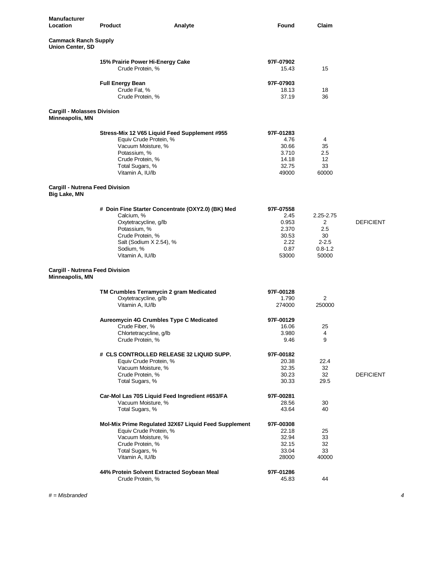| <b>Manufacturer</b><br>Location                        | <b>Product</b>                                                                                                                                                                           | Analyte | Found                                                                 | Claim                                                            |                  |
|--------------------------------------------------------|------------------------------------------------------------------------------------------------------------------------------------------------------------------------------------------|---------|-----------------------------------------------------------------------|------------------------------------------------------------------|------------------|
| <b>Cammack Ranch Supply</b><br><b>Union Center, SD</b> |                                                                                                                                                                                          |         |                                                                       |                                                                  |                  |
|                                                        | 15% Prairie Power Hi-Energy Cake<br>Crude Protein, %                                                                                                                                     |         | 97F-07902<br>15.43                                                    | 15                                                               |                  |
|                                                        | <b>Full Energy Bean</b><br>Crude Fat, %<br>Crude Protein, %                                                                                                                              |         | 97F-07903<br>18.13<br>37.19                                           | 18<br>36                                                         |                  |
| <b>Cargill - Molasses Division</b><br>Minneapolis, MN  |                                                                                                                                                                                          |         |                                                                       |                                                                  |                  |
|                                                        | Stress-Mix 12 V65 Liquid Feed Supplement #955<br>Equiv Crude Protein, %<br>Vacuum Moisture, %<br>Potassium, %<br>Crude Protein, %<br>Total Sugars, %<br>Vitamin A, IU/lb                 |         | 97F-01283<br>4.76<br>30.66<br>3.710<br>14.18<br>32.75<br>49000        | 4<br>35<br>2.5<br>12<br>33<br>60000                              |                  |
| Cargill - Nutrena Feed Division<br>Big Lake, MN        |                                                                                                                                                                                          |         |                                                                       |                                                                  |                  |
|                                                        | # Doin Fine Starter Concentrate (OXY2.0) (BK) Med<br>Calcium, %<br>Oxytetracycline, g/lb<br>Potassium, %<br>Crude Protein, %<br>Salt (Sodium X 2.54), %<br>Sodium, %<br>Vitamin A, IU/lb |         | 97F-07558<br>2.45<br>0.953<br>2.370<br>30.53<br>2.22<br>0.87<br>53000 | 2.25-2.75<br>2<br>2.5<br>30<br>$2 - 2.5$<br>$0.8 - 1.2$<br>50000 | <b>DEFICIENT</b> |
| Cargill - Nutrena Feed Division<br>Minneapolis, MN     |                                                                                                                                                                                          |         |                                                                       |                                                                  |                  |
|                                                        | TM Crumbles Terramycin 2 gram Medicated<br>Oxytetracycline, g/lb<br>Vitamin A, IU/lb                                                                                                     |         | 97F-00128<br>1.790<br>274000                                          | 2<br>250000                                                      |                  |
|                                                        | Aureomycin 4G Crumbles Type C Medicated<br>Crude Fiber, %<br>Chlortetracycline, g/lb<br>Crude Protein, %                                                                                 |         | 97F-00129<br>16.06<br>3.980<br>9.46                                   | 25<br>4<br>9                                                     |                  |
|                                                        | #  CLS CONTROLLED RELEASE 32 LIQUID SUPP.<br>Equiv Crude Protein, %<br>Vacuum Moisture, %<br>Crude Protein, %<br>Total Sugars, %                                                         |         | 97F-00182<br>20.38<br>32.35<br>30.23<br>30.33                         | 22.4<br>32<br>32<br>29.5                                         | <b>DEFICIENT</b> |
|                                                        | Car-Mol Las 70S Liquid Feed Ingredient #653/FA<br>Vacuum Moisture, %<br>Total Sugars, %                                                                                                  |         | 97F-00281<br>28.56<br>43.64                                           | 30<br>40                                                         |                  |
|                                                        | Mol-Mix Prime Regulated 32X67 Liquid Feed Supplement<br>Equiv Crude Protein, %<br>Vacuum Moisture, %<br>Crude Protein, %<br>Total Sugars, %<br>Vitamin A, IU/lb                          |         | 97F-00308<br>22.18<br>32.94<br>32.15<br>33.04<br>28000                | 25<br>33<br>32<br>33<br>40000                                    |                  |
|                                                        | 44% Protein Solvent Extracted Soybean Meal<br>Crude Protein, %                                                                                                                           |         | 97F-01286<br>45.83                                                    | 44                                                               |                  |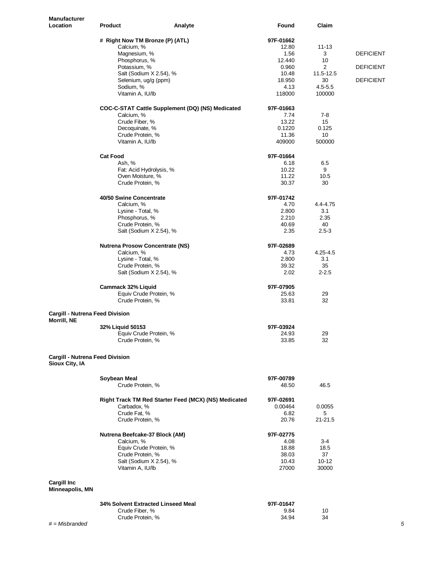| <b>Manufacturer</b><br><b>Location</b>            | <b>Product</b>                         | Analyte                                              | Found     | Claim        |                  |
|---------------------------------------------------|----------------------------------------|------------------------------------------------------|-----------|--------------|------------------|
|                                                   |                                        |                                                      |           |              |                  |
|                                                   | # Right Now TM Bronze (P) (ATL)        |                                                      | 97F-01662 |              |                  |
|                                                   | Calcium, %                             |                                                      | 12.80     | $11 - 13$    |                  |
|                                                   | Magnesium, %                           |                                                      | 1.56      | 3            | <b>DEFICIENT</b> |
|                                                   | Phosphorus, %                          |                                                      | 12.440    | 10           |                  |
|                                                   | Potassium, %                           |                                                      | 0.960     | 2            | <b>DEFICIENT</b> |
|                                                   | Salt (Sodium X 2.54), %                |                                                      | 10.48     | 11.5-12.5    |                  |
|                                                   | Selenium, ug/g (ppm)                   |                                                      | 18.950    | 30           | <b>DEFICIENT</b> |
|                                                   | Sodium, %                              |                                                      | 4.13      | $4.5 - 5.5$  |                  |
|                                                   | Vitamin A, IU/lb                       |                                                      | 118000    | 100000       |                  |
|                                                   |                                        |                                                      |           |              |                  |
|                                                   |                                        | COC-C-STAT Cattle Supplement (DQ) (NS) Medicated     | 97F-01663 |              |                  |
|                                                   | Calcium, %                             |                                                      | 7.74      | 7-8          |                  |
|                                                   | Crude Fiber, %                         |                                                      | 13.22     | 15           |                  |
|                                                   | Decoquinate, %                         |                                                      | 0.1220    | 0.125        |                  |
|                                                   | Crude Protein, %                       |                                                      | 11.36     | 10           |                  |
|                                                   | Vitamin A, IU/lb                       |                                                      | 409000    | 500000       |                  |
|                                                   |                                        |                                                      |           |              |                  |
|                                                   | <b>Cat Food</b>                        |                                                      | 97F-01664 |              |                  |
|                                                   | Ash, %                                 |                                                      | 6.18      | 6.5          |                  |
|                                                   | Fat: Acid Hydrolysis, %                |                                                      | 10.22     | 9            |                  |
|                                                   | Oven Moisture, %                       |                                                      | 11.22     | 10.5         |                  |
|                                                   | Crude Protein, %                       |                                                      | 30.37     | 30           |                  |
|                                                   |                                        |                                                      |           |              |                  |
|                                                   | 40/50 Swine Concentrate                |                                                      | 97F-01742 |              |                  |
|                                                   | Calcium, %                             |                                                      | 4.70      | 4.4-4.75     |                  |
|                                                   | Lysine - Total, %                      |                                                      | 2.800     | 3.1          |                  |
|                                                   | Phosphorus, %                          |                                                      | 2.210     | 2.35         |                  |
|                                                   | Crude Protein, %                       |                                                      | 40.69     | 40           |                  |
|                                                   | Salt (Sodium X 2.54), %                |                                                      | 2.35      | $2.5 - 3$    |                  |
|                                                   |                                        |                                                      |           |              |                  |
|                                                   | <b>Nutrena Prosow Concentrate (NS)</b> |                                                      | 97F-02689 |              |                  |
|                                                   | Calcium, %                             |                                                      | 4.73      | $4.25 - 4.5$ |                  |
|                                                   | Lysine - Total, %                      |                                                      | 2.800     | 3.1          |                  |
|                                                   | Crude Protein, %                       |                                                      | 39.32     | 35           |                  |
|                                                   | Salt (Sodium X 2.54), %                |                                                      | 2.02      | $2 - 2.5$    |                  |
|                                                   |                                        |                                                      |           |              |                  |
|                                                   | <b>Cammack 32% Liquid</b>              |                                                      | 97F-07905 |              |                  |
|                                                   | Equiv Crude Protein, %                 |                                                      | 25.63     | 29           |                  |
|                                                   | Crude Protein, %                       |                                                      | 33.81     | 32           |                  |
| Cargill - Nutrena Feed Division                   |                                        |                                                      |           |              |                  |
| Morrill, NE                                       |                                        |                                                      |           |              |                  |
|                                                   | 32% Liquid 50153                       |                                                      | 97F-03924 |              |                  |
|                                                   | Equiv Crude Protein, %                 |                                                      | 24.93     | 29           |                  |
|                                                   | Crude Protein, %                       |                                                      | 33.85     | 32           |                  |
| Cargill - Nutrena Feed Division<br>Sioux City, IA |                                        |                                                      |           |              |                  |
|                                                   | Soybean Meal                           |                                                      | 97F-00789 |              |                  |
|                                                   | Crude Protein, %                       |                                                      | 48.50     | 46.5         |                  |
|                                                   |                                        |                                                      |           |              |                  |
|                                                   |                                        | Right Track TM Red Starter Feed (MCX) (NS) Medicated | 97F-02691 |              |                  |
|                                                   |                                        |                                                      |           |              |                  |
|                                                   | Carbadox, %                            |                                                      | 0.00464   | 0.0055       |                  |
|                                                   | Crude Fat, %                           |                                                      | 6.82      | 5            |                  |
|                                                   | Crude Protein, %                       |                                                      | 20.76     | 21-21.5      |                  |
|                                                   | Nutrena Beefcake-37 Block (AM)         |                                                      | 97F-02775 |              |                  |
|                                                   | Calcium, %                             |                                                      | 4.08      | 3-4          |                  |
|                                                   | Equiv Crude Protein, %                 |                                                      | 18.88     | 18.5         |                  |
|                                                   |                                        |                                                      |           |              |                  |
|                                                   | Crude Protein, %                       |                                                      | 38.03     | 37           |                  |
|                                                   | Salt (Sodium X 2.54), %                |                                                      | 10.43     | $10 - 12$    |                  |
|                                                   | Vitamin A, IU/lb                       |                                                      | 27000     | 30000        |                  |
| <b>Cargill Inc</b><br>Minneapolis, MN             |                                        |                                                      |           |              |                  |
|                                                   | 34% Solvent Extracted Linseed Meal     |                                                      | 97F-01647 |              |                  |
|                                                   | Crude Fiber, %                         |                                                      | 9.84      | 10           |                  |
|                                                   | Crude Protein, %                       |                                                      | 34.94     | 34           |                  |
| $#$ = Misbranded                                  |                                        |                                                      |           |              | 5                |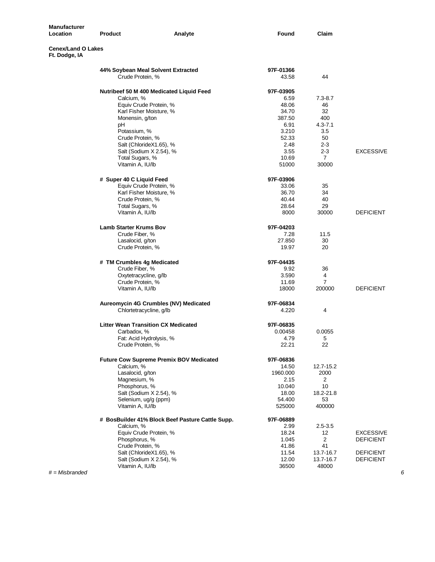| <b>Manufacturer</b>                        |                                  |                                                  |                   |                           |                  |
|--------------------------------------------|----------------------------------|--------------------------------------------------|-------------------|---------------------------|------------------|
| Location                                   | <b>Product</b>                   | Analyte                                          | Found             | Claim                     |                  |
| <b>Cenex/Land O Lakes</b><br>Ft. Dodge, IA |                                  |                                                  |                   |                           |                  |
|                                            |                                  | 44% Soybean Meal Solvent Extracted               | 97F-01366         |                           |                  |
|                                            |                                  | Crude Protein, %                                 | 43.58             | 44                        |                  |
|                                            |                                  | Nutribeef 50 M 400 Medicated Liquid Feed         | 97F-03905         |                           |                  |
|                                            | Calcium, %                       |                                                  | 6.59              | $7.3 - 8.7$               |                  |
|                                            |                                  | Equiv Crude Protein, %                           | 48.06             | 46                        |                  |
|                                            |                                  | Karl Fisher Moisture, %                          | 34.70             | 32                        |                  |
|                                            | Monensin, g/ton                  |                                                  | 387.50            | 400                       |                  |
|                                            | рH                               |                                                  | 6.91              | $4.3 - 7.1$               |                  |
|                                            | Potassium, %                     |                                                  | 3.210             | 3.5                       |                  |
|                                            | Crude Protein, %                 |                                                  | 52.33             | 50                        |                  |
|                                            |                                  | Salt (ChlorideX1.65), %                          | 2.48              | 2-3                       |                  |
|                                            |                                  | Salt (Sodium X 2.54), %                          | 3.55              | $2 - 3$<br>$\overline{7}$ | <b>EXCESSIVE</b> |
|                                            | Total Sugars, %                  |                                                  | 10.69<br>51000    | 30000                     |                  |
|                                            | Vitamin A, IU/lb                 |                                                  |                   |                           |                  |
|                                            | # Super 40 C Liquid Feed         |                                                  | 97F-03906         |                           |                  |
|                                            |                                  | Equiv Crude Protein, %                           | 33.06             | 35                        |                  |
|                                            |                                  | Karl Fisher Moisture, %                          | 36.70             | 34                        |                  |
|                                            | Crude Protein, %                 |                                                  | 40.44             | 40                        |                  |
|                                            | Total Sugars, %                  |                                                  | 28.64             | 29                        |                  |
|                                            | Vitamin A, IU/lb                 |                                                  | 8000              | 30000                     | <b>DEFICIENT</b> |
|                                            | <b>Lamb Starter Krums Bov</b>    |                                                  | 97F-04203         |                           |                  |
|                                            | Crude Fiber, %                   |                                                  | 7.28              | 11.5                      |                  |
|                                            | Lasalocid, g/ton                 |                                                  | 27.850            | 30                        |                  |
|                                            |                                  | Crude Protein, %                                 | 19.97             | 20                        |                  |
|                                            |                                  |                                                  | 97F-04435         |                           |                  |
|                                            |                                  | # TM Crumbles 4g Medicated                       | 9.92              | 36                        |                  |
|                                            | Crude Fiber, %                   | Oxytetracycline, g/lb                            | 3.590             | 4                         |                  |
|                                            |                                  | Crude Protein, %                                 | 11.69             | $\overline{7}$            |                  |
|                                            | Vitamin A, IU/lb                 |                                                  | 18000             | 200000                    | <b>DEFICIENT</b> |
|                                            |                                  |                                                  |                   |                           |                  |
|                                            |                                  | Aureomycin 4G Crumbles (NV) Medicated            | 97F-06834         |                           |                  |
|                                            |                                  | Chlortetracycline, g/lb                          | 4.220             | 4                         |                  |
|                                            |                                  | <b>Litter Wean Transition CX Medicated</b>       | 97F-06835         |                           |                  |
|                                            | Carbadox, %                      |                                                  | 0.00458           | 0.0055                    |                  |
|                                            |                                  | Fat: Acid Hydrolysis, %                          | 4.79              | 5                         |                  |
|                                            | Crude Protein, %                 |                                                  | 22.21             | 22                        |                  |
|                                            |                                  |                                                  |                   |                           |                  |
|                                            |                                  | <b>Future Cow Supreme Premix BOV Medicated</b>   | 97F-06836         |                           |                  |
|                                            | Calcium, %                       |                                                  | 14.50<br>1960.000 | 12.7-15.2                 |                  |
|                                            | Lasalocid, g/ton<br>Magnesium, % |                                                  | 2.15              | 2000<br>$\overline{2}$    |                  |
|                                            | Phosphorus, %                    |                                                  | 10.040            | 10                        |                  |
|                                            |                                  | Salt (Sodium X 2.54), %                          | 18.00             | 18.2-21.8                 |                  |
|                                            |                                  | Selenium, ug/g (ppm)                             | 54.400            | 53                        |                  |
|                                            | Vitamin A, IU/lb                 |                                                  | 525000            | 400000                    |                  |
|                                            |                                  |                                                  |                   |                           |                  |
|                                            | Calcium, %                       | # BosBuilder 41% Block Beef Pasture Cattle Supp. | 97F-06889<br>2.99 | $2.5 - 3.5$               |                  |
|                                            |                                  | Equiv Crude Protein, %                           | 18.24             | 12                        | <b>EXCESSIVE</b> |
|                                            | Phosphorus, %                    |                                                  | 1.045             | $\overline{2}$            | <b>DEFICIENT</b> |
|                                            | Crude Protein, %                 |                                                  | 41.86             | 41                        |                  |
|                                            |                                  | Salt (ChlorideX1.65), %                          | 11.54             | 13.7-16.7                 | <b>DEFICIENT</b> |
|                                            |                                  | Salt (Sodium X 2.54), %                          | 12.00             | 13.7-16.7                 | <b>DEFICIENT</b> |
|                                            | Vitamin A, IU/lb                 |                                                  | 36500             | 48000                     |                  |
| $#$ = Misbranded                           |                                  |                                                  |                   |                           | 6                |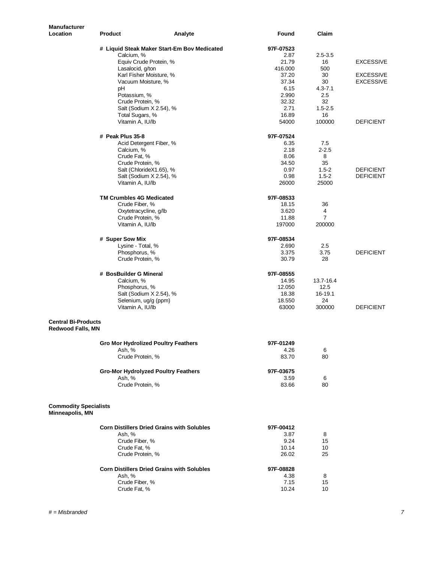| <b>Manufacturer</b><br>Location                        | <b>Product</b><br>Analyte                         | Found           | Claim                    |                                      |
|--------------------------------------------------------|---------------------------------------------------|-----------------|--------------------------|--------------------------------------|
|                                                        | # Liquid Steak Maker Start-Em Bov Medicated       | 97F-07523       |                          |                                      |
|                                                        | Calcium, %                                        | 2.87            | $2.5 - 3.5$              |                                      |
|                                                        | Equiv Crude Protein, %                            | 21.79           | 16                       | <b>EXCESSIVE</b>                     |
|                                                        | Lasalocid, g/ton                                  | 416.000         | 500                      |                                      |
|                                                        | Karl Fisher Moisture, %                           | 37.20           | 30                       | <b>EXCESSIVE</b>                     |
|                                                        | Vacuum Moisture, %                                | 37.34           | 30                       | <b>EXCESSIVE</b>                     |
|                                                        | рH                                                | 6.15            | $4.3 - 7.1$              |                                      |
|                                                        | Potassium, %                                      | 2.990           | 2.5                      |                                      |
|                                                        | Crude Protein, %                                  | 32.32           | 32                       |                                      |
|                                                        | Salt (Sodium X 2.54), %                           | 2.71            | $1.5 - 2.5$              |                                      |
|                                                        | Total Sugars, %<br>Vitamin A, IU/lb               | 16.89<br>54000  | 16<br>100000             | <b>DEFICIENT</b>                     |
|                                                        |                                                   |                 |                          |                                      |
|                                                        | # Peak Plus 35-8                                  | 97F-07524       |                          |                                      |
|                                                        | Acid Detergent Fiber, %                           | 6.35            | 7.5                      |                                      |
|                                                        | Calcium, %                                        | 2.18            | $2 - 2.5$                |                                      |
|                                                        | Crude Fat, %                                      | 8.06            | 8                        |                                      |
|                                                        | Crude Protein, %                                  | 34.50           | 35                       |                                      |
|                                                        | Salt (ChlorideX1.65), %                           | 0.97<br>0.98    | $1.5 - 2$<br>$1.5 - 2$   | <b>DEFICIENT</b><br><b>DEFICIENT</b> |
|                                                        | Salt (Sodium X 2.54), %<br>Vitamin A, IU/lb       | 26000           | 25000                    |                                      |
|                                                        |                                                   |                 |                          |                                      |
|                                                        | <b>TM Crumbles 4G Medicated</b>                   | 97F-08533       |                          |                                      |
|                                                        | Crude Fiber, %                                    | 18.15           | 36                       |                                      |
|                                                        | Oxytetracycline, g/lb                             | 3.620           | 4                        |                                      |
|                                                        | Crude Protein, %<br>Vitamin A, IU/lb              | 11.88<br>197000 | $\overline{7}$<br>200000 |                                      |
|                                                        |                                                   |                 |                          |                                      |
|                                                        | # Super Sow Mix                                   | 97F-08534       |                          |                                      |
|                                                        | Lysine - Total, %                                 | 2.690           | 2.5                      |                                      |
|                                                        | Phosphorus, %                                     | 3.375           | 3.75                     | <b>DEFICIENT</b>                     |
|                                                        | Crude Protein, %                                  | 30.79           | 28                       |                                      |
|                                                        | # BosBuilder G Mineral                            | 97F-08555       |                          |                                      |
|                                                        | Calcium, %                                        | 14.95           | 13.7-16.4                |                                      |
|                                                        | Phosphorus, %                                     | 12.050          | 12.5                     |                                      |
|                                                        | Salt (Sodium X 2.54), %                           | 18.38           | 16-19.1                  |                                      |
|                                                        | Selenium, ug/g (ppm)                              | 18.550          | 24                       |                                      |
|                                                        | Vitamin A, IU/lb                                  | 63000           | 300000                   | <b>DEFICIENT</b>                     |
| <b>Central Bi-Products</b><br><b>Redwood Falls, MN</b> |                                                   |                 |                          |                                      |
|                                                        | <b>Gro Mor Hydrolized Poultry Feathers</b>        | 97F-01249       |                          |                                      |
|                                                        | Ash, %                                            | 4.26            | 6                        |                                      |
|                                                        | Crude Protein, %                                  | 83.70           | 80                       |                                      |
|                                                        | <b>Gro-Mor Hydrolyzed Poultry Feathers</b>        | 97F-03675       |                          |                                      |
|                                                        | Ash, %                                            | 3.59            | 6                        |                                      |
|                                                        | Crude Protein, %                                  | 83.66           | 80                       |                                      |
| <b>Commodity Specialists</b><br>Minneapolis, MN        |                                                   |                 |                          |                                      |
|                                                        |                                                   |                 |                          |                                      |
|                                                        | <b>Corn Distillers Dried Grains with Solubles</b> | 97F-00412       |                          |                                      |
|                                                        | Ash, %                                            | 3.87            | 8                        |                                      |
|                                                        | Crude Fiber, %<br>Crude Fat, %                    | 9.24<br>10.14   | 15<br>10                 |                                      |
|                                                        | Crude Protein, %                                  | 26.02           | 25                       |                                      |
|                                                        |                                                   |                 |                          |                                      |
|                                                        | <b>Corn Distillers Dried Grains with Solubles</b> | 97F-08828       |                          |                                      |
|                                                        | Ash, %                                            | 4.38            | 8                        |                                      |
|                                                        | Crude Fiber, %                                    | 7.15            | 15                       |                                      |
|                                                        | Crude Fat, %                                      | 10.24           | 10                       |                                      |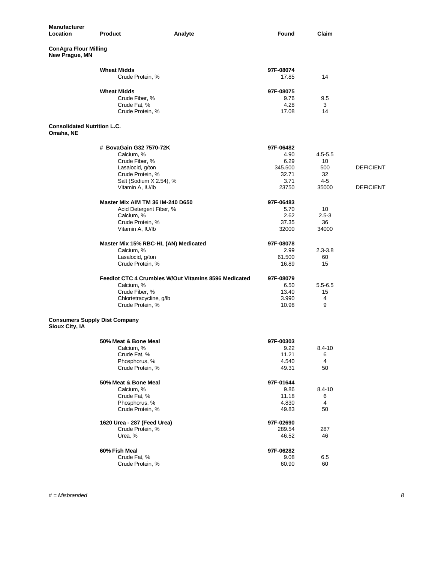| <b>Manufacturer</b><br>Location                | <b>Product</b><br>Analyte                                   | Found             | Claim       |                  |
|------------------------------------------------|-------------------------------------------------------------|-------------------|-------------|------------------|
| <b>ConAgra Flour Milling</b><br>New Prague, MN |                                                             |                   |             |                  |
|                                                | <b>Wheat Midds</b>                                          | 97F-08074         |             |                  |
|                                                | Crude Protein, %                                            | 17.85             | 14          |                  |
|                                                | <b>Wheat Midds</b>                                          | 97F-08075         |             |                  |
|                                                | Crude Fiber, %                                              | 9.76              | 9.5         |                  |
|                                                | Crude Fat, %<br>Crude Protein, %                            | 4.28<br>17.08     | 3<br>14     |                  |
| <b>Consolidated Nutrition L.C.</b>             |                                                             |                   |             |                  |
| Omaha, NE                                      |                                                             |                   |             |                  |
|                                                | # BovaGain G32 7570-72K                                     | 97F-06482         |             |                  |
|                                                | Calcium, %                                                  | 4.90              | $4.5 - 5.5$ |                  |
|                                                | Crude Fiber, %                                              | 6.29              | 10          |                  |
|                                                | Lasalocid, g/ton<br>Crude Protein, %                        | 345.500<br>32.71  | 500         | <b>DEFICIENT</b> |
|                                                | Salt (Sodium X 2.54), %                                     | 3.71              | 32<br>4-5   |                  |
|                                                | Vitamin A, IU/lb                                            | 23750             | 35000       | <b>DEFICIENT</b> |
|                                                |                                                             |                   |             |                  |
|                                                | Master Mix AIM TM 36 IM-240 D650<br>Acid Detergent Fiber, % | 97F-06483<br>5.70 | 10          |                  |
|                                                | Calcium, %                                                  | 2.62              | $2.5 - 3$   |                  |
|                                                | Crude Protein, %                                            | 37.35             | 36          |                  |
|                                                | Vitamin A, IU/lb                                            | 32000             | 34000       |                  |
|                                                | Master Mix 15% RBC-HL (AN) Medicated                        | 97F-08078         |             |                  |
|                                                | Calcium, %                                                  | 2.99              | $2.3 - 3.8$ |                  |
|                                                | Lasalocid, g/ton                                            | 61.500            | 60          |                  |
|                                                | Crude Protein, %                                            | 16.89             | 15          |                  |
|                                                | Feedlot CTC 4 Crumbles W/Out Vitamins 8596 Medicated        | 97F-08079         |             |                  |
|                                                | Calcium, %                                                  | 6.50              | $5.5 - 6.5$ |                  |
|                                                | Crude Fiber, %                                              | 13.40             | 15          |                  |
|                                                | Chlortetracycline, g/lb                                     | 3.990             | 4           |                  |
|                                                | Crude Protein, %                                            | 10.98             | 9           |                  |
| Sioux City, IA                                 | <b>Consumers Supply Dist Company</b>                        |                   |             |                  |
|                                                | 50% Meat & Bone Meal                                        | 97F-00303         |             |                  |
|                                                | Calcium, %                                                  | 9.22              | $8.4 - 10$  |                  |
|                                                | Crude Fat, %                                                | 11.21             | 6           |                  |
|                                                | Phosphorus, %                                               | 4.540             | 4           |                  |
|                                                | Crude Protein, %                                            | 49.31             | 50          |                  |
|                                                | 50% Meat & Bone Meal                                        | 97F-01644         |             |                  |
|                                                | Calcium, %                                                  | 9.86              | $8.4 - 10$  |                  |
|                                                | Crude Fat, %                                                | 11.18             | 6           |                  |
|                                                | Phosphorus, %                                               | 4.830             | 4           |                  |
|                                                | Crude Protein, %                                            | 49.83             | 50          |                  |
|                                                | 1620 Urea - 287 (Feed Urea)                                 | 97F-02690         |             |                  |
|                                                | Crude Protein, %                                            | 289.54            | 287         |                  |
|                                                | Urea, %                                                     | 46.52             | 46          |                  |
|                                                | 60% Fish Meal                                               | 97F-06282         |             |                  |
|                                                | Crude Fat, %                                                | 9.08              | 6.5         |                  |
|                                                | Crude Protein, %                                            | 60.90             | 60          |                  |
|                                                |                                                             |                   |             |                  |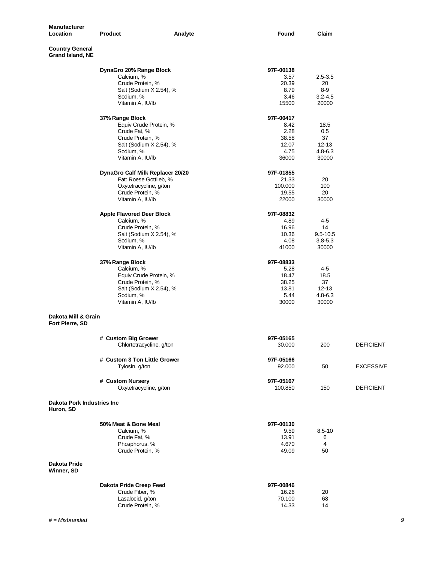| <b>Manufacturer</b><br>Location                | <b>Product</b>                              | Analyte | Found            | Claim                |                  |
|------------------------------------------------|---------------------------------------------|---------|------------------|----------------------|------------------|
| <b>Country General</b><br>Grand Island, NE     |                                             |         |                  |                      |                  |
|                                                | DynaGro 20% Range Block                     |         | 97F-00138        |                      |                  |
|                                                | Calcium, %                                  |         | 3.57             | $2.5 - 3.5$          |                  |
|                                                | Crude Protein, %                            |         | 20.39            | 20                   |                  |
|                                                | Salt (Sodium X 2.54), %<br>Sodium, %        |         | 8.79<br>3.46     | $8-9$<br>$3.2 - 4.5$ |                  |
|                                                | Vitamin A, IU/lb                            |         | 15500            | 20000                |                  |
|                                                | 37% Range Block                             |         | 97F-00417        |                      |                  |
|                                                | Equiv Crude Protein, %<br>Crude Fat, %      |         | 8.42<br>2.28     | 18.5<br>0.5          |                  |
|                                                | Crude Protein, %                            |         | 38.58            | 37                   |                  |
|                                                | Salt (Sodium X 2.54), %                     |         | 12.07            | $12 - 13$            |                  |
|                                                | Sodium, %                                   |         | 4.75             | 4.8-6.3              |                  |
|                                                | Vitamin A, IU/lb                            |         | 36000            | 30000                |                  |
|                                                | DynaGro Calf Milk Replacer 20/20            |         | 97F-01855        |                      |                  |
|                                                | Fat: Roese Gottlieb, %                      |         | 21.33            | 20                   |                  |
|                                                | Oxytetracycline, g/ton<br>Crude Protein, %  |         | 100.000<br>19.55 | 100<br>20            |                  |
|                                                | Vitamin A, IU/lb                            |         | 22000            | 30000                |                  |
|                                                | <b>Apple Flavored Deer Block</b>            |         | 97F-08832        |                      |                  |
|                                                | Calcium, %                                  |         | 4.89             | 4-5                  |                  |
|                                                | Crude Protein, %<br>Salt (Sodium X 2.54), % |         | 16.96<br>10.36   | 14<br>$9.5 - 10.5$   |                  |
|                                                | Sodium, %                                   |         | 4.08             | $3.8 - 5.3$          |                  |
|                                                | Vitamin A, IU/lb                            |         | 41000            | 30000                |                  |
|                                                | 37% Range Block                             |         | 97F-08833        |                      |                  |
|                                                | Calcium, %                                  |         | 5.28             | 4-5                  |                  |
|                                                | Equiv Crude Protein, %<br>Crude Protein, %  |         | 18.47<br>38.25   | 18.5<br>37           |                  |
|                                                | Salt (Sodium X 2.54), %                     |         | 13.81            | $12 - 13$            |                  |
|                                                | Sodium, %                                   |         | 5.44             | 4.8-6.3              |                  |
|                                                | Vitamin A, IU/lb                            |         | 30000            | 30000                |                  |
| Dakota Mill & Grain<br>Fort Pierre, SD         |                                             |         |                  |                      |                  |
|                                                | # Custom Big Grower                         |         | 97F-05165        |                      |                  |
|                                                | Chlortetracycline, g/ton                    |         | 30.000           | 200                  | <b>DEFICIENT</b> |
|                                                | # Custom 3 Ton Little Grower                |         | 97F-05166        |                      |                  |
|                                                | Tylosin, g/ton                              |         | 92.000           | 50                   | <b>EXCESSIVE</b> |
|                                                | # Custom Nursery                            |         | 97F-05167        |                      |                  |
|                                                | Oxytetracycline, g/ton                      |         | 100.850          | 150                  | <b>DEFICIENT</b> |
| <b>Dakota Pork Industries Inc</b><br>Huron, SD |                                             |         |                  |                      |                  |
|                                                | 50% Meat & Bone Meal                        |         | 97F-00130        |                      |                  |
|                                                | Calcium. %                                  |         | 9.59             | $8.5 - 10$           |                  |
|                                                | Crude Fat, %<br>Phosphorus, %               |         | 13.91<br>4.670   | 6<br>$\overline{4}$  |                  |
|                                                | Crude Protein, %                            |         | 49.09            | 50                   |                  |
| <b>Dakota Pride</b><br>Winner, SD              |                                             |         |                  |                      |                  |
|                                                | Dakota Pride Creep Feed                     |         | 97F-00846        |                      |                  |
|                                                | Crude Fiber, %                              |         | 16.26            | 20                   |                  |
|                                                | Lasalocid, g/ton                            |         | 70.100           | 68                   |                  |
|                                                | Crude Protein, %                            |         | 14.33            | 14                   |                  |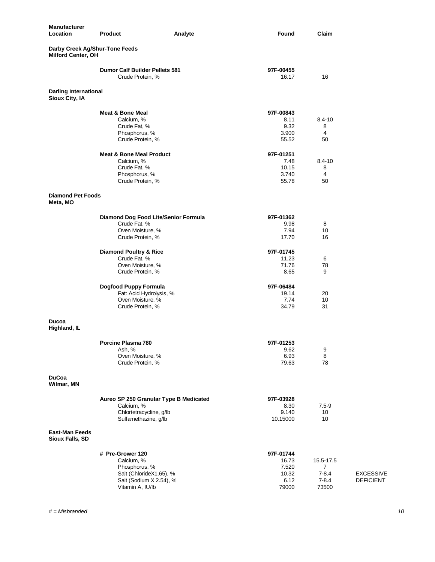| Manufacturer<br>Location                       | <b>Product</b><br>Analyte                   | Found             | Claim                  |                                      |
|------------------------------------------------|---------------------------------------------|-------------------|------------------------|--------------------------------------|
| <b>Milford Center, OH</b>                      | Darby Creek Ag/Shur-Tone Feeds              |                   |                        |                                      |
|                                                | <b>Dumor Calf Builder Pellets 581</b>       | 97F-00455         |                        |                                      |
|                                                | Crude Protein, %                            | 16.17             | 16                     |                                      |
| <b>Darling International</b><br>Sioux City, IA |                                             |                   |                        |                                      |
|                                                | <b>Meat &amp; Bone Meal</b>                 | 97F-00843         |                        |                                      |
|                                                | Calcium, %                                  | 8.11              | $8.4 - 10$             |                                      |
|                                                | Crude Fat, %                                | 9.32              | 8                      |                                      |
|                                                | Phosphorus, %<br>Crude Protein, %           | 3.900<br>55.52    | 4<br>50                |                                      |
|                                                |                                             |                   |                        |                                      |
|                                                | <b>Meat &amp; Bone Meal Product</b>         | 97F-01251         |                        |                                      |
|                                                | Calcium, %                                  | 7.48              | $8.4 - 10$             |                                      |
|                                                | Crude Fat, %<br>Phosphorus, %               | 10.15<br>3.740    | 8<br>4                 |                                      |
|                                                | Crude Protein, %                            | 55.78             | 50                     |                                      |
|                                                |                                             |                   |                        |                                      |
| <b>Diamond Pet Foods</b><br>Meta, MO           |                                             |                   |                        |                                      |
|                                                | Diamond Dog Food Lite/Senior Formula        | 97F-01362         |                        |                                      |
|                                                | Crude Fat, %                                | 9.98              | 8                      |                                      |
|                                                | Oven Moisture, %                            | 7.94              | 10                     |                                      |
|                                                | Crude Protein, %                            | 17.70             | 16                     |                                      |
|                                                | <b>Diamond Poultry &amp; Rice</b>           | 97F-01745         |                        |                                      |
|                                                | Crude Fat, %                                | 11.23             | 6                      |                                      |
|                                                | Oven Moisture, %                            | 71.76             | 78                     |                                      |
|                                                | Crude Protein, %                            | 8.65              | 9                      |                                      |
|                                                | <b>Dogfood Puppy Formula</b>                | 97F-06484         |                        |                                      |
|                                                | Fat: Acid Hydrolysis, %                     | 19.14             | 20                     |                                      |
|                                                | Oven Moisture, %                            | 7.74              | 10                     |                                      |
|                                                | Crude Protein, %                            | 34.79             | 31                     |                                      |
| Ducoa<br>Highland, IL                          |                                             |                   |                        |                                      |
|                                                |                                             |                   |                        |                                      |
|                                                | Porcine Plasma 780<br>Ash, %                | 97F-01253<br>9.62 | 9                      |                                      |
|                                                | Oven Moisture, %                            | 6.93              | 8                      |                                      |
|                                                | Crude Protein, %                            | 79.63             | 78                     |                                      |
| <b>DuCoa</b><br>Wilmar, MN                     |                                             |                   |                        |                                      |
|                                                | Aureo SP 250 Granular Type B Medicated      | 97F-03928         |                        |                                      |
|                                                | Calcium, %                                  | 8.30              | $7.5 - 9$              |                                      |
|                                                | Chlortetracycline, g/lb                     | 9.140             | 10                     |                                      |
|                                                | Sulfamethazine, g/lb                        | 10.15000          | 10                     |                                      |
| <b>East-Man Feeds</b><br>Sioux Falls, SD       |                                             |                   |                        |                                      |
|                                                | # Pre-Grower 120                            | 97F-01744         |                        |                                      |
|                                                | Calcium, %                                  | 16.73             | 15.5-17.5              |                                      |
|                                                | Phosphorus, %                               | 7.520             | 7                      |                                      |
|                                                | Salt (ChlorideX1.65), %                     | 10.32<br>6.12     | $7 - 8.4$<br>$7 - 8.4$ | <b>EXCESSIVE</b><br><b>DEFICIENT</b> |
|                                                | Salt (Sodium X 2.54), %<br>Vitamin A, IU/lb | 79000             | 73500                  |                                      |
|                                                |                                             |                   |                        |                                      |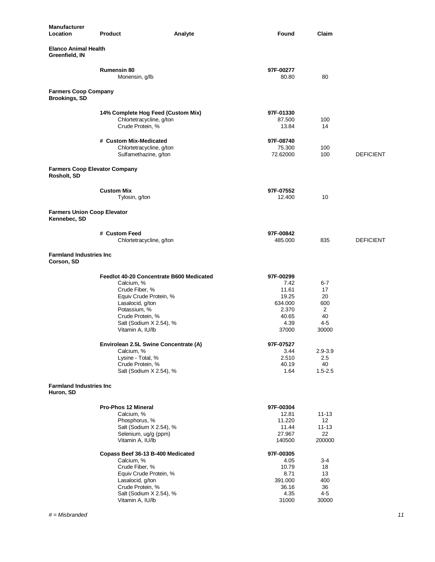| <b>Manufacturer</b><br><b>Location</b>              | <b>Product</b>                                                                                                                                                                                            | Analyte | Found                                                                             | Claim                                                              |                  |
|-----------------------------------------------------|-----------------------------------------------------------------------------------------------------------------------------------------------------------------------------------------------------------|---------|-----------------------------------------------------------------------------------|--------------------------------------------------------------------|------------------|
| <b>Elanco Animal Health</b><br>Greenfield, IN       |                                                                                                                                                                                                           |         |                                                                                   |                                                                    |                  |
|                                                     | <b>Rumensin 80</b><br>Monensin, g/lb                                                                                                                                                                      |         | 97F-00277<br>80.80                                                                | 80                                                                 |                  |
| <b>Farmers Coop Company</b><br><b>Brookings, SD</b> |                                                                                                                                                                                                           |         |                                                                                   |                                                                    |                  |
|                                                     | 14% Complete Hog Feed (Custom Mix)<br>Chlortetracycline, g/ton<br>Crude Protein, %                                                                                                                        |         | 97F-01330<br>87.500<br>13.84                                                      | 100<br>14                                                          |                  |
|                                                     | # Custom Mix-Medicated<br>Chlortetracycline, g/ton<br>Sulfamethazine, g/ton                                                                                                                               |         | 97F-08740<br>75.300<br>72.62000                                                   | 100<br>100                                                         | <b>DEFICIENT</b> |
| <b>Farmers Coop Elevator Company</b><br>Rosholt, SD |                                                                                                                                                                                                           |         |                                                                                   |                                                                    |                  |
|                                                     | <b>Custom Mix</b><br>Tylosin, g/ton                                                                                                                                                                       |         | 97F-07552<br>12.400                                                               | 10                                                                 |                  |
| <b>Farmers Union Coop Elevator</b><br>Kennebec, SD  |                                                                                                                                                                                                           |         |                                                                                   |                                                                    |                  |
|                                                     | # Custom Feed<br>Chlortetracycline, g/ton                                                                                                                                                                 |         | 97F-00842<br>485.000                                                              | 835                                                                | <b>DEFICIENT</b> |
| <b>Farmland Industries Inc.</b><br>Corson, SD       |                                                                                                                                                                                                           |         |                                                                                   |                                                                    |                  |
|                                                     | Feedlot 40-20 Concentrate B600 Medicated<br>Calcium, %<br>Crude Fiber, %<br>Equiv Crude Protein, %<br>Lasalocid, g/ton<br>Potassium, %<br>Crude Protein, %<br>Salt (Sodium X 2.54), %<br>Vitamin A, IU/lb |         | 97F-00299<br>7.42<br>11.61<br>19.25<br>634.000<br>2.370<br>40.65<br>4.39<br>37000 | $6 - 7$<br>17<br>20<br>600<br>$\overline{2}$<br>40<br>4-5<br>30000 |                  |
|                                                     | Envirolean 2.5L Swine Concentrate (A)<br>Calcium, %<br>Lysine - Total, %<br>Crude Protein, %<br>Salt (Sodium X 2.54), %                                                                                   |         | 97F-07527<br>3.44<br>2.510<br>40.19<br>1.64                                       | $2.9 - 3.9$<br>2.5<br>40<br>$1.5 - 2.5$                            |                  |
| <b>Farmland Industries Inc.</b><br>Huron, SD        |                                                                                                                                                                                                           |         |                                                                                   |                                                                    |                  |
|                                                     | Pro-Phos 12 Mineral<br>Calcium, %<br>Phosphorus, %<br>Salt (Sodium X 2.54), %<br>Selenium, ug/g (ppm)<br>Vitamin A, IU/lb                                                                                 |         | 97F-00304<br>12.81<br>11.220<br>11.44<br>27.967<br>140500                         | $11 - 13$<br>12<br>$11 - 13$<br>22<br>200000                       |                  |
|                                                     | Copass Beef 36-13 B-400 Medicated<br>Calcium, %<br>Crude Fiber, %<br>Equiv Crude Protein, %<br>Lasalocid, g/ton<br>Crude Protein, %<br>Salt (Sodium X 2.54), %<br>Vitamin A, IU/lb                        |         | 97F-00305<br>4.05<br>10.79<br>8.71<br>391.000<br>36.16<br>4.35<br>31000           | $3 - 4$<br>18<br>13<br>400<br>36<br>4-5<br>30000                   |                  |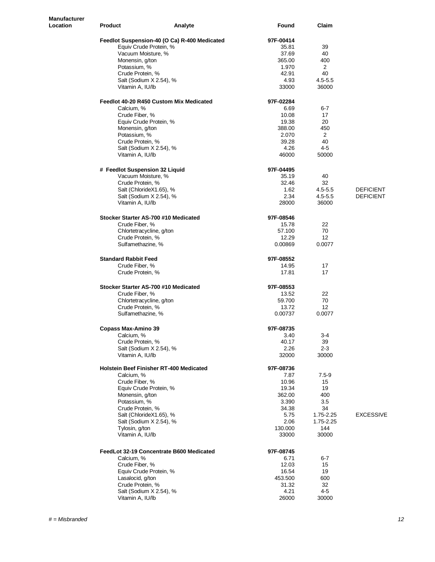| <b>Manufacturer</b><br>Location | <b>Product</b><br>Analyte                                    | <b>Found</b>      | Claim                |                  |
|---------------------------------|--------------------------------------------------------------|-------------------|----------------------|------------------|
|                                 | Feedlot Suspension-40 (O Ca) R-400 Medicated                 | 97F-00414         |                      |                  |
|                                 | Equiv Crude Protein, %                                       | 35.81             | 39                   |                  |
|                                 | Vacuum Moisture, %                                           | 37.69             | 40                   |                  |
|                                 | Monensin, g/ton                                              | 365.00            | 400                  |                  |
|                                 | Potassium, %                                                 | 1.970             | $\overline{2}$       |                  |
|                                 | Crude Protein, %                                             | 42.91             | 40                   |                  |
|                                 | Salt (Sodium X 2.54), %                                      | 4.93<br>33000     | $4.5 - 5.5$<br>36000 |                  |
|                                 | Vitamin A, IU/lb                                             |                   |                      |                  |
|                                 | Feedlot 40-20 R450 Custom Mix Medicated                      | 97F-02284         |                      |                  |
|                                 | Calcium, %                                                   | 6.69              | $6 - 7$              |                  |
|                                 | Crude Fiber, %                                               | 10.08             | 17                   |                  |
|                                 | Equiv Crude Protein, %<br>Monensin, g/ton                    | 19.38<br>388.00   | 20<br>450            |                  |
|                                 | Potassium, %                                                 | 2.070             | 2                    |                  |
|                                 | Crude Protein, %                                             | 39.28             | 40                   |                  |
|                                 | Salt (Sodium X 2.54), %                                      | 4.26              | $4 - 5$              |                  |
|                                 | Vitamin A, IU/lb                                             | 46000             | 50000                |                  |
|                                 | # Feedlot Suspension 32 Liquid                               | 97F-04495         |                      |                  |
|                                 | Vacuum Moisture, %                                           | 35.19             | 40                   |                  |
|                                 | Crude Protein, %                                             | 32.46             | 32                   |                  |
|                                 | Salt (ChlorideX1.65), %                                      | 1.62              | $4.5 - 5.5$          | <b>DEFICIENT</b> |
|                                 | Salt (Sodium X 2.54), %<br>Vitamin A, IU/lb                  | 2.34<br>28000     | $4.5 - 5.5$<br>36000 | <b>DEFICIENT</b> |
|                                 |                                                              |                   |                      |                  |
|                                 | Stocker Starter AS-700 #10 Medicated                         | 97F-08546         |                      |                  |
|                                 | Crude Fiber, %                                               | 15.78             | 22                   |                  |
|                                 | Chlortetracycline, g/ton<br>Crude Protein, %                 | 57.100<br>12.29   | 70<br>12             |                  |
|                                 | Sulfamethazine, %                                            | 0.00869           | 0.0077               |                  |
|                                 | <b>Standard Rabbit Feed</b>                                  | 97F-08552         |                      |                  |
|                                 | Crude Fiber, %                                               | 14.95             | 17                   |                  |
|                                 | Crude Protein, %                                             | 17.81             | 17                   |                  |
|                                 | Stocker Starter AS-700 #10 Medicated                         | 97F-08553         |                      |                  |
|                                 | Crude Fiber, %                                               | 13.52             | 22                   |                  |
|                                 | Chlortetracycline, g/ton                                     | 59.700            | 70                   |                  |
|                                 | Crude Protein, %                                             | 13.72             | 12                   |                  |
|                                 | Sulfamethazine, %                                            | 0.00737           | 0.0077               |                  |
|                                 | Copass Max-Amino 39                                          | 97F-08735         |                      |                  |
|                                 | Calcium, %                                                   | 3.40              | $3 - 4$              |                  |
|                                 | Crude Protein, %                                             | 40.17             | 39                   |                  |
|                                 | Salt (Sodium X 2.54), %                                      | 2.26              | $2 - 3$<br>30000     |                  |
|                                 | Vitamin A, IU/lb                                             | 32000             |                      |                  |
|                                 | <b>Holstein Beef Finisher RT-400 Medicated</b><br>Calcium, % | 97F-08736         |                      |                  |
|                                 | Crude Fiber, %                                               | 7.87<br>10.96     | $7.5 - 9$<br>15      |                  |
|                                 | Equiv Crude Protein, %                                       | 19.34             | 19                   |                  |
|                                 | Monensin, g/ton                                              | 362.00            | 400                  |                  |
|                                 | Potassium, %                                                 | 3.390             | 3.5                  |                  |
|                                 | Crude Protein, %                                             | 34.38             | 34                   |                  |
|                                 | Salt (ChlorideX1.65), %                                      | 5.75              | 1.75-2.25            | <b>EXCESSIVE</b> |
|                                 | Salt (Sodium X 2.54), %                                      | 2.06              | 1.75-2.25            |                  |
|                                 | Tylosin, g/ton<br>Vitamin A, IU/lb                           | 130.000<br>33000  | 144<br>30000         |                  |
|                                 |                                                              |                   |                      |                  |
|                                 | FeedLot 32-19 Concentrate B600 Medicated<br>Calcium, %       | 97F-08745<br>6.71 | 6-7                  |                  |
|                                 | Crude Fiber, %                                               | 12.03             | 15                   |                  |
|                                 | Equiv Crude Protein, %                                       | 16.54             | 19                   |                  |
|                                 | Lasalocid, g/ton                                             | 453.500           | 600                  |                  |
|                                 | Crude Protein, %                                             | 31.32             | 32                   |                  |
|                                 | Salt (Sodium X 2.54), %                                      | 4.21              | 4-5                  |                  |
|                                 | Vitamin A, IU/lb                                             | 26000             | 30000                |                  |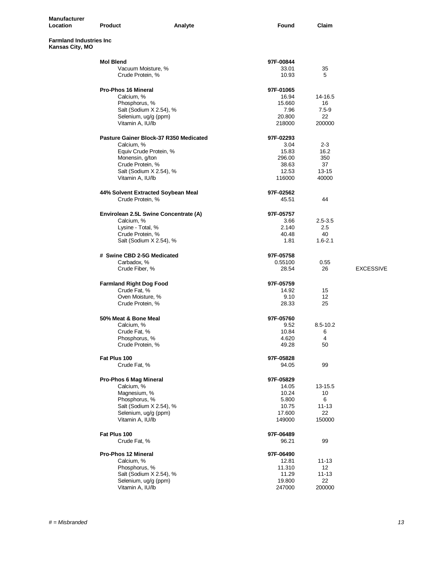| Manufacturer<br>Location                          | <b>Product</b><br>Analyte              | Found     | Claim       |                  |
|---------------------------------------------------|----------------------------------------|-----------|-------------|------------------|
|                                                   |                                        |           |             |                  |
| <b>Farmland Industries Inc</b><br>Kansas City, MO |                                        |           |             |                  |
|                                                   |                                        |           |             |                  |
|                                                   | <b>Mol Blend</b>                       | 97F-00844 |             |                  |
|                                                   | Vacuum Moisture, %                     | 33.01     | 35          |                  |
|                                                   | Crude Protein, %                       | 10.93     | 5           |                  |
|                                                   | Pro-Phos 16 Mineral                    | 97F-01065 |             |                  |
|                                                   | Calcium, %                             | 16.94     | 14-16.5     |                  |
|                                                   | Phosphorus, %                          | 15.660    | 16          |                  |
|                                                   | Salt (Sodium X 2.54), %                | 7.96      | $7.5 - 9$   |                  |
|                                                   | Selenium, ug/g (ppm)                   | 20.800    | 22          |                  |
|                                                   | Vitamin A, IU/lb                       | 218000    | 200000      |                  |
|                                                   | Pasture Gainer Block-37 R350 Medicated | 97F-02293 |             |                  |
|                                                   | Calcium, %                             | 3.04      | $2 - 3$     |                  |
|                                                   | Equiv Crude Protein, %                 | 15.83     | 16.2        |                  |
|                                                   | Monensin, g/ton                        | 296.00    | 350         |                  |
|                                                   | Crude Protein, %                       | 38.63     | 37          |                  |
|                                                   | Salt (Sodium X 2.54), %                | 12.53     | 13-15       |                  |
|                                                   | Vitamin A, IU/lb                       | 116000    | 40000       |                  |
|                                                   | 44% Solvent Extracted Soybean Meal     | 97F-02562 |             |                  |
|                                                   | Crude Protein, %                       | 45.51     | 44          |                  |
|                                                   | Envirolean 2.5L Swine Concentrate (A)  | 97F-05757 |             |                  |
|                                                   | Calcium, %                             | 3.66      | $2.5 - 3.5$ |                  |
|                                                   | Lysine - Total, %                      | 2.140     | 2.5         |                  |
|                                                   | Crude Protein, %                       | 40.48     | 40          |                  |
|                                                   | Salt (Sodium X 2.54), %                | 1.81      | $1.6 - 2.1$ |                  |
|                                                   | # Swine CBD 2-5G Medicated             | 97F-05758 |             |                  |
|                                                   | Carbadox, %                            | 0.55100   | 0.55        |                  |
|                                                   | Crude Fiber, %                         | 28.54     | 26          | <b>EXCESSIVE</b> |
|                                                   | <b>Farmland Right Dog Food</b>         | 97F-05759 |             |                  |
|                                                   | Crude Fat, %                           | 14.92     | 15          |                  |
|                                                   | Oven Moisture, %                       | 9.10      | 12          |                  |
|                                                   | Crude Protein, %                       | 28.33     | 25          |                  |
|                                                   |                                        |           |             |                  |
|                                                   | 50% Meat & Bone Meal                   | 97F-05760 |             |                  |
|                                                   | Calcium, %                             | 9.52      | 8.5-10.2    |                  |
|                                                   | Crude Fat, %                           | 10.84     | 6           |                  |
|                                                   | Phosphorus, %                          | 4.620     | 4           |                  |
|                                                   | Crude Protein, %                       | 49.28     | 50          |                  |
|                                                   | Fat Plus 100                           | 97F-05828 |             |                  |
|                                                   | Crude Fat, %                           | 94.05     | 99          |                  |
|                                                   | Pro-Phos 6 Mag Mineral                 | 97F-05829 |             |                  |
|                                                   | Calcium, %                             | 14.05     | 13-15.5     |                  |
|                                                   | Magnesium, %                           | 10.24     | 10          |                  |
|                                                   | Phosphorus, %                          | 5.800     | 6           |                  |
|                                                   | Salt (Sodium X 2.54), %                | 10.75     | $11 - 13$   |                  |
|                                                   | Selenium, ug/g (ppm)                   | 17.600    | 22          |                  |
|                                                   | Vitamin A, IU/lb                       | 149000    | 150000      |                  |
|                                                   | Fat Plus 100                           | 97F-06489 |             |                  |
|                                                   | Crude Fat, %                           | 96.21     | 99          |                  |
|                                                   | Pro-Phos 12 Mineral                    | 97F-06490 |             |                  |
|                                                   | Calcium, %                             | 12.81     | $11 - 13$   |                  |
|                                                   | Phosphorus, %                          | 11.310    | 12          |                  |
|                                                   | Salt (Sodium X 2.54), %                | 11.29     | $11 - 13$   |                  |
|                                                   | Selenium, ug/g (ppm)                   | 19.800    | 22          |                  |
|                                                   | Vitamin A, IU/lb                       | 247000    | 200000      |                  |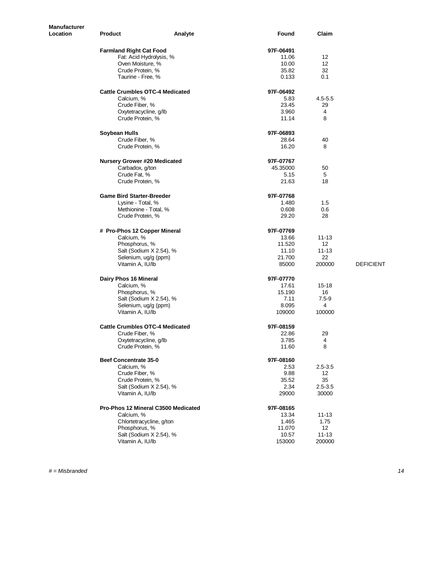| <b>Manufacturer</b> |                                        |                    |             |                  |
|---------------------|----------------------------------------|--------------------|-------------|------------------|
| Location            | <b>Product</b><br>Analyte              | Found              | Claim       |                  |
|                     | <b>Farmland Right Cat Food</b>         | 97F-06491          |             |                  |
|                     | Fat: Acid Hydrolysis, %                | 11.06              | 12          |                  |
|                     | Oven Moisture, %                       | 10.00              | 12          |                  |
|                     | Crude Protein, %                       | 35.82              | 32          |                  |
|                     | Taurine - Free, %                      | 0.133              | 0.1         |                  |
|                     |                                        |                    |             |                  |
|                     | <b>Cattle Crumbles OTC-4 Medicated</b> | 97F-06492          |             |                  |
|                     | Calcium, %                             | 5.83               | $4.5 - 5.5$ |                  |
|                     | Crude Fiber, %                         | 23.45              | 29          |                  |
|                     | Oxytetracycline, g/lb                  | 3.960              | 4           |                  |
|                     | Crude Protein, %                       | 11.14              | 8           |                  |
|                     | Soybean Hulls                          | 97F-06893          |             |                  |
|                     | Crude Fiber, %                         | 28.64              | 40          |                  |
|                     | Crude Protein, %                       | 16.20              | 8           |                  |
|                     |                                        |                    |             |                  |
|                     | <b>Nursery Grower #20 Medicated</b>    | 97F-07767          |             |                  |
|                     | Carbadox, g/ton                        | 45.35000           | 50          |                  |
|                     | Crude Fat, %                           | 5.15               | 5           |                  |
|                     | Crude Protein, %                       | 21.63              | 18          |                  |
|                     | <b>Game Bird Starter-Breeder</b>       | 97F-07768          |             |                  |
|                     | Lysine - Total, %                      | 1.480              | 1.5         |                  |
|                     | Methionine - Total, %                  | 0.608              | 0.6         |                  |
|                     | Crude Protein, %                       | 29.20              | 28          |                  |
|                     | # Pro-Phos 12 Copper Mineral           | 97F-07769          |             |                  |
|                     | Calcium, %                             | 13.66              | $11 - 13$   |                  |
|                     |                                        | 11.520             | 12          |                  |
|                     | Phosphorus, %                          |                    |             |                  |
|                     | Salt (Sodium X 2.54), %                | 11.10              | $11 - 13$   |                  |
|                     | Selenium, ug/g (ppm)                   | 21.700             | 22          |                  |
|                     | Vitamin A, IU/lb                       | 85000              | 200000      | <b>DEFICIENT</b> |
|                     | Dairy Phos 16 Mineral                  | 97F-07770          |             |                  |
|                     | Calcium, %                             | 17.61              | $15 - 18$   |                  |
|                     | Phosphorus, %                          | 15.190             | 16          |                  |
|                     | Salt (Sodium X 2.54), %                | 7.11               | $7.5 - 9$   |                  |
|                     | Selenium, ug/g (ppm)                   | 8.095              | 4           |                  |
|                     | Vitamin A, IU/lb                       | 109000             | 100000      |                  |
|                     | <b>Cattle Crumbles OTC-4 Medicated</b> |                    |             |                  |
|                     | Crude Fiber, %                         | 97F-08159<br>22.86 | 29          |                  |
|                     |                                        |                    |             |                  |
|                     | Oxytetracycline, g/lb                  | 3.785              | 4           |                  |
|                     | Crude Protein, %                       | 11.60              | 8           |                  |
|                     | Beef Concentrate 35-0                  | 97F-08160          |             |                  |
|                     | Calcium, %                             | 2.53               | $2.5 - 3.5$ |                  |
|                     | Crude Fiber, %                         | 9.88               | 12          |                  |
|                     | Crude Protein, %                       | 35.52              | 35          |                  |
|                     | Salt (Sodium X 2.54), %                | 2.34               | $2.5 - 3.5$ |                  |
|                     | Vitamin A, IU/lb                       | 29000              | 30000       |                  |
|                     | Pro-Phos 12 Mineral C3500 Medicated    | 97F-08165          |             |                  |
|                     | Calcium, %                             | 13.34              | $11 - 13$   |                  |
|                     | Chlortetracycline, g/ton               |                    | 1.75        |                  |
|                     | Phosphorus, %                          | 1.465              | 12          |                  |
|                     |                                        | 11.070             |             |                  |
|                     | Salt (Sodium X 2.54), %                | 10.57              | $11 - 13$   |                  |
|                     | Vitamin A, IU/lb                       | 153000             | 200000      |                  |

*# = Misbranded 14*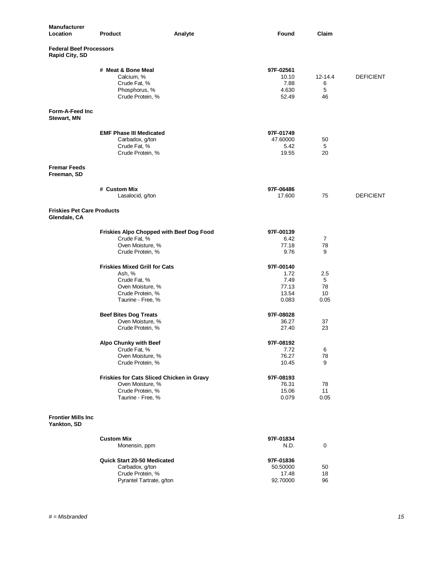| <b>Manufacturer</b><br>Location                   | <b>Product</b>                                                                                                              | Analyte | Found                                                | Claim                        |                  |
|---------------------------------------------------|-----------------------------------------------------------------------------------------------------------------------------|---------|------------------------------------------------------|------------------------------|------------------|
| <b>Federal Beef Processors</b><br>Rapid City, SD  |                                                                                                                             |         |                                                      |                              |                  |
|                                                   | # Meat & Bone Meal<br>Calcium, %<br>Crude Fat, %<br>Phosphorus, %<br>Crude Protein, %                                       |         | 97F-02561<br>10.10<br>7.88<br>4.630<br>52.49         | $12 - 14.4$<br>6<br>5<br>46  | <b>DEFICIENT</b> |
| Form-A-Feed Inc<br><b>Stewart, MN</b>             |                                                                                                                             |         |                                                      |                              |                  |
|                                                   | <b>EMF Phase III Medicated</b><br>Carbadox, g/ton<br>Crude Fat, %<br>Crude Protein, %                                       |         | 97F-01749<br>47.60000<br>5.42<br>19.55               | 50<br>5<br>20                |                  |
| <b>Fremar Feeds</b><br>Freeman, SD                |                                                                                                                             |         |                                                      |                              |                  |
|                                                   | # Custom Mix<br>Lasalocid, g/ton                                                                                            |         | 97F-06486<br>17.600                                  | 75                           | <b>DEFICIENT</b> |
| <b>Friskies Pet Care Products</b><br>Glendale, CA |                                                                                                                             |         |                                                      |                              |                  |
|                                                   | Friskies Alpo Chopped with Beef Dog Food<br>Crude Fat, %<br>Oven Moisture, %<br>Crude Protein, %                            |         | 97F-00139<br>6.42<br>77.18<br>9.76                   | $\overline{7}$<br>78<br>9    |                  |
|                                                   | <b>Friskies Mixed Grill for Cats</b><br>Ash, %<br>Crude Fat, %<br>Oven Moisture, %<br>Crude Protein, %<br>Taurine - Free, % |         | 97F-00140<br>1.72<br>7.49<br>77.13<br>13.54<br>0.083 | 2.5<br>5<br>78<br>10<br>0.05 |                  |
|                                                   | <b>Beef Bites Dog Treats</b><br>Oven Moisture, %<br>Crude Protein, %                                                        |         | 97F-08028<br>36.27<br>27.40                          | 37<br>23                     |                  |
|                                                   | Alpo Chunky with Beef<br>Crude Fat, %<br>Oven Moisture, %<br>Crude Protein, %                                               |         | 97F-08192<br>7.72<br>76.27<br>10.45                  | 6<br>78<br>9                 |                  |
|                                                   | Friskies for Cats Sliced Chicken in Gravy<br>Oven Moisture, %<br>Crude Protein, %<br>Taurine - Free, %                      |         | 97F-08193<br>76.31<br>15.06<br>0.079                 | 78<br>11<br>0.05             |                  |
| <b>Frontier Mills Inc.</b><br>Yankton, SD         |                                                                                                                             |         |                                                      |                              |                  |
|                                                   | <b>Custom Mix</b><br>Monensin, ppm                                                                                          |         | 97F-01834<br>N.D.                                    | 0                            |                  |
|                                                   | <b>Quick Start 20-50 Medicated</b><br>Carbadox, g/ton<br>Crude Protein, %<br>Pyrantel Tartrate, g/ton                       |         | 97F-01836<br>50.50000<br>17.48<br>92.70000           | 50<br>18<br>96               |                  |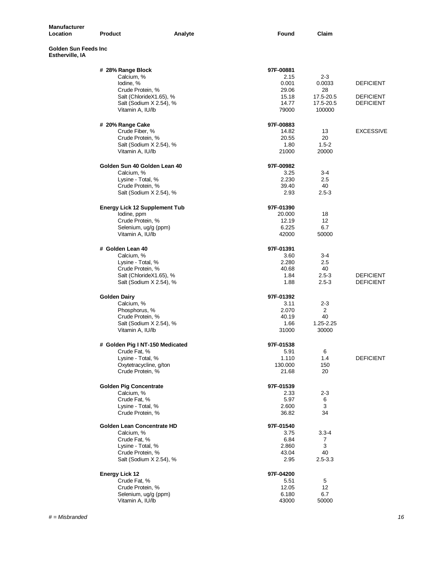| <b>Manufacturer</b><br>Location          | <b>Product</b>                                                                                                                             | Analyte | Found                                                          | Claim                                                       |                                                          |
|------------------------------------------|--------------------------------------------------------------------------------------------------------------------------------------------|---------|----------------------------------------------------------------|-------------------------------------------------------------|----------------------------------------------------------|
| Golden Sun Feeds Inc.<br>Estherville, IA |                                                                                                                                            |         |                                                                |                                                             |                                                          |
|                                          | # 28% Range Block<br>Calcium, %<br>lodine, %<br>Crude Protein, %<br>Salt (ChlorideX1.65), %<br>Salt (Sodium X 2.54), %<br>Vitamin A, IU/lb |         | 97F-00881<br>2.15<br>0.001<br>29.06<br>15.18<br>14.77<br>79000 | $2 - 3$<br>0.0033<br>28<br>17.5-20.5<br>17.5-20.5<br>100000 | <b>DEFICIENT</b><br><b>DEFICIENT</b><br><b>DEFICIENT</b> |
|                                          | # 20% Range Cake<br>Crude Fiber, %<br>Crude Protein, %<br>Salt (Sodium X 2.54), %<br>Vitamin A, IU/lb                                      |         | 97F-00883<br>14.82<br>20.55<br>1.80<br>21000                   | 13<br>20<br>$1.5 - 2$<br>20000                              | <b>EXCESSIVE</b>                                         |
|                                          | Golden Sun 40 Golden Lean 40<br>Calcium, %<br>Lysine - Total, %<br>Crude Protein, %<br>Salt (Sodium X 2.54), %                             |         | 97F-00982<br>3.25<br>2.230<br>39.40<br>2.93                    | $3 - 4$<br>2.5<br>40<br>$2.5 - 3$                           |                                                          |
|                                          | <b>Energy Lick 12 Supplement Tub</b><br>lodine, ppm<br>Crude Protein, %<br>Selenium, ug/g (ppm)<br>Vitamin A, IU/lb                        |         | 97F-01390<br>20.000<br>12.19<br>6.225<br>42000                 | 18<br>12<br>6.7<br>50000                                    |                                                          |
|                                          | # Golden Lean 40<br>Calcium, %<br>Lysine - Total, %<br>Crude Protein, %<br>Salt (ChlorideX1.65), %<br>Salt (Sodium X 2.54), %              |         | 97F-01391<br>3.60<br>2.280<br>40.68<br>1.84<br>1.88            | 3-4<br>2.5<br>40<br>$2.5 - 3$<br>$2.5 - 3$                  | <b>DEFICIENT</b><br><b>DEFICIENT</b>                     |
|                                          | <b>Golden Dairy</b><br>Calcium, %<br>Phosphorus, %<br>Crude Protein, %<br>Salt (Sodium X 2.54), %<br>Vitamin A, IU/lb                      |         | 97F-01392<br>3.11<br>2.070<br>40.19<br>1.66<br>31000           | $2 - 3$<br>$\overline{2}$<br>40<br>1.25-2.25<br>30000       |                                                          |
|                                          | # Golden Pig I NT-150 Medicated<br>Crude Fat, %<br>Lysine - Total, %<br>Oxytetracycline, g/ton<br>Crude Protein, %                         |         | 97F-01538<br>5.91<br>1.110<br>130.000<br>21.68                 | 6<br>1.4<br>150<br>20                                       | <b>DEFICIENT</b>                                         |
|                                          | <b>Golden Pig Concentrate</b><br>Calcium, %<br>Crude Fat, %<br>Lysine - Total, %<br>Crude Protein, %                                       |         | 97F-01539<br>2.33<br>5.97<br>2.600<br>36.82                    | $2 - 3$<br>6<br>3<br>34                                     |                                                          |
|                                          | Golden Lean Concentrate HD<br>Calcium, %<br>Crude Fat, %<br>Lysine - Total, %<br>Crude Protein, %<br>Salt (Sodium X 2.54), %               |         | 97F-01540<br>3.75<br>6.84<br>2.860<br>43.04<br>2.95            | $3.3 - 4$<br>7<br>3<br>40<br>$2.5 - 3.3$                    |                                                          |
|                                          | <b>Energy Lick 12</b><br>Crude Fat, %<br>Crude Protein, %<br>Selenium, ug/g (ppm)<br>Vitamin A, IU/lb                                      |         | 97F-04200<br>5.51<br>12.05<br>6.180<br>43000                   | 5<br>12<br>6.7<br>50000                                     |                                                          |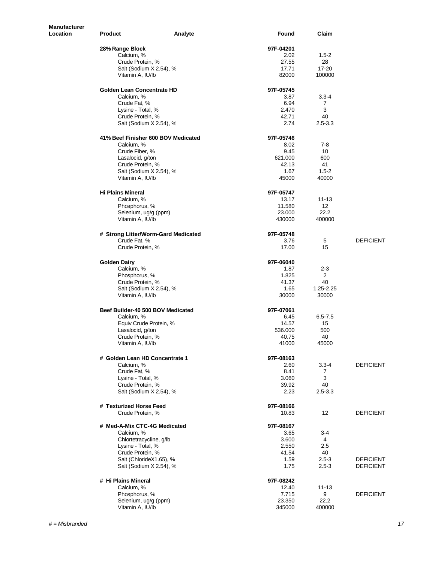| Manufacturer<br>Location | Product<br>Analyte                  | Found     | Claim             |                  |
|--------------------------|-------------------------------------|-----------|-------------------|------------------|
|                          | 28% Range Block                     | 97F-04201 |                   |                  |
|                          | Calcium, %                          | 2.02      | $1.5 - 2$         |                  |
|                          | Crude Protein, %                    | 27.55     | 28                |                  |
|                          | Salt (Sodium X 2.54), %             | 17.71     | 17-20             |                  |
|                          | Vitamin A, IU/lb                    | 82000     | 100000            |                  |
|                          | <b>Golden Lean Concentrate HD</b>   | 97F-05745 |                   |                  |
|                          | Calcium, %                          | 3.87      | $3.3 - 4$         |                  |
|                          | Crude Fat, %                        | 6.94      | 7                 |                  |
|                          | Lysine - Total, %                   | 2.470     | 3                 |                  |
|                          | Crude Protein, %                    | 42.71     | 40                |                  |
|                          | Salt (Sodium X 2.54), %             | 2.74      | $2.5 - 3.3$       |                  |
|                          | 41% Beef Finisher 600 BOV Medicated | 97F-05746 |                   |                  |
|                          | Calcium, %                          | 8.02      | $7 - 8$           |                  |
|                          | Crude Fiber, %                      | 9.45      | 10                |                  |
|                          | Lasalocid, g/ton                    | 621.000   | 600               |                  |
|                          | Crude Protein, %                    | 42.13     | 41                |                  |
|                          | Salt (Sodium X 2.54), %             | 1.67      | $1.5 - 2$         |                  |
|                          | Vitamin A, IU/lb                    | 45000     | 40000             |                  |
|                          | <b>Hi Plains Mineral</b>            | 97F-05747 |                   |                  |
|                          | Calcium, %                          | 13.17     | $11 - 13$         |                  |
|                          | Phosphorus, %                       | 11.580    | $12 \overline{ }$ |                  |
|                          | Selenium, ug/g (ppm)                | 23.000    | 22.2              |                  |
|                          | Vitamin A, IU/lb                    | 430000    | 400000            |                  |
|                          | # Strong Litter/Worm-Gard Medicated | 97F-05748 |                   |                  |
|                          | Crude Fat, %                        | 3.76      | 5                 | <b>DEFICIENT</b> |
|                          | Crude Protein, %                    | 17.00     | 15                |                  |
|                          | <b>Golden Dairy</b>                 | 97F-06040 |                   |                  |
|                          | Calcium, %                          | 1.87      | $2 - 3$           |                  |
|                          | Phosphorus, %                       | 1.825     | 2                 |                  |
|                          | Crude Protein, %                    | 41.37     | 40                |                  |
|                          | Salt (Sodium X 2.54), %             | 1.65      | 1.25-2.25         |                  |
|                          | Vitamin A, IU/lb                    | 30000     | 30000             |                  |
|                          | Beef Builder-40 500 BOV Medicated   | 97F-07061 |                   |                  |
|                          | Calcium, %                          | 6.45      | $6.5 - 7.5$       |                  |
|                          | Equiv Crude Protein, %              | 14.57     | 15                |                  |
|                          | Lasalocid, g/ton                    | 536.000   | 500               |                  |
|                          | Crude Protein, %                    | 40.75     | 40                |                  |
|                          | Vitamin A, IU/lb                    | 41000     | 45000             |                  |
|                          | # Golden Lean HD Concentrate 1      | 97F-08163 |                   |                  |
|                          | Calcium, %                          | 2.60      | $3.3 - 4$         | <b>DEFICIENT</b> |
|                          | Crude Fat, %                        | 8.41      | 7                 |                  |
|                          | Lysine - Total, %                   | 3.060     | 3                 |                  |
|                          | Crude Protein, %                    | 39.92     | 40                |                  |
|                          | Salt (Sodium X 2.54), %             | 2.23      | $2.5 - 3.3$       |                  |
|                          | # Texturized Horse Feed             | 97F-08166 |                   |                  |
|                          | Crude Protein, %                    | 10.83     | 12                | <b>DEFICIENT</b> |
|                          | # Med-A-Mix CTC-4G Medicated        | 97F-08167 |                   |                  |
|                          | Calcium, %                          | 3.65      | $3 - 4$           |                  |
|                          | Chlortetracycline, g/lb             | 3.600     | 4                 |                  |
|                          | Lysine - Total, %                   | 2.550     | 2.5               |                  |
|                          | Crude Protein, %                    | 41.54     | 40                |                  |
|                          | Salt (ChlorideX1.65), %             | 1.59      | $2.5 - 3$         | <b>DEFICIENT</b> |
|                          | Salt (Sodium X 2.54), %             | 1.75      | $2.5 - 3$         | <b>DEFICIENT</b> |
|                          | # Hi Plains Mineral                 | 97F-08242 |                   |                  |
|                          | Calcium, %                          | 12.40     | $11 - 13$         |                  |
|                          | Phosphorus, %                       | 7.715     | 9                 | <b>DEFICIENT</b> |
|                          | Selenium, ug/g (ppm)                | 23.350    | 22.2              |                  |
|                          | Vitamin A, IU/lb                    | 345000    | 400000            |                  |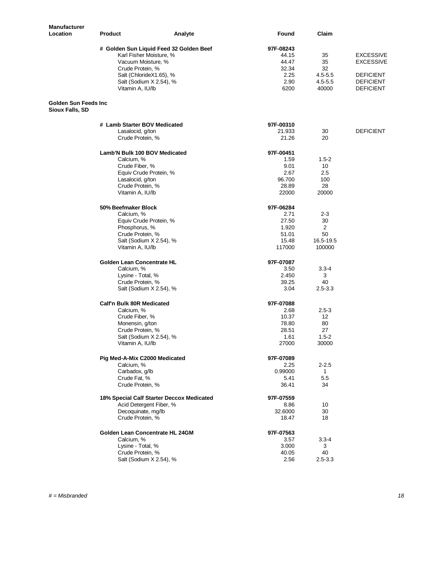| Manufacturer<br>Location                       | <b>Product</b>                            | Analyte | Found     | Claim       |                  |
|------------------------------------------------|-------------------------------------------|---------|-----------|-------------|------------------|
|                                                | # Golden Sun Liquid Feed 32 Golden Beef   |         | 97F-08243 |             |                  |
|                                                | Karl Fisher Moisture, %                   |         | 44.15     | 35          | <b>EXCESSIVE</b> |
|                                                | Vacuum Moisture, %                        |         | 44.47     | 35          | <b>EXCESSIVE</b> |
|                                                | Crude Protein, %                          |         | 32.34     | 32          |                  |
|                                                | Salt (ChlorideX1.65), %                   |         | 2.25      | $4.5 - 5.5$ | <b>DEFICIENT</b> |
|                                                | Salt (Sodium X 2.54), %                   |         | 2.90      | $4.5 - 5.5$ | <b>DEFICIENT</b> |
|                                                | Vitamin A, IU/lb                          |         | 6200      | 40000       | <b>DEFICIENT</b> |
| Golden Sun Feeds Inc<br><b>Sioux Falls, SD</b> |                                           |         |           |             |                  |
|                                                | # Lamb Starter BOV Medicated              |         | 97F-00310 |             |                  |
|                                                | Lasalocid, g/ton                          |         | 21.933    | 30          | <b>DEFICIENT</b> |
|                                                | Crude Protein, %                          |         | 21.26     | 20          |                  |
|                                                | <b>Lamb'N Bulk 100 BOV Medicated</b>      |         | 97F-00451 |             |                  |
|                                                | Calcium, %                                |         | 1.59      | $1.5 - 2$   |                  |
|                                                | Crude Fiber, %                            |         | 9.01      | 10          |                  |
|                                                | Equiv Crude Protein, %                    |         | 2.67      | 2.5         |                  |
|                                                | Lasalocid, g/ton                          |         | 96.700    | 100         |                  |
|                                                | Crude Protein, %                          |         | 28.89     | 28          |                  |
|                                                | Vitamin A, IU/lb                          |         | 22000     | 20000       |                  |
|                                                |                                           |         |           |             |                  |
|                                                | 50% Beefmaker Block                       |         | 97F-06284 |             |                  |
|                                                | Calcium, %                                |         | 2.71      | 2-3         |                  |
|                                                | Equiv Crude Protein, %                    |         | 27.50     | 30          |                  |
|                                                | Phosphorus, %                             |         | 1.920     | 2           |                  |
|                                                | Crude Protein, %                          |         | 51.01     | 50          |                  |
|                                                | Salt (Sodium X 2.54), %                   |         | 15.48     | 16.5-19.5   |                  |
|                                                | Vitamin A, IU/lb                          |         | 117000    | 100000      |                  |
|                                                | <b>Golden Lean Concentrate HL</b>         |         | 97F-07087 |             |                  |
|                                                | Calcium, %                                |         | 3.50      | $3.3 - 4$   |                  |
|                                                | Lysine - Total, %                         |         | 2.450     | 3           |                  |
|                                                | Crude Protein, %                          |         | 39.25     | 40          |                  |
|                                                | Salt (Sodium X 2.54), %                   |         | 3.04      | $2.5 - 3.3$ |                  |
|                                                | Calf'n Bulk 80R Medicated                 |         | 97F-07088 |             |                  |
|                                                | Calcium, %                                |         | 2.68      | $2.5 - 3$   |                  |
|                                                | Crude Fiber, %                            |         | 10.37     | 12          |                  |
|                                                | Monensin, g/ton                           |         | 78.80     | 80          |                  |
|                                                | Crude Protein, %                          |         | 28.51     | 27          |                  |
|                                                | Salt (Sodium X 2.54), %                   |         | 1.61      | $1.5 - 2$   |                  |
|                                                | Vitamin A, IU/lb                          |         | 27000     | 30000       |                  |
|                                                | Pig Med-A-Mix C2000 Medicated             |         | 97F-07089 |             |                  |
|                                                | Calcium, %                                |         | 2.25      | $2 - 2.5$   |                  |
|                                                | Carbadox, q/lb                            |         | 0.99000   | 1           |                  |
|                                                | Crude Fat, %                              |         | 5.41      | 5.5         |                  |
|                                                | Crude Protein, %                          |         | 36.41     | 34          |                  |
|                                                | 18% Special Calf Starter Deccox Medicated |         | 97F-07559 |             |                  |
|                                                | Acid Detergent Fiber, %                   |         | 8.86      | 10          |                  |
|                                                | Decoquinate, mg/lb                        |         | 32.6000   | 30          |                  |
|                                                | Crude Protein, %                          |         | 18.47     | 18          |                  |
|                                                | Golden Lean Concentrate HL 24GM           |         | 97F-07563 |             |                  |
|                                                | Calcium, %                                |         | 3.57      | $3.3 - 4$   |                  |
|                                                | Lysine - Total, %                         |         | 3.000     | 3           |                  |
|                                                | Crude Protein, %                          |         | 40.05     | 40          |                  |
|                                                | Salt (Sodium X 2.54), %                   |         | 2.56      | $2.5 - 3.3$ |                  |
|                                                |                                           |         |           |             |                  |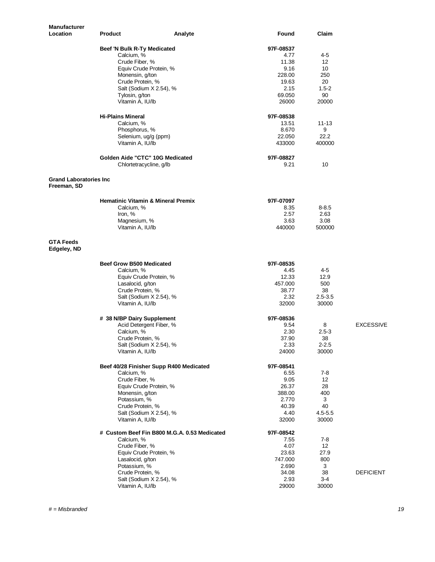| <b>Manufacturer</b><br>Location               | <b>Product</b><br>Analyte                             | Found             | Claim              |                  |
|-----------------------------------------------|-------------------------------------------------------|-------------------|--------------------|------------------|
|                                               | Beef 'N Bulk R-Ty Medicated                           | 97F-08537         |                    |                  |
|                                               | Calcium, %                                            | 4.77              | 4-5                |                  |
|                                               | Crude Fiber, %                                        | 11.38             | 12                 |                  |
|                                               | Equiv Crude Protein, %                                | 9.16              | 10                 |                  |
|                                               | Monensin, g/ton                                       | 228.00            | 250                |                  |
|                                               | Crude Protein, %                                      | 19.63             | 20                 |                  |
|                                               | Salt (Sodium X 2.54), %                               | 2.15<br>69.050    | $1.5 - 2$<br>90    |                  |
|                                               | Tylosin, g/ton<br>Vitamin A, IU/lb                    | 26000             | 20000              |                  |
|                                               | <b>Hi-Plains Mineral</b>                              | 97F-08538         |                    |                  |
|                                               | Calcium, %                                            | 13.51             | 11-13              |                  |
|                                               | Phosphorus, %                                         | 8.670             | 9                  |                  |
|                                               | Selenium, ug/g (ppm)                                  | 22.050            | 22.2               |                  |
|                                               | Vitamin A, IU/lb                                      | 433000            | 400000             |                  |
|                                               | Golden Aide "CTC" 10G Medicated                       | 97F-08827         |                    |                  |
|                                               | Chlortetracycline, g/lb                               | 9.21              | 10                 |                  |
| <b>Grand Laboratories Inc.</b><br>Freeman, SD |                                                       |                   |                    |                  |
|                                               | <b>Hematinic Vitamin &amp; Mineral Premix</b>         | 97F-07097         |                    |                  |
|                                               | Calcium, %                                            | 8.35              | $8 - 8.5$          |                  |
|                                               | Iron, %                                               | 2.57              | 2.63               |                  |
|                                               | Magnesium, %                                          | 3.63              | 3.08               |                  |
|                                               | Vitamin A, IU/lb                                      | 440000            | 500000             |                  |
| <b>GTA Feeds</b><br>Edgeley, ND               |                                                       |                   |                    |                  |
|                                               | Beef Grow B500 Medicated                              | 97F-08535         |                    |                  |
|                                               | Calcium, %                                            | 4.45              | 4-5                |                  |
|                                               | Equiv Crude Protein, %                                | 12.33             | 12.9               |                  |
|                                               | Lasalocid, g/ton                                      | 457.000           | 500                |                  |
|                                               | Crude Protein, %<br>Salt (Sodium X 2.54), %           | 38.77<br>2.32     | 38<br>$2.5 - 3.5$  |                  |
|                                               | Vitamin A, IU/lb                                      | 32000             | 30000              |                  |
|                                               | # 38 N/BP Dairy Supplement                            | 97F-08536         |                    |                  |
|                                               | Acid Detergent Fiber, %                               | 9.54              | 8                  | <b>EXCESSIVE</b> |
|                                               | Calcium, %                                            | 2.30              | $2.5 - 3$          |                  |
|                                               | Crude Protein, %                                      | 37.90             | 38                 |                  |
|                                               | Salt (Sodium X 2.54), %<br>Vitamin A, IU/lb           | 2.33<br>24000     | $2 - 2.5$<br>30000 |                  |
|                                               |                                                       |                   |                    |                  |
|                                               | Beef 40/28 Finisher Supp R400 Medicated<br>Calcium, % | 97F-08541<br>6.55 | 7-8                |                  |
|                                               | Crude Fiber, %                                        | 9.05              | 12                 |                  |
|                                               | Equiv Crude Protein, %                                | 26.37             | 28                 |                  |
|                                               | Monensin, g/ton                                       | 388.00            | 400                |                  |
|                                               | Potassium, %                                          | 2.770             | 3                  |                  |
|                                               | Crude Protein, %                                      | 40.39             | 40                 |                  |
|                                               | Salt (Sodium X 2.54), %                               | 4.40              | $4.5 - 5.5$        |                  |
|                                               | Vitamin A, IU/lb                                      | 32000             | 30000              |                  |
|                                               | # Custom Beef Fin B800 M.G.A. 0.53 Medicated          | 97F-08542         |                    |                  |
|                                               | Calcium, %<br>Crude Fiber, %                          | 7.55<br>4.07      | $7 - 8$<br>12      |                  |
|                                               | Equiv Crude Protein, %                                | 23.63             | 27.9               |                  |
|                                               | Lasalocid, g/ton                                      | 747.000           | 800                |                  |
|                                               | Potassium, %                                          | 2.690             | 3                  |                  |
|                                               | Crude Protein, %                                      | 34.08             | 38                 | <b>DEFICIENT</b> |
|                                               | Salt (Sodium X 2.54), %                               | 2.93              | $3 - 4$            |                  |
|                                               | Vitamin A, IU/lb                                      | 29000             | 30000              |                  |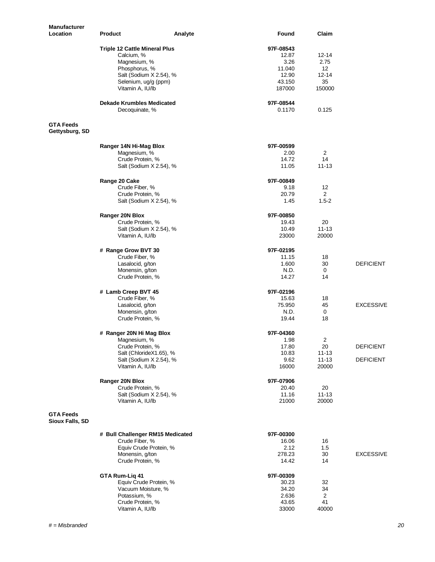| <b>Manufacturer</b><br>Location     | <b>Product</b>                                     | Analyte | Found            | Claim                   |                  |
|-------------------------------------|----------------------------------------------------|---------|------------------|-------------------------|------------------|
|                                     | <b>Triple 12 Cattle Mineral Plus</b>               |         | 97F-08543        |                         |                  |
|                                     | Calcium, %                                         |         | 12.87            | 12-14                   |                  |
|                                     | Magnesium, %                                       |         | 3.26             | 2.75                    |                  |
|                                     | Phosphorus, %                                      |         | 11.040           | 12 <sup>°</sup>         |                  |
|                                     | Salt (Sodium X 2.54), %                            |         | 12.90            | 12-14                   |                  |
|                                     | Selenium, ug/g (ppm)<br>Vitamin A, IU/lb           |         | 43.150<br>187000 | 35<br>150000            |                  |
|                                     | <b>Dekade Krumbles Medicated</b>                   |         | 97F-08544        |                         |                  |
|                                     | Decoquinate, %                                     |         | 0.1170           | 0.125                   |                  |
| <b>GTA Feeds</b><br>Gettysburg, SD  |                                                    |         |                  |                         |                  |
|                                     | Ranger 14N Hi-Mag Blox                             |         | 97F-00599        |                         |                  |
|                                     | Magnesium, %                                       |         | 2.00             | $\overline{2}$          |                  |
|                                     | Crude Protein, %                                   |         | 14.72            | 14                      |                  |
|                                     | Salt (Sodium X 2.54), %                            |         | 11.05            | $11 - 13$               |                  |
|                                     | Range 20 Cake<br>Crude Fiber, %                    |         | 97F-00849        | 12                      |                  |
|                                     | Crude Protein, %                                   |         | 9.18<br>20.79    | $\overline{2}$          |                  |
|                                     | Salt (Sodium X 2.54), %                            |         | 1.45             | $1.5 - 2$               |                  |
|                                     |                                                    |         |                  |                         |                  |
|                                     | Ranger 20N Blox                                    |         | 97F-00850        |                         |                  |
|                                     | Crude Protein, %<br>Salt (Sodium X 2.54), %        |         | 19.43<br>10.49   | 20<br>$11 - 13$         |                  |
|                                     | Vitamin A, IU/lb                                   |         | 23000            | 20000                   |                  |
|                                     | # Range Grow BVT 30                                |         | 97F-02195        |                         |                  |
|                                     | Crude Fiber, %                                     |         | 11.15            | 18                      |                  |
|                                     | Lasalocid, g/ton                                   |         | 1.600            | 30                      | <b>DEFICIENT</b> |
|                                     | Monensin, g/ton<br>Crude Protein, %                |         | N.D.<br>14.27    | 0<br>14                 |                  |
|                                     | # Lamb Creep BVT 45                                |         | 97F-02196        |                         |                  |
|                                     | Crude Fiber, %                                     |         | 15.63            | 18                      |                  |
|                                     | Lasalocid, g/ton                                   |         | 75.950           | 45                      | <b>EXCESSIVE</b> |
|                                     | Monensin, g/ton<br>Crude Protein, %                |         | N.D.<br>19.44    | 0<br>18                 |                  |
|                                     | # Ranger 20N Hi Mag Blox                           |         | 97F-04360        |                         |                  |
|                                     | Magnesium, %                                       |         | 1.98             | $\overline{\mathbf{c}}$ |                  |
|                                     | Crude Protein, %                                   |         | 17.80<br>10.83   | 20<br>$11 - 13$         | <b>DEFICIENT</b> |
|                                     | Salt (ChlorideX1.65), %<br>Salt (Sodium X 2.54), % |         | 9.62             | $11 - 13$               | <b>DEFICIENT</b> |
|                                     | Vitamin A, IU/lb                                   |         | 16000            | 20000                   |                  |
|                                     | Ranger 20N Blox                                    |         | 97F-07906        |                         |                  |
|                                     | Crude Protein, %                                   |         | 20.40            | 20                      |                  |
|                                     | Salt (Sodium X 2.54), %<br>Vitamin A, IU/lb        |         | 11.16<br>21000   | $11 - 13$<br>20000      |                  |
| <b>GTA Feeds</b><br>Sioux Falls, SD |                                                    |         |                  |                         |                  |
|                                     | # Bull Challenger RM15 Medicated                   |         | 97F-00300        |                         |                  |
|                                     | Crude Fiber, %                                     |         | 16.06            | 16                      |                  |
|                                     | Equiv Crude Protein, %                             |         | 2.12             | 1.5                     | <b>EXCESSIVE</b> |
|                                     | Monensin, g/ton<br>Crude Protein, %                |         | 278.23<br>14.42  | 30<br>14                |                  |
|                                     | GTA Rum-Liq 41                                     |         | 97F-00309        |                         |                  |
|                                     | Equiv Crude Protein, %                             |         | 30.23            | 32                      |                  |
|                                     | Vacuum Moisture, %                                 |         | 34.20            | 34                      |                  |
|                                     | Potassium, %                                       |         | 2.636            | $\overline{2}$          |                  |
|                                     | Crude Protein, %<br>Vitamin A, IU/lb               |         | 43.65<br>33000   | 41<br>40000             |                  |
|                                     |                                                    |         |                  |                         |                  |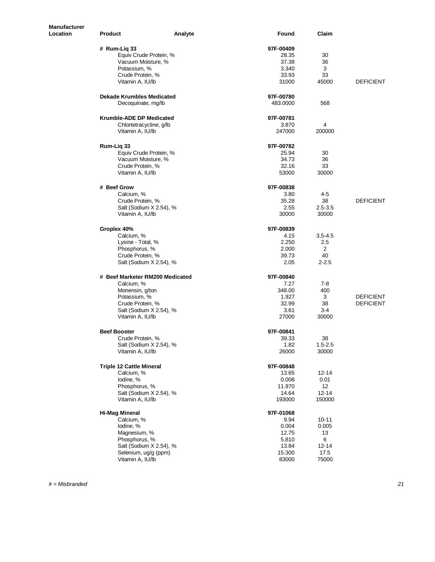| <b>Manufacturer</b><br>Location | <b>Product</b>                   | Analyte | Found     | Claim       |                  |
|---------------------------------|----------------------------------|---------|-----------|-------------|------------------|
|                                 |                                  |         |           |             |                  |
|                                 | # Rum-Liq 33                     |         | 97F-00409 |             |                  |
|                                 | Equiv Crude Protein, %           |         | 28.35     | 30          |                  |
|                                 | Vacuum Moisture, %               |         | 37.38     | 36          |                  |
|                                 | Potassium, %                     |         | 3.340     | 3           |                  |
|                                 | Crude Protein, %                 |         | 33.93     | 33          |                  |
|                                 | Vitamin A, IU/lb                 |         | 31000     | 45000       | <b>DEFICIENT</b> |
|                                 | <b>Dekade Krumbles Medicated</b> |         | 97F-00780 |             |                  |
|                                 | Decoquinate, mg/lb               |         | 483.0000  | 568         |                  |
|                                 | Krumble-ADE DP Medicated         |         | 97F-00781 |             |                  |
|                                 | Chlortetracycline, g/lb          |         | 3.870     | 4           |                  |
|                                 | Vitamin A, IU/lb                 |         | 247000    | 200000      |                  |
|                                 | Rum-Liq 33                       |         | 97F-00782 |             |                  |
|                                 | Equiv Crude Protein, %           |         | 25.94     | 30          |                  |
|                                 | Vacuum Moisture, %               |         | 34.73     | 36          |                  |
|                                 | Crude Protein, %                 |         | 32.16     | 33          |                  |
|                                 | Vitamin A, IU/lb                 |         | 53000     | 30000       |                  |
|                                 | # Beef Grow                      |         | 97F-00838 |             |                  |
|                                 | Calcium, %                       |         | 3.80      | 4-5         |                  |
|                                 | Crude Protein, %                 |         | 35.28     | 38          | <b>DEFICIENT</b> |
|                                 | Salt (Sodium X 2.54), %          |         | 2.55      | $2.5 - 3.5$ |                  |
|                                 | Vitamin A, IU/lb                 |         | 30000     | 30000       |                  |
|                                 | Groplex 40%                      |         | 97F-00839 |             |                  |
|                                 | Calcium, %                       |         | 4.15      | $3.5 - 4.5$ |                  |
|                                 | Lysine - Total, %                |         | 2.250     | 2.5         |                  |
|                                 | Phosphorus, %                    |         | 2.000     | 2           |                  |
|                                 | Crude Protein, %                 |         | 39.73     | 40          |                  |
|                                 | Salt (Sodium X 2.54), %          |         | 2.05      | $2 - 2.5$   |                  |
|                                 | # Beef Marketer RM200 Medicated  |         | 97F-00840 |             |                  |
|                                 | Calcium, %                       |         | 7.27      | 7-8         |                  |
|                                 | Monensin, g/ton                  |         | 348.00    | 400         |                  |
|                                 | Potassium, %                     |         | 1.927     | 3           | <b>DEFICIENT</b> |
|                                 | Crude Protein, %                 |         | 32.99     | 38          | <b>DEFICIENT</b> |
|                                 | Salt (Sodium X 2.54), %          |         | 3.61      | 3-4         |                  |
|                                 | Vitamin A, IU/lb                 |         | 27000     | 30000       |                  |
|                                 | <b>Beef Booster</b>              |         | 97F-00841 |             |                  |
|                                 | Crude Protein, %                 |         | 39.33     | 38          |                  |
|                                 | Salt (Sodium X 2.54), %          |         | 1.82      | $1.5 - 2.5$ |                  |
|                                 | Vitamin A, IU/lb                 |         | 26000     | 30000       |                  |
|                                 | <b>Triple 12 Cattle Mineral</b>  |         | 97F-00848 |             |                  |
|                                 | Calcium, %                       |         | 13.65     | 12-14       |                  |
|                                 | lodine, %                        |         | 0.008     | 0.01        |                  |
|                                 | Phosphorus, %                    |         | 11.970    | 12          |                  |
|                                 | Salt (Sodium X 2.54), %          |         | 14.64     | $12 - 14$   |                  |
|                                 | Vitamin A, IU/lb                 |         | 193000    | 150000      |                  |
|                                 | <b>Hi-Mag Mineral</b>            |         | 97F-01068 |             |                  |
|                                 | Calcium, %                       |         | 9.94      | $10 - 11$   |                  |
|                                 | lodine, %                        |         | 0.004     | 0.005       |                  |
|                                 | Magnesium, %                     |         | 12.75     | 13          |                  |
|                                 | Phosphorus, %                    |         | 5.810     | 6           |                  |
|                                 | Salt (Sodium X 2.54), %          |         | 13.84     | $12 - 14$   |                  |
|                                 | Selenium, ug/g (ppm)             |         | 15.300    | 17.5        |                  |
|                                 | Vitamin A, IU/lb                 |         | 83000     | 75000       |                  |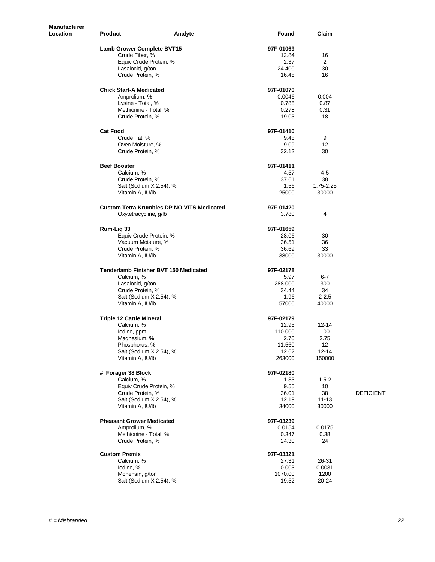| <b>Manufacturer</b><br>Location | <b>Product</b>                             | Analyte                                           | Found            | Claim           |                  |
|---------------------------------|--------------------------------------------|---------------------------------------------------|------------------|-----------------|------------------|
|                                 | <b>Lamb Grower Complete BVT15</b>          |                                                   | 97F-01069        |                 |                  |
|                                 | Crude Fiber, %                             |                                                   | 12.84            | 16              |                  |
|                                 | Equiv Crude Protein, %                     |                                                   | 2.37             | 2               |                  |
|                                 | Lasalocid, g/ton                           |                                                   | 24.400           | 30              |                  |
|                                 | Crude Protein, %                           |                                                   | 16.45            | 16              |                  |
|                                 | <b>Chick Start-A Medicated</b>             |                                                   | 97F-01070        |                 |                  |
|                                 | Amprolium, %                               |                                                   | 0.0046           | 0.004           |                  |
|                                 | Lysine - Total, %                          |                                                   | 0.788            | 0.87            |                  |
|                                 | Methionine - Total, %                      |                                                   | 0.278            | 0.31            |                  |
|                                 | Crude Protein, %                           |                                                   | 19.03            | 18              |                  |
|                                 | <b>Cat Food</b>                            |                                                   | 97F-01410        |                 |                  |
|                                 | Crude Fat, %                               |                                                   | 9.48             | 9               |                  |
|                                 | Oven Moisture, %                           |                                                   | 9.09             | 12              |                  |
|                                 | Crude Protein, %                           |                                                   | 32.12            | 30              |                  |
|                                 | <b>Beef Booster</b>                        |                                                   | 97F-01411        |                 |                  |
|                                 | Calcium, %                                 |                                                   | 4.57             | $4 - 5$         |                  |
|                                 | Crude Protein, %                           |                                                   | 37.61            | 38              |                  |
|                                 | Salt (Sodium X 2.54), %                    |                                                   | 1.56             | 1.75-2.25       |                  |
|                                 | Vitamin A, IU/lb                           |                                                   | 25000            | 30000           |                  |
|                                 |                                            | <b>Custom Tetra Krumbles DP NO VITS Medicated</b> | 97F-01420        |                 |                  |
|                                 | Oxytetracycline, g/lb                      |                                                   | 3.780            | 4               |                  |
|                                 | Rum-Liq 33                                 |                                                   | 97F-01659        |                 |                  |
|                                 | Equiv Crude Protein, %                     |                                                   | 28.06            | 30              |                  |
|                                 | Vacuum Moisture, %                         |                                                   | 36.51            | 36              |                  |
|                                 | Crude Protein, %                           |                                                   | 36.69            | 33              |                  |
|                                 | Vitamin A, IU/lb                           |                                                   | 38000            | 30000           |                  |
|                                 |                                            | <b>Tenderlamb Finisher BVT 150 Medicated</b>      | 97F-02178        |                 |                  |
|                                 | Calcium, %                                 |                                                   | 5.97             | $6 - 7$         |                  |
|                                 | Lasalocid, g/ton                           |                                                   | 288.000          | 300             |                  |
|                                 | Crude Protein, %                           |                                                   | 34.44            | 34              |                  |
|                                 | Salt (Sodium X 2.54), %                    |                                                   | 1.96             | $2 - 2.5$       |                  |
|                                 | Vitamin A, IU/lb                           |                                                   | 57000            | 40000           |                  |
|                                 | <b>Triple 12 Cattle Mineral</b>            |                                                   | 97F-02179        |                 |                  |
|                                 | Calcium, %                                 |                                                   | 12.95            | 12-14           |                  |
|                                 | lodine, ppm                                |                                                   | 110.000          | 100             |                  |
|                                 | Magnesium, %                               |                                                   | 2.70             | 2.75            |                  |
|                                 | Phosphorus, %                              |                                                   | 11.560           | 12              |                  |
|                                 | Salt (Sodium X 2.54), %                    |                                                   | 12.62            | $12 - 14$       |                  |
|                                 | Vitamin A, IU/lb                           |                                                   | 263000           | 150000          |                  |
|                                 | # Forager 38 Block                         |                                                   | 97F-02180        |                 |                  |
|                                 | Calcium, %                                 |                                                   | 1.33             | $1.5 - 2$       |                  |
|                                 | Equiv Crude Protein, %                     |                                                   | 9.55             | 10 <sup>1</sup> |                  |
|                                 | Crude Protein, %                           |                                                   | 36.01            | 38              | <b>DEFICIENT</b> |
|                                 | Salt (Sodium X 2.54), %                    |                                                   | 12.19            | $11 - 13$       |                  |
|                                 | Vitamin A, IU/lb                           |                                                   | 34000            | 30000           |                  |
|                                 | <b>Pheasant Grower Medicated</b>           |                                                   | 97F-03239        |                 |                  |
|                                 | Amprolium, %                               |                                                   | 0.0154           | 0.0175          |                  |
|                                 | Methionine - Total, %                      |                                                   | 0.347            | 0.38            |                  |
|                                 | Crude Protein, %                           |                                                   | 24.30            | 24              |                  |
|                                 | <b>Custom Premix</b>                       |                                                   | 97F-03321        |                 |                  |
|                                 | Calcium, %                                 |                                                   | 27.31            | 26-31           |                  |
|                                 | lodine, %                                  |                                                   | 0.003            | 0.0031          |                  |
|                                 | Monensin, g/ton<br>Salt (Sodium X 2.54), % |                                                   | 1070.00<br>19.52 | 1200<br>20-24   |                  |
|                                 |                                            |                                                   |                  |                 |                  |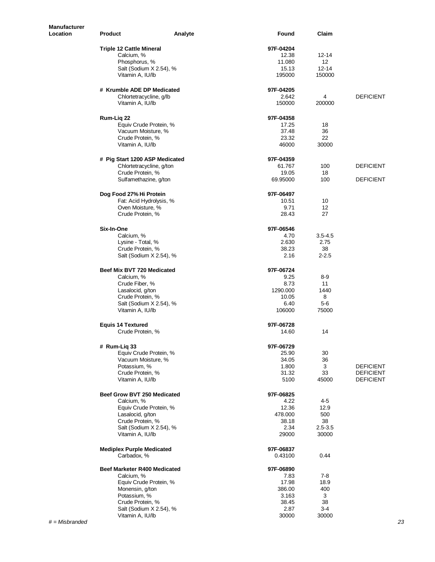| <b>Manufacturer</b><br>Location | <b>Product</b>                                  | Analyte                                      | Found                | Claim                |                  |
|---------------------------------|-------------------------------------------------|----------------------------------------------|----------------------|----------------------|------------------|
|                                 | <b>Triple 12 Cattle Mineral</b>                 |                                              | 97F-04204            |                      |                  |
|                                 | Calcium, %                                      |                                              | 12.38                | 12-14                |                  |
|                                 |                                                 | Phosphorus, %<br>Salt (Sodium X 2.54), %     | 11.080<br>15.13      | 12<br>$12 - 14$      |                  |
|                                 |                                                 | Vitamin A, IU/lb                             | 195000               | 150000               |                  |
|                                 |                                                 | # Krumble ADE DP Medicated                   | 97F-04205            | 4                    |                  |
|                                 |                                                 | Chlortetracycline, g/lb<br>Vitamin A, IU/lb  | 2.642<br>150000      | 200000               | <b>DEFICIENT</b> |
|                                 | Rum-Lig 22                                      | Equiv Crude Protein, %                       | 97F-04358<br>17.25   | 18                   |                  |
|                                 |                                                 | Vacuum Moisture, %                           | 37.48                | 36                   |                  |
|                                 |                                                 | Crude Protein, %                             | 23.32                | 22                   |                  |
|                                 |                                                 | Vitamin A, IU/lb                             | 46000                | 30000                |                  |
|                                 |                                                 | # Pig Start 1200 ASP Medicated               | 97F-04359            |                      |                  |
|                                 |                                                 | Chlortetracycline, g/ton<br>Crude Protein, % | 61.767<br>19.05      | 100<br>18            | <b>DEFICIENT</b> |
|                                 |                                                 | Sulfamethazine, g/ton                        | 69.95000             | 100                  | <b>DEFICIENT</b> |
|                                 | Dog Food 27% Hi Protein                         |                                              | 97F-06497            |                      |                  |
|                                 |                                                 | Fat: Acid Hydrolysis, %                      | 10.51                | 10                   |                  |
|                                 |                                                 | Oven Moisture, %                             | 9.71                 | 12                   |                  |
|                                 |                                                 | Crude Protein, %                             | 28.43                | 27                   |                  |
|                                 | Six-In-One                                      |                                              | 97F-06546            |                      |                  |
|                                 | Calcium, %                                      | Lysine - Total, %                            | 4.70<br>2.630        | $3.5 - 4.5$<br>2.75  |                  |
|                                 |                                                 | Crude Protein, %                             | 38.23                | 38                   |                  |
|                                 |                                                 | Salt (Sodium X 2.54), %                      | 2.16                 | $2 - 2.5$            |                  |
|                                 |                                                 | Beef Mix BVT 720 Medicated                   | 97F-06724            |                      |                  |
|                                 | Calcium, %                                      |                                              | 9.25                 | $8 - 9$              |                  |
|                                 | Crude Fiber, %                                  | Lasalocid, g/ton                             | 8.73<br>1290.000     | 11<br>1440           |                  |
|                                 |                                                 | Crude Protein, %                             | 10.05                | 8                    |                  |
|                                 |                                                 | Salt (Sodium X 2.54), %                      | 6.40                 | $5-6$                |                  |
|                                 |                                                 | Vitamin A, IU/lb                             | 106000               | 75000                |                  |
|                                 | <b>Equis 14 Textured</b>                        |                                              | 97F-06728            |                      |                  |
|                                 |                                                 | Crude Protein, %                             | 14.60                | 14                   |                  |
|                                 | # Rum-Lig 33                                    |                                              | 97F-06729            |                      |                  |
|                                 |                                                 | Equiv Crude Protein, %<br>Vacuum Moisture, % | 25.90                | 30<br>36             |                  |
|                                 | Potassium, %                                    |                                              | 34.05<br>1.800       | 3                    | <b>DEFICIENT</b> |
|                                 |                                                 | Crude Protein, %                             | 31.32                | 33                   | <b>DEFICIENT</b> |
|                                 |                                                 | Vitamin A, IU/lb                             | 5100                 | 45000                | <b>DEFICIENT</b> |
|                                 |                                                 | Beef Grow BVT 250 Medicated                  | 97F-06825            |                      |                  |
|                                 | Calcium, %                                      |                                              | 4.22                 | 4-5<br>12.9          |                  |
|                                 |                                                 | Equiv Crude Protein, %<br>Lasalocid, g/ton   | 12.36<br>478.000     | 500                  |                  |
|                                 |                                                 | Crude Protein, %                             | 38.18                | 38                   |                  |
|                                 |                                                 | Salt (Sodium X 2.54), %<br>Vitamin A, IU/lb  | 2.34                 | $2.5 - 3.5$<br>30000 |                  |
|                                 |                                                 |                                              | 29000                |                      |                  |
|                                 | <b>Mediplex Purple Medicated</b><br>Carbadox, % |                                              | 97F-06837<br>0.43100 | 0.44                 |                  |
|                                 |                                                 | Beef Marketer R400 Medicated                 | 97F-06890            |                      |                  |
|                                 | Calcium, %                                      |                                              | 7.83                 | 7-8                  |                  |
|                                 |                                                 | Equiv Crude Protein, %<br>Monensin, g/ton    | 17.98<br>386.00      | 18.9<br>400          |                  |
|                                 | Potassium, %                                    |                                              | 3.163                | 3                    |                  |
|                                 |                                                 | Crude Protein, %                             | 38.45                | 38                   |                  |
|                                 |                                                 | Salt (Sodium X 2.54), %<br>Vitamin A, IU/lb  | 2.87<br>30000        | $3 - 4$<br>30000     |                  |
| $#$ = Misbranded                |                                                 |                                              |                      |                      | 23               |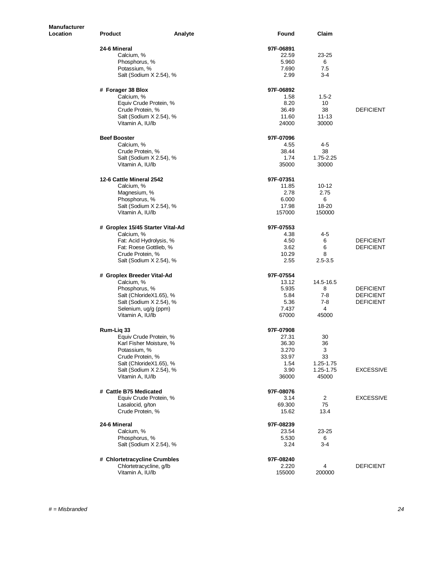| Manufacturer<br>Location | <b>Product</b><br>Analyte                   | Found         | Claim              |                  |
|--------------------------|---------------------------------------------|---------------|--------------------|------------------|
|                          | 24-6 Mineral                                | 97F-06891     |                    |                  |
|                          | Calcium, %                                  | 22.59         | 23-25              |                  |
|                          | Phosphorus, %                               | 5.960         | 6                  |                  |
|                          | Potassium, %                                | 7.690         | 7.5                |                  |
|                          | Salt (Sodium X 2.54), %                     | 2.99          | 3-4                |                  |
|                          | # Forager 38 Blox                           | 97F-06892     |                    |                  |
|                          | Calcium, %                                  | 1.58          | $1.5 - 2$          |                  |
|                          | Equiv Crude Protein, %                      | 8.20          | 10                 |                  |
|                          | Crude Protein, %                            | 36.49         | 38                 | <b>DEFICIENT</b> |
|                          | Salt (Sodium X 2.54), %                     | 11.60         | $11 - 13$          |                  |
|                          | Vitamin A, IU/lb                            | 24000         | 30000              |                  |
|                          | <b>Beef Booster</b>                         | 97F-07096     |                    |                  |
|                          | Calcium, %                                  | 4.55          | 4-5                |                  |
|                          | Crude Protein, %                            | 38.44         | 38                 |                  |
|                          | Salt (Sodium X 2.54), %                     | 1.74          | 1.75-2.25          |                  |
|                          | Vitamin A, IU/lb                            | 35000         | 30000              |                  |
|                          | 12-6 Cattle Mineral 2542                    | 97F-07351     |                    |                  |
|                          | Calcium, %                                  | 11.85         | 10-12              |                  |
|                          | Magnesium, %                                | 2.78          | 2.75               |                  |
|                          | Phosphorus, %                               | 6.000         | 6                  |                  |
|                          | Salt (Sodium X 2.54), %                     | 17.98         | 18-20              |                  |
|                          | Vitamin A, IU/lb                            | 157000        | 150000             |                  |
|                          | # Groplex 15/45 Starter Vital-Ad            | 97F-07553     |                    |                  |
|                          | Calcium, %                                  | 4.38          | 4-5                |                  |
|                          | Fat: Acid Hydrolysis, %                     | 4.50          | 6                  | <b>DEFICIENT</b> |
|                          | Fat: Roese Gottlieb, %                      | 3.62          | 6                  | <b>DEFICIENT</b> |
|                          | Crude Protein, %                            | 10.29         | 8                  |                  |
|                          | Salt (Sodium X 2.54), %                     | 2.55          | $2.5 - 3.5$        |                  |
|                          | # Groplex Breeder Vital-Ad                  | 97F-07554     |                    |                  |
|                          | Calcium, %                                  | 13.12         | 14.5-16.5          |                  |
|                          | Phosphorus, %                               | 5.935         | 8                  | <b>DEFICIENT</b> |
|                          | Salt (ChlorideX1.65), %                     | 5.84          | 7-8                | <b>DEFICIENT</b> |
|                          | Salt (Sodium X 2.54), %                     | 5.36          | $7-8$              | <b>DEFICIENT</b> |
|                          | Selenium, ug/g (ppm)                        | 7.437         | 4                  |                  |
|                          | Vitamin A, IU/lb                            | 67000         | 45000              |                  |
|                          | Rum-Liq 33                                  | 97F-07908     |                    |                  |
|                          | Equiv Crude Protein, %                      | 27.31         | 30                 |                  |
|                          | Karl Fisher Moisture, %                     | 36.30         | 36                 |                  |
|                          | Potassium, %                                | 3.270         | 3                  |                  |
|                          | Crude Protein, %                            | 33.97         | 33                 |                  |
|                          | Salt (ChlorideX1.65), %                     | 1.54          | 1.25-1.75          |                  |
|                          | Salt (Sodium X 2.54), %<br>Vitamin A, IU/lb | 3.90<br>36000 | 1.25-1.75<br>45000 | <b>EXCESSIVE</b> |
|                          | # Cattle B75 Medicated                      | 97F-08076     |                    |                  |
|                          | Equiv Crude Protein, %                      | 3.14          | $\overline{2}$     | <b>EXCESSIVE</b> |
|                          | Lasalocid, g/ton                            | 69.300        | 75                 |                  |
|                          | Crude Protein, %                            | 15.62         | 13.4               |                  |
|                          |                                             |               |                    |                  |
|                          | 24-6 Mineral                                | 97F-08239     |                    |                  |
|                          | Calcium, %                                  | 23.54         | 23-25              |                  |
|                          | Phosphorus, %                               | 5.530         | 6                  |                  |
|                          | Salt (Sodium X 2.54), %                     | 3.24          | $3 - 4$            |                  |
|                          | # Chlortetracycline Crumbles                | 97F-08240     |                    |                  |
|                          | Chlortetracycline, g/lb                     | 2.220         | 4                  | <b>DEFICIENT</b> |
|                          | Vitamin A, IU/lb                            | 155000        | 200000             |                  |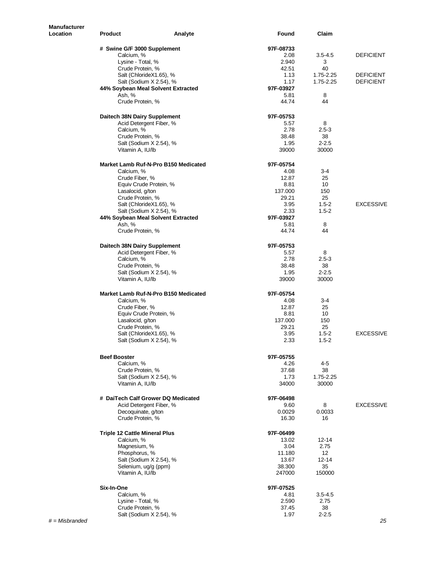| <b>Manufacturer</b><br>Location | <b>Product</b>                       | Analyte                                       | <b>Found</b>      | Claim           |                  |
|---------------------------------|--------------------------------------|-----------------------------------------------|-------------------|-----------------|------------------|
|                                 |                                      | # Swine G/F 3000 Supplement                   | 97F-08733         |                 |                  |
|                                 | Calcium, %                           |                                               | 2.08              | $3.5 - 4.5$     | <b>DEFICIENT</b> |
|                                 | Lysine - Total, %                    |                                               | 2.940             | 3               |                  |
|                                 | Crude Protein, %                     |                                               | 42.51             | 40              |                  |
|                                 |                                      | Salt (ChlorideX1.65), %                       | 1.13              | 1.75-2.25       | <b>DEFICIENT</b> |
|                                 |                                      | Salt (Sodium X 2.54), %                       | 1.17              | 1.75-2.25       | <b>DEFICIENT</b> |
|                                 | Ash, %                               | 44% Soybean Meal Solvent Extracted            | 97F-03927<br>5.81 | 8               |                  |
|                                 | Crude Protein, %                     |                                               | 44.74             | 44              |                  |
|                                 |                                      | Daitech 38N Dairy Supplement                  | 97F-05753         |                 |                  |
|                                 |                                      | Acid Detergent Fiber, %                       | 5.57              | 8               |                  |
|                                 | Calcium, %                           |                                               | 2.78              | $2.5 - 3$       |                  |
|                                 | Crude Protein, %                     | Salt (Sodium X 2.54), %                       | 38.48<br>1.95     | 38<br>$2 - 2.5$ |                  |
|                                 | Vitamin A, IU/lb                     |                                               | 39000             | 30000           |                  |
|                                 |                                      | Market Lamb Ruf-N-Pro B150 Medicated          | 97F-05754         |                 |                  |
|                                 | Calcium, %                           |                                               | 4.08              | 3-4             |                  |
|                                 | Crude Fiber, %                       |                                               | 12.87             | 25              |                  |
|                                 |                                      | Equiv Crude Protein, %                        | 8.81              | 10              |                  |
|                                 | Lasalocid, g/ton                     |                                               | 137.000           | 150             |                  |
|                                 | Crude Protein, %                     | Salt (ChlorideX1.65), %                       | 29.21<br>3.95     | 25<br>$1.5 - 2$ | <b>EXCESSIVE</b> |
|                                 |                                      | Salt (Sodium X 2.54), %                       | 2.33              | $1.5 - 2$       |                  |
|                                 |                                      | 44% Soybean Meal Solvent Extracted            | 97F-03927         |                 |                  |
|                                 | Ash, %                               |                                               | 5.81              | 8               |                  |
|                                 | Crude Protein, %                     |                                               | 44.74             | 44              |                  |
|                                 |                                      | Daitech 38N Dairy Supplement                  | 97F-05753         |                 |                  |
|                                 |                                      | Acid Detergent Fiber, %                       | 5.57              | 8               |                  |
|                                 | Calcium, %                           |                                               | 2.78              | $2.5 - 3$       |                  |
|                                 | Crude Protein, %                     | Salt (Sodium X 2.54), %                       | 38.48<br>1.95     | 38<br>$2 - 2.5$ |                  |
|                                 | Vitamin A, IU/lb                     |                                               | 39000             | 30000           |                  |
|                                 |                                      | Market Lamb Ruf-N-Pro B150 Medicated          | 97F-05754         |                 |                  |
|                                 | Calcium, %                           |                                               | 4.08              | 3-4             |                  |
|                                 | Crude Fiber, %                       |                                               | 12.87             | 25              |                  |
|                                 |                                      | Equiv Crude Protein, %                        | 8.81              | 10              |                  |
|                                 | Lasalocid, g/ton                     |                                               | 137.000           | 150             |                  |
|                                 | Crude Protein, %                     | Salt (ChlorideX1.65), %                       | 29.21<br>3.95     | 25<br>$1.5 - 2$ | <b>EXCESSIVE</b> |
|                                 |                                      | Salt (Sodium X 2.54), %                       | 2.33              | $1.5 - 2$       |                  |
|                                 | <b>Beef Booster</b>                  |                                               | 97F-05755         |                 |                  |
|                                 | Calcium, %                           |                                               | 4.26              | $4 - 5$         |                  |
|                                 | Crude Protein, %                     |                                               | 37.68             | 38              |                  |
|                                 |                                      | Salt (Sodium X 2.54), %                       | 1.73              | 1.75-2.25       |                  |
|                                 | Vitamin A, IU/lb                     |                                               | 34000             | 30000           |                  |
|                                 |                                      | # DaiTech Calf Grower DQ Medicated            | 97F-06498         |                 | <b>EXCESSIVE</b> |
|                                 |                                      | Acid Detergent Fiber, %<br>Decoquinate, g/ton | 9.60<br>0.0029    | 8<br>0.0033     |                  |
|                                 | Crude Protein, %                     |                                               | 16.30             | 16              |                  |
|                                 | <b>Triple 12 Cattle Mineral Plus</b> |                                               | 97F-06499         |                 |                  |
|                                 | Calcium, %                           |                                               | 13.02             | $12 - 14$       |                  |
|                                 | Magnesium, %                         |                                               | 3.04              | 2.75            |                  |
|                                 | Phosphorus, %                        |                                               | 11.180            | 12              |                  |
|                                 |                                      | Salt (Sodium X 2.54), %                       | 13.67             | $12 - 14$       |                  |
|                                 | Vitamin A, IU/lb                     | Selenium, ug/g (ppm)                          | 38.300<br>247000  | 35<br>150000    |                  |
|                                 | Six-In-One                           |                                               | 97F-07525         |                 |                  |
|                                 | Calcium, %                           |                                               | 4.81              | $3.5 - 4.5$     |                  |
|                                 | Lysine - Total, %                    |                                               | 2.590             | 2.75            |                  |
|                                 | Crude Protein, %                     |                                               | 37.45             | 38              |                  |
|                                 |                                      | Salt (Sodium X 2.54), %                       | 1.97              | $2 - 2.5$       |                  |
| $#$ = Misbranded                |                                      |                                               |                   |                 | 25               |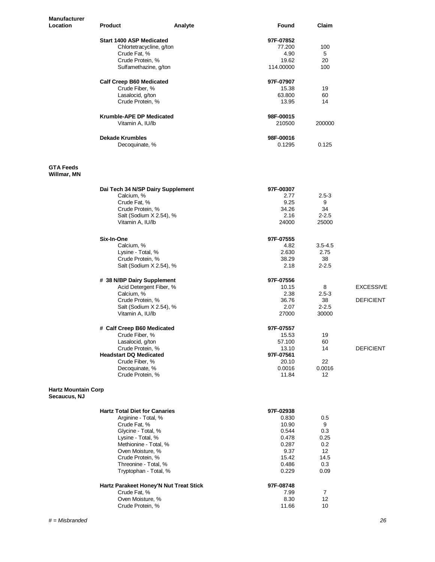| <b>Manufacturer</b><br>Location            | Product                                   | Analyte | Found     | Claim                  |
|--------------------------------------------|-------------------------------------------|---------|-----------|------------------------|
|                                            |                                           |         |           |                        |
|                                            | <b>Start 1400 ASP Medicated</b>           |         | 97F-07852 |                        |
|                                            | Chlortetracycline, g/ton                  |         | 77.200    | 100                    |
|                                            | Crude Fat, %                              |         | 4.90      | 5                      |
|                                            | Crude Protein, %<br>Sulfamethazine, g/ton |         | 19.62     | 20                     |
|                                            |                                           |         | 114.00000 | 100                    |
|                                            | <b>Calf Creep B60 Medicated</b>           |         | 97F-07907 |                        |
|                                            | Crude Fiber, %                            |         | 15.38     | 19                     |
|                                            | Lasalocid, g/ton                          |         | 63.800    | 60                     |
|                                            | Crude Protein, %                          |         | 13.95     | 14                     |
|                                            | Krumble-APE DP Medicated                  |         | 98F-00015 |                        |
|                                            | Vitamin A, IU/lb                          |         | 210500    | 200000                 |
|                                            | <b>Dekade Krumbles</b>                    |         | 98F-00016 |                        |
|                                            | Decoquinate, %                            |         | 0.1295    | 0.125                  |
| <b>GTA Feeds</b>                           |                                           |         |           |                        |
| Willmar, MN                                |                                           |         |           |                        |
|                                            | Dai Tech 34 N/SP Dairy Supplement         |         | 97F-00307 |                        |
|                                            | Calcium, %                                |         | 2.77      | $2.5 - 3$              |
|                                            | Crude Fat, %                              |         | 9.25      | 9                      |
|                                            | Crude Protein, %                          |         | 34.26     | 34                     |
|                                            | Salt (Sodium X 2.54), %                   |         | 2.16      | $2 - 2.5$              |
|                                            | Vitamin A, IU/lb                          |         | 24000     | 25000                  |
|                                            | Six-In-One                                |         | 97F-07555 |                        |
|                                            | Calcium, %                                |         | 4.82      | $3.5 - 4.5$            |
|                                            | Lysine - Total, %                         |         | 2.630     | 2.75                   |
|                                            | Crude Protein, %                          |         | 38.29     | 38                     |
|                                            | Salt (Sodium X 2.54), %                   |         | 2.18      | $2 - 2.5$              |
|                                            | # 38 N/BP Dairy Supplement                |         | 97F-07556 |                        |
|                                            | Acid Detergent Fiber, %                   |         | 10.15     | <b>EXCESSIVE</b><br>8  |
|                                            | Calcium, %                                |         | 2.38      | $2.5 - 3$              |
|                                            | Crude Protein, %                          |         | 36.76     | 38<br><b>DEFICIENT</b> |
|                                            | Salt (Sodium X 2.54), %                   |         | 2.07      | $2 - 2.5$              |
|                                            | Vitamin A, IU/lb                          |         | 27000     | 30000                  |
|                                            |                                           |         |           |                        |
|                                            | # Calf Creep B60 Medicated                |         | 97F-07557 |                        |
|                                            | Crude Fiber, %                            |         | 15.53     | 19                     |
|                                            | Lasalocid, g/ton                          |         | 57.100    | 60                     |
|                                            | Crude Protein, %                          |         | 13.10     | 14<br><b>DEFICIENT</b> |
|                                            | <b>Headstart DQ Medicated</b>             |         | 97F-07561 |                        |
|                                            | Crude Fiber, %                            |         | 20.10     | 22                     |
|                                            | Decoquinate, %                            |         | 0.0016    | 0.0016                 |
|                                            | Crude Protein, %                          |         | 11.84     | 12                     |
| <b>Hartz Mountain Corp</b><br>Secaucus, NJ |                                           |         |           |                        |
|                                            | <b>Hartz Total Diet for Canaries</b>      |         | 97F-02938 |                        |
|                                            | Arginine - Total, %                       |         | 0.830     | 0.5                    |
|                                            | Crude Fat, %                              |         | 10.90     | 9                      |
|                                            | Glycine - Total, %                        |         | 0.544     | 0.3                    |
|                                            | Lysine - Total, %                         |         | 0.478     | 0.25                   |
|                                            | Methionine - Total, %                     |         | 0.287     | 0.2                    |
|                                            | Oven Moisture, %                          |         | 9.37      | $12 \overline{ }$      |
|                                            | Crude Protein, %                          |         | 15.42     | 14.5                   |
|                                            | Threonine - Total, %                      |         | 0.486     | 0.3                    |
|                                            | Tryptophan - Total, %                     |         | 0.229     | 0.09                   |
|                                            | Hartz Parakeet Honey'N Nut Treat Stick    |         | 97F-08748 |                        |
|                                            | Crude Fat, %                              |         | 7.99      | 7                      |
|                                            | Oven Moisture, %                          |         | 8.30      | 12                     |
|                                            | Crude Protein, %                          |         | 11.66     | 10                     |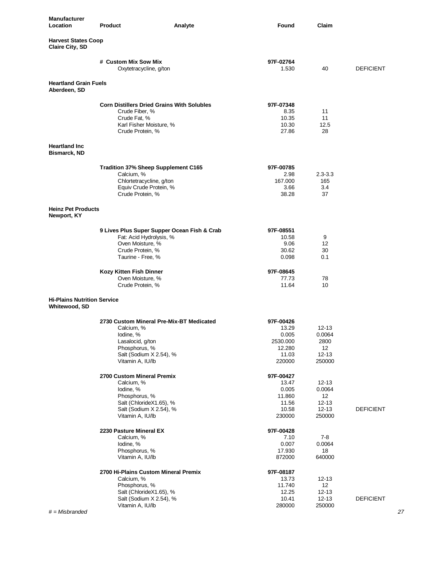| <b>Manufacturer</b><br><b>Location</b>               | <b>Product</b>                                                                                                                                          | Analyte | Found                                                                | Claim                                                         |                        |
|------------------------------------------------------|---------------------------------------------------------------------------------------------------------------------------------------------------------|---------|----------------------------------------------------------------------|---------------------------------------------------------------|------------------------|
| <b>Harvest States Coop</b><br><b>Claire City, SD</b> |                                                                                                                                                         |         |                                                                      |                                                               |                        |
|                                                      | # Custom Mix Sow Mix<br>Oxytetracycline, g/ton                                                                                                          |         | 97F-02764<br>1.530                                                   | 40                                                            | <b>DEFICIENT</b>       |
| <b>Heartland Grain Fuels</b><br>Aberdeen, SD         |                                                                                                                                                         |         |                                                                      |                                                               |                        |
|                                                      | <b>Corn Distillers Dried Grains With Solubles</b><br>Crude Fiber, %<br>Crude Fat, %<br>Karl Fisher Moisture, %<br>Crude Protein, %                      |         | 97F-07348<br>8.35<br>10.35<br>10.30<br>27.86                         | 11<br>11<br>12.5<br>28                                        |                        |
| <b>Heartland Inc</b><br><b>Bismarck, ND</b>          |                                                                                                                                                         |         |                                                                      |                                                               |                        |
|                                                      | <b>Tradition 37% Sheep Supplement C165</b><br>Calcium, %<br>Chlortetracycline, g/ton<br>Equiv Crude Protein, %<br>Crude Protein, %                      |         | 97F-00785<br>2.98<br>167.000<br>3.66<br>38.28                        | $2.3 - 3.3$<br>165<br>3.4<br>37                               |                        |
| <b>Heinz Pet Products</b><br>Newport, KY             |                                                                                                                                                         |         |                                                                      |                                                               |                        |
|                                                      | 9 Lives Plus Super Supper Ocean Fish & Crab<br>Fat: Acid Hydrolysis, %<br>Oven Moisture, %<br>Crude Protein, %<br>Taurine - Free, %                     |         | 97F-08551<br>10.58<br>9.06<br>30.62<br>0.098                         | 9<br>12<br>30<br>0.1                                          |                        |
|                                                      | Kozy Kitten Fish Dinner<br>Oven Moisture, %<br>Crude Protein, %                                                                                         |         | 97F-08645<br>77.73<br>11.64                                          | 78<br>10                                                      |                        |
| <b>Hi-Plains Nutrition Service</b><br>Whitewood, SD  |                                                                                                                                                         |         |                                                                      |                                                               |                        |
|                                                      | 2730 Custom Mineral Pre-Mix-BT Medicated<br>Calcium, %<br>lodine, %<br>Lasalocid, g/ton<br>Phosphorus, %<br>Salt (Sodium X 2.54), %<br>Vitamin A, IU/lb |         | 97F-00426<br>13.29<br>0.005<br>2530.000<br>12.280<br>11.03<br>220000 | $12 - 13$<br>0.0064<br>2800<br>12<br>$12 - 13$<br>250000      |                        |
|                                                      | 2700 Custom Mineral Premix<br>Calcium, %<br>lodine, %<br>Phosphorus, %<br>Salt (ChlorideX1.65), %<br>Salt (Sodium X 2.54), %<br>Vitamin A, IU/lb        |         | 97F-00427<br>13.47<br>0.005<br>11.860<br>11.56<br>10.58<br>230000    | $12 - 13$<br>0.0064<br>12<br>$12 - 13$<br>$12 - 13$<br>250000 | <b>DEFICIENT</b>       |
|                                                      | 2230 Pasture Mineral EX<br>Calcium, %<br>lodine, %<br>Phosphorus, %<br>Vitamin A, IU/lb                                                                 |         | 97F-00428<br>7.10<br>0.007<br>17.930<br>872000                       | $7 - 8$<br>0.0064<br>18<br>640000                             |                        |
| $#$ = Misbranded                                     | 2700 Hi-Plains Custom Mineral Premix<br>Calcium, %<br>Phosphorus, %<br>Salt (ChlorideX1.65), %<br>Salt (Sodium X 2.54), %<br>Vitamin A, IU/lb           |         | 97F-08187<br>13.73<br>11.740<br>12.25<br>10.41<br>280000             | $12 - 13$<br>12<br>$12 - 13$<br>$12 - 13$<br>250000           | <b>DEFICIENT</b><br>27 |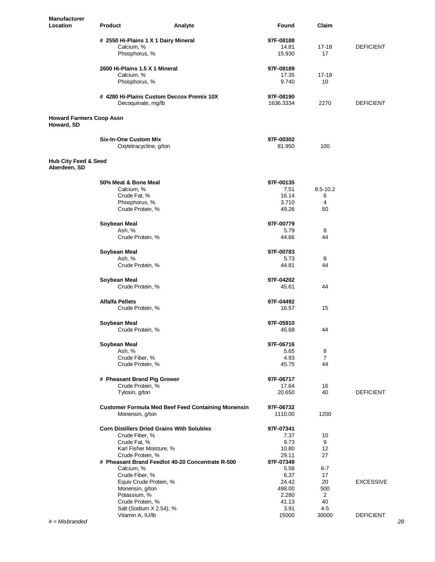| <b>Manufacturer</b><br>Location                 | <b>Product</b><br>Analyte                                                    | Found                  | Claim                |                  |
|-------------------------------------------------|------------------------------------------------------------------------------|------------------------|----------------------|------------------|
|                                                 |                                                                              | 97F-08188              |                      |                  |
|                                                 | # 2550 Hi-Plains 1 X 1 Dairy Mineral<br>Calcium, %<br>Phosphorus, %          | 14.81<br>15.930        | 17-18<br>17          | <b>DEFICIENT</b> |
|                                                 | 2600 Hi-Plains 1.5 X 1 Mineral                                               | 97F-08189              |                      |                  |
|                                                 | Calcium, %                                                                   | 17.35                  | $17 - 18$            |                  |
|                                                 | Phosphorus, %                                                                | 9.740                  | 10                   |                  |
|                                                 | # 4280 Hi-Plains Custom Deccox Premix 10X<br>Decoquinate, mg/lb              | 97F-08190<br>1636.3334 | 2270                 | <b>DEFICIENT</b> |
| <b>Howard Farmers Coop Assn</b><br>Howard, SD   |                                                                              |                        |                      |                  |
|                                                 | <b>Six-In-One Custom Mix</b><br>Oxytetracycline, g/ton                       | 97F-00302<br>81.950    | 100                  |                  |
| <b>Hub City Feed &amp; Seed</b><br>Aberdeen, SD |                                                                              |                        |                      |                  |
|                                                 | 50% Meat & Bone Meal                                                         | 97F-00135              |                      |                  |
|                                                 | Calcium, %                                                                   | 7.51                   | 8.5-10.2             |                  |
|                                                 | Crude Fat, %<br>Phosphorus, %                                                | 16.14<br>3.710         | 6<br>4               |                  |
|                                                 | Crude Protein, %                                                             | 49.26                  | 50                   |                  |
|                                                 | Soybean Meal                                                                 | 97F-00779              |                      |                  |
|                                                 | Ash, %                                                                       | 5.79                   | 8                    |                  |
|                                                 | Crude Protein, %                                                             | 44.66                  | 44                   |                  |
|                                                 | Soybean Meal                                                                 | 97F-00783              |                      |                  |
|                                                 | Ash, %                                                                       | 5.73                   | 8                    |                  |
|                                                 | Crude Protein, %                                                             | 44.81                  | 44                   |                  |
|                                                 | Soybean Meal<br>Crude Protein, %                                             | 97F-04202<br>45.61     | 44                   |                  |
|                                                 | <b>Alfalfa Pellets</b><br>Crude Protein, %                                   | 97F-04492<br>16.57     | 15                   |                  |
|                                                 | Soybean Meal                                                                 | 97F-05910              |                      |                  |
|                                                 | Crude Protein, %                                                             | 45.68                  | 44                   |                  |
|                                                 | Soybean Meal                                                                 | 97F-06716              |                      |                  |
|                                                 | Ash, %                                                                       | 5.65                   | 8                    |                  |
|                                                 | Crude Fiber, %<br>Crude Protein, %                                           | 4.93<br>45.75          | $\overline{7}$<br>44 |                  |
|                                                 |                                                                              |                        |                      |                  |
|                                                 | # Pheasant Brand Pig Grower                                                  | 97F-06717              |                      |                  |
|                                                 | Crude Protein, %<br>Tylosin, g/ton                                           | 17.64<br>20.650        | 16<br>40             | <b>DEFICIENT</b> |
|                                                 |                                                                              |                        |                      |                  |
|                                                 | <b>Customer Formula Med Beef Feed Containing Monensin</b><br>Monensin, g/ton | 97F-06732<br>1110.00   | 1200                 |                  |
|                                                 | <b>Corn Distillers Dried Grains With Solubles</b>                            | 97F-07341              |                      |                  |
|                                                 | Crude Fiber, %<br>Crude Fat, %                                               | 7.37<br>9.73           | 10<br>9              |                  |
|                                                 | Karl Fisher Moisture, %                                                      | 10.80                  | 12                   |                  |
|                                                 | Crude Protein, %                                                             | 29.11                  | 27                   |                  |
|                                                 | # Pheasant Brand Feedlot 40-20 Concentrate R-500<br>Calcium, %               | 97F-07349<br>5.58      | $6 - 7$              |                  |
|                                                 | Crude Fiber, %                                                               | 6.37                   | 17                   |                  |
|                                                 | Equiv Crude Protein, %                                                       | 24.42                  | 20                   | <b>EXCESSIVE</b> |
|                                                 | Monensin, g/ton                                                              | 498.00                 | 500                  |                  |
|                                                 | Potassium, %<br>Crude Protein, %                                             | 2.280<br>41.13         | $\mathbf{2}$<br>40   |                  |
|                                                 | Salt (Sodium X 2.54), %                                                      | 3.91                   | 4-5                  |                  |
|                                                 | Vitamin A, IU/lb                                                             | 15000                  | 30000                | <b>DEFICIENT</b> |
| $#$ = Misbranded                                |                                                                              |                        |                      | 28               |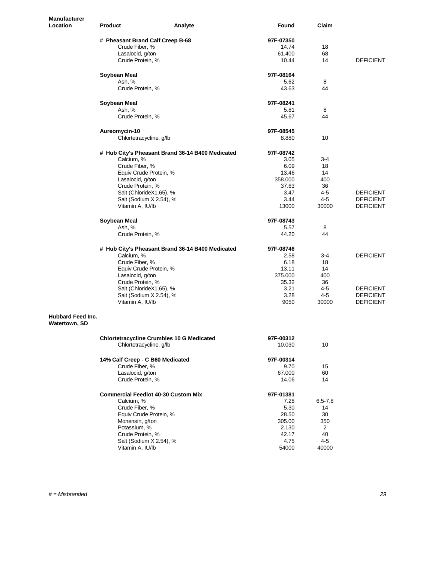| <b>Manufacturer</b><br>Location           | <b>Product</b>   | Analyte                                          | <b>Found</b> | Claim          |                  |
|-------------------------------------------|------------------|--------------------------------------------------|--------------|----------------|------------------|
|                                           |                  | # Pheasant Brand Calf Creep B-68                 | 97F-07350    |                |                  |
|                                           | Crude Fiber, %   |                                                  | 14.74        | 18             |                  |
|                                           | Lasalocid, g/ton |                                                  | 61.400       | 68             |                  |
|                                           | Crude Protein, % |                                                  | 10.44        | 14             | <b>DEFICIENT</b> |
|                                           |                  |                                                  |              |                |                  |
|                                           | Soybean Meal     |                                                  | 97F-08164    |                |                  |
|                                           | Ash, %           |                                                  | 5.62         | 8              |                  |
|                                           | Crude Protein, % |                                                  | 43.63        | 44             |                  |
|                                           |                  |                                                  |              |                |                  |
|                                           | Soybean Meal     |                                                  | 97F-08241    |                |                  |
|                                           | Ash, %           |                                                  | 5.81         | 8              |                  |
|                                           | Crude Protein, % |                                                  | 45.67        | 44             |                  |
|                                           | Aureomycin-10    |                                                  | 97F-08545    |                |                  |
|                                           |                  | Chlortetracycline, g/lb                          | 8.880        | 10             |                  |
|                                           |                  |                                                  |              |                |                  |
|                                           |                  | # Hub City's Pheasant Brand 36-14 B400 Medicated | 97F-08742    |                |                  |
|                                           | Calcium, %       |                                                  | 3.05         | $3 - 4$        |                  |
|                                           | Crude Fiber, %   |                                                  | 6.09         | 18             |                  |
|                                           |                  | Equiv Crude Protein, %                           | 13.46        | 14             |                  |
|                                           | Lasalocid, g/ton |                                                  | 358.000      | 400            |                  |
|                                           | Crude Protein, % |                                                  | 37.63        | 36             |                  |
|                                           |                  | Salt (ChlorideX1.65), %                          | 3.47         | $4 - 5$        | <b>DEFICIENT</b> |
|                                           |                  | Salt (Sodium X 2.54), %                          | 3.44         | $4 - 5$        | <b>DEFICIENT</b> |
|                                           | Vitamin A, IU/lb |                                                  | 13000        | 30000          | <b>DEFICIENT</b> |
|                                           | Soybean Meal     |                                                  | 97F-08743    |                |                  |
|                                           | Ash, %           |                                                  | 5.57         | 8              |                  |
|                                           | Crude Protein, % |                                                  | 44.20        | 44             |                  |
|                                           |                  |                                                  |              |                |                  |
|                                           |                  | # Hub City's Pheasant Brand 36-14 B400 Medicated | 97F-08746    |                |                  |
|                                           | Calcium, %       |                                                  | 2.58         | $3 - 4$        | <b>DEFICIENT</b> |
|                                           | Crude Fiber, %   |                                                  | 6.18         | 18             |                  |
|                                           |                  | Equiv Crude Protein, %                           | 13.11        | 14             |                  |
|                                           | Lasalocid, g/ton |                                                  | 375.000      | 400            |                  |
|                                           | Crude Protein, % |                                                  | 35.32        | 36             |                  |
|                                           |                  | Salt (ChlorideX1.65), %                          | 3.21         | $4 - 5$        | <b>DEFICIENT</b> |
|                                           |                  | Salt (Sodium X 2.54), %                          | 3.28         | $4 - 5$        | <b>DEFICIENT</b> |
|                                           | Vitamin A, IU/lb |                                                  | 9050         | 30000          | <b>DEFICIENT</b> |
| <b>Hubbard Feed Inc.</b><br>Watertown, SD |                  |                                                  |              |                |                  |
|                                           |                  | <b>Chlortetracycline Crumbles 10 G Medicated</b> | 97F-00312    |                |                  |
|                                           |                  | Chlortetracycline, g/lb                          | 10.030       | 10             |                  |
|                                           |                  |                                                  |              |                |                  |
|                                           |                  | 14% Calf Creep - C B60 Medicated                 | 97F-00314    |                |                  |
|                                           | Crude Fiber, %   |                                                  | 9.70         | 15             |                  |
|                                           | Lasalocid, g/ton |                                                  | 67.000       | 60             |                  |
|                                           | Crude Protein, % |                                                  | 14.06        | 14             |                  |
|                                           |                  | <b>Commercial Feedlot 40-30 Custom Mix</b>       | 97F-01381    |                |                  |
|                                           | Calcium, %       |                                                  | 7.28         | $6.5 - 7.8$    |                  |
|                                           | Crude Fiber, %   |                                                  | 5.30         | 14             |                  |
|                                           |                  | Equiv Crude Protein, %                           | 28.50        | 30             |                  |
|                                           | Monensin, g/ton  |                                                  | 305.00       | 350            |                  |
|                                           | Potassium, %     |                                                  | 2.130        | $\overline{2}$ |                  |
|                                           | Crude Protein, % |                                                  | 42.17        | 40             |                  |
|                                           |                  | Salt (Sodium X 2.54), %                          | 4.75         | $4 - 5$        |                  |
|                                           | Vitamin A, IU/lb |                                                  | 54000        | 40000          |                  |
|                                           |                  |                                                  |              |                |                  |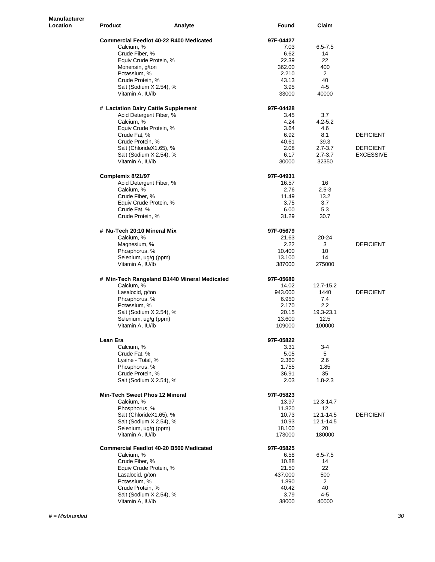| <b>Manufacturer</b><br>Location | <b>Product</b><br>Analyte                      | Found           | Claim                      |                                      |
|---------------------------------|------------------------------------------------|-----------------|----------------------------|--------------------------------------|
|                                 | <b>Commercial Feedlot 40-22 R400 Medicated</b> | 97F-04427       |                            |                                      |
|                                 | Calcium, %                                     | 7.03            | $6.5 - 7.5$                |                                      |
|                                 | Crude Fiber, %                                 | 6.62            | 14                         |                                      |
|                                 | Equiv Crude Protein, %                         | 22.39           | 22                         |                                      |
|                                 | Monensin, g/ton                                | 362.00          | 400                        |                                      |
|                                 | Potassium, %                                   | 2.210           | $\overline{2}$             |                                      |
|                                 | Crude Protein, %                               | 43.13           | 40                         |                                      |
|                                 | Salt (Sodium X 2.54), %                        | 3.95            | $4 - 5$                    |                                      |
|                                 | Vitamin A, IU/lb                               | 33000           | 40000                      |                                      |
|                                 | # Lactation Dairy Cattle Supplement            | 97F-04428       |                            |                                      |
|                                 | Acid Detergent Fiber, %                        | 3.45            | 3.7                        |                                      |
|                                 | Calcium, %                                     | 4.24            | $4.2 - 5.2$                |                                      |
|                                 | Equiv Crude Protein, %                         | 3.64            | 4.6                        |                                      |
|                                 | Crude Fat, %                                   | 6.92            | 8.1                        | <b>DEFICIENT</b>                     |
|                                 | Crude Protein, %                               | 40.61           | 39.3                       |                                      |
|                                 | Salt (ChlorideX1.65), %                        | 2.08<br>6.17    | $2.7 - 3.7$<br>$2.7 - 3.7$ | <b>DEFICIENT</b><br><b>EXCESSIVE</b> |
|                                 | Salt (Sodium X 2.54), %<br>Vitamin A, IU/lb    | 30000           | 32350                      |                                      |
|                                 | Complemix 8/21/97                              | 97F-04931       |                            |                                      |
|                                 | Acid Detergent Fiber, %                        | 16.57           | 16                         |                                      |
|                                 | Calcium, %                                     | 2.76            | $2.5 - 3$                  |                                      |
|                                 | Crude Fiber, %                                 | 11.49           | 13.2                       |                                      |
|                                 | Equiv Crude Protein, %                         | 3.75            | 3.7                        |                                      |
|                                 | Crude Fat, %                                   | 6.00            | 5.3                        |                                      |
|                                 | Crude Protein, %                               | 31.29           | 30.7                       |                                      |
|                                 | # Nu-Tech 20:10 Mineral Mix                    | 97F-05679       |                            |                                      |
|                                 | Calcium, %                                     | 21.63           | 20-24                      |                                      |
|                                 | Magnesium, %                                   | 2.22            | 3                          | <b>DEFICIENT</b>                     |
|                                 | Phosphorus, %                                  | 10.400          | 10                         |                                      |
|                                 | Selenium, ug/g (ppm)                           | 13.100          | 14                         |                                      |
|                                 | Vitamin A, IU/lb                               | 387000          | 275000                     |                                      |
|                                 | # Min-Tech Rangeland B1440 Mineral Medicated   | 97F-05680       |                            |                                      |
|                                 | Calcium, %                                     | 14.02           | 12.7-15.2                  |                                      |
|                                 | Lasalocid, g/ton                               | 943.000         | 1440                       | <b>DEFICIENT</b>                     |
|                                 | Phosphorus, %                                  | 6.950           | 7.4                        |                                      |
|                                 | Potassium, %                                   | 2.170           | 2.2                        |                                      |
|                                 | Salt (Sodium X 2.54), %                        | 20.15<br>13.600 | 19.3-23.1<br>12.5          |                                      |
|                                 | Selenium, ug/g (ppm)<br>Vitamin A, IU/lb       | 109000          | 100000                     |                                      |
|                                 |                                                |                 |                            |                                      |
|                                 | Lean Era                                       | 97F-05822       |                            |                                      |
|                                 | Calcium, %                                     | 3.31            | $3 - 4$                    |                                      |
|                                 | Crude Fat, %                                   | 5.05            | 5                          |                                      |
|                                 | Lysine - Total, %                              | 2.360           | 2.6                        |                                      |
|                                 | Phosphorus, %                                  | 1.755           | 1.85                       |                                      |
|                                 | Crude Protein, %                               | 36.91           | 35                         |                                      |
|                                 | Salt (Sodium X 2.54), %                        | 2.03            | $1.8 - 2.3$                |                                      |
|                                 | <b>Min-Tech Sweet Phos 12 Mineral</b>          | 97F-05823       |                            |                                      |
|                                 | Calcium, %<br>Phosphorus, %                    | 13.97<br>11.820 | 12.3-14.7                  |                                      |
|                                 | Salt (ChlorideX1.65), %                        | 10.73           | 12<br>12.1-14.5            | <b>DEFICIENT</b>                     |
|                                 | Salt (Sodium X 2.54), %                        | 10.93           | 12.1-14.5                  |                                      |
|                                 | Selenium, ug/g (ppm)                           | 18.100          | 20                         |                                      |
|                                 | Vitamin A, IU/lb                               | 173000          | 180000                     |                                      |
|                                 | <b>Commercial Feedlot 40-20 B500 Medicated</b> | 97F-05825       |                            |                                      |
|                                 | Calcium, %                                     | 6.58            | $6.5 - 7.5$                |                                      |
|                                 | Crude Fiber, %                                 | 10.88           | 14                         |                                      |
|                                 | Equiv Crude Protein, %                         | 21.50           | 22                         |                                      |
|                                 | Lasalocid, g/ton                               | 437.000         | 500                        |                                      |
|                                 | Potassium, %                                   | 1.890           | 2                          |                                      |
|                                 | Crude Protein, %                               | 40.42           | 40                         |                                      |
|                                 | Salt (Sodium X 2.54), %<br>Vitamin A, IU/lb    | 3.79<br>38000   | $4 - 5$<br>40000           |                                      |
|                                 |                                                |                 |                            |                                      |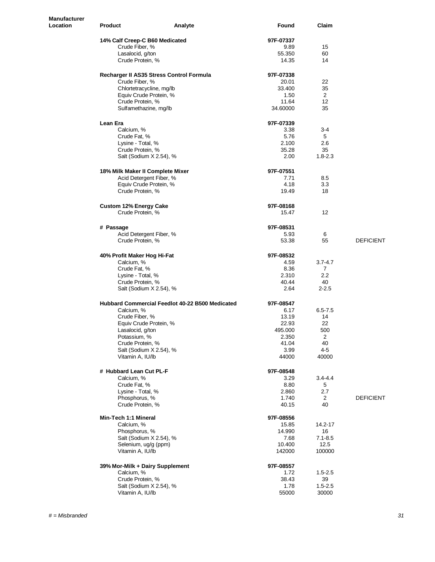| <b>Manufacturer</b><br><b>Location</b> | Product                                       | Analyte                                         | Found             | Claim                |                  |
|----------------------------------------|-----------------------------------------------|-------------------------------------------------|-------------------|----------------------|------------------|
|                                        | 14% Calf Creep-C B60 Medicated                |                                                 | 97F-07337         |                      |                  |
|                                        | Crude Fiber, %                                |                                                 | 9.89              | 15                   |                  |
|                                        | Lasalocid, g/ton                              |                                                 | 55.350            | 60                   |                  |
|                                        | Crude Protein, %                              |                                                 | 14.35             | 14                   |                  |
|                                        | Recharger II AS35 Stress Control Formula      |                                                 | 97F-07338         |                      |                  |
|                                        | Crude Fiber, %                                |                                                 | 20.01             | 22                   |                  |
|                                        | Chlortetracycline, mg/lb                      |                                                 | 33.400            | 35                   |                  |
|                                        | Equiv Crude Protein, %                        |                                                 | 1.50              | $\overline{2}$       |                  |
|                                        | Crude Protein, %<br>Sulfamethazine, mg/lb     |                                                 | 11.64<br>34.60000 | 12<br>35             |                  |
|                                        |                                               |                                                 |                   |                      |                  |
|                                        | Lean Era                                      |                                                 | 97F-07339         |                      |                  |
|                                        | Calcium, %<br>Crude Fat, %                    |                                                 | 3.38<br>5.76      | $3 - 4$<br>5         |                  |
|                                        | Lysine - Total, %                             |                                                 | 2.100             | 2.6                  |                  |
|                                        | Crude Protein, %                              |                                                 | 35.28             | 35                   |                  |
|                                        | Salt (Sodium X 2.54), %                       |                                                 | 2.00              | $1.8 - 2.3$          |                  |
|                                        | 18% Milk Maker II Complete Mixer              |                                                 | 97F-07551         |                      |                  |
|                                        | Acid Detergent Fiber, %                       |                                                 | 7.71              | 8.5                  |                  |
|                                        | Equiv Crude Protein, %                        |                                                 | 4.18              | 3.3                  |                  |
|                                        | Crude Protein, %                              |                                                 | 19.49             | 18                   |                  |
|                                        | <b>Custom 12% Energy Cake</b>                 |                                                 | 97F-08168         |                      |                  |
|                                        | Crude Protein, %                              |                                                 | 15.47             | 12                   |                  |
|                                        | # Passage                                     |                                                 | 97F-08531         |                      |                  |
|                                        | Acid Detergent Fiber, %                       |                                                 | 5.93              | 6                    |                  |
|                                        | Crude Protein, %                              |                                                 | 53.38             | 55                   | <b>DEFICIENT</b> |
|                                        | 40% Profit Maker Hog Hi-Fat                   |                                                 | 97F-08532         |                      |                  |
|                                        | Calcium, %                                    |                                                 | 4.59              | $3.7 - 4.7$          |                  |
|                                        | Crude Fat, %                                  |                                                 | 8.36              | $\overline{7}$       |                  |
|                                        | Lysine - Total, %                             |                                                 | 2.310             | 2.2                  |                  |
|                                        | Crude Protein, %                              |                                                 | 40.44             | 40                   |                  |
|                                        | Salt (Sodium X 2.54), %                       |                                                 | 2.64              | $2 - 2.5$            |                  |
|                                        |                                               | Hubbard Commercial Feedlot 40-22 B500 Medicated | 97F-08547         |                      |                  |
|                                        | Calcium, %                                    |                                                 | 6.17              | $6.5 - 7.5$          |                  |
|                                        | Crude Fiber, %                                |                                                 | 13.19             | 14                   |                  |
|                                        | Equiv Crude Protein, %                        |                                                 | 22.93             | 22                   |                  |
|                                        | Lasalocid, g/ton                              |                                                 | 495.000           | 500                  |                  |
|                                        | Potassium, %<br>Crude Protein, %              |                                                 | 2.350<br>41.04    | $\overline{c}$<br>40 |                  |
|                                        | Salt (Sodium X 2.54), %                       |                                                 | 3.99              | 4-5                  |                  |
|                                        | Vitamin A, IU/lb                              |                                                 | 44000             | 40000                |                  |
|                                        | # Hubbard Lean Cut PL-F                       |                                                 | 97F-08548         |                      |                  |
|                                        | Calcium, %                                    |                                                 | 3.29              | $3.4 - 4.4$          |                  |
|                                        | Crude Fat, %                                  |                                                 | 8.80              | 5                    |                  |
|                                        | Lysine - Total, %                             |                                                 | 2.860             | 2.7                  |                  |
|                                        | Phosphorus, %                                 |                                                 | 1.740             | 2                    | <b>DEFICIENT</b> |
|                                        | Crude Protein, %                              |                                                 | 40.15             | 40                   |                  |
|                                        | Min-Tech 1:1 Mineral                          |                                                 | 97F-08556         |                      |                  |
|                                        | Calcium, %                                    |                                                 | 15.85             | 14.2-17              |                  |
|                                        | Phosphorus, %                                 |                                                 | 14.990            | 16                   |                  |
|                                        | Salt (Sodium X 2.54), %                       |                                                 | 7.68              | $7.1 - 8.5$          |                  |
|                                        | Selenium, ug/g (ppm)<br>Vitamin A, IU/lb      |                                                 | 10.400<br>142000  | 12.5<br>100000       |                  |
|                                        |                                               |                                                 |                   |                      |                  |
|                                        | 39% Mor-Milk + Dairy Supplement<br>Calcium, % |                                                 | 97F-08557<br>1.72 | $1.5 - 2.5$          |                  |
|                                        | Crude Protein, %                              |                                                 | 38.43             | 39                   |                  |
|                                        | Salt (Sodium X 2.54), %                       |                                                 | 1.78              | $1.5 - 2.5$          |                  |
|                                        | Vitamin A, IU/lb                              |                                                 | 55000             | 30000                |                  |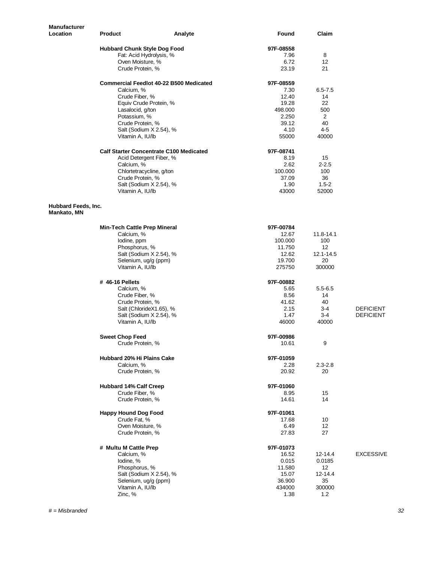| <b>Manufacturer</b><br>Location    | <b>Product</b>                           | Analyte                                        | Found            | Claim            |                  |
|------------------------------------|------------------------------------------|------------------------------------------------|------------------|------------------|------------------|
|                                    | <b>Hubbard Chunk Style Dog Food</b>      |                                                | 97F-08558        |                  |                  |
|                                    |                                          | Fat: Acid Hydrolysis, %                        | 7.96             | 8                |                  |
|                                    | Oven Moisture, %                         |                                                | 6.72             | 12               |                  |
|                                    | Crude Protein, %                         |                                                | 23.19            | 21               |                  |
|                                    |                                          | Commercial Feedlot 40-22 B500 Medicated        | 97F-08559        |                  |                  |
|                                    | Calcium, %                               |                                                | 7.30             | $6.5 - 7.5$      |                  |
|                                    | Crude Fiber, %                           |                                                | 12.40            | 14               |                  |
|                                    |                                          | Equiv Crude Protein, %                         | 19.28            | 22<br>500        |                  |
|                                    | Lasalocid, g/ton<br>Potassium, %         |                                                | 498.000<br>2.250 | 2                |                  |
|                                    | Crude Protein, %                         |                                                | 39.12            | 40               |                  |
|                                    |                                          | Salt (Sodium X 2.54), %                        | 4.10             | $4 - 5$          |                  |
|                                    | Vitamin A, IU/lb                         |                                                | 55000            | 40000            |                  |
|                                    |                                          | <b>Calf Starter Concentrate C100 Medicated</b> | 97F-08741        |                  |                  |
|                                    |                                          | Acid Detergent Fiber, %                        | 8.19             | 15               |                  |
|                                    | Calcium, %                               | Chlortetracycline, g/ton                       | 2.62<br>100.000  | $2 - 2.5$<br>100 |                  |
|                                    | Crude Protein, %                         |                                                | 37.09            | 36               |                  |
|                                    |                                          | Salt (Sodium X 2.54), %                        | 1.90             | $1.5 - 2$        |                  |
|                                    | Vitamin A, IU/lb                         |                                                | 43000            | 52000            |                  |
| Hubbard Feeds, Inc.<br>Mankato, MN |                                          |                                                |                  |                  |                  |
|                                    | <b>Min-Tech Cattle Prep Mineral</b>      |                                                | 97F-00784        |                  |                  |
|                                    | Calcium, %                               |                                                | 12.67            | 11.8-14.1        |                  |
|                                    | lodine, ppm                              |                                                | 100.000          | 100              |                  |
|                                    | Phosphorus, %                            |                                                | 11.750           | 12               |                  |
|                                    |                                          | Salt (Sodium X 2.54), %                        | 12.62            | 12.1-14.5        |                  |
|                                    | Selenium, ug/g (ppm)<br>Vitamin A, IU/lb |                                                | 19.700<br>275750 | 20<br>300000     |                  |
|                                    | # 46-16 Pellets                          |                                                | 97F-00882        |                  |                  |
|                                    | Calcium, %                               |                                                | 5.65             | $5.5 - 6.5$      |                  |
|                                    | Crude Fiber, %                           |                                                | 8.56             | 14               |                  |
|                                    | Crude Protein, %                         |                                                | 41.62            | 40               |                  |
|                                    |                                          | Salt (ChlorideX1.65), %                        | 2.15             | 3-4              | <b>DEFICIENT</b> |
|                                    | Vitamin A, IU/lb                         | Salt (Sodium X 2.54), %                        | 1.47<br>46000    | 3-4<br>40000     | <b>DEFICIENT</b> |
|                                    |                                          |                                                |                  |                  |                  |
|                                    | <b>Sweet Chop Feed</b>                   |                                                | 97F-00986        |                  |                  |
|                                    | Crude Protein, %                         |                                                | 10.61            | 9                |                  |
|                                    | <b>Hubbard 20% Hi Plains Cake</b>        |                                                | 97F-01059        | $2.3 - 2.8$      |                  |
|                                    | Calcium, %<br>Crude Protein, %           |                                                | 2.28<br>20.92    | 20               |                  |
|                                    |                                          |                                                |                  |                  |                  |
|                                    | <b>Hubbard 14% Calf Creep</b>            |                                                | 97F-01060        |                  |                  |
|                                    | Crude Fiber, %                           |                                                | 8.95             | 15               |                  |
|                                    | Crude Protein, %                         |                                                | 14.61            | 14               |                  |
|                                    | <b>Happy Hound Dog Food</b>              |                                                | 97F-01061        |                  |                  |
|                                    | Crude Fat, %                             |                                                | 17.68            | 10               |                  |
|                                    | Oven Moisture, %<br>Crude Protein, %     |                                                | 6.49<br>27.83    | 12<br>27         |                  |
|                                    |                                          |                                                |                  |                  |                  |
|                                    | # Multu M Cattle Prep                    |                                                | 97F-01073        |                  |                  |
|                                    | Calcium, %                               |                                                | 16.52            | 12-14.4          | <b>EXCESSIVE</b> |
|                                    | lodine, %<br>Phosphorus, %               |                                                | 0.015<br>11.580  | 0.0185<br>12     |                  |
|                                    |                                          | Salt (Sodium X 2.54), %                        | 15.07            | 12-14.4          |                  |
|                                    | Selenium, ug/g (ppm)                     |                                                | 36.900           | 35               |                  |
|                                    | Vitamin A, IU/lb                         |                                                | 434000           | 300000           |                  |
|                                    | Zinc, %                                  |                                                | 1.38             | 1.2              |                  |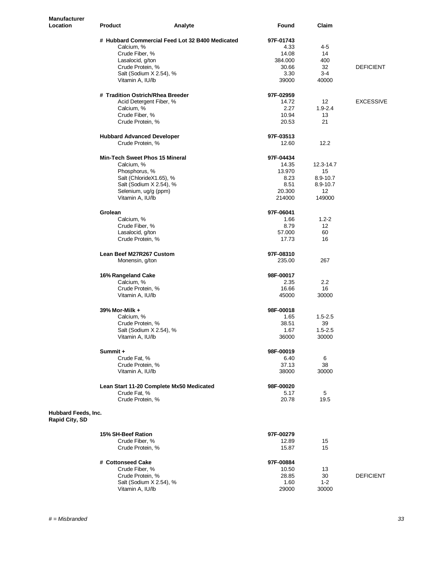| <b>Manufacturer</b><br>Location              | <b>Product</b>                           | Analyte                                         | Found            | Claim        |                  |
|----------------------------------------------|------------------------------------------|-------------------------------------------------|------------------|--------------|------------------|
|                                              |                                          | # Hubbard Commercial Feed Lot 32 B400 Medicated | 97F-01743        |              |                  |
|                                              | Calcium, %                               |                                                 | 4.33             | 4-5          |                  |
|                                              | Crude Fiber, %                           |                                                 | 14.08            | 14           |                  |
|                                              | Lasalocid, g/ton                         |                                                 | 384.000          | 400          |                  |
|                                              | Crude Protein, %                         |                                                 | 30.66            | 32           | <b>DEFICIENT</b> |
|                                              |                                          | Salt (Sodium X 2.54), %                         | 3.30             | $3 - 4$      |                  |
|                                              | Vitamin A, IU/lb                         |                                                 | 39000            | 40000        |                  |
|                                              | # Tradition Ostrich/Rhea Breeder         |                                                 | 97F-02959        |              |                  |
|                                              |                                          | Acid Detergent Fiber, %                         | 14.72            | 12           | <b>EXCESSIVE</b> |
|                                              | Calcium, %                               |                                                 | 2.27             | $1.9 - 2.4$  |                  |
|                                              | Crude Fiber, %<br>Crude Protein, %       |                                                 | 10.94<br>20.53   | 13<br>21     |                  |
|                                              | <b>Hubbard Advanced Developer</b>        |                                                 | 97F-03513        |              |                  |
|                                              | Crude Protein, %                         |                                                 | 12.60            | 12.2         |                  |
|                                              | <b>Min-Tech Sweet Phos 15 Mineral</b>    |                                                 | 97F-04434        |              |                  |
|                                              | Calcium, %                               |                                                 | 14.35            | 12.3-14.7    |                  |
|                                              | Phosphorus, %                            |                                                 | 13.970           | 15           |                  |
|                                              |                                          | Salt (ChlorideX1.65), %                         | 8.23             | 8.9-10.7     |                  |
|                                              |                                          | Salt (Sodium X 2.54), %                         | 8.51             | 8.9-10.7     |                  |
|                                              | Selenium, ug/g (ppm)<br>Vitamin A, IU/lb |                                                 | 20.300<br>214000 | 12<br>149000 |                  |
|                                              | Grolean                                  |                                                 | 97F-06041        |              |                  |
|                                              | Calcium, %                               |                                                 | 1.66             | $1.2 - 2$    |                  |
|                                              | Crude Fiber, %                           |                                                 | 8.79             | 12           |                  |
|                                              | Lasalocid, g/ton                         |                                                 | 57.000           | 60           |                  |
|                                              | Crude Protein, %                         |                                                 | 17.73            | 16           |                  |
|                                              | Lean Beef M27R267 Custom                 |                                                 | 97F-08310        |              |                  |
|                                              | Monensin, g/ton                          |                                                 | 235.00           | 267          |                  |
|                                              | 16% Rangeland Cake                       |                                                 | 98F-00017        |              |                  |
|                                              | Calcium, %                               |                                                 | 2.35             | 2.2          |                  |
|                                              | Crude Protein, %                         |                                                 | 16.66            | 16           |                  |
|                                              | Vitamin A, IU/lb                         |                                                 | 45000            | 30000        |                  |
|                                              | 39% Mor-Milk +                           |                                                 | 98F-00018        |              |                  |
|                                              | Calcium, %                               |                                                 | 1.65             | $1.5 - 2.5$  |                  |
|                                              | Crude Protein, %                         |                                                 | 38.51            | 39           |                  |
|                                              |                                          | Salt (Sodium X 2.54), %                         | 1.67             | $1.5 - 2.5$  |                  |
|                                              | Vitamin A, IU/lb                         |                                                 | 36000            | 30000        |                  |
|                                              | Summit +                                 |                                                 | 98F-00019        |              |                  |
|                                              | Crude Fat, %                             |                                                 | 6.40             | 6            |                  |
|                                              | Crude Protein, %                         |                                                 | 37.13            | 38           |                  |
|                                              | Vitamin A, IU/lb                         |                                                 | 38000            | 30000        |                  |
|                                              |                                          | Lean Start 11-20 Complete Mx50 Medicated        | 98F-00020        |              |                  |
|                                              | Crude Fat, %                             |                                                 | 5.17             | 5            |                  |
|                                              | Crude Protein, %                         |                                                 | 20.78            | 19.5         |                  |
| <b>Hubbard Feeds, Inc.</b><br>Rapid City, SD |                                          |                                                 |                  |              |                  |
|                                              | 15% SH-Beef Ration                       |                                                 | 97F-00279        |              |                  |
|                                              | Crude Fiber, %                           |                                                 | 12.89            | 15           |                  |
|                                              | Crude Protein, %                         |                                                 | 15.87            | 15           |                  |
|                                              | # Cottonseed Cake                        |                                                 | 97F-00884        |              |                  |
|                                              | Crude Fiber, %                           |                                                 | 10.50            | 13           |                  |
|                                              | Crude Protein, %                         |                                                 | 28.85            | 30           | <b>DEFICIENT</b> |
|                                              |                                          | Salt (Sodium X 2.54), %                         | 1.60             | $1 - 2$      |                  |
|                                              | Vitamin A, IU/lb                         |                                                 | 29000            | 30000        |                  |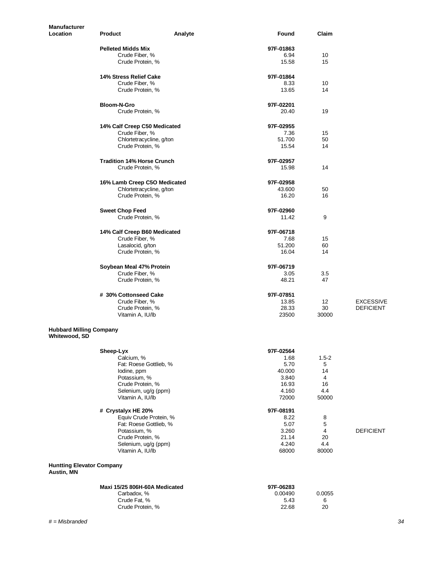| <b>Manufacturer</b><br>Location                 | <b>Product</b><br>Analyte                    | Found           | Claim               |                  |
|-------------------------------------------------|----------------------------------------------|-----------------|---------------------|------------------|
|                                                 | <b>Pelleted Midds Mix</b>                    | 97F-01863       |                     |                  |
|                                                 | Crude Fiber, %<br>Crude Protein, %           | 6.94<br>15.58   | 10<br>15            |                  |
|                                                 | 14% Stress Relief Cake                       | 97F-01864       |                     |                  |
|                                                 | Crude Fiber, %                               | 8.33            | 10                  |                  |
|                                                 | Crude Protein, %                             | 13.65           | 14                  |                  |
|                                                 | <b>Bloom-N-Gro</b>                           | 97F-02201       |                     |                  |
|                                                 | Crude Protein, %                             | 20.40           | 19                  |                  |
|                                                 | 14% Calf Creep C50 Medicated                 | 97F-02955       |                     |                  |
|                                                 | Crude Fiber, %                               | 7.36            | 15                  |                  |
|                                                 | Chlortetracycline, g/ton<br>Crude Protein, % | 51.700<br>15.54 | 50<br>14            |                  |
|                                                 |                                              |                 |                     |                  |
|                                                 | <b>Tradition 14% Horse Crunch</b>            | 97F-02957       |                     |                  |
|                                                 | Crude Protein, %                             | 15.98           | 14                  |                  |
|                                                 | 16% Lamb Creep C5O Medicated                 | 97F-02958       |                     |                  |
|                                                 | Chlortetracycline, g/ton                     | 43.600          | 50                  |                  |
|                                                 | Crude Protein, %                             | 16.20           | 16                  |                  |
|                                                 | <b>Sweet Chop Feed</b>                       | 97F-02960       |                     |                  |
|                                                 | Crude Protein, %                             | 11.42           | 9                   |                  |
|                                                 | 14% Calf Creep B60 Medicated                 | 97F-06718       |                     |                  |
|                                                 | Crude Fiber, %                               | 7.68            | 15                  |                  |
|                                                 | Lasalocid, g/ton                             | 51.200          | 60                  |                  |
|                                                 | Crude Protein, %                             | 16.04           | 14                  |                  |
|                                                 | Soybean Meal 47% Protein                     | 97F-06719       |                     |                  |
|                                                 | Crude Fiber, %                               | 3.05            | 3.5                 |                  |
|                                                 | Crude Protein, %                             | 48.21           | 47                  |                  |
|                                                 | # 30% Cottonseed Cake                        | 97F-07851       |                     |                  |
|                                                 | Crude Fiber, %                               | 13.85           | 12                  | <b>EXCESSIVE</b> |
|                                                 | Crude Protein, %<br>Vitamin A, IU/lb         | 28.33<br>23500  | 30<br>30000         | <b>DEFICIENT</b> |
| <b>Hubbard Milling Company</b><br>Whitewood, SD |                                              |                 |                     |                  |
|                                                 | Sheep-Lyx                                    | 97F-02564       |                     |                  |
|                                                 | Calcium, %                                   | 1.68            | $1.5 - 2$           |                  |
|                                                 | Fat: Roese Gottlieb, %                       | 5.70            | 5                   |                  |
|                                                 | lodine, ppm                                  | 40.000          | 14                  |                  |
|                                                 | Potassium, %<br>Crude Protein, %             | 3.840<br>16.93  | 4<br>16             |                  |
|                                                 | Selenium, ug/g (ppm)                         | 4.160           | 4.4                 |                  |
|                                                 | Vitamin A, IU/lb                             | 72000           | 50000               |                  |
|                                                 | # Crystalyx HE 20%                           | 97F-08191       |                     |                  |
|                                                 | Equiv Crude Protein, %                       | 8.22            | 8                   |                  |
|                                                 | Fat: Roese Gottlieb, %<br>Potassium, %       | 5.07<br>3.260   | 5<br>$\overline{4}$ | <b>DEFICIENT</b> |
|                                                 | Crude Protein, %                             | 21.14           | 20                  |                  |
|                                                 | Selenium, ug/g (ppm)                         | 4.240           | 4.4                 |                  |
|                                                 | Vitamin A, IU/lb                             | 68000           | 80000               |                  |
| <b>Huntting Elevator Company</b><br>Austin, MN  |                                              |                 |                     |                  |
|                                                 | Maxi 15/25 806H-60A Medicated                | 97F-06283       |                     |                  |
|                                                 | Carbadox, %                                  | 0.00490         | 0.0055              |                  |
|                                                 | Crude Fat, %                                 | 5.43            | 6                   |                  |
|                                                 | Crude Protein, %                             | 22.68           | 20                  |                  |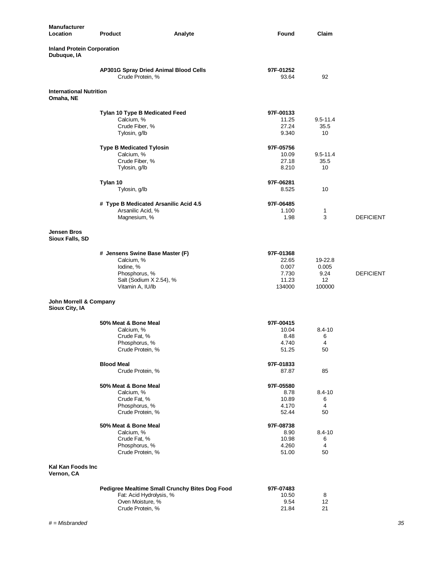| <b>Manufacturer</b><br>Location                  | <b>Product</b><br>Analyte                                 | Found              | Claim           |                  |
|--------------------------------------------------|-----------------------------------------------------------|--------------------|-----------------|------------------|
| <b>Inland Protein Corporation</b><br>Dubuque, IA |                                                           |                    |                 |                  |
|                                                  | AP301G Spray Dried Animal Blood Cells<br>Crude Protein, % | 97F-01252<br>93.64 | 92              |                  |
| <b>International Nutrition</b><br>Omaha, NE      |                                                           |                    |                 |                  |
|                                                  | Tylan 10 Type B Medicated Feed                            | 97F-00133          |                 |                  |
|                                                  | Calcium, %                                                | 11.25              | $9.5 - 11.4$    |                  |
|                                                  | Crude Fiber, %                                            | 27.24              | 35.5            |                  |
|                                                  | Tylosin, g/lb                                             | 9.340              | 10              |                  |
|                                                  | <b>Type B Medicated Tylosin</b>                           | 97F-05756          |                 |                  |
|                                                  | Calcium, %                                                | 10.09              | $9.5 - 11.4$    |                  |
|                                                  | Crude Fiber, %                                            | 27.18              | 35.5            |                  |
|                                                  | Tylosin, g/lb                                             | 8.210              | 10              |                  |
|                                                  | Tylan 10                                                  | 97F-06281          |                 |                  |
|                                                  | Tylosin, g/lb                                             | 8.525              | 10              |                  |
|                                                  | # Type B Medicated Arsanilic Acid 4.5                     | 97F-06485          |                 |                  |
|                                                  | Arsanilic Acid, %                                         | 1.100              | 1               |                  |
|                                                  | Magnesium, %                                              | 1.98               | 3               | <b>DEFICIENT</b> |
| Jensen Bros<br>Sioux Falls, SD                   |                                                           |                    |                 |                  |
|                                                  | # Jensens Swine Base Master (F)                           | 97F-01368          |                 |                  |
|                                                  | Calcium, %                                                | 22.65              | 19-22.8         |                  |
|                                                  | lodine, %                                                 | 0.007              | 0.005           |                  |
|                                                  | Phosphorus, %                                             | 7.730              | 9.24            | <b>DEFICIENT</b> |
|                                                  | Salt (Sodium X 2.54), %<br>Vitamin A, IU/lb               | 11.23<br>134000    | 12<br>100000    |                  |
| John Morrell & Company<br>Sioux City, IA         |                                                           |                    |                 |                  |
|                                                  |                                                           |                    |                 |                  |
|                                                  | 50% Meat & Bone Meal                                      | 97F-00415          |                 |                  |
|                                                  | Calcium, %                                                | 10.04              | $8.4 - 10$      |                  |
|                                                  | Crude Fat, %<br>Phosphorus, %                             | 8.48<br>4.740      | 6<br>4          |                  |
|                                                  | Crude Protein, %                                          | 51.25              | 50              |                  |
|                                                  |                                                           |                    |                 |                  |
|                                                  | <b>Blood Meal</b>                                         | 97F-01833          |                 |                  |
|                                                  | Crude Protein, %                                          | 87.87              | 85              |                  |
|                                                  | 50% Meat & Bone Meal                                      | 97F-05580          |                 |                  |
|                                                  | Calcium, %                                                | 8.78               | $8.4 - 10$      |                  |
|                                                  | Crude Fat, %                                              | 10.89              | 6               |                  |
|                                                  | Phosphorus, %                                             | 4.170              | 4               |                  |
|                                                  | Crude Protein, %                                          | 52.44              | 50              |                  |
|                                                  | 50% Meat & Bone Meal                                      | 97F-08738          |                 |                  |
|                                                  | Calcium, %<br>Crude Fat, %                                | 8.90<br>10.98      | $8.4 - 10$<br>6 |                  |
|                                                  | Phosphorus, %                                             | 4.260              | 4               |                  |
|                                                  | Crude Protein, %                                          | 51.00              | 50              |                  |
| Kal Kan Foods Inc<br>Vernon, CA                  |                                                           |                    |                 |                  |
|                                                  | Pedigree Mealtime Small Crunchy Bites Dog Food            | 97F-07483          |                 |                  |
|                                                  | Fat: Acid Hydrolysis, %                                   | 10.50              | 8               |                  |
|                                                  | Oven Moisture, %                                          | 9.54               | 12              |                  |
|                                                  | Crude Protein, %                                          | 21.84              | 21              |                  |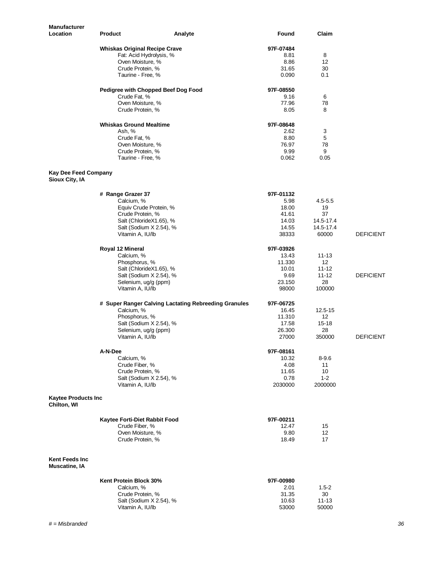| <b>Manufacturer</b><br>Location               | <b>Product</b>                                       | Analyte | Found           | Claim                            |  |
|-----------------------------------------------|------------------------------------------------------|---------|-----------------|----------------------------------|--|
|                                               | <b>Whiskas Original Recipe Crave</b>                 |         | 97F-07484       |                                  |  |
|                                               | Fat: Acid Hydrolysis, %                              |         | 8.81            | 8                                |  |
|                                               | Oven Moisture, %                                     |         | 8.86            | 12                               |  |
|                                               | Crude Protein, %                                     |         | 31.65           | 30                               |  |
|                                               | Taurine - Free, %                                    |         | 0.090           | 0.1                              |  |
|                                               | Pedigree with Chopped Beef Dog Food                  |         | 97F-08550       |                                  |  |
|                                               | Crude Fat, %                                         |         | 9.16            | 6                                |  |
|                                               | Oven Moisture, %<br>Crude Protein, %                 |         | 77.96<br>8.05   | 78<br>8                          |  |
|                                               | <b>Whiskas Ground Mealtime</b>                       |         | 97F-08648       |                                  |  |
|                                               | Ash, %                                               |         | 2.62            | 3                                |  |
|                                               | Crude Fat, %                                         |         | 8.80            | 5                                |  |
|                                               | Oven Moisture, %                                     |         | 76.97           | 78                               |  |
|                                               | Crude Protein, %                                     |         | 9.99            | 9                                |  |
|                                               | Taurine - Free, %                                    |         | 0.062           | 0.05                             |  |
| Kay Dee Feed Company<br><b>Sioux City, IA</b> |                                                      |         |                 |                                  |  |
|                                               | # Range Grazer 37                                    |         | 97F-01132       |                                  |  |
|                                               | Calcium, %                                           |         | 5.98            | $4.5 - 5.5$                      |  |
|                                               | Equiv Crude Protein, %                               |         | 18.00           | 19                               |  |
|                                               | Crude Protein, %                                     |         | 41.61           | 37                               |  |
|                                               | Salt (ChlorideX1.65), %<br>Salt (Sodium X 2.54), %   |         | 14.03<br>14.55  | 14.5-17.4<br>14.5-17.4           |  |
|                                               | Vitamin A, IU/lb                                     |         | 38333           | <b>DEFICIENT</b><br>60000        |  |
|                                               | Royal 12 Mineral                                     |         | 97F-03926       |                                  |  |
|                                               | Calcium, %                                           |         | 13.43           | $11 - 13$                        |  |
|                                               | Phosphorus, %                                        |         | 11.330          | 12                               |  |
|                                               | Salt (ChlorideX1.65), %                              |         | 10.01           | 11-12                            |  |
|                                               | Salt (Sodium X 2.54), %<br>Selenium, ug/g (ppm)      |         | 9.69<br>23.150  | <b>DEFICIENT</b><br>11-12<br>28  |  |
|                                               | Vitamin A, IU/lb                                     |         | 98000           | 100000                           |  |
|                                               | # Super Ranger Calving Lactating Rebreeding Granules |         | 97F-06725       |                                  |  |
|                                               | Calcium, %                                           |         | 16.45           | 12.5-15                          |  |
|                                               | Phosphorus, %                                        |         | 11.310          | 12                               |  |
|                                               | Salt (Sodium X 2.54), %                              |         | 17.58           | $15 - 18$                        |  |
|                                               | Selenium, ug/g (ppm)<br>Vitamin A, IU/lb             |         | 26.300<br>27000 | 28<br>350000<br><b>DEFICIENT</b> |  |
|                                               | A-N-Dee                                              |         | 97F-08161       |                                  |  |
|                                               | Calcium, %                                           |         | 10.32           | 8-9.6                            |  |
|                                               | Crude Fiber, %                                       |         | 4.08            | 11                               |  |
|                                               | Crude Protein, %                                     |         | 11.65           | 10                               |  |
|                                               | Salt (Sodium X 2.54), %<br>Vitamin A, IU/lb          |         | 0.78<br>2030000 | $1 - 2$<br>2000000               |  |
| <b>Kaytee Products Inc.</b><br>Chilton, WI    |                                                      |         |                 |                                  |  |
|                                               | Kaytee Forti-Diet Rabbit Food                        |         | 97F-00211       |                                  |  |
|                                               | Crude Fiber, %                                       |         | 12.47           | 15                               |  |
|                                               | Oven Moisture, %                                     |         | 9.80            | 12                               |  |
|                                               | Crude Protein, %                                     |         | 18.49           | 17                               |  |
| Kent Feeds Inc<br><b>Muscatine, IA</b>        |                                                      |         |                 |                                  |  |
|                                               | Kent Protein Block 30%                               |         | 97F-00980       |                                  |  |
|                                               | Calcium, %                                           |         | 2.01            | $1.5 - 2$                        |  |
|                                               | Crude Protein, %                                     |         | 31.35           | 30                               |  |
|                                               | Salt (Sodium X 2.54), %                              |         | 10.63           | $11 - 13$                        |  |
|                                               | Vitamin A, IU/lb                                     |         | 53000           | 50000                            |  |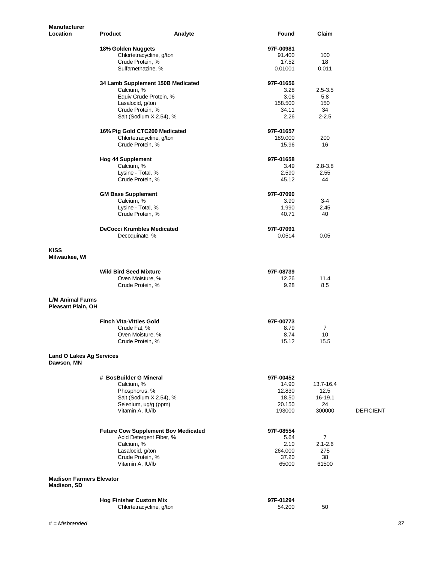| <b>Manufacturer</b><br>Location                | <b>Product</b>                             | Analyte | Found          | Claim          |                  |
|------------------------------------------------|--------------------------------------------|---------|----------------|----------------|------------------|
|                                                | 18% Golden Nuggets                         |         | 97F-00981      |                |                  |
|                                                | Chlortetracycline, g/ton                   |         | 91.400         | 100            |                  |
|                                                | Crude Protein, %                           |         | 17.52          | 18             |                  |
|                                                | Sulfamethazine, %                          |         | 0.01001        | 0.011          |                  |
|                                                | 34 Lamb Supplement 150B Medicated          |         | 97F-01656      |                |                  |
|                                                | Calcium, %<br>Equiv Crude Protein, %       |         | 3.28<br>3.06   | $2.5 - 3.5$    |                  |
|                                                | Lasalocid, g/ton                           |         | 158,500        | 5.8<br>150     |                  |
|                                                | Crude Protein, %                           |         | 34.11          | 34             |                  |
|                                                | Salt (Sodium X 2.54), %                    |         | 2.26           | $2 - 2.5$      |                  |
|                                                | 16% Pig Gold CTC200 Medicated              |         | 97F-01657      |                |                  |
|                                                | Chlortetracycline, g/ton                   |         | 189.000        | 200            |                  |
|                                                | Crude Protein, %                           |         | 15.96          | 16             |                  |
|                                                | <b>Hog 44 Supplement</b>                   |         | 97F-01658      |                |                  |
|                                                | Calcium, %                                 |         | 3.49           | $2.8 - 3.8$    |                  |
|                                                | Lysine - Total, %<br>Crude Protein, %      |         | 2.590<br>45.12 | 2.55<br>44     |                  |
|                                                |                                            |         |                |                |                  |
|                                                | <b>GM Base Supplement</b>                  |         | 97F-07090      |                |                  |
|                                                | Calcium, %                                 |         | 3.90           | $3 - 4$        |                  |
|                                                | Lysine - Total, %                          |         | 1.990          | 2.45           |                  |
|                                                | Crude Protein, %                           |         | 40.71          | 40             |                  |
|                                                | <b>DeCocci Krumbles Medicated</b>          |         | 97F-07091      |                |                  |
|                                                | Decoquinate, %                             |         | 0.0514         | 0.05           |                  |
| <b>KISS</b><br>Milwaukee, WI                   |                                            |         |                |                |                  |
|                                                | <b>Wild Bird Seed Mixture</b>              |         | 97F-08739      |                |                  |
|                                                | Oven Moisture, %                           |         | 12.26          | 11.4           |                  |
|                                                | Crude Protein, %                           |         | 9.28           | 8.5            |                  |
| <b>L/M Animal Farms</b><br>Pleasant Plain, OH  |                                            |         |                |                |                  |
|                                                | <b>Finch Vita-Vittles Gold</b>             |         | 97F-00773      |                |                  |
|                                                | Crude Fat, %                               |         | 8.79           | $\overline{7}$ |                  |
|                                                | Oven Moisture, %                           |         | 8.74           | 10             |                  |
|                                                | Crude Protein, %                           |         | 15.12          | 15.5           |                  |
| <b>Land O Lakes Ag Services</b><br>Dawson, MN  |                                            |         |                |                |                  |
|                                                | # BosBuilder G Mineral                     |         | 97F-00452      |                |                  |
|                                                | Calcium, %                                 |         | 14.90          | 13.7-16.4      |                  |
|                                                | Phosphorus, %                              |         | 12.830         | 12.5           |                  |
|                                                | Salt (Sodium X 2.54), %                    |         | 18.50          | 16-19.1        |                  |
|                                                | Selenium, ug/g (ppm)                       |         | 20.150         | 24             |                  |
|                                                | Vitamin A, IU/lb                           |         | 193000         | 300000         | <b>DEFICIENT</b> |
|                                                | <b>Future Cow Supplement Bov Medicated</b> |         | 97F-08554      |                |                  |
|                                                | Acid Detergent Fiber, %                    |         | 5.64           | $\overline{7}$ |                  |
|                                                | Calcium, %                                 |         | 2.10           | $2.1 - 2.6$    |                  |
|                                                | Lasalocid, g/ton                           |         | 264.000        | 275            |                  |
|                                                | Crude Protein, %                           |         | 37.20          | 38             |                  |
|                                                | Vitamin A, IU/lb                           |         | 65000          | 61500          |                  |
| <b>Madison Farmers Elevator</b><br>Madison, SD |                                            |         |                |                |                  |
|                                                | <b>Hog Finisher Custom Mix</b>             |         | 97F-01294      |                |                  |
|                                                | Chlortetracycline, g/ton                   |         | 54.200         | 50             |                  |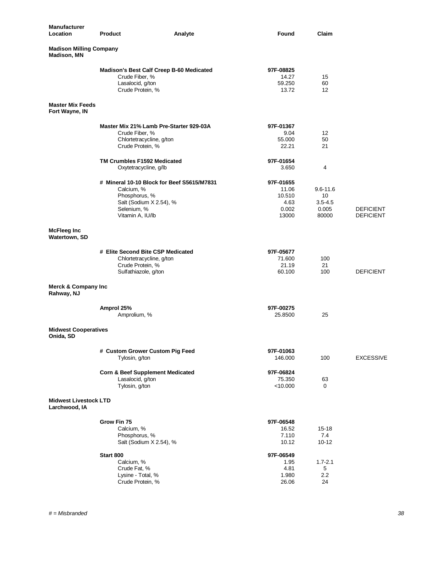| <b>Manufacturer</b><br><b>Location</b>               | <b>Product</b><br>Analyte                            | Found              | Claim              |                  |
|------------------------------------------------------|------------------------------------------------------|--------------------|--------------------|------------------|
| <b>Madison Milling Company</b><br><b>Madison, MN</b> |                                                      |                    |                    |                  |
|                                                      | Madison's Best Calf Creep B-60 Medicated             | 97F-08825          |                    |                  |
|                                                      | Crude Fiber, %                                       | 14.27              | 15                 |                  |
|                                                      | Lasalocid, g/ton<br>Crude Protein, %                 | 59.250<br>13.72    | 60<br>12           |                  |
| <b>Master Mix Feeds</b><br>Fort Wayne, IN            |                                                      |                    |                    |                  |
|                                                      | Master Mix 21% Lamb Pre-Starter 929-03A              | 97F-01367          |                    |                  |
|                                                      | Crude Fiber, %                                       | 9.04               | 12                 |                  |
|                                                      | Chlortetracycline, g/ton<br>Crude Protein, %         | 55.000<br>22.21    | 50<br>21           |                  |
|                                                      |                                                      |                    |                    |                  |
|                                                      | TM Crumbles F1592 Medicated<br>Oxytetracycline, g/lb | 97F-01654<br>3.650 | 4                  |                  |
|                                                      | # Mineral 10-10 Block for Beef S5615/M7831           | 97F-01655          |                    |                  |
|                                                      | Calcium, %<br>Phosphorus, %                          | 11.06<br>10.510    | $9.6 - 11.6$<br>10 |                  |
|                                                      | Salt (Sodium X 2.54), %                              | 4.63               | $3.5 - 4.5$        |                  |
|                                                      | Selenium, %                                          | 0.002              | 0.005              | <b>DEFICIENT</b> |
|                                                      | Vitamin A, IU/lb                                     | 13000              | 80000              | <b>DEFICIENT</b> |
| <b>McFleeg Inc</b><br>Watertown, SD                  |                                                      |                    |                    |                  |
|                                                      | # Elite Second Bite CSP Medicated                    | 97F-05677          |                    |                  |
|                                                      | Chlortetracycline, g/ton<br>Crude Protein, %         | 71.600<br>21.19    | 100<br>21          |                  |
|                                                      | Sulfathiazole, g/ton                                 | 60.100             | 100                | <b>DEFICIENT</b> |
| <b>Merck &amp; Company Inc</b><br>Rahway, NJ         |                                                      |                    |                    |                  |
|                                                      | Amprol 25%                                           | 97F-00275          |                    |                  |
|                                                      | Amprolium, %                                         | 25.8500            | 25                 |                  |
| <b>Midwest Cooperatives</b><br>Onida, SD             |                                                      |                    |                    |                  |
|                                                      | # Custom Grower Custom Pig Feed                      | 97F-01063          |                    |                  |
|                                                      | Tylosin, g/ton                                       | 146.000            | 100                | <b>EXCESSIVE</b> |
|                                                      | <b>Corn &amp; Beef Supplement Medicated</b>          | 97F-06824          |                    |                  |
|                                                      | Lasalocid, g/ton<br>Tylosin, g/ton                   | 75.350<br>< 10.000 | 63<br>$\mathbf 0$  |                  |
| <b>Midwest Livestock LTD</b><br>Larchwood, IA        |                                                      |                    |                    |                  |
|                                                      | Grow Fin 75                                          | 97F-06548          |                    |                  |
|                                                      | Calcium, %                                           | 16.52              | 15-18              |                  |
|                                                      | Phosphorus, %<br>Salt (Sodium X 2.54), %             | 7.110<br>10.12     | 7.4<br>$10 - 12$   |                  |
|                                                      | Start 800                                            | 97F-06549          |                    |                  |
|                                                      | Calcium, %                                           | 1.95               | $1.7 - 2.1$        |                  |
|                                                      | Crude Fat, %                                         | 4.81               | 5                  |                  |
|                                                      | Lysine - Total, %                                    | 1.980              | 2.2                |                  |
|                                                      | Crude Protein, %                                     | 26.06              | 24                 |                  |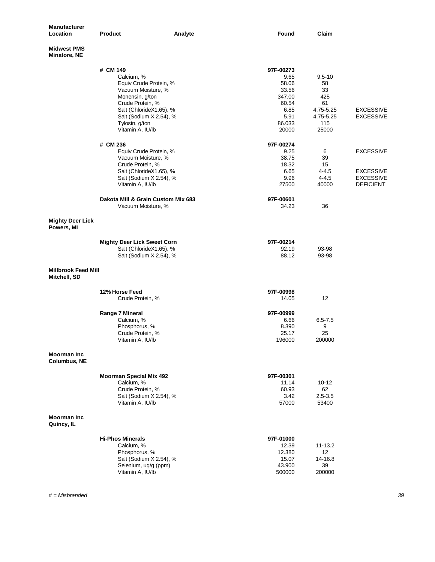| <b>Manufacturer</b><br>Location            | <b>Product</b>                              | Analyte | Found            | Claim                  |                                      |
|--------------------------------------------|---------------------------------------------|---------|------------------|------------------------|--------------------------------------|
| <b>Midwest PMS</b><br>Minatore, NE         |                                             |         |                  |                        |                                      |
|                                            | # CM 149                                    |         | 97F-00273        |                        |                                      |
|                                            | Calcium, %                                  |         | 9.65             | $9.5 - 10$             |                                      |
|                                            | Equiv Crude Protein, %                      |         | 58.06            | 58                     |                                      |
|                                            | Vacuum Moisture, %                          |         | 33.56            | 33                     |                                      |
|                                            | Monensin, g/ton<br>Crude Protein, %         |         | 347.00           | 425<br>61              |                                      |
|                                            | Salt (ChlorideX1.65), %                     |         | 60.54<br>6.85    | 4.75-5.25              | <b>EXCESSIVE</b>                     |
|                                            | Salt (Sodium X 2.54), %                     |         | 5.91             | 4.75-5.25              | <b>EXCESSIVE</b>                     |
|                                            | Tylosin, g/ton                              |         | 86.033           | 115                    |                                      |
|                                            | Vitamin A, IU/lb                            |         | 20000            | 25000                  |                                      |
|                                            | # CM 236                                    |         | 97F-00274        |                        |                                      |
|                                            | Equiv Crude Protein, %                      |         | 9.25             | 6                      | <b>EXCESSIVE</b>                     |
|                                            | Vacuum Moisture, %                          |         | 38.75            | 39                     |                                      |
|                                            | Crude Protein, %                            |         | 18.32            | 15                     |                                      |
|                                            | Salt (ChlorideX1.65), %                     |         | 6.65<br>9.96     | $4 - 4.5$<br>$4 - 4.5$ | <b>EXCESSIVE</b><br><b>EXCESSIVE</b> |
|                                            | Salt (Sodium X 2.54), %<br>Vitamin A, IU/lb |         | 27500            | 40000                  | <b>DEFICIENT</b>                     |
|                                            | Dakota Mill & Grain Custom Mix 683          |         | 97F-00601        |                        |                                      |
|                                            | Vacuum Moisture, %                          |         | 34.23            | 36                     |                                      |
| <b>Mighty Deer Lick</b><br>Powers, MI      |                                             |         |                  |                        |                                      |
|                                            | <b>Mighty Deer Lick Sweet Corn</b>          |         | 97F-00214        |                        |                                      |
|                                            | Salt (ChlorideX1.65), %                     |         | 92.19            | 93-98                  |                                      |
|                                            | Salt (Sodium X 2.54), %                     |         | 88.12            | 93-98                  |                                      |
| <b>Millbrook Feed Mill</b><br>Mitchell, SD |                                             |         |                  |                        |                                      |
|                                            | 12% Horse Feed                              |         | 97F-00998        |                        |                                      |
|                                            | Crude Protein, %                            |         | 14.05            | 12                     |                                      |
|                                            | Range 7 Mineral                             |         | 97F-00999        |                        |                                      |
|                                            | Calcium, %                                  |         | 6.66             | $6.5 - 7.5$            |                                      |
|                                            | Phosphorus, %                               |         | 8.390            | 9                      |                                      |
|                                            | Crude Protein, %                            |         | 25.17            | 25                     |                                      |
|                                            | Vitamin A, IU/lb                            |         | 196000           | 200000                 |                                      |
| <b>Moorman Inc</b><br><b>Columbus, NE</b>  |                                             |         |                  |                        |                                      |
|                                            | <b>Moorman Special Mix 492</b>              |         | 97F-00301        |                        |                                      |
|                                            | Calcium, %                                  |         | 11.14            | 10-12                  |                                      |
|                                            | Crude Protein, %                            |         | 60.93            | 62                     |                                      |
|                                            | Salt (Sodium X 2.54), %                     |         | 3.42             | $2.5 - 3.5$            |                                      |
|                                            | Vitamin A, IU/lb                            |         | 57000            | 53400                  |                                      |
| <b>Moorman Inc</b><br>Quincy, IL           |                                             |         |                  |                        |                                      |
|                                            | <b>Hi-Phos Minerals</b>                     |         | 97F-01000        |                        |                                      |
|                                            | Calcium, %                                  |         | 12.39            | 11-13.2                |                                      |
|                                            | Phosphorus, %                               |         | 12.380           | 12                     |                                      |
|                                            | Salt (Sodium X 2.54), %                     |         | 15.07            | 14-16.8                |                                      |
|                                            | Selenium, ug/g (ppm)<br>Vitamin A, IU/lb    |         | 43.900<br>500000 | 39<br>200000           |                                      |
|                                            |                                             |         |                  |                        |                                      |
|                                            |                                             |         |                  |                        |                                      |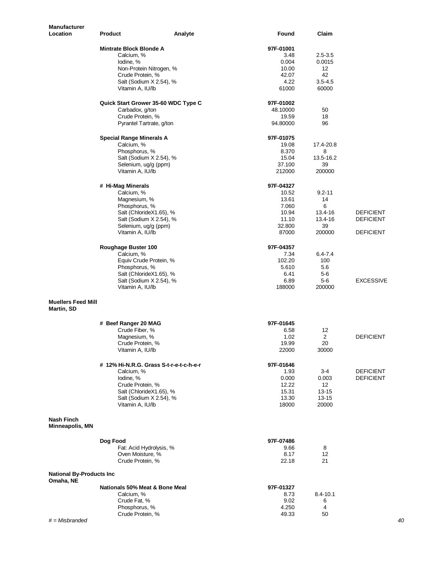| <b>Manufacturer</b>                          |                                   |                                                 |                   |                      |                  |
|----------------------------------------------|-----------------------------------|-------------------------------------------------|-------------------|----------------------|------------------|
| Location                                     | <b>Product</b>                    | Analyte                                         | Found             | Claim                |                  |
|                                              | <b>Mintrate Block Blonde A</b>    |                                                 | 97F-01001         |                      |                  |
|                                              | Calcium, %                        |                                                 | 3.48              | $2.5 - 3.5$          |                  |
|                                              | lodine, %                         |                                                 | 0.004             | 0.0015               |                  |
|                                              |                                   | Non-Protein Nitrogen, %                         | 10.00             | 12                   |                  |
|                                              | Crude Protein, %                  |                                                 | 42.07             | 42                   |                  |
|                                              | Vitamin A, IU/lb                  | Salt (Sodium X 2.54), %                         | 4.22<br>61000     | $3.5 - 4.5$<br>60000 |                  |
|                                              |                                   |                                                 |                   |                      |                  |
|                                              |                                   | Quick Start Grower 35-60 WDC Type C             | 97F-01002         |                      |                  |
|                                              | Carbadox, g/ton                   |                                                 | 48.10000          | 50                   |                  |
|                                              | Crude Protein, %                  | Pyrantel Tartrate, g/ton                        | 19.59<br>94.80000 | 18<br>96             |                  |
|                                              |                                   |                                                 |                   |                      |                  |
|                                              | <b>Special Range Minerals A</b>   |                                                 | 97F-01075         |                      |                  |
|                                              | Calcium, %                        |                                                 | 19.08             | 17.4-20.8            |                  |
|                                              | Phosphorus, %                     |                                                 | 8.370             | 8                    |                  |
|                                              |                                   | Salt (Sodium X 2.54), %<br>Selenium, ug/g (ppm) | 15.04<br>37.100   | 13.5-16.2<br>39      |                  |
|                                              | Vitamin A, IU/lb                  |                                                 | 212000            | 200000               |                  |
|                                              |                                   |                                                 |                   |                      |                  |
|                                              | # Hi-Mag Minerals                 |                                                 | 97F-04327         |                      |                  |
|                                              | Calcium, %<br>Magnesium, %        |                                                 | 10.52<br>13.61    | $9.2 - 11$<br>14     |                  |
|                                              | Phosphorus, %                     |                                                 | 7.060             | 6                    |                  |
|                                              |                                   | Salt (ChlorideX1.65), %                         | 10.94             | 13.4-16              | <b>DEFICIENT</b> |
|                                              |                                   | Salt (Sodium X 2.54), %                         | 11.10             | 13.4-16              | <b>DEFICIENT</b> |
|                                              |                                   | Selenium, ug/g (ppm)                            | 32.800            | 39                   |                  |
|                                              | Vitamin A, IU/lb                  |                                                 | 87000             | 200000               | <b>DEFICIENT</b> |
|                                              | Roughage Buster 100               |                                                 | 97F-04357         |                      |                  |
|                                              | Calcium, %                        |                                                 | 7.34              | $6.4 - 7.4$          |                  |
|                                              |                                   | Equiv Crude Protein, %                          | 102.20            | 100                  |                  |
|                                              | Phosphorus, %                     |                                                 | 5.610             | 5.6                  |                  |
|                                              |                                   | Salt (ChlorideX1.65), %                         | 6.41              | $5-6$                |                  |
|                                              |                                   | Salt (Sodium X 2.54), %                         | 6.89              | $5-6$                | <b>EXCESSIVE</b> |
|                                              | Vitamin A, IU/lb                  |                                                 | 188000            | 200000               |                  |
| <b>Muellers Feed Mill</b>                    |                                   |                                                 |                   |                      |                  |
| Martin, SD                                   |                                   |                                                 |                   |                      |                  |
|                                              | # Beef Ranger 20 MAG              |                                                 | 97F-01645         |                      |                  |
|                                              | Crude Fiber, %                    |                                                 | 6.58              | 12                   |                  |
|                                              | Magnesium, %                      |                                                 | 1.02              | 2                    | <b>DEFICIENT</b> |
|                                              | Crude Protein, %                  |                                                 | 19.99             | 20                   |                  |
|                                              | Vitamin A, IU/lb                  |                                                 | 22000             | 30000                |                  |
|                                              |                                   | # 12% Hi-N.R.G. Grass S-t-r-e-t-c-h-e-r         | 97F-01646         |                      |                  |
|                                              | Calcium, %                        |                                                 | 1.93              | $3 - 4$              | <b>DEFICIENT</b> |
|                                              | lodine, %                         |                                                 | 0.000             | 0.003                | <b>DEFICIENT</b> |
|                                              | Crude Protein, %                  |                                                 | 12.22             | 12 <sup>°</sup>      |                  |
|                                              |                                   | Salt (ChlorideX1.65), %                         | 15.31             | $13 - 15$            |                  |
|                                              | Vitamin A, IU/lb                  | Salt (Sodium X 2.54), %                         | 13.30<br>18000    | $13 - 15$<br>20000   |                  |
|                                              |                                   |                                                 |                   |                      |                  |
| <b>Nash Finch</b><br>Minneapolis, MN         |                                   |                                                 |                   |                      |                  |
|                                              | Dog Food                          |                                                 | 97F-07486         |                      |                  |
|                                              |                                   | Fat: Acid Hydrolysis, %                         | 9.66              | 8                    |                  |
|                                              | Oven Moisture, %                  |                                                 | 8.17              | 12                   |                  |
|                                              | Crude Protein, %                  |                                                 | 22.18             | 21                   |                  |
| <b>National By-Products Inc</b><br>Omaha, NE |                                   |                                                 |                   |                      |                  |
|                                              | Nationals 50% Meat & Bone Meal    |                                                 | 97F-01327         |                      |                  |
|                                              | Calcium, %                        |                                                 | 8.73              | $8.4 - 10.1$         |                  |
|                                              | Crude Fat, %                      |                                                 | 9.02              | 6<br>4               |                  |
|                                              | Phosphorus, %<br>Crude Protein, % |                                                 | 4.250<br>49.33    | 50                   |                  |
| $#$ = Misbranded                             |                                   |                                                 |                   |                      | 40               |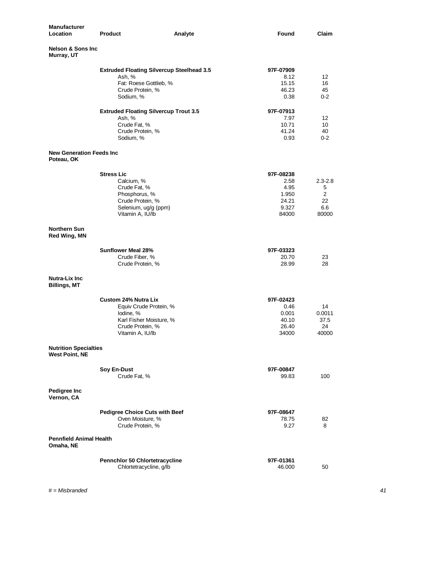| <b>Manufacturer</b><br><b>Location</b>                | <b>Product</b>                                   | Analyte | Found          | Claim          |
|-------------------------------------------------------|--------------------------------------------------|---------|----------------|----------------|
| <b>Nelson &amp; Sons Inc</b><br>Murray, UT            |                                                  |         |                |                |
|                                                       | <b>Extruded Floating Silvercup Steelhead 3.5</b> |         | 97F-07909      |                |
|                                                       | Ash, %                                           |         | 8.12           | 12             |
|                                                       | Fat: Roese Gottlieb, %                           |         | 15.15          | 16             |
|                                                       | Crude Protein, %<br>Sodium, %                    |         | 46.23          | 45             |
|                                                       |                                                  |         | 0.38           | $0 - 2$        |
|                                                       | <b>Extruded Floating Silvercup Trout 3.5</b>     |         | 97F-07913      |                |
|                                                       | Ash, %                                           |         | 7.97           | 12             |
|                                                       | Crude Fat, %                                     |         | 10.71          | 10             |
|                                                       | Crude Protein, %                                 |         | 41.24          | 40             |
|                                                       | Sodium, %                                        |         | 0.93           | $0 - 2$        |
| <b>New Generation Feeds Inc.</b><br>Poteau, OK        |                                                  |         |                |                |
|                                                       | <b>Stress Lic</b>                                |         | 97F-08238      |                |
|                                                       | Calcium, %                                       |         | 2.58           | $2.3 - 2.8$    |
|                                                       | Crude Fat, %                                     |         | 4.95           | 5              |
|                                                       | Phosphorus, %                                    |         | 1.950          | $\overline{2}$ |
|                                                       | Crude Protein, %                                 |         | 24.21          | 22             |
|                                                       | Selenium, ug/g (ppm)<br>Vitamin A, IU/lb         |         | 9.327<br>84000 | 6.6<br>80000   |
|                                                       |                                                  |         |                |                |
| <b>Northern Sun</b><br>Red Wing, MN                   |                                                  |         |                |                |
|                                                       | <b>Sunflower Meal 28%</b>                        |         | 97F-03323      |                |
|                                                       | Crude Fiber, %                                   |         | 20.70          | 23             |
|                                                       | Crude Protein, %                                 |         | 28.99          | 28             |
| Nutra-Lix Inc<br><b>Billings, MT</b>                  |                                                  |         |                |                |
|                                                       | <b>Custom 24% Nutra Lix</b>                      |         | 97F-02423      |                |
|                                                       | Equiv Crude Protein, %                           |         | 0.46           | 14             |
|                                                       | lodine, %                                        |         | 0.001          | 0.0011         |
|                                                       | Karl Fisher Moisture, %                          |         | 40.10          | 37.5           |
|                                                       | Crude Protein, %<br>Vitamin A, IU/lb             |         | 26.40<br>34000 | 24<br>40000    |
|                                                       |                                                  |         |                |                |
| <b>Nutrition Specialties</b><br><b>West Point, NE</b> |                                                  |         |                |                |
|                                                       | <b>Soy En-Dust</b>                               |         | 97F-00847      |                |
|                                                       | Crude Fat, %                                     |         | 99.83          | 100            |
| <b>Pedigree Inc</b><br>Vernon, CA                     |                                                  |         |                |                |
|                                                       | <b>Pedigree Choice Cuts with Beef</b>            |         | 97F-08647      |                |
|                                                       | Oven Moisture, %                                 |         | 78.75          | 82             |
|                                                       | Crude Protein, %                                 |         | 9.27           | 8              |
| <b>Pennfield Animal Health</b><br>Omaha, NE           |                                                  |         |                |                |
|                                                       | <b>Pennchlor 50 Chlortetracycline</b>            |         | 97F-01361      |                |
|                                                       | Chlortetracycline, g/lb                          |         | 46.000         | 50             |
|                                                       |                                                  |         |                |                |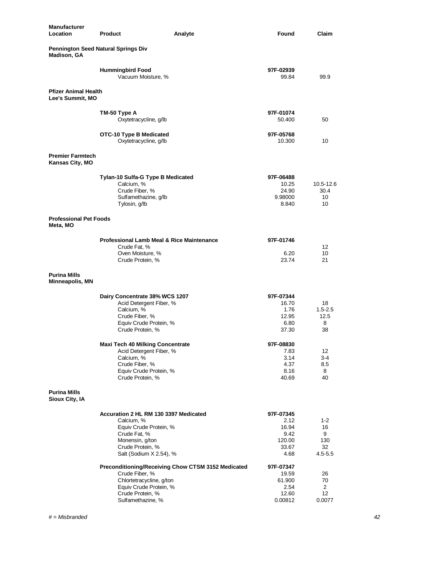| <b>Manufacturer</b><br>Location                 | <b>Product</b><br>Analyte                                                        | Found                      | Claim                         |
|-------------------------------------------------|----------------------------------------------------------------------------------|----------------------------|-------------------------------|
| Madison, GA                                     | Pennington Seed Natural Springs Div                                              |                            |                               |
|                                                 | <b>Hummingbird Food</b><br>Vacuum Moisture, %                                    | 97F-02939<br>99.84         | 99.9                          |
| <b>Pfizer Animal Health</b><br>Lee's Summit, MO |                                                                                  |                            |                               |
|                                                 | TM-50 Type A<br>Oxytetracycline, g/lb                                            | 97F-01074<br>50.400        | 50                            |
|                                                 | OTC-10 Type B Medicated<br>Oxytetracycline, g/lb                                 | 97F-05768<br>10.300        | 10                            |
| <b>Premier Farmtech</b><br>Kansas City, MO      |                                                                                  |                            |                               |
|                                                 | Tylan-10 Sulfa-G Type B Medicated<br>Calcium, %                                  | 97F-06488<br>10.25         | 10.5-12.6                     |
|                                                 | Crude Fiber, %<br>Sulfamethazine, g/lb<br>Tylosin, g/lb                          | 24.90<br>9.98000<br>8.840  | 30.4<br>10 <sup>°</sup><br>10 |
| <b>Professional Pet Foods</b><br>Meta, MO       |                                                                                  |                            |                               |
|                                                 | <b>Professional Lamb Meal &amp; Rice Maintenance</b><br>Crude Fat, %             | 97F-01746                  | 12                            |
|                                                 | Oven Moisture, %<br>Crude Protein, %                                             | 6.20<br>23.74              | 10<br>21                      |
| <b>Purina Mills</b><br>Minneapolis, MN          |                                                                                  |                            |                               |
|                                                 | Dairy Concentrate 38% WCS 1207<br>Acid Detergent Fiber, %<br>Calcium, %          | 97F-07344<br>16.70<br>1.76 | 18<br>$1.5 - 2.5$             |
|                                                 | Crude Fiber, %<br>Equiv Crude Protein, %                                         | 12.95<br>6.80              | 12.5<br>8                     |
|                                                 | Crude Protein, %                                                                 | 37.30                      | 38                            |
|                                                 | <b>Maxi Tech 40 Milking Concentrate</b><br>Acid Detergent Fiber, %<br>Calcium, % | 97F-08830<br>7.83<br>3.14  | 12<br>$3 - 4$                 |
|                                                 | Crude Fiber, %<br>Equiv Crude Protein, %                                         | 4.37<br>8.16               | 8.5<br>8                      |
|                                                 | Crude Protein, %                                                                 | 40.69                      | 40                            |
| <b>Purina Mills</b><br>Sioux City, IA           |                                                                                  |                            |                               |
|                                                 | Accuration 2 HL RM 130 3397 Medicated<br>Calcium, %                              | 97F-07345<br>2.12          | $1 - 2$                       |
|                                                 | Equiv Crude Protein, %<br>Crude Fat, %                                           | 16.94<br>9.42              | 16<br>9                       |
|                                                 | Monensin, g/ton<br>Crude Protein, %<br>Salt (Sodium X 2.54), %                   | 120.00<br>33.67<br>4.68    | 130<br>32<br>4.5-5.5          |
|                                                 | Preconditioning/Receiving Chow CTSM 3152 Medicated                               | 97F-07347                  |                               |
|                                                 | Crude Fiber, %<br>Chlortetracycline, g/ton                                       | 19.59<br>61.900            | 26<br>70                      |
|                                                 | Equiv Crude Protein, %                                                           | 2.54                       | $\overline{2}$                |
|                                                 | Crude Protein, %<br>Sulfamethazine, %                                            | 12.60<br>0.00812           | 12<br>0.0077                  |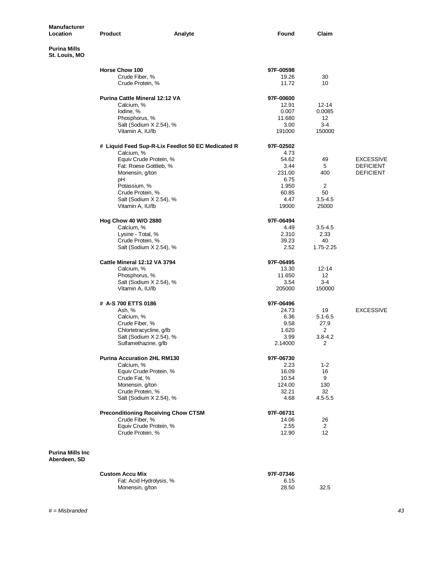| <b>Manufacturer</b><br>Location          | <b>Product</b>                        | Analyte                                           | Found             | Claim               |                  |
|------------------------------------------|---------------------------------------|---------------------------------------------------|-------------------|---------------------|------------------|
| <b>Purina Mills</b><br>St. Louis, MO     |                                       |                                                   |                   |                     |                  |
|                                          | <b>Horse Chow 100</b>                 |                                                   | 97F-00598         |                     |                  |
|                                          | Crude Fiber, %                        |                                                   | 19.26             | 30                  |                  |
|                                          | Crude Protein, %                      |                                                   | 11.72             | 10                  |                  |
|                                          | <b>Purina Cattle Mineral 12:12 VA</b> |                                                   | 97F-00600         |                     |                  |
|                                          | Calcium, %                            |                                                   | 12.91             | 12-14               |                  |
|                                          | lodine, %                             |                                                   | 0.007             | 0.0085              |                  |
|                                          | Phosphorus, %                         |                                                   | 11.680            | 12                  |                  |
|                                          |                                       | Salt (Sodium X 2.54), %                           | 3.00              | 3-4                 |                  |
|                                          | Vitamin A, IU/lb                      |                                                   | 191000            | 150000              |                  |
|                                          | Calcium, %                            | # Liquid Feed Sup-R-Lix Feedlot 50 EC Medicated R | 97F-02502<br>4.73 |                     |                  |
|                                          |                                       | Equiv Crude Protein, %                            | 54.62             | 49                  | <b>EXCESSIVE</b> |
|                                          |                                       | Fat: Roese Gottlieb, %                            | 3.44              | 5                   | <b>DEFICIENT</b> |
|                                          | Monensin, g/ton                       |                                                   | 231.00            | 400                 | <b>DEFICIENT</b> |
|                                          | рH                                    |                                                   | 6.75              |                     |                  |
|                                          | Potassium, %                          |                                                   | 1.950             | 2                   |                  |
|                                          | Crude Protein, %                      |                                                   | 60.85             | 50                  |                  |
|                                          |                                       | Salt (Sodium X 2.54), %                           | 4.47              | $3.5 - 4.5$         |                  |
|                                          | Vitamin A, IU/lb                      |                                                   | 19000             | 25000               |                  |
|                                          | Hog Chow 40 W/O 2880                  |                                                   | 97F-06494         |                     |                  |
|                                          | Calcium, %                            |                                                   | 4.49              | $3.5 - 4.5$         |                  |
|                                          | Lysine - Total, %                     |                                                   | 2.310             | 2.33                |                  |
|                                          | Crude Protein, %                      |                                                   | 39.23             | 40                  |                  |
|                                          |                                       | Salt (Sodium X 2.54), %                           | 2.52              | 1.75-2.25           |                  |
|                                          | Cattle Mineral 12:12 VA 3794          |                                                   | 97F-06495         |                     |                  |
|                                          | Calcium, %                            |                                                   | 13.30             | 12-14               |                  |
|                                          | Phosphorus, %                         |                                                   | 11.650            | 12                  |                  |
|                                          |                                       | Salt (Sodium X 2.54), %                           | 3.54              | $3 - 4$             |                  |
|                                          | Vitamin A, IU/lb                      |                                                   | 205000            | 150000              |                  |
|                                          | # A-S 700 ETTS 0186                   |                                                   | 97F-06496         |                     |                  |
|                                          | Ash, %                                |                                                   | 24.73             | 19                  | <b>EXCESSIVE</b> |
|                                          | Calcium, %<br>Crude Fiber, %          |                                                   | 6.36<br>9.58      | $5.1 - 6.5$<br>27.9 |                  |
|                                          | Chlortetracycline, g/lb               |                                                   | 1.620             | $\overline{2}$      |                  |
|                                          |                                       | Salt (Sodium X 2.54), %                           | 3.99              | $3.8 - 4.2$         |                  |
|                                          | Sulfamethazine, g/lb                  |                                                   | 2.14000           | 2                   |                  |
|                                          | <b>Purina Accuration 2HL RM130</b>    |                                                   | 97F-06730         |                     |                  |
|                                          | Calcium, %                            |                                                   | 2.23              | $1 - 2$             |                  |
|                                          |                                       | Equiv Crude Protein, %                            | 16.09             | 16                  |                  |
|                                          | Crude Fat, %                          |                                                   | 10.54             | 9                   |                  |
|                                          | Monensin, g/ton                       |                                                   | 124.00            | 130                 |                  |
|                                          | Crude Protein, %                      |                                                   | 32.21             | 32                  |                  |
|                                          |                                       | Salt (Sodium X 2.54), %                           | 4.68              | $4.5 - 5.5$         |                  |
|                                          |                                       | <b>Preconditioning Receiving Chow CTSM</b>        | 97F-06731         |                     |                  |
|                                          | Crude Fiber, %                        |                                                   | 14.06             | 26                  |                  |
|                                          |                                       | Equiv Crude Protein, %                            | 2.55              | $\overline{2}$      |                  |
|                                          | Crude Protein, %                      |                                                   | 12.90             | 12                  |                  |
| <b>Purina Mills Inc.</b><br>Aberdeen, SD |                                       |                                                   |                   |                     |                  |

| <b>Custom Accu Mix</b>  | 97F-07346 |      |
|-------------------------|-----------|------|
| Fat: Acid Hydrolysis, % | 6.15      |      |
| Monensin, g/ton         | 28.50     | 32.5 |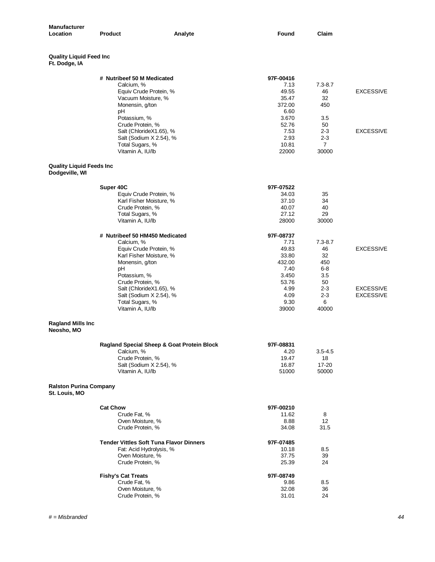| <b>Manufacturer</b><br>Location                   | <b>Product</b>                                     | Analyte | Found              | Claim              |                  |
|---------------------------------------------------|----------------------------------------------------|---------|--------------------|--------------------|------------------|
| <b>Quality Liquid Feed Inc</b><br>Ft. Dodge, IA   |                                                    |         |                    |                    |                  |
|                                                   | # Nutribeef 50 M Medicated                         |         | 97F-00416          |                    |                  |
|                                                   | Calcium, %                                         |         | 7.13               | $7.3 - 8.7$        |                  |
|                                                   | Equiv Crude Protein, %                             |         | 49.55              | 46                 | <b>EXCESSIVE</b> |
|                                                   | Vacuum Moisture, %<br>Monensin, g/ton              |         | 35.47<br>372.00    | 32<br>450          |                  |
|                                                   | рH                                                 |         | 6.60               |                    |                  |
|                                                   | Potassium, %                                       |         | 3.670              | 3.5                |                  |
|                                                   | Crude Protein, %                                   |         | 52.76<br>7.53      | 50                 | <b>EXCESSIVE</b> |
|                                                   | Salt (ChlorideX1.65), %<br>Salt (Sodium X 2.54), % |         | 2.93               | $2 - 3$<br>$2 - 3$ |                  |
|                                                   | Total Sugars, %                                    |         | 10.81              | $\overline{7}$     |                  |
|                                                   | Vitamin A, IU/lb                                   |         | 22000              | 30000              |                  |
| <b>Quality Liquid Feeds Inc</b><br>Dodgeville, WI |                                                    |         |                    |                    |                  |
|                                                   |                                                    |         |                    |                    |                  |
|                                                   | Super 40C<br>Equiv Crude Protein, %                |         | 97F-07522<br>34.03 | 35                 |                  |
|                                                   | Karl Fisher Moisture, %                            |         | 37.10              | 34                 |                  |
|                                                   | Crude Protein, %                                   |         | 40.07              | 40                 |                  |
|                                                   | Total Sugars, %                                    |         | 27.12              | 29                 |                  |
|                                                   | Vitamin A, IU/lb                                   |         | 28000              | 30000              |                  |
|                                                   | # Nutribeef 50 HM450 Medicated                     |         | 97F-08737          |                    |                  |
|                                                   | Calcium, %                                         |         | 7.71<br>49.83      | $7.3 - 8.7$<br>46  | <b>EXCESSIVE</b> |
|                                                   | Equiv Crude Protein, %<br>Karl Fisher Moisture, %  |         | 33.80              | 32                 |                  |
|                                                   | Monensin, g/ton                                    |         | 432.00             | 450                |                  |
|                                                   | рH                                                 |         | 7.40               | $6 - 8$            |                  |
|                                                   | Potassium, %<br>Crude Protein, %                   |         | 3.450<br>53.76     | 3.5<br>50          |                  |
|                                                   | Salt (ChlorideX1.65), %                            |         | 4.99               | $2 - 3$            | <b>EXCESSIVE</b> |
|                                                   | Salt (Sodium X 2.54), %                            |         | 4.09               | $2 - 3$            | <b>EXCESSIVE</b> |
|                                                   | Total Sugars, %<br>Vitamin A, IU/lb                |         | 9.30<br>39000      | 6<br>40000         |                  |
| <b>Ragland Mills Inc</b>                          |                                                    |         |                    |                    |                  |
| Neosho, MO                                        |                                                    |         |                    |                    |                  |
|                                                   | Ragland Special Sheep & Goat Protein Block         |         | 97F-08831          |                    |                  |
|                                                   | Calcium, %<br>Crude Protein, %                     |         | 4.20<br>19.47      | $3.5 - 4.5$<br>18  |                  |
|                                                   | Salt (Sodium X 2.54), %                            |         | 16.87              | 17-20              |                  |
|                                                   | Vitamin A, IU/lb                                   |         | 51000              | 50000              |                  |
| <b>Ralston Purina Company</b><br>St. Louis, MO    |                                                    |         |                    |                    |                  |
|                                                   | <b>Cat Chow</b>                                    |         | 97F-00210          |                    |                  |
|                                                   | Crude Fat, %                                       |         | 11.62              | 8                  |                  |
|                                                   | Oven Moisture, %                                   |         | 8.88               | $12 \overline{ }$  |                  |
|                                                   | Crude Protein, %                                   |         | 34.08              | 31.5               |                  |
|                                                   | <b>Tender Vittles Soft Tuna Flavor Dinners</b>     |         | 97F-07485          |                    |                  |
|                                                   | Fat: Acid Hydrolysis, %                            |         | 10.18              | 8.5                |                  |
|                                                   | Oven Moisture, %<br>Crude Protein, %               |         | 37.75<br>25.39     | 39<br>24           |                  |
|                                                   |                                                    |         |                    |                    |                  |
|                                                   | <b>Fishy's Cat Treats</b><br>Crude Fat, %          |         | 97F-08749<br>9.86  | 8.5                |                  |
|                                                   | Oven Moisture, %                                   |         | 32.08              | 36                 |                  |
|                                                   | Crude Protein, %                                   |         | 31.01              | 24                 |                  |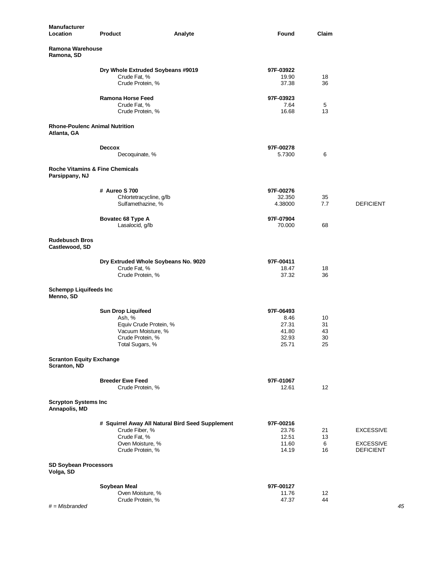| <b>Manufacturer</b><br>Location                              | <b>Product</b><br>Analyte                        | <b>Found</b>        | Claim    |                  |
|--------------------------------------------------------------|--------------------------------------------------|---------------------|----------|------------------|
| Ramona Warehouse<br>Ramona, SD                               |                                                  |                     |          |                  |
|                                                              | Dry Whole Extruded Soybeans #9019                | 97F-03922           |          |                  |
|                                                              | Crude Fat, %                                     | 19.90               | 18       |                  |
|                                                              | Crude Protein, %                                 | 37.38               | 36       |                  |
|                                                              | <b>Ramona Horse Feed</b>                         | 97F-03923           |          |                  |
|                                                              | Crude Fat, %                                     | 7.64                | 5        |                  |
|                                                              | Crude Protein, %                                 | 16.68               | 13       |                  |
| <b>Rhone-Poulenc Animal Nutrition</b><br>Atlanta, GA         |                                                  |                     |          |                  |
|                                                              | Deccox                                           | 97F-00278           |          |                  |
|                                                              | Decoquinate, %                                   | 5.7300              | 6        |                  |
| <b>Roche Vitamins &amp; Fine Chemicals</b><br>Parsippany, NJ |                                                  |                     |          |                  |
|                                                              | # Aureo S 700                                    | 97F-00276           |          |                  |
|                                                              | Chlortetracycline, g/lb                          | 32.350              | 35       |                  |
|                                                              | Sulfamethazine, %                                | 4.38000             | 7.7      | <b>DEFICIENT</b> |
|                                                              | Bovatec 68 Type A<br>Lasalocid, g/lb             | 97F-07904<br>70.000 | 68       |                  |
| <b>Rudebusch Bros</b><br>Castlewood, SD                      |                                                  |                     |          |                  |
|                                                              | Dry Extruded Whole Soybeans No. 9020             | 97F-00411           |          |                  |
|                                                              | Crude Fat, %                                     | 18.47<br>37.32      | 18       |                  |
|                                                              | Crude Protein, %                                 |                     | 36       |                  |
| <b>Schempp Liquifeeds Inc</b><br>Menno, SD                   |                                                  |                     |          |                  |
|                                                              | <b>Sun Drop Liquifeed</b>                        | 97F-06493           |          |                  |
|                                                              | Ash, %                                           | 8.46                | 10       |                  |
|                                                              | Equiv Crude Protein, %                           | 27.31               | 31       |                  |
|                                                              | Vacuum Moisture, %<br>Crude Protein, %           | 41.80<br>32.93      | 43<br>30 |                  |
|                                                              | Total Sugars, %                                  | 25.71               | 25       |                  |
| <b>Scranton Equity Exchange</b><br>Scranton, ND              |                                                  |                     |          |                  |
|                                                              | <b>Breeder Ewe Feed</b>                          | 97F-01067           |          |                  |
|                                                              | Crude Protein, %                                 | 12.61               | 12       |                  |
| <b>Scrypton Systems Inc</b><br>Annapolis, MD                 |                                                  |                     |          |                  |
|                                                              | # Squirrel Away All Natural Bird Seed Supplement | 97F-00216           |          |                  |
|                                                              | Crude Fiber, %                                   | 23.76               | 21       | <b>EXCESSIVE</b> |
|                                                              | Crude Fat, %<br>Oven Moisture, %                 | 12.51<br>11.60      | 13<br>6  | <b>EXCESSIVE</b> |
|                                                              | Crude Protein, %                                 | 14.19               | 16       | <b>DEFICIENT</b> |
| <b>SD Soybean Processors</b><br>Volga, SD                    |                                                  |                     |          |                  |
|                                                              | Soybean Meal                                     | 97F-00127           |          |                  |
|                                                              | Oven Moisture, %                                 | 11.76               | 12       |                  |
| $#$ = Misbranded                                             | Crude Protein, %                                 | 47.37               | 44       | 45               |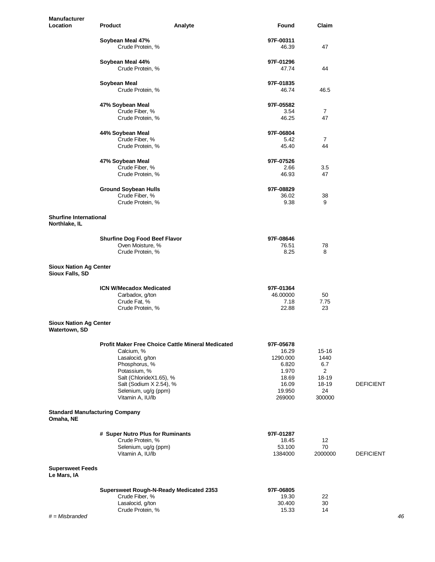| Manufacturer<br>Location                           | <b>Product</b><br>Analyte                                 | Found              | Claim          |                  |
|----------------------------------------------------|-----------------------------------------------------------|--------------------|----------------|------------------|
|                                                    | Soybean Meal 47%<br>Crude Protein, %                      | 97F-00311<br>46.39 | 47             |                  |
|                                                    |                                                           |                    |                |                  |
|                                                    | Soybean Meal 44%<br>Crude Protein, %                      | 97F-01296<br>47.74 | 44             |                  |
|                                                    | Soybean Meal                                              | 97F-01835          |                |                  |
|                                                    | Crude Protein, %                                          | 46.74              | 46.5           |                  |
|                                                    | 47% Soybean Meal                                          | 97F-05582          |                |                  |
|                                                    | Crude Fiber, %<br>Crude Protein, %                        | 3.54<br>46.25      | 7<br>47        |                  |
|                                                    |                                                           |                    |                |                  |
|                                                    | 44% Soybean Meal                                          | 97F-06804          |                |                  |
|                                                    | Crude Fiber, %                                            | 5.42               | $\overline{7}$ |                  |
|                                                    | Crude Protein, %                                          | 45.40              | 44             |                  |
|                                                    | 47% Soybean Meal                                          | 97F-07526          |                |                  |
|                                                    | Crude Fiber, %                                            | 2.66               | 3.5            |                  |
|                                                    | Crude Protein, %                                          | 46.93              | 47             |                  |
|                                                    | <b>Ground Soybean Hulls</b>                               | 97F-08829          |                |                  |
|                                                    | Crude Fiber, %                                            | 36.02              | 38             |                  |
|                                                    | Crude Protein, %                                          | 9.38               | 9              |                  |
| <b>Shurfine International</b><br>Northlake, IL     |                                                           |                    |                |                  |
|                                                    | <b>Shurfine Dog Food Beef Flavor</b>                      | 97F-08646          |                |                  |
|                                                    | Oven Moisture, %                                          | 76.51              | 78             |                  |
|                                                    | Crude Protein, %                                          | 8.25               | 8              |                  |
| <b>Sioux Nation Ag Center</b><br>Sioux Falls, SD   |                                                           |                    |                |                  |
|                                                    | <b>ICN W/Mecadox Medicated</b>                            | 97F-01364          |                |                  |
|                                                    | Carbadox, g/ton                                           | 46.00000           | 50             |                  |
|                                                    | Crude Fat, %<br>Crude Protein, %                          | 7.18<br>22.88      | 7.75<br>23     |                  |
|                                                    |                                                           |                    |                |                  |
| <b>Sioux Nation Ag Center</b><br>Watertown, SD     |                                                           |                    |                |                  |
|                                                    | <b>Profit Maker Free Choice Cattle Mineral Medicated</b>  | 97F-05678          |                |                  |
|                                                    | Calcium, %                                                | 16.29              | 15-16          |                  |
|                                                    | Lasalocid, g/ton<br>Phosphorus, %                         | 1290.000<br>6.820  | 1440<br>6.7    |                  |
|                                                    | Potassium, %                                              | 1.970              | 2              |                  |
|                                                    | Salt (ChlorideX1.65), %                                   | 18.69              | 18-19          |                  |
|                                                    | Salt (Sodium X 2.54), %                                   | 16.09              | 18-19          | <b>DEFICIENT</b> |
|                                                    | Selenium, ug/g (ppm)<br>Vitamin A, IU/lb                  | 19.950<br>269000   | 24<br>300000   |                  |
|                                                    |                                                           |                    |                |                  |
| <b>Standard Manufacturing Company</b><br>Omaha, NE |                                                           |                    |                |                  |
|                                                    | # Super Nutro Plus for Ruminants                          | 97F-01287          |                |                  |
|                                                    | Crude Protein, %                                          | 18.45              | 12             |                  |
|                                                    | Selenium, ug/g (ppm)<br>Vitamin A, IU/lb                  | 53.100<br>1384000  | 70<br>2000000  | <b>DEFICIENT</b> |
| <b>Supersweet Feeds</b><br>Le Mars, IA             |                                                           |                    |                |                  |
|                                                    |                                                           |                    |                |                  |
|                                                    | Supersweet Rough-N-Ready Medicated 2353<br>Crude Fiber, % | 97F-06805<br>19.30 | 22             |                  |
|                                                    | Lasalocid, g/ton                                          | 30.400             | 30             |                  |
|                                                    | Crude Protein, %                                          | 15.33              | 14             |                  |
| $#$ = Misbranded                                   |                                                           |                    |                | 46               |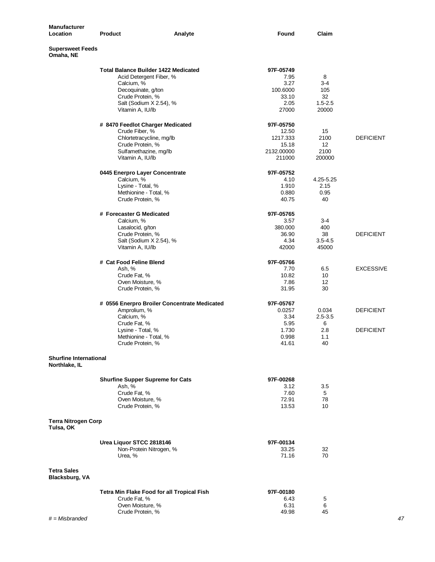| <b>Manufacturer</b><br>Location                | <b>Product</b><br>Analyte                    | Found             | Claim             |                  |
|------------------------------------------------|----------------------------------------------|-------------------|-------------------|------------------|
| <b>Supersweet Feeds</b><br>Omaha, NE           |                                              |                   |                   |                  |
|                                                | <b>Total Balance Builder 1422 Medicated</b>  | 97F-05749         |                   |                  |
|                                                | Acid Detergent Fiber, %                      | 7.95              | 8                 |                  |
|                                                | Calcium, %<br>Decoquinate, g/ton             | 3.27<br>100.6000  | 3-4<br>105        |                  |
|                                                | Crude Protein, %                             | 33.10             | 32                |                  |
|                                                | Salt (Sodium X 2.54), %                      | 2.05              | $1.5 - 2.5$       |                  |
|                                                | Vitamin A, IU/lb                             | 27000             | 20000             |                  |
|                                                | # 8470 Feedlot Charger Medicated             | 97F-05750         |                   |                  |
|                                                | Crude Fiber, %<br>Chlortetracycline, mg/lb   | 12.50<br>1217.333 | 15<br>2100        | <b>DEFICIENT</b> |
|                                                | Crude Protein, %                             | 15.18             | 12                |                  |
|                                                | Sulfamethazine, mg/lb                        | 2132.00000        | 2100              |                  |
|                                                | Vitamin A, IU/lb                             | 211000            | 200000            |                  |
|                                                | 0445 Enerpro Layer Concentrate               | 97F-05752         |                   |                  |
|                                                | Calcium, %                                   | 4.10              | 4.25-5.25         |                  |
|                                                | Lysine - Total, %<br>Methionine - Total, %   | 1.910<br>0.880    | 2.15<br>0.95      |                  |
|                                                | Crude Protein, %                             | 40.75             | 40                |                  |
|                                                | # Forecaster G Medicated                     | 97F-05765         |                   |                  |
|                                                | Calcium, %                                   | 3.57              | 3-4               |                  |
|                                                | Lasalocid, g/ton                             | 380.000           | 400               |                  |
|                                                | Crude Protein, %<br>Salt (Sodium X 2.54), %  | 36.90<br>4.34     | 38<br>$3.5 - 4.5$ | <b>DEFICIENT</b> |
|                                                | Vitamin A, IU/lb                             | 42000             | 45000             |                  |
|                                                | # Cat Food Feline Blend                      | 97F-05766         |                   |                  |
|                                                | Ash, %                                       | 7.70              | 6.5               | <b>EXCESSIVE</b> |
|                                                | Crude Fat, %                                 | 10.82             | 10                |                  |
|                                                | Oven Moisture, %<br>Crude Protein, %         | 7.86<br>31.95     | 12<br>30          |                  |
|                                                | # 0556 Enerpro Broiler Concentrate Medicated | 97F-05767         |                   |                  |
|                                                | Amprolium, %                                 | 0.0257            | 0.034             | <b>DEFICIENT</b> |
|                                                | Calcium, %                                   | 3.34              | $2.5 - 3.5$       |                  |
|                                                | Crude Fat, %                                 | 5.95              | 6                 |                  |
|                                                | Lysine - Total, %<br>Methionine - Total, %   | 1.730<br>0.998    | 2.8               | <b>DEFICIENT</b> |
|                                                | Crude Protein, %                             | 41.61             | 1.1<br>40         |                  |
| <b>Shurfine International</b><br>Northlake, IL |                                              |                   |                   |                  |
|                                                | <b>Shurfine Supper Supreme for Cats</b>      | 97F-00268         |                   |                  |
|                                                | Ash, %                                       | 3.12              | 3.5               |                  |
|                                                | Crude Fat, %                                 | 7.60              | 5                 |                  |
|                                                | Oven Moisture, %<br>Crude Protein, %         | 72.91<br>13.53    | 78<br>10          |                  |
| <b>Terra Nitrogen Corp</b><br>Tulsa, OK        |                                              |                   |                   |                  |
|                                                | Urea Liquor STCC 2818146                     | 97F-00134         |                   |                  |
|                                                | Non-Protein Nitrogen, %<br>Urea, %           | 33.25<br>71.16    | 32<br>70          |                  |
| <b>Tetra Sales</b><br>Blacksburg, VA           |                                              |                   |                   |                  |
|                                                | Tetra Min Flake Food for all Tropical Fish   | 97F-00180         |                   |                  |
|                                                | Crude Fat, %                                 | 6.43              | 5                 |                  |
|                                                | Oven Moisture, %                             | 6.31              | 6                 |                  |
| $#$ = Misbranded                               | Crude Protein, %                             | 49.98             | 45                | 47               |
|                                                |                                              |                   |                   |                  |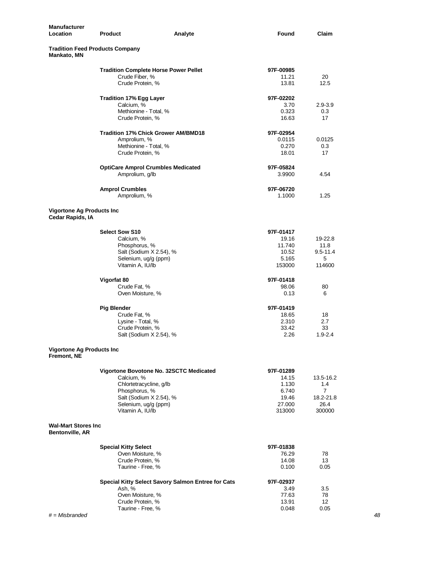| <b>Manufacturer</b><br>Location                       | Product                                            | Analyte | Found             | Claim                       |
|-------------------------------------------------------|----------------------------------------------------|---------|-------------------|-----------------------------|
| <b>Tradition Feed Products Company</b><br>Mankato, MN |                                                    |         |                   |                             |
|                                                       | <b>Tradition Complete Horse Power Pellet</b>       |         | 97F-00985         |                             |
|                                                       | Crude Fiber, %<br>Crude Protein, %                 |         | 11.21<br>13.81    | 20<br>12.5                  |
|                                                       | <b>Tradition 17% Egg Layer</b><br>Calcium, %       |         | 97F-02202<br>3.70 | $2.9 - 3.9$                 |
|                                                       | Methionine - Total, %<br>Crude Protein, %          |         | 0.323<br>16.63    | 0.3<br>17                   |
|                                                       | <b>Tradition 17% Chick Grower AM/BMD18</b>         |         | 97F-02954         |                             |
|                                                       | Amprolium, %                                       |         | 0.0115            | 0.0125                      |
|                                                       | Methionine - Total, %<br>Crude Protein, %          |         | 0.270<br>18.01    | 0.3<br>17                   |
|                                                       | <b>OptiCare Amprol Crumbles Medicated</b>          |         | 97F-05824         |                             |
|                                                       | Amprolium, g/lb                                    |         | 3.9900            | 4.54                        |
|                                                       | <b>Amprol Crumbles</b>                             |         | 97F-06720         |                             |
|                                                       | Amprolium, %                                       |         | 1.1000            | 1.25                        |
| <b>Vigortone Ag Products Inc</b><br>Cedar Rapids, IA  |                                                    |         |                   |                             |
|                                                       | <b>Select Sow S10</b>                              |         | 97F-01417         |                             |
|                                                       | Calcium, %                                         |         | 19.16             | 19-22.8                     |
|                                                       | Phosphorus, %<br>Salt (Sodium X 2.54), %           |         | 11.740<br>10.52   | 11.8<br>$9.5 - 11.4$        |
|                                                       | Selenium, ug/g (ppm)                               |         | 5.165             | 5                           |
|                                                       | Vitamin A, IU/lb                                   |         | 153000            | 114600                      |
|                                                       | Vigorfat 80                                        |         | 97F-01418         |                             |
|                                                       | Crude Fat, %                                       |         | 98.06             | 80                          |
|                                                       | Oven Moisture, %                                   |         | 0.13              | 6                           |
|                                                       | <b>Pig Blender</b>                                 |         | 97F-01419         |                             |
|                                                       | Crude Fat, %                                       |         | 18.65             | 18                          |
|                                                       | Lysine - Total, %<br>Crude Protein, %              |         | 2.310<br>33.42    | 2.7<br>33                   |
|                                                       | Salt (Sodium X 2.54), %                            |         | 2.26              | $1.9 - 2.4$                 |
| <b>Vigortone Ag Products Inc</b><br>Fremont, NE       |                                                    |         |                   |                             |
|                                                       | Vigortone Bovotone No. 32SCTC Medicated            |         | 97F-01289         |                             |
|                                                       | Calcium, %                                         |         | 14.15             | 13.5-16.2                   |
|                                                       | Chlortetracycline, q/lb                            |         | 1.130             | 1.4                         |
|                                                       | Phosphorus, %<br>Salt (Sodium X 2.54), %           |         | 6.740<br>19.46    | $\overline{7}$<br>18.2-21.8 |
|                                                       | Selenium, ug/g (ppm)                               |         | 27.000            | 26.4                        |
|                                                       | Vitamin A, IU/lb                                   |         | 313000            | 300000                      |
| <b>Wal-Mart Stores Inc.</b><br><b>Bentonville, AR</b> |                                                    |         |                   |                             |
|                                                       | <b>Special Kitty Select</b>                        |         | 97F-01838         |                             |
|                                                       | Oven Moisture, %                                   |         | 76.29             | 78                          |
|                                                       | Crude Protein, %<br>Taurine - Free, %              |         | 14.08<br>0.100    | 13<br>0.05                  |
|                                                       | Special Kitty Select Savory Salmon Entree for Cats |         | 97F-02937         |                             |
|                                                       | Ash, %                                             |         | 3.49              | 3.5                         |
|                                                       | Oven Moisture, %                                   |         | 77.63             | 78                          |
|                                                       | Crude Protein, %<br>Taurine - Free, %              |         | 13.91<br>0.048    | 12<br>0.05                  |
| $#$ = Misbranded                                      |                                                    |         |                   | 48                          |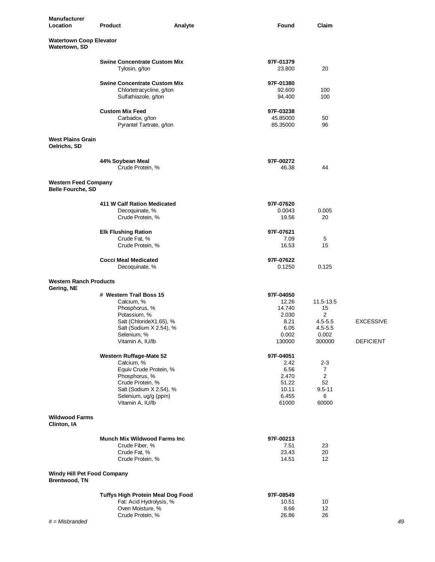| <b>Manufacturer</b><br>Location                         | Analyte<br><b>Product</b>                                                               | Found                         | Claim                         |                  |
|---------------------------------------------------------|-----------------------------------------------------------------------------------------|-------------------------------|-------------------------------|------------------|
| <b>Watertown Coop Elevator</b><br>Watertown, SD         |                                                                                         |                               |                               |                  |
|                                                         | <b>Swine Concentrate Custom Mix</b><br>Tylosin, g/ton                                   | 97F-01379<br>23.800           | 20                            |                  |
|                                                         | <b>Swine Concentrate Custom Mix</b><br>Chlortetracycline, g/ton<br>Sulfathiazole, g/ton | 97F-01380<br>92.600<br>94.400 | 100<br>100                    |                  |
|                                                         | <b>Custom Mix Feed</b><br>Carbadox, g/ton                                               | 97F-03238<br>45.85000         | 50                            |                  |
| <b>West Plains Grain</b>                                | Pyrantel Tartrate, g/ton                                                                | 85.35000                      | 96                            |                  |
| Oelrichs, SD                                            |                                                                                         |                               |                               |                  |
|                                                         | 44% Soybean Meal<br>Crude Protein, %                                                    | 97F-00272<br>46.38            | 44                            |                  |
| <b>Western Feed Company</b><br><b>Belle Fourche, SD</b> |                                                                                         |                               |                               |                  |
|                                                         | 411 W Calf Ration Medicated                                                             | 97F-07620                     |                               |                  |
|                                                         | Decoquinate, %<br>Crude Protein, %                                                      | 0.0043<br>19.56               | 0.005<br>20                   |                  |
|                                                         | <b>Elk Flushing Ration</b><br>Crude Fat, %                                              | 97F-07621<br>7.09             | 5                             |                  |
|                                                         | Crude Protein, %                                                                        | 16.53                         | 15                            |                  |
|                                                         | <b>Cocci Meal Medicated</b><br>Decoquinate, %                                           | 97F-07622<br>0.1250           | 0.125                         |                  |
| <b>Western Ranch Products</b><br>Gering, NE             |                                                                                         |                               |                               |                  |
|                                                         | # Western Trail Boss 15<br>Calcium, %                                                   | 97F-04050<br>12.26            | 11.5-13.5                     |                  |
|                                                         | Phosphorus, %                                                                           | 14.740                        | 15                            |                  |
|                                                         | Potassium, %<br>Salt (ChlorideX1.65), %                                                 | 2.030<br>8.21                 | $\overline{2}$<br>$4.5 - 5.5$ | <b>EXCESSIVE</b> |
|                                                         | Salt (Sodium X 2.54), %                                                                 | 6.05                          | $4.5 - 5.5$                   |                  |
|                                                         | Selenium, %<br>Vitamin A, IU/lb                                                         | 0.002<br>130000               | 0.002<br>300000               | <b>DEFICIENT</b> |
|                                                         | <b>Western Ruffage-Mate 52</b>                                                          | 97F-04051                     |                               |                  |
|                                                         | Calcium, %<br>Equiv Crude Protein, %                                                    | 2.42<br>6.56                  | 2-3<br>$\overline{7}$         |                  |
|                                                         | Phosphorus, %                                                                           | 2.470                         | 2                             |                  |
|                                                         | Crude Protein, %                                                                        | 51.22                         | 52                            |                  |
|                                                         | Salt (Sodium X 2.54), %<br>Selenium, ug/g (ppm)                                         | 10.11<br>6.455                | $9.5 - 11$<br>6               |                  |
|                                                         | Vitamin A, IU/lb                                                                        | 61000                         | 60000                         |                  |
| <b>Wildwood Farms</b><br>Clinton, IA                    |                                                                                         |                               |                               |                  |
|                                                         | <b>Munch Mix Wildwood Farms Inc.</b><br>Crude Fiber, %                                  | 97F-00213<br>7.51             | 23                            |                  |
|                                                         | Crude Fat, %<br>Crude Protein, %                                                        | 23.43<br>14.51                | 20<br>12                      |                  |
| <b>Windy Hill Pet Food Company</b><br>Brentwood, TN     |                                                                                         |                               |                               |                  |
|                                                         | <b>Tuffys High Protein Meal Dog Food</b>                                                | 97F-08549                     |                               |                  |
|                                                         | Fat: Acid Hydrolysis, %<br>Oven Moisture, %                                             | 10.51<br>8.66                 | 10<br>12                      |                  |
| $#$ = Misbranded                                        | Crude Protein, %                                                                        | 26.86                         | 26                            | 49               |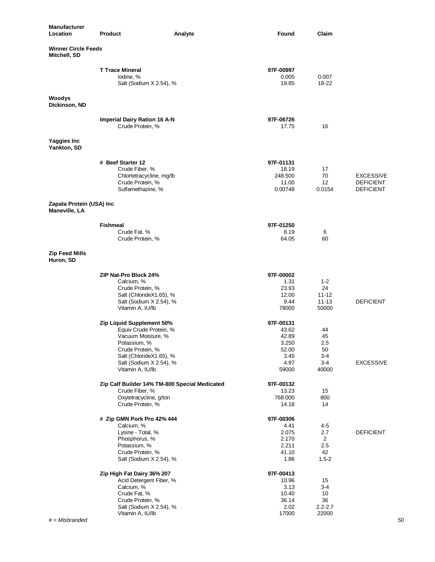| <b>Manufacturer</b><br>Location            | <b>Product</b>                                                                                                                                                                          | Analyte | Found                                                                  | Claim                                                  |                                                          |
|--------------------------------------------|-----------------------------------------------------------------------------------------------------------------------------------------------------------------------------------------|---------|------------------------------------------------------------------------|--------------------------------------------------------|----------------------------------------------------------|
| <b>Winner Circle Feeds</b><br>Mitchell, SD |                                                                                                                                                                                         |         |                                                                        |                                                        |                                                          |
|                                            | <b>T Trace Mineral</b><br>lodine, %<br>Salt (Sodium X 2.54), %                                                                                                                          |         | 97F-00997<br>0.005<br>19.85                                            | 0.007<br>18-22                                         |                                                          |
| Woodys<br>Dickinson, ND                    |                                                                                                                                                                                         |         |                                                                        |                                                        |                                                          |
|                                            | <b>Imperial Dairy Ration 16 A-N</b><br>Crude Protein, %                                                                                                                                 |         | 97F-06726<br>17.75                                                     | 16                                                     |                                                          |
| Yaggies Inc<br>Yankton, SD                 |                                                                                                                                                                                         |         |                                                                        |                                                        |                                                          |
|                                            | # Beef Starter 12<br>Crude Fiber, %<br>Chlortetracycline, mg/lb<br>Crude Protein, %<br>Sulfamethazine, %                                                                                |         | 97F-01131<br>18.19<br>248.500<br>11.00<br>0.00748                      | 17<br>70<br>12<br>0.0154                               | <b>EXCESSIVE</b><br><b>DEFICIENT</b><br><b>DEFICIENT</b> |
| Zapata Protein (USA) Inc<br>Maneville, LA  |                                                                                                                                                                                         |         |                                                                        |                                                        |                                                          |
|                                            | <b>Fishmeal</b><br>Crude Fat, %<br>Crude Protein, %                                                                                                                                     |         | 97F-01250<br>8.19<br>64.05                                             | 6<br>60                                                |                                                          |
| <b>Zip Feed Mills</b><br>Huron, SD         |                                                                                                                                                                                         |         |                                                                        |                                                        |                                                          |
|                                            | ZIP Nat-Pro Block 24%<br>Calcium, %<br>Crude Protein, %<br>Salt (ChlorideX1.65), %<br>Salt (Sodium X 2.54), %<br>Vitamin A, IU/lb                                                       |         | 97F-00002<br>1.31<br>23.93<br>12.00<br>9.44<br>78000                   | $1 - 2$<br>24<br>$11 - 12$<br>$11 - 13$<br>50000       | <b>DEFICIENT</b>                                         |
|                                            | Zip Liquid Supplement 50%<br>Equiv Crude Protein, %<br>Vacuum Moisture, %<br>Potassium, %<br>Crude Protein, %<br>Salt (ChlorideX1.65), %<br>Salt (Sodium X 2.54), %<br>Vitamin A, IU/lb |         | 97F-00131<br>43.62<br>42.89<br>3.250<br>52.00<br>3.45<br>4.97<br>59000 | 44<br>45<br>2.5<br>50<br>$3-4$<br>$3 - 4$<br>40000     | <b>EXCESSIVE</b>                                         |
|                                            | Zip Calf Builder 14% TM-800 Special Medicated<br>Crude Fiber, %<br>Oxytetracycline, g/ton<br>Crude Protein, %                                                                           |         | 97F-00132<br>13.23<br>768.000<br>14.18                                 | 15<br>800<br>14                                        |                                                          |
|                                            | # Zip GMN Pork Pro 42% 444<br>Calcium, %<br>Lysine - Total, %<br>Phosphorus, %<br>Potassium, %<br>Crude Protein, %<br>Salt (Sodium X 2.54), %                                           |         | 97F-00306<br>4.41<br>2.075<br>2.170<br>2.211<br>41.10<br>1.86          | 4-5<br>2.7<br>$\overline{2}$<br>2.5<br>42<br>$1.5 - 2$ | <b>DEFICIENT</b>                                         |
| $#$ = Misbranded                           | Zip High Fat Dairy 36% 207<br>Acid Detergent Fiber, %<br>Calcium, %<br>Crude Fat, %<br>Crude Protein, %<br>Salt (Sodium X 2.54), %<br>Vitamin A, IU/lb                                  |         | 97F-00413<br>10.96<br>3.13<br>10.40<br>36.14<br>2.02<br>17000          | 15<br>3-4<br>10<br>36<br>$2.2 - 2.7$<br>22000          | 50                                                       |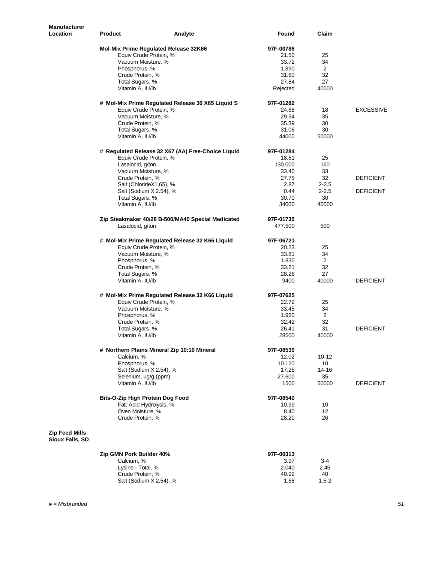| <b>Manufacturer</b><br>Location          | <b>Product</b>                                                        | Analyte                                            | Found     | Claim     |                  |
|------------------------------------------|-----------------------------------------------------------------------|----------------------------------------------------|-----------|-----------|------------------|
|                                          |                                                                       | Mol-Mix Prime Regulated Release 32K66              | 97F-00786 |           |                  |
|                                          |                                                                       | Equiv Crude Protein, %                             | 21.50     | 25        |                  |
|                                          | Vacuum Moisture, %                                                    |                                                    | 33.72     | 34        |                  |
|                                          | Phosphorus, %                                                         |                                                    | 1.890     | 2         |                  |
|                                          | Crude Protein, %                                                      |                                                    | 31.60     | 32        |                  |
|                                          | Total Sugars, %                                                       |                                                    | 27.84     | 27        |                  |
|                                          | Vitamin A, IU/lb<br># Mol-Mix Prime Regulated Release 30 X65 Liquid S |                                                    | Rejected  | 40000     |                  |
|                                          |                                                                       |                                                    | 97F-01282 |           |                  |
|                                          |                                                                       | Equiv Crude Protein, %                             | 24.68     | 18        | <b>EXCESSIVE</b> |
|                                          | Vacuum Moisture, %                                                    |                                                    | 29.54     | 35        |                  |
|                                          | Crude Protein, %                                                      |                                                    | 35.39     | 30        |                  |
|                                          | Total Sugars, %                                                       |                                                    | 31.06     | 30        |                  |
|                                          | Vitamin A, IU/lb                                                      |                                                    | 44000     | 50000     |                  |
|                                          |                                                                       | # Regulated Release 32 X67 (AA) Free-Choice Liquid | 97F-01284 |           |                  |
|                                          |                                                                       | Equiv Crude Protein, %                             | 18.81     | 25        |                  |
|                                          | Lasalocid, g/ton                                                      |                                                    | 130.000   | 160       |                  |
|                                          |                                                                       |                                                    |           |           |                  |
|                                          | Vacuum Moisture, %                                                    |                                                    | 33.40     | 33        |                  |
|                                          | Crude Protein, %                                                      |                                                    | 27.75     | 32        | <b>DEFICIENT</b> |
|                                          |                                                                       | Salt (ChlorideX1.65), %                            | 2.87      | $2 - 2.5$ |                  |
|                                          |                                                                       | Salt (Sodium X 2.54), %                            | 0.44      | $2 - 2.5$ | <b>DEFICIENT</b> |
|                                          | Total Sugars, %                                                       |                                                    | 30.70     | 30        |                  |
|                                          | Vitamin A, IU/lb                                                      |                                                    | 34000     | 40000     |                  |
|                                          |                                                                       | Zip Steakmaker 40/28 B-500/MA40 Special Medicated  | 97F-01735 |           |                  |
|                                          | Lasalocid, g/ton                                                      |                                                    | 477.500   | 500       |                  |
|                                          |                                                                       | # Mol-Mix Prime Regulated Release 32 K66 Liquid    | 97F-06721 |           |                  |
|                                          |                                                                       | Equiv Crude Protein, %                             | 20.23     | 25        |                  |
|                                          | Vacuum Moisture, %                                                    |                                                    | 33.81     | 34        |                  |
|                                          | Phosphorus, %                                                         |                                                    | 1.830     | 2         |                  |
|                                          | Crude Protein, %                                                      |                                                    | 33.21     | 32        |                  |
|                                          | Total Sugars, %                                                       |                                                    | 28.26     | 27        |                  |
|                                          | Vitamin A, IU/lb                                                      |                                                    | 9400      | 40000     | <b>DEFICIENT</b> |
|                                          |                                                                       | # Mol-Mix Prime Regulated Release 32 K66 Liquid    | 97F-07625 |           |                  |
|                                          |                                                                       | Equiv Crude Protein, %                             | 22.72     | 25        |                  |
|                                          | Vacuum Moisture, %                                                    |                                                    | 33.45     | 34        |                  |
|                                          | Phosphorus, %                                                         |                                                    | 1.920     | 2         |                  |
|                                          |                                                                       |                                                    | 32.42     | 32        |                  |
|                                          | Crude Protein, %<br>Total Sugars, %                                   |                                                    | 26.41     | 31        | <b>DEFICIENT</b> |
|                                          | Vitamin A, IU/lb                                                      |                                                    | 28500     | 40000     |                  |
|                                          |                                                                       |                                                    |           |           |                  |
|                                          |                                                                       | # Northern Plains Mineral Zip 10:10 Mineral        | 97F-08539 |           |                  |
|                                          | Calcium, %                                                            |                                                    | 12.02     | $10 - 12$ |                  |
|                                          | Phosphorus, %                                                         |                                                    | 10.120    | 10        |                  |
|                                          |                                                                       | Salt (Sodium X 2.54), %                            | 17.25     | 14-16     |                  |
|                                          |                                                                       | Selenium, ug/g (ppm)                               | 27.600    | 35        |                  |
|                                          | Vitamin A, IU/lb                                                      |                                                    | 1500      | 50000     | <b>DEFICIENT</b> |
|                                          |                                                                       | <b>Bits-O-Zip High Protein Dog Food</b>            | 97F-08540 |           |                  |
|                                          |                                                                       | Fat: Acid Hydrolysis, %                            | 10.99     | 10        |                  |
|                                          | Oven Moisture, %                                                      |                                                    | 8.40      | 12        |                  |
|                                          | Crude Protein, %                                                      |                                                    | 28.20     | 26        |                  |
|                                          |                                                                       |                                                    |           |           |                  |
| <b>Zip Feed Mills</b><br>Sioux Falls, SD |                                                                       |                                                    |           |           |                  |
|                                          | Zip GMN Pork Builder 40%                                              |                                                    | 97F-00313 |           |                  |
|                                          | Calcium, %                                                            |                                                    | 3.97      | $3 - 4$   |                  |
|                                          | Lysine - Total, %                                                     |                                                    | 2.040     | 2.45      |                  |
|                                          | Crude Protein, %                                                      |                                                    | 40.92     | 40        |                  |
|                                          |                                                                       | Salt (Sodium X 2.54), %                            | 1.68      | $1.5 - 2$ |                  |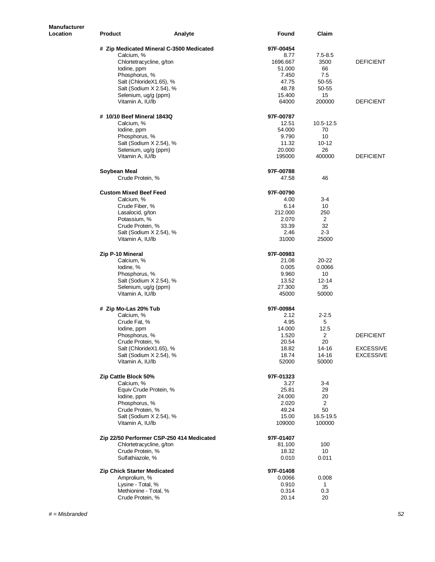| <b>Manufacturer</b><br>Location | <b>Product</b>                | Analyte                                   | Found          | Claim           |                  |
|---------------------------------|-------------------------------|-------------------------------------------|----------------|-----------------|------------------|
|                                 |                               | # Zip Medicated Mineral C-3500 Medicated  | 97F-00454      |                 |                  |
|                                 | Calcium, %                    |                                           | 8.77           | $7.5 - 8.5$     |                  |
|                                 |                               | Chlortetracycline, g/ton                  | 1696.667       | 3500            | <b>DEFICIENT</b> |
|                                 | lodine, ppm                   |                                           | 51.000         | 66              |                  |
|                                 | Phosphorus, %                 |                                           | 7.450          | 7.5             |                  |
|                                 |                               | Salt (ChlorideX1.65), %                   | 47.75          | 50-55           |                  |
|                                 |                               | Salt (Sodium X 2.54), %                   | 48.78          | 50-55           |                  |
|                                 | Selenium, ug/g (ppm)          |                                           | 15.400         | 15              |                  |
|                                 | Vitamin A, IU/lb              |                                           | 64000          | 200000          | <b>DEFICIENT</b> |
|                                 | # 10/10 Beef Mineral 1843Q    |                                           | 97F-00787      |                 |                  |
|                                 | Calcium, %                    |                                           | 12.51          | 10.5-12.5       |                  |
|                                 | lodine, ppm                   |                                           | 54.000         | 70              |                  |
|                                 | Phosphorus, %                 |                                           | 9.790<br>11.32 | 10<br>$10 - 12$ |                  |
|                                 | Selenium, ug/g (ppm)          | Salt (Sodium X 2.54), %                   | 20.000         | 26              |                  |
|                                 | Vitamin A, IU/lb              |                                           | 195000         | 400000          | <b>DEFICIENT</b> |
|                                 | Soybean Meal                  |                                           | 97F-00788      |                 |                  |
|                                 | Crude Protein, %              |                                           | 47.58          | 46              |                  |
|                                 | <b>Custom Mixed Beef Feed</b> |                                           | 97F-00790      |                 |                  |
|                                 | Calcium, %                    |                                           | 4.00           | 3-4             |                  |
|                                 | Crude Fiber, %                |                                           | 6.14           | 10              |                  |
|                                 | Lasalocid, g/ton              |                                           | 212.000        | 250             |                  |
|                                 | Potassium, %                  |                                           | 2.070          | 2               |                  |
|                                 | Crude Protein, %              |                                           | 33.39          | 32              |                  |
|                                 |                               | Salt (Sodium X 2.54), %                   | 2.46           | $2 - 3$         |                  |
|                                 | Vitamin A, IU/lb              |                                           | 31000          | 25000           |                  |
|                                 | Zip P-10 Mineral              |                                           | 97F-00983      |                 |                  |
|                                 | Calcium, %                    |                                           | 21.08          | 20-22           |                  |
|                                 | lodine, %                     |                                           | 0.005          | 0.0066          |                  |
|                                 | Phosphorus, %                 |                                           | 9.960          | 10              |                  |
|                                 |                               | Salt (Sodium X 2.54), %                   | 13.52          | $12 - 14$       |                  |
|                                 | Selenium, ug/g (ppm)          |                                           | 27.300         | 35              |                  |
|                                 | Vitamin A, IU/lb              |                                           | 45000          | 50000           |                  |
|                                 | # Zip Mo-Las 20% Tub          |                                           | 97F-00984      |                 |                  |
|                                 | Calcium, %                    |                                           | 2.12           | $2 - 2.5$       |                  |
|                                 | Crude Fat, %                  |                                           | 4.95           | 5               |                  |
|                                 | lodine, ppm                   |                                           | 14.000         | 12.5            |                  |
|                                 | Phosphorus, %                 |                                           | 1.520          | 2               | <b>DEFICIENT</b> |
|                                 | Crude Protein, %              | Salt (ChlorideX1.65), %                   | 20.54<br>18.82 | 20<br>14-16     | <b>EXCESSIVE</b> |
|                                 |                               | Salt (Sodium X 2.54), %                   | 18.74          | 14-16           | <b>EXCESSIVE</b> |
|                                 | Vitamin A, IU/lb              |                                           | 52000          | 50000           |                  |
|                                 | Zip Cattle Block 50%          |                                           | 97F-01323      |                 |                  |
|                                 | Calcium, %                    |                                           | 3.27           | 3-4             |                  |
|                                 |                               | Equiv Crude Protein, %                    | 25.81          | 29              |                  |
|                                 | lodine, ppm                   |                                           | 24.000         | 20              |                  |
|                                 | Phosphorus, %                 |                                           | 2.020          | 2               |                  |
|                                 | Crude Protein, %              |                                           | 49.24          | 50              |                  |
|                                 |                               | Salt (Sodium X 2.54), %                   | 15.00          | 16.5-19.5       |                  |
|                                 | Vitamin A, IU/lb              |                                           | 109000         | 100000          |                  |
|                                 |                               | Zip 22/50 Performer CSP-250 414 Medicated | 97F-01407      |                 |                  |
|                                 |                               | Chlortetracycline, g/ton                  | 81.100         | 100             |                  |
|                                 | Crude Protein, %              |                                           | 18.32          | 10              |                  |
|                                 | Sulfathiazole, %              |                                           | 0.010          | 0.011           |                  |
|                                 | Zip Chick Starter Medicated   |                                           | 97F-01408      |                 |                  |
|                                 | Amprolium, %                  |                                           | 0.0066         | 0.008           |                  |
|                                 | Lysine - Total, %             |                                           | 0.910          | 1               |                  |
|                                 | Methionine - Total, %         |                                           | 0.314          | 0.3             |                  |
|                                 | Crude Protein, %              |                                           | 20.14          | 20              |                  |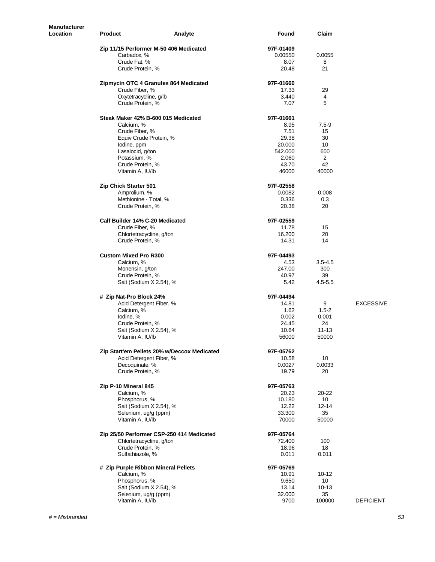| Manufacturer<br>Location | <b>Product</b><br>Analyte                   | Found          | Claim       |                  |
|--------------------------|---------------------------------------------|----------------|-------------|------------------|
|                          | Zip 11/15 Performer M-50 406 Medicated      | 97F-01409      |             |                  |
|                          | Carbadox, %                                 | 0.00550        | 0.0055      |                  |
|                          | Crude Fat, %                                | 8.07           | 8           |                  |
|                          | Crude Protein, %                            | 20.48          | 21          |                  |
|                          | Zipmycin OTC 4 Granules 864 Medicated       | 97F-01660      |             |                  |
|                          | Crude Fiber, %                              | 17.33          | 29          |                  |
|                          | Oxytetracycline, g/lb                       | 3.440          | 4           |                  |
|                          | Crude Protein, %                            | 7.07           | 5           |                  |
|                          | Steak Maker 42% B-600 015 Medicated         | 97F-01661      |             |                  |
|                          | Calcium, %                                  | 8.95           | $7.5 - 9$   |                  |
|                          | Crude Fiber, %                              | 7.51           | 15          |                  |
|                          | Equiv Crude Protein, %                      | 29.38          | 30          |                  |
|                          | lodine, ppm                                 | 20.000         | 10          |                  |
|                          | Lasalocid, g/ton                            | 542.000        | 600         |                  |
|                          | Potassium, %                                | 2.060          | 2           |                  |
|                          | Crude Protein, %                            | 43.70          | 42          |                  |
|                          | Vitamin A, IU/lb                            | 46000          | 40000       |                  |
|                          | Zip Chick Starter 501                       | 97F-02558      |             |                  |
|                          | Amprolium, %                                | 0.0082         | 0.008       |                  |
|                          | Methionine - Total, %                       | 0.336          | 0.3         |                  |
|                          | Crude Protein, %                            | 20.38          | 20          |                  |
|                          |                                             |                |             |                  |
|                          | Calf Builder 14% C-20 Medicated             | 97F-02559      |             |                  |
|                          | Crude Fiber, %                              | 11.78          | 15          |                  |
|                          | Chlortetracycline, g/ton                    | 16.200         | 20          |                  |
|                          | Crude Protein, %                            | 14.31          | 14          |                  |
|                          | <b>Custom Mixed Pro R300</b>                | 97F-04493      |             |                  |
|                          | Calcium, %                                  | 4.53           | $3.5 - 4.5$ |                  |
|                          | Monensin, g/ton                             | 247.00         | 300         |                  |
|                          | Crude Protein, %                            | 40.97          | 39          |                  |
|                          | Salt (Sodium X 2.54), %                     | 5.42           | $4.5 - 5.5$ |                  |
|                          | # Zip Nat-Pro Block 24%                     | 97F-04494      |             |                  |
|                          | Acid Detergent Fiber, %                     | 14.81          | 9           | <b>EXCESSIVE</b> |
|                          | Calcium, %                                  | 1.62           | $1.5 - 2$   |                  |
|                          | lodine, %                                   | 0.002          | 0.001       |                  |
|                          |                                             | 24.45          | 24          |                  |
|                          | Crude Protein, %                            | 10.64          | $11 - 13$   |                  |
|                          | Salt (Sodium X 2.54), %                     |                | 50000       |                  |
|                          | Vitamin A, IU/lb                            | 56000          |             |                  |
|                          | Zip Start'em Pellets 20% w/Deccox Medicated | 97F-05762      |             |                  |
|                          | Acid Detergent Fiber, %                     | 10.58          | 10          |                  |
|                          | Decoquinate, %                              | 0.0027         | 0.0033      |                  |
|                          | Crude Protein, %                            | 19.79          | 20          |                  |
|                          | Zip P-10 Mineral 845                        | 97F-05763      |             |                  |
|                          | Calcium, %                                  | 20.23          | 20-22       |                  |
|                          | Phosphorus, %                               | 10.180         | 10          |                  |
|                          | Salt (Sodium X 2.54), %                     | 12.22          | $12 - 14$   |                  |
|                          | Selenium, ug/g (ppm)                        | 33.300         | 35          |                  |
|                          | Vitamin A, IU/lb                            | 70000          | 50000       |                  |
|                          | Zip 25/50 Performer CSP-250 414 Medicated   | 97F-05764      |             |                  |
|                          | Chlortetracycline, g/ton                    | 72.400         | 100         |                  |
|                          |                                             |                |             |                  |
|                          | Crude Protein, %<br>Sulfathiazole, %        | 18.96<br>0.011 | 18<br>0.011 |                  |
|                          | # Zip Purple Ribbon Mineral Pellets         | 97F-05769      |             |                  |
|                          | Calcium, %                                  | 10.91          | 10-12       |                  |
|                          | Phosphorus, %                               | 9.650          | 10          |                  |
|                          |                                             |                |             |                  |
|                          | Salt (Sodium X 2.54), %                     | 13.14          | $10 - 13$   |                  |
|                          | Selenium, ug/g (ppm)                        | 32.000         | 35          |                  |
|                          | Vitamin A, IU/lb                            | 9700           | 100000      | <b>DEFICIENT</b> |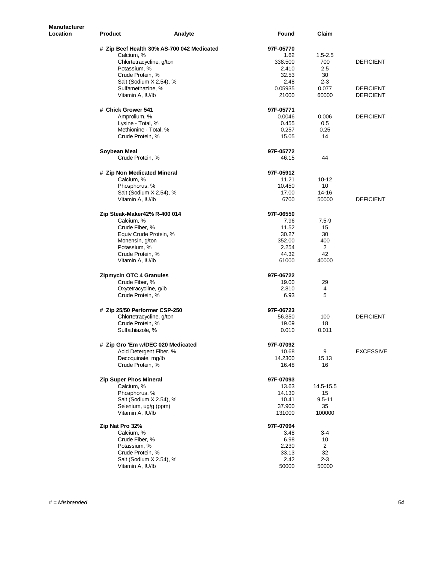| <b>Manufacturer</b><br>Location | <b>Product</b>                             | Analyte | Found     | Claim          |                  |
|---------------------------------|--------------------------------------------|---------|-----------|----------------|------------------|
|                                 | # Zip Beef Health 30% AS-700 042 Medicated |         | 97F-05770 |                |                  |
|                                 | Calcium, %                                 |         | 1.62      | $1.5 - 2.5$    |                  |
|                                 | Chlortetracycline, g/ton                   |         | 338.500   | 700            | <b>DEFICIENT</b> |
|                                 | Potassium, %                               |         | 2.410     | 2.5            |                  |
|                                 | Crude Protein, %                           |         | 32.53     | 30             |                  |
|                                 | Salt (Sodium X 2.54), %                    |         | 2.48      | $2 - 3$        |                  |
|                                 | Sulfamethazine, %                          |         | 0.05935   | 0.077          | <b>DEFICIENT</b> |
|                                 | Vitamin A, IU/lb                           |         | 21000     | 60000          | <b>DEFICIENT</b> |
|                                 | # Chick Grower 541                         |         | 97F-05771 |                |                  |
|                                 | Amprolium, %                               |         | 0.0046    | 0.006          | <b>DEFICIENT</b> |
|                                 | Lysine - Total, %                          |         | 0.455     | 0.5            |                  |
|                                 | Methionine - Total, %                      |         | 0.257     | 0.25           |                  |
|                                 | Crude Protein, %                           |         | 15.05     | 14             |                  |
|                                 | Soybean Meal                               |         | 97F-05772 |                |                  |
|                                 | Crude Protein, %                           |         | 46.15     | 44             |                  |
|                                 | # Zip Non Medicated Mineral                |         | 97F-05912 |                |                  |
|                                 | Calcium, %                                 |         | 11.21     | $10 - 12$      |                  |
|                                 | Phosphorus, %                              |         | 10.450    | 10             |                  |
|                                 | Salt (Sodium X 2.54), %                    |         | 17.00     | $14 - 16$      |                  |
|                                 | Vitamin A, IU/lb                           |         | 6700      | 50000          | <b>DEFICIENT</b> |
|                                 | Zip Steak-Maker42% R-400 014               |         | 97F-06550 |                |                  |
|                                 | Calcium, %                                 |         | 7.96      | $7.5 - 9$      |                  |
|                                 | Crude Fiber, %                             |         | 11.52     | 15             |                  |
|                                 | Equiv Crude Protein, %                     |         | 30.27     | 30             |                  |
|                                 | Monensin, g/ton                            |         | 352.00    | 400            |                  |
|                                 | Potassium, %                               |         | 2.254     | $\overline{2}$ |                  |
|                                 | Crude Protein, %                           |         | 44.32     | 42             |                  |
|                                 | Vitamin A, IU/lb                           |         | 61000     | 40000          |                  |
|                                 | <b>Zipmycin OTC 4 Granules</b>             |         | 97F-06722 |                |                  |
|                                 | Crude Fiber, %                             |         | 19.00     | 29             |                  |
|                                 | Oxytetracycline, g/lb                      |         | 2.810     | 4              |                  |
|                                 | Crude Protein, %                           |         | 6.93      | 5              |                  |
|                                 | # Zip 25/50 Performer CSP-250              |         | 97F-06723 |                |                  |
|                                 | Chlortetracycline, g/ton                   |         | 56.350    | 100            | <b>DEFICIENT</b> |
|                                 | Crude Protein, %                           |         | 19.09     | 18             |                  |
|                                 | Sulfathiazole, %                           |         | 0.010     | 0.011          |                  |
|                                 | # Zip Gro 'Em w/DEC 020 Medicated          |         | 97F-07092 |                |                  |
|                                 | Acid Detergent Fiber, %                    |         | 10.68     | 9              | <b>EXCESSIVE</b> |
|                                 | Decoquinate, mg/lb                         |         | 14.2300   | 15.13          |                  |
|                                 | Crude Protein, %                           |         | 16.48     | 16             |                  |
|                                 | <b>Zip Super Phos Mineral</b>              |         | 97F-07093 |                |                  |
|                                 | Calcium, %                                 |         | 13.63     | 14.5-15.5      |                  |
|                                 | Phosphorus, %                              |         | 14.130    | 15             |                  |
|                                 | Salt (Sodium X 2.54), %                    |         | 10.41     | $9.5 - 11$     |                  |
|                                 | Selenium, ug/g (ppm)                       |         | 37.900    | 35             |                  |
|                                 | Vitamin A, IU/lb                           |         | 131000    | 100000         |                  |
|                                 | Zip Nat Pro 32%                            |         | 97F-07094 |                |                  |
|                                 | Calcium, %                                 |         | 3.48      | $3 - 4$        |                  |
|                                 | Crude Fiber, %                             |         | 6.98      | 10             |                  |
|                                 | Potassium, %                               |         | 2.230     | $\overline{2}$ |                  |
|                                 | Crude Protein, %                           |         | 33.13     | 32             |                  |
|                                 | Salt (Sodium X 2.54), %                    |         | 2.42      | $2 - 3$        |                  |
|                                 | Vitamin A, IU/lb                           |         | 50000     | 50000          |                  |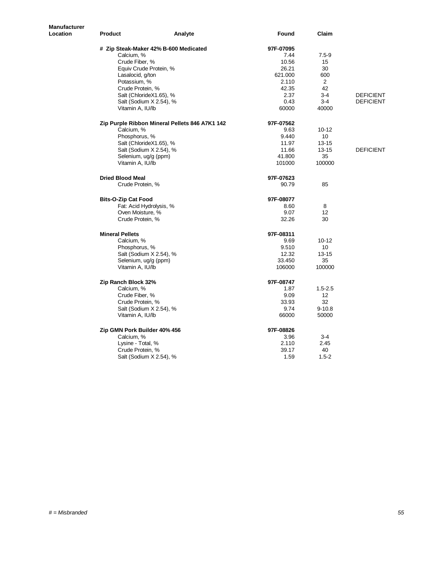| # Zip Steak-Maker 42% B-600 Medicated<br>97F-07095<br>Calcium, %<br>7.44<br>$7.5 - 9$<br>Crude Fiber, %<br>10.56<br>15<br>Equiv Crude Protein, %<br>26.21<br>30<br>600<br>Lasalocid, g/ton<br>621.000<br>$\overline{2}$<br>Potassium, %<br>2.110<br>42<br>Crude Protein, %<br>42.35<br>2.37<br>Salt (ChlorideX1.65), %<br>$3 - 4$<br><b>DEFICIENT</b><br>$3 - 4$<br>Salt (Sodium X 2.54), %<br>0.43<br><b>DEFICIENT</b><br>60000<br>40000<br>Vitamin A, IU/lb<br>Zip Purple Ribbon Mineral Pellets 846 A7K1 142<br>97F-07562<br>Calcium, %<br>9.63<br>10-12<br>Phosphorus, %<br>9.440<br>10<br>Salt (ChlorideX1.65), %<br>11.97<br>$13 - 15$<br>$13 - 15$<br><b>DEFICIENT</b><br>Salt (Sodium X 2.54), %<br>11.66<br>Selenium, ug/g (ppm)<br>41.800<br>35<br>100000<br>Vitamin A, IU/lb<br>101000<br><b>Dried Blood Meal</b><br>97F-07623<br>85<br>Crude Protein, %<br>90.79<br>97F-08077<br><b>Bits-O-Zip Cat Food</b><br>8<br>8.60<br>Fat: Acid Hydrolysis, %<br>Oven Moisture, %<br>9.07<br>12<br>30<br>Crude Protein, %<br>32.26<br><b>Mineral Pellets</b><br>97F-08311<br>Calcium, %<br>$10 - 12$<br>9.69<br>10<br>Phosphorus, %<br>9.510<br>Salt (Sodium X 2.54), %<br>$13 - 15$<br>12.32<br>33.450<br>35<br>Selenium, ug/g (ppm)<br>Vitamin A, IU/lb<br>106000<br>100000<br>Zip Ranch Block 32%<br>97F-08747<br>Calcium, %<br>1.87<br>$1.5 - 2.5$<br>Crude Fiber, %<br>9.09<br>12<br>33.93<br>32<br>Crude Protein, %<br>9.74<br>$9 - 10.8$<br>Salt (Sodium X 2.54), %<br>Vitamin A, IU/lb<br>66000<br>50000<br>97F-08826<br>Zip GMN Pork Builder 40% 456<br>3.96<br>$3 - 4$<br>Calcium, %<br>Lysine - Total, %<br>2.110<br>2.45<br>Crude Protein, %<br>40<br>39.17<br>Salt (Sodium X 2.54), %<br>1.59<br>$1.5 - 2$ | <b>Manufacturer</b><br>Location | <b>Product</b> | Analyte | Found | Claim |  |
|---------------------------------------------------------------------------------------------------------------------------------------------------------------------------------------------------------------------------------------------------------------------------------------------------------------------------------------------------------------------------------------------------------------------------------------------------------------------------------------------------------------------------------------------------------------------------------------------------------------------------------------------------------------------------------------------------------------------------------------------------------------------------------------------------------------------------------------------------------------------------------------------------------------------------------------------------------------------------------------------------------------------------------------------------------------------------------------------------------------------------------------------------------------------------------------------------------------------------------------------------------------------------------------------------------------------------------------------------------------------------------------------------------------------------------------------------------------------------------------------------------------------------------------------------------------------------------------------------------------------------------------------------------------------------------------------------------------------------|---------------------------------|----------------|---------|-------|-------|--|
|                                                                                                                                                                                                                                                                                                                                                                                                                                                                                                                                                                                                                                                                                                                                                                                                                                                                                                                                                                                                                                                                                                                                                                                                                                                                                                                                                                                                                                                                                                                                                                                                                                                                                                                           |                                 |                |         |       |       |  |
|                                                                                                                                                                                                                                                                                                                                                                                                                                                                                                                                                                                                                                                                                                                                                                                                                                                                                                                                                                                                                                                                                                                                                                                                                                                                                                                                                                                                                                                                                                                                                                                                                                                                                                                           |                                 |                |         |       |       |  |
|                                                                                                                                                                                                                                                                                                                                                                                                                                                                                                                                                                                                                                                                                                                                                                                                                                                                                                                                                                                                                                                                                                                                                                                                                                                                                                                                                                                                                                                                                                                                                                                                                                                                                                                           |                                 |                |         |       |       |  |
|                                                                                                                                                                                                                                                                                                                                                                                                                                                                                                                                                                                                                                                                                                                                                                                                                                                                                                                                                                                                                                                                                                                                                                                                                                                                                                                                                                                                                                                                                                                                                                                                                                                                                                                           |                                 |                |         |       |       |  |
|                                                                                                                                                                                                                                                                                                                                                                                                                                                                                                                                                                                                                                                                                                                                                                                                                                                                                                                                                                                                                                                                                                                                                                                                                                                                                                                                                                                                                                                                                                                                                                                                                                                                                                                           |                                 |                |         |       |       |  |
|                                                                                                                                                                                                                                                                                                                                                                                                                                                                                                                                                                                                                                                                                                                                                                                                                                                                                                                                                                                                                                                                                                                                                                                                                                                                                                                                                                                                                                                                                                                                                                                                                                                                                                                           |                                 |                |         |       |       |  |
|                                                                                                                                                                                                                                                                                                                                                                                                                                                                                                                                                                                                                                                                                                                                                                                                                                                                                                                                                                                                                                                                                                                                                                                                                                                                                                                                                                                                                                                                                                                                                                                                                                                                                                                           |                                 |                |         |       |       |  |
|                                                                                                                                                                                                                                                                                                                                                                                                                                                                                                                                                                                                                                                                                                                                                                                                                                                                                                                                                                                                                                                                                                                                                                                                                                                                                                                                                                                                                                                                                                                                                                                                                                                                                                                           |                                 |                |         |       |       |  |
|                                                                                                                                                                                                                                                                                                                                                                                                                                                                                                                                                                                                                                                                                                                                                                                                                                                                                                                                                                                                                                                                                                                                                                                                                                                                                                                                                                                                                                                                                                                                                                                                                                                                                                                           |                                 |                |         |       |       |  |
|                                                                                                                                                                                                                                                                                                                                                                                                                                                                                                                                                                                                                                                                                                                                                                                                                                                                                                                                                                                                                                                                                                                                                                                                                                                                                                                                                                                                                                                                                                                                                                                                                                                                                                                           |                                 |                |         |       |       |  |
|                                                                                                                                                                                                                                                                                                                                                                                                                                                                                                                                                                                                                                                                                                                                                                                                                                                                                                                                                                                                                                                                                                                                                                                                                                                                                                                                                                                                                                                                                                                                                                                                                                                                                                                           |                                 |                |         |       |       |  |
|                                                                                                                                                                                                                                                                                                                                                                                                                                                                                                                                                                                                                                                                                                                                                                                                                                                                                                                                                                                                                                                                                                                                                                                                                                                                                                                                                                                                                                                                                                                                                                                                                                                                                                                           |                                 |                |         |       |       |  |
|                                                                                                                                                                                                                                                                                                                                                                                                                                                                                                                                                                                                                                                                                                                                                                                                                                                                                                                                                                                                                                                                                                                                                                                                                                                                                                                                                                                                                                                                                                                                                                                                                                                                                                                           |                                 |                |         |       |       |  |
|                                                                                                                                                                                                                                                                                                                                                                                                                                                                                                                                                                                                                                                                                                                                                                                                                                                                                                                                                                                                                                                                                                                                                                                                                                                                                                                                                                                                                                                                                                                                                                                                                                                                                                                           |                                 |                |         |       |       |  |
|                                                                                                                                                                                                                                                                                                                                                                                                                                                                                                                                                                                                                                                                                                                                                                                                                                                                                                                                                                                                                                                                                                                                                                                                                                                                                                                                                                                                                                                                                                                                                                                                                                                                                                                           |                                 |                |         |       |       |  |
|                                                                                                                                                                                                                                                                                                                                                                                                                                                                                                                                                                                                                                                                                                                                                                                                                                                                                                                                                                                                                                                                                                                                                                                                                                                                                                                                                                                                                                                                                                                                                                                                                                                                                                                           |                                 |                |         |       |       |  |
|                                                                                                                                                                                                                                                                                                                                                                                                                                                                                                                                                                                                                                                                                                                                                                                                                                                                                                                                                                                                                                                                                                                                                                                                                                                                                                                                                                                                                                                                                                                                                                                                                                                                                                                           |                                 |                |         |       |       |  |
|                                                                                                                                                                                                                                                                                                                                                                                                                                                                                                                                                                                                                                                                                                                                                                                                                                                                                                                                                                                                                                                                                                                                                                                                                                                                                                                                                                                                                                                                                                                                                                                                                                                                                                                           |                                 |                |         |       |       |  |
|                                                                                                                                                                                                                                                                                                                                                                                                                                                                                                                                                                                                                                                                                                                                                                                                                                                                                                                                                                                                                                                                                                                                                                                                                                                                                                                                                                                                                                                                                                                                                                                                                                                                                                                           |                                 |                |         |       |       |  |
|                                                                                                                                                                                                                                                                                                                                                                                                                                                                                                                                                                                                                                                                                                                                                                                                                                                                                                                                                                                                                                                                                                                                                                                                                                                                                                                                                                                                                                                                                                                                                                                                                                                                                                                           |                                 |                |         |       |       |  |
|                                                                                                                                                                                                                                                                                                                                                                                                                                                                                                                                                                                                                                                                                                                                                                                                                                                                                                                                                                                                                                                                                                                                                                                                                                                                                                                                                                                                                                                                                                                                                                                                                                                                                                                           |                                 |                |         |       |       |  |
|                                                                                                                                                                                                                                                                                                                                                                                                                                                                                                                                                                                                                                                                                                                                                                                                                                                                                                                                                                                                                                                                                                                                                                                                                                                                                                                                                                                                                                                                                                                                                                                                                                                                                                                           |                                 |                |         |       |       |  |
|                                                                                                                                                                                                                                                                                                                                                                                                                                                                                                                                                                                                                                                                                                                                                                                                                                                                                                                                                                                                                                                                                                                                                                                                                                                                                                                                                                                                                                                                                                                                                                                                                                                                                                                           |                                 |                |         |       |       |  |
|                                                                                                                                                                                                                                                                                                                                                                                                                                                                                                                                                                                                                                                                                                                                                                                                                                                                                                                                                                                                                                                                                                                                                                                                                                                                                                                                                                                                                                                                                                                                                                                                                                                                                                                           |                                 |                |         |       |       |  |
|                                                                                                                                                                                                                                                                                                                                                                                                                                                                                                                                                                                                                                                                                                                                                                                                                                                                                                                                                                                                                                                                                                                                                                                                                                                                                                                                                                                                                                                                                                                                                                                                                                                                                                                           |                                 |                |         |       |       |  |
|                                                                                                                                                                                                                                                                                                                                                                                                                                                                                                                                                                                                                                                                                                                                                                                                                                                                                                                                                                                                                                                                                                                                                                                                                                                                                                                                                                                                                                                                                                                                                                                                                                                                                                                           |                                 |                |         |       |       |  |
|                                                                                                                                                                                                                                                                                                                                                                                                                                                                                                                                                                                                                                                                                                                                                                                                                                                                                                                                                                                                                                                                                                                                                                                                                                                                                                                                                                                                                                                                                                                                                                                                                                                                                                                           |                                 |                |         |       |       |  |
|                                                                                                                                                                                                                                                                                                                                                                                                                                                                                                                                                                                                                                                                                                                                                                                                                                                                                                                                                                                                                                                                                                                                                                                                                                                                                                                                                                                                                                                                                                                                                                                                                                                                                                                           |                                 |                |         |       |       |  |
|                                                                                                                                                                                                                                                                                                                                                                                                                                                                                                                                                                                                                                                                                                                                                                                                                                                                                                                                                                                                                                                                                                                                                                                                                                                                                                                                                                                                                                                                                                                                                                                                                                                                                                                           |                                 |                |         |       |       |  |
|                                                                                                                                                                                                                                                                                                                                                                                                                                                                                                                                                                                                                                                                                                                                                                                                                                                                                                                                                                                                                                                                                                                                                                                                                                                                                                                                                                                                                                                                                                                                                                                                                                                                                                                           |                                 |                |         |       |       |  |
|                                                                                                                                                                                                                                                                                                                                                                                                                                                                                                                                                                                                                                                                                                                                                                                                                                                                                                                                                                                                                                                                                                                                                                                                                                                                                                                                                                                                                                                                                                                                                                                                                                                                                                                           |                                 |                |         |       |       |  |
|                                                                                                                                                                                                                                                                                                                                                                                                                                                                                                                                                                                                                                                                                                                                                                                                                                                                                                                                                                                                                                                                                                                                                                                                                                                                                                                                                                                                                                                                                                                                                                                                                                                                                                                           |                                 |                |         |       |       |  |
|                                                                                                                                                                                                                                                                                                                                                                                                                                                                                                                                                                                                                                                                                                                                                                                                                                                                                                                                                                                                                                                                                                                                                                                                                                                                                                                                                                                                                                                                                                                                                                                                                                                                                                                           |                                 |                |         |       |       |  |
|                                                                                                                                                                                                                                                                                                                                                                                                                                                                                                                                                                                                                                                                                                                                                                                                                                                                                                                                                                                                                                                                                                                                                                                                                                                                                                                                                                                                                                                                                                                                                                                                                                                                                                                           |                                 |                |         |       |       |  |
|                                                                                                                                                                                                                                                                                                                                                                                                                                                                                                                                                                                                                                                                                                                                                                                                                                                                                                                                                                                                                                                                                                                                                                                                                                                                                                                                                                                                                                                                                                                                                                                                                                                                                                                           |                                 |                |         |       |       |  |
|                                                                                                                                                                                                                                                                                                                                                                                                                                                                                                                                                                                                                                                                                                                                                                                                                                                                                                                                                                                                                                                                                                                                                                                                                                                                                                                                                                                                                                                                                                                                                                                                                                                                                                                           |                                 |                |         |       |       |  |
|                                                                                                                                                                                                                                                                                                                                                                                                                                                                                                                                                                                                                                                                                                                                                                                                                                                                                                                                                                                                                                                                                                                                                                                                                                                                                                                                                                                                                                                                                                                                                                                                                                                                                                                           |                                 |                |         |       |       |  |
|                                                                                                                                                                                                                                                                                                                                                                                                                                                                                                                                                                                                                                                                                                                                                                                                                                                                                                                                                                                                                                                                                                                                                                                                                                                                                                                                                                                                                                                                                                                                                                                                                                                                                                                           |                                 |                |         |       |       |  |
|                                                                                                                                                                                                                                                                                                                                                                                                                                                                                                                                                                                                                                                                                                                                                                                                                                                                                                                                                                                                                                                                                                                                                                                                                                                                                                                                                                                                                                                                                                                                                                                                                                                                                                                           |                                 |                |         |       |       |  |
|                                                                                                                                                                                                                                                                                                                                                                                                                                                                                                                                                                                                                                                                                                                                                                                                                                                                                                                                                                                                                                                                                                                                                                                                                                                                                                                                                                                                                                                                                                                                                                                                                                                                                                                           |                                 |                |         |       |       |  |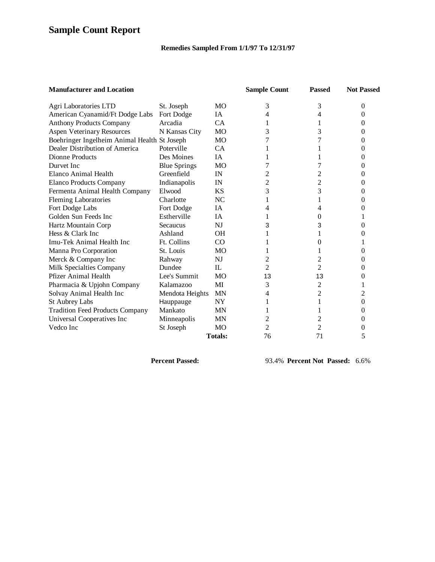## **Sample Count Report**

## **Remedies Sampled From 1/1/97 To 12/31/97**

| <b>Manufacturer and Location</b>             |                     |                | <b>Sample Count</b> | <b>Passed</b>  | <b>Not Passed</b> |
|----------------------------------------------|---------------------|----------------|---------------------|----------------|-------------------|
| Agri Laboratories LTD                        | St. Joseph          | <b>MO</b>      | 3                   | 3              | $\Omega$          |
| American Cyanamid/Ft Dodge Labs              | Fort Dodge          | IA             | 4                   | 4              | 0                 |
| <b>Anthony Products Company</b>              | Arcadia             | CA             |                     | 1              | 0                 |
| <b>Aspen Veterinary Resources</b>            | N Kansas City       | MO             | 3                   | 3              | 0                 |
| Boehringer Ingelheim Animal Health St Joseph |                     | <b>MO</b>      |                     | 7              | 0                 |
| Dealer Distribution of America               | Poterville          | CA             |                     |                | 0                 |
| Dionne Products                              | Des Moines          | <b>IA</b>      |                     |                | 0                 |
| Durvet Inc.                                  | <b>Blue Springs</b> | <b>MO</b>      |                     | 7              | 0                 |
| Elanco Animal Health                         | Greenfield          | IN             | 2                   | 2              | 0                 |
| <b>Elanco Products Company</b>               | Indianapolis        | IN             | 2                   | $\overline{c}$ | 0                 |
| Fermenta Animal Health Company               | Elwood              | <b>KS</b>      | 3                   | 3              | 0                 |
| <b>Fleming Laboratories</b>                  | Charlotte           | NC             |                     | 1              | 0                 |
| Fort Dodge Labs                              | Fort Dodge          | IA             | 4                   | 4              | 0                 |
| Golden Sun Feeds Inc                         | Estherville         | <b>IA</b>      |                     | $^{(1)}$       |                   |
| Hartz Mountain Corp                          | Secaucus            | NJ             | 3                   | 3              | 0                 |
| Hess & Clark Inc                             | Ashland             | <b>OH</b>      |                     | 1              | 0                 |
| Imu-Tek Animal Health Inc                    | Ft. Collins         | CO             |                     | 0              |                   |
| Manna Pro Corporation                        | St. Louis           | MO             |                     | 1              | 0                 |
| Merck & Company Inc                          | Rahway              | NJ             | 2                   | 2              | 0                 |
| Milk Specialties Company                     | Dundee              | IL             | 2                   | 2              | 0                 |
| <b>Pfizer Animal Health</b>                  | Lee's Summit        | MO             | 13                  | 13             | 0                 |
| Pharmacia & Upjohn Company                   | Kalamazoo           | MI             | 3                   | 2              |                   |
| Solvay Animal Health Inc                     | Mendota Heights     | <b>MN</b>      | 4                   | $\overline{c}$ | 2                 |
| <b>St Aubrey Labs</b>                        | Hauppauge           | NY.            |                     | 1              | 0                 |
| <b>Tradition Feed Products Company</b>       | Mankato             | MN             |                     | 1              | 0                 |
| Universal Cooperatives Inc                   | Minneapolis         | MN             | 2                   | 2              | 0                 |
| Vedco Inc                                    | St Joseph           | M <sub>O</sub> | 2                   | $\overline{c}$ | 0                 |
|                                              |                     | <b>Totals:</b> | 76                  | 71             | 5                 |

**Percent Passed:** 93.4% **Percent Not Passed:** 6.6%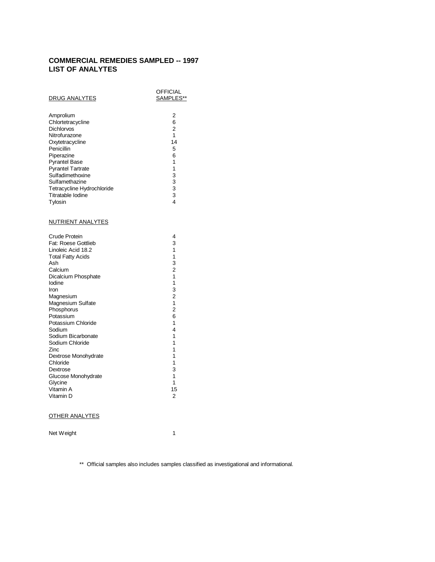### **COMMERCIAL REMEDIES SAMPLED -- 1997 LIST OF ANALYTES**

| <b>DRUG ANALYTES</b>       | <b>OFFICIAL</b><br>SAMPLES** |
|----------------------------|------------------------------|
| Amprolium                  | 2                            |
| Chlortetracycline          | 6                            |
| <b>Dichlorvos</b>          | 2                            |
| Nitrofurazone              | 1                            |
| Oxytetracycline            | 14                           |
| Penicillin                 | 5                            |
| Piperazine                 | 6                            |
| <b>Pyrantel Base</b>       | 1                            |
| <b>Pyrantel Tartrate</b>   | 1                            |
| Sulfadimethoxine           | 3                            |
| Sulfamethazine             | 3                            |
| Tetracycline Hydrochloride | 3                            |
| Titratable Iodine          | 3                            |
| Tylosin                    | 4                            |
| <b>NUTRIENT ANALYTES</b>   |                              |
| Crude Protein              | 4                            |
| <b>Fat: Roese Gottlieb</b> | 3                            |
| Linoleic Acid 18.2         | 1                            |
| <b>Total Fatty Acids</b>   | 1                            |
| Ash                        | 3                            |
| Calcium                    | $\overline{2}$               |
| Dicalcium Phosphate        | 1                            |
| lodine                     | 1                            |
| Iron                       | 3                            |
| Magnesium                  | $\overline{2}$               |
| Magnesium Sulfate          | 1                            |
| Phosphorus                 | 2                            |
| Potassium                  | 6                            |
| Potassium Chloride         | 1                            |
| Sodium                     | 4                            |
| Sodium Bicarbonate         | 1                            |
| Sodium Chloride            | 1                            |
| Zinc                       | 1                            |
| Dextrose Monohydrate       | 1                            |
| Chloride                   | 1                            |
| Dextrose                   | 3                            |
| Glucose Monohydrate        | 1                            |
| Glycine                    | 1                            |
| Vitamin A                  | 15                           |
| Vitamin D                  | 2                            |

### OTHER ANALYTES

Net Weight 1

\*\* Official samples also includes samples classified as investigational and informational.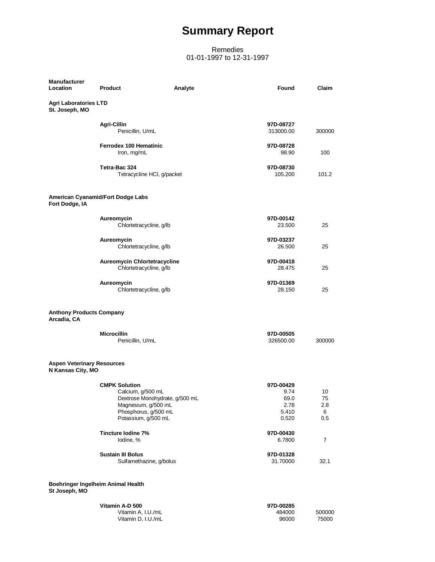# **Summary Report**

#### Remedies 01-01-1997 to 12-31-1997

| <b>Manufacturer</b><br><b>Location</b>                 | Product                                                        | Analyte | Found                  | Claim    |
|--------------------------------------------------------|----------------------------------------------------------------|---------|------------------------|----------|
| <b>Agri Laboratories LTD</b><br>St. Joseph, MO         |                                                                |         |                        |          |
|                                                        | <b>Agri-Cillin</b><br>Penicillin, U/mL                         |         | 97D-08727<br>313000.00 | 300000   |
|                                                        | Ferrodex 100 Hematinic<br>Iron, mg/mL                          |         | 97D-08728<br>98.90     | 100      |
|                                                        | Tetra-Bac 324<br>Tetracycline HCl, g/packet                    |         | 97D-08730<br>105.200   | 101.2    |
| Fort Dodge, IA                                         | American Cyanamid/Fort Dodge Labs                              |         |                        |          |
|                                                        |                                                                |         |                        |          |
|                                                        | Aureomycin<br>Chlortetracycline, g/lb                          |         | 97D-00142<br>23.500    | 25       |
|                                                        | Aureomycin<br>Chlortetracycline, g/lb                          |         | 97D-03237<br>26.500    | 25       |
|                                                        |                                                                |         |                        |          |
|                                                        | <b>Aureomycin Chlortetracycline</b><br>Chlortetracycline, g/lb |         | 97D-00418<br>28.475    | 25       |
|                                                        | Aureomycin<br>Chlortetracycline, g/lb                          |         | 97D-01369<br>28.150    | 25       |
| <b>Anthony Products Company</b><br>Arcadia, CA         |                                                                |         |                        |          |
|                                                        | <b>Microcillin</b><br>Penicillin, U/mL                         |         | 97D-00505<br>326500.00 | 300000   |
| <b>Aspen Veterinary Resources</b><br>N Kansas City, MO |                                                                |         |                        |          |
|                                                        | <b>CMPK Solution</b>                                           |         | 97D-00429              |          |
|                                                        | Calcium, g/500 mL                                              |         | 9.74                   | 10       |
|                                                        | Dextrose Monohydrate, g/500 mL                                 |         | 69.0                   | 75       |
|                                                        | Magnesium, g/500 mL                                            |         | 2.78                   | 2.8      |
|                                                        | Phosphorus, g/500 mL<br>Potassium, g/500 mL                    |         | 5.410<br>0.520         | 6<br>0.5 |
|                                                        |                                                                |         |                        |          |
|                                                        | <b>Tincture lodine 7%</b><br>lodine, %                         |         | 97D-00430<br>6.7800    | 7        |
|                                                        | <b>Sustain III Bolus</b>                                       |         | 97D-01328              |          |
|                                                        | Sulfamethazine, g/bolus                                        |         | 31.70000               | 32.1     |
| Boehringer Ingelheim Animal Health<br>St Joseph, MO    |                                                                |         |                        |          |

**Vitamin A-D 500 97D-00285** Vitamin A, I.U./mL<br>
Vitamin D, I.U./mL<br>
96000 75000 75000 Vitamin D, I.U./mL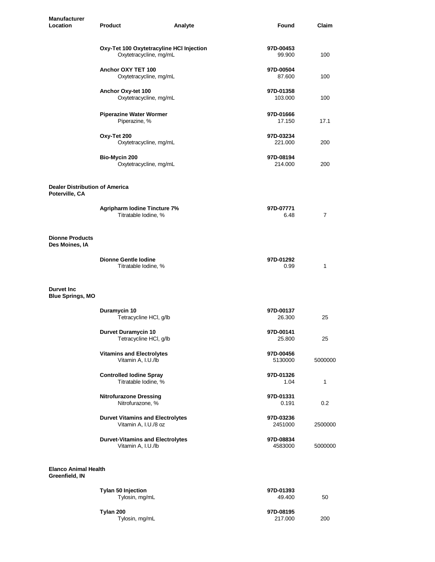| <b>Manufacturer</b><br><b>Location</b>                  | <b>Product</b>                                                     | Analyte | Found                | Claim          |
|---------------------------------------------------------|--------------------------------------------------------------------|---------|----------------------|----------------|
|                                                         | Oxy-Tet 100 Oxytetracyline HCI Injection<br>Oxytetracycline, mg/mL |         | 97D-00453<br>99.900  | 100            |
|                                                         | Anchor OXY TET 100<br>Oxytetracycline, mg/mL                       |         | 97D-00504<br>87.600  | 100            |
|                                                         | Anchor Oxy-tet 100<br>Oxytetracycline, mg/mL                       |         | 97D-01358<br>103.000 | 100            |
|                                                         | <b>Piperazine Water Wormer</b><br>Piperazine, %                    |         | 97D-01666<br>17.150  | 17.1           |
|                                                         | Oxy-Tet 200<br>Oxytetracycline, mg/mL                              |         | 97D-03234<br>221.000 | 200            |
|                                                         | Bio-Mycin 200<br>Oxytetracycline, mg/mL                            |         | 97D-08194<br>214.000 | 200            |
| <b>Dealer Distribution of America</b><br>Poterville, CA |                                                                    |         |                      |                |
|                                                         | <b>Agripharm Iodine Tincture 7%</b><br>Titratable Iodine, %        |         | 97D-07771<br>6.48    | $\overline{7}$ |
| <b>Dionne Products</b><br>Des Moines, IA                |                                                                    |         |                      |                |
|                                                         | <b>Dionne Gentle Iodine</b><br>Titratable Iodine, %                |         | 97D-01292<br>0.99    | 1              |
| <b>Durvet Inc.</b><br><b>Blue Springs, MO</b>           |                                                                    |         |                      |                |
|                                                         | Duramycin 10<br>Tetracycline HCI, g/lb                             |         | 97D-00137<br>26.300  | 25             |
|                                                         | Durvet Duramycin 10<br>Tetracycline HCI, g/lb                      |         | 97D-00141<br>25.800  | 25             |
|                                                         | <b>Vitamins and Electrolytes</b><br>Vitamin A, I.U./lb             |         | 97D-00456<br>5130000 | 5000000        |
|                                                         | <b>Controlled lodine Spray</b><br>Titratable Iodine, %             |         | 97D-01326<br>1.04    | 1              |
|                                                         | <b>Nitrofurazone Dressing</b><br>Nitrofurazone, %                  |         | 97D-01331<br>0.191   | 0.2            |
|                                                         | <b>Durvet Vitamins and Electrolytes</b><br>Vitamin A, I.U./8 oz    |         | 97D-03236<br>2451000 | 2500000        |
|                                                         | <b>Durvet-Vitamins and Electrolytes</b><br>Vitamin A, I.U./lb      |         | 97D-08834<br>4583000 | 5000000        |
| <b>Elanco Animal Health</b><br>Greenfield, IN           |                                                                    |         |                      |                |
|                                                         | Tylan 50 Injection<br>Tylosin, mg/mL                               |         | 97D-01393<br>49.400  | 50             |
|                                                         | Tylan 200<br>Tylosin, mg/mL                                        |         | 97D-08195<br>217.000 | 200            |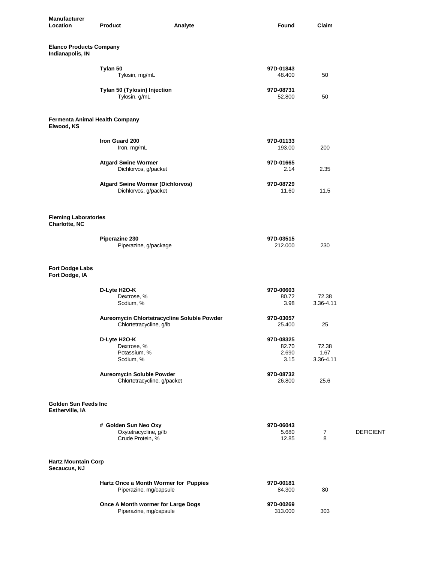| <b>Manufacturer</b><br>Location                     | <b>Product</b>                                                         | Analyte | Found                               | Claim                      |                  |
|-----------------------------------------------------|------------------------------------------------------------------------|---------|-------------------------------------|----------------------------|------------------|
| <b>Elanco Products Company</b><br>Indianapolis, IN  |                                                                        |         |                                     |                            |                  |
|                                                     | Tylan 50<br>Tylosin, mg/mL                                             |         | 97D-01843<br>48.400                 | 50                         |                  |
|                                                     | Tylan 50 (Tylosin) Injection<br>Tylosin, g/mL                          |         | 97D-08731<br>52.800                 | 50                         |                  |
| <b>Fermenta Animal Health Company</b><br>Elwood, KS |                                                                        |         |                                     |                            |                  |
|                                                     | Iron Guard 200<br>Iron, mg/mL                                          |         | 97D-01133<br>193.00                 | 200                        |                  |
|                                                     | <b>Atgard Swine Wormer</b><br>Dichlorvos, g/packet                     |         | 97D-01665<br>2.14                   | 2.35                       |                  |
|                                                     | <b>Atgard Swine Wormer (Dichlorvos)</b><br>Dichlorvos, g/packet        |         | 97D-08729<br>11.60                  | 11.5                       |                  |
| <b>Fleming Laboratories</b><br>Charlotte, NC        |                                                                        |         |                                     |                            |                  |
|                                                     | Piperazine 230<br>Piperazine, g/package                                |         | 97D-03515<br>212.000                | 230                        |                  |
| <b>Fort Dodge Labs</b><br>Fort Dodge, IA            |                                                                        |         |                                     |                            |                  |
|                                                     | D-Lyte H2O-K<br>Dextrose, %<br>Sodium, %                               |         | 97D-00603<br>80.72<br>3.98          | 72.38<br>3.36-4.11         |                  |
|                                                     | Aureomycin Chlortetracycline Soluble Powder<br>Chlortetracycline, g/lb |         | 97D-03057<br>25.400                 | 25                         |                  |
|                                                     | D-Lyte H2O-K<br>Dextrose, %<br>Potassium, %<br>Sodium, %               |         | 97D-08325<br>82.70<br>2.690<br>3.15 | 72.38<br>1.67<br>3.36-4.11 |                  |
|                                                     | Aureomycin Soluble Powder<br>Chlortetracycline, g/packet               |         | 97D-08732<br>26,800                 | 25.6                       |                  |
| Golden Sun Feeds Inc<br>Estherville, IA             |                                                                        |         |                                     |                            |                  |
|                                                     | # Golden Sun Neo Oxy<br>Oxytetracycline, g/lb<br>Crude Protein, %      |         | 97D-06043<br>5.680<br>12.85         | $\overline{7}$<br>8        | <b>DEFICIENT</b> |
| <b>Hartz Mountain Corp</b><br>Secaucus, NJ          |                                                                        |         |                                     |                            |                  |
|                                                     | Hartz Once a Month Wormer for Puppies<br>Piperazine, mg/capsule        |         | 97D-00181<br>84.300                 | 80                         |                  |
|                                                     | Once A Month wormer for Large Dogs<br>Piperazine, mg/capsule           |         | 97D-00269<br>313.000                | 303                        |                  |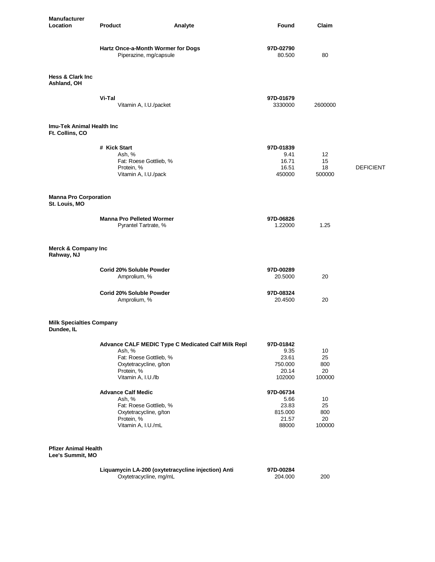| <b>Manufacturer</b><br><b>Location</b>          | Product                                                      | Analyte              | Found           | Claim                        |
|-------------------------------------------------|--------------------------------------------------------------|----------------------|-----------------|------------------------------|
|                                                 | Hartz Once-a-Month Wormer for Dogs<br>Piperazine, mg/capsule | 97D-02790            | 80.500          | 80                           |
| <b>Hess &amp; Clark Inc.</b><br>Ashland, OH     |                                                              |                      |                 |                              |
|                                                 | Vi-Tal<br>Vitamin A, I.U./packet                             | 97D-01679<br>3330000 |                 | 2600000                      |
| Imu-Tek Animal Health Inc<br>Ft. Collins, CO    |                                                              |                      |                 |                              |
|                                                 | # Kick Start                                                 | 97D-01839            |                 |                              |
|                                                 | Ash, %                                                       |                      | 9.41            | 12                           |
|                                                 | Fat: Roese Gottlieb, %<br>Protein, %                         |                      | 16.71<br>16.51  | 15<br>18<br><b>DEFICIENT</b> |
|                                                 | Vitamin A, I.U./pack                                         |                      | 450000          | 500000                       |
| <b>Manna Pro Corporation</b><br>St. Louis, MO   |                                                              |                      |                 |                              |
|                                                 | <b>Manna Pro Pelleted Wormer</b><br>Pyrantel Tartrate, %     | 97D-06826            | 1.22000         | 1.25                         |
| <b>Merck &amp; Company Inc</b><br>Rahway, NJ    |                                                              |                      |                 |                              |
|                                                 | Corid 20% Soluble Powder<br>Amprolium, %                     | 97D-00289<br>20.5000 |                 | 20                           |
|                                                 | Corid 20% Soluble Powder<br>Amprolium, %                     | 97D-08324            | 20.4500         | 20                           |
| <b>Milk Specialties Company</b><br>Dundee, IL   |                                                              |                      |                 |                              |
|                                                 |                                                              |                      |                 |                              |
|                                                 | Advance CALF MEDIC Type C Medicated Calf Milk Repl<br>Ash, % | 97D-01842            | 9.35            | 10                           |
|                                                 | Fat: Roese Gottlieb, %                                       |                      | 23.61           | 25                           |
|                                                 | Oxytetracycline, g/ton                                       | 750.000              |                 | 800                          |
|                                                 | Protein, %<br>Vitamin A, I.U./lb                             |                      | 20.14<br>102000 | 20<br>100000                 |
|                                                 | <b>Advance Calf Medic</b>                                    | 97D-06734            |                 |                              |
|                                                 | Ash, %                                                       |                      | 5.66            | 10                           |
|                                                 | Fat: Roese Gottlieb, %<br>Oxytetracycline, g/ton             | 815.000              | 23.83           | 25<br>800                    |
|                                                 | Protein, %                                                   |                      | 21.57           | 20                           |
|                                                 | Vitamin A, I.U./mL                                           |                      | 88000           | 100000                       |
| <b>Pfizer Animal Health</b><br>Lee's Summit, MO |                                                              |                      |                 |                              |
|                                                 | Liquamycin LA-200 (oxytetracycline injection) Anti           | 97D-00284            |                 |                              |
|                                                 | Oxytetracycline, mg/mL                                       | 204.000              |                 | 200                          |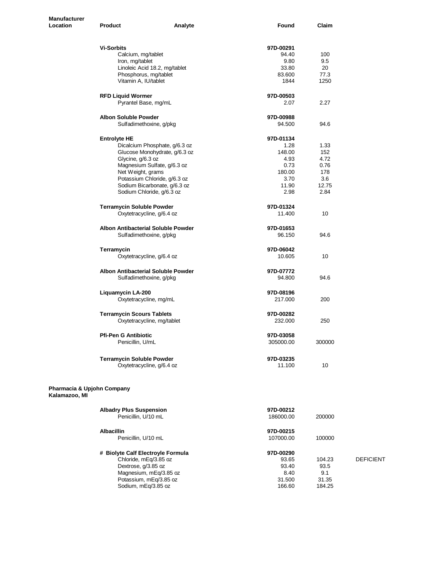| <b>Manufacturer</b><br>Location | Product                               | Analyte | Found              | Claim      |                  |
|---------------------------------|---------------------------------------|---------|--------------------|------------|------------------|
|                                 | <b>Vi-Sorbits</b>                     |         | 97D-00291<br>94.40 |            |                  |
|                                 | Calcium, mg/tablet<br>Iron, mg/tablet |         | 9.80               | 100<br>9.5 |                  |
|                                 | Linoleic Acid 18.2, mg/tablet         |         | 33.80              | 20         |                  |
|                                 | Phosphorus, mg/tablet                 |         | 83.600             | 77.3       |                  |
|                                 | Vitamin A, IU/tablet                  |         | 1844               | 1250       |                  |
|                                 | <b>RFD Liquid Wormer</b>              |         | 97D-00503          |            |                  |
|                                 | Pyrantel Base, mg/mL                  |         | 2.07               | 2.27       |                  |
|                                 | <b>Albon Soluble Powder</b>           |         | 97D-00988          |            |                  |
|                                 | Sulfadimethoxine, g/pkg               |         | 94.500             | 94.6       |                  |
|                                 | <b>Entrolyte HE</b>                   |         | 97D-01134          |            |                  |
|                                 | Dicalcium Phosphate, g/6.3 oz         |         | 1.28               | 1.33       |                  |
|                                 | Glucose Monohydrate, g/6.3 oz         |         | 148.00             | 152        |                  |
|                                 | Glycine, g/6.3 oz                     |         | 4.93               | 4.72       |                  |
|                                 | Magnesium Sulfate, g/6.3 oz           |         | 0.73               | 0.76       |                  |
|                                 | Net Weight, grams                     |         | 180.00             | 178        |                  |
|                                 | Potassium Chloride, g/6.3 oz          |         | 3.70               | 3.6        |                  |
|                                 | Sodium Bicarbonate, g/6.3 oz          |         | 11.90              | 12.75      |                  |
|                                 | Sodium Chloride, g/6.3 oz             |         | 2.98               | 2.84       |                  |
|                                 | <b>Terramycin Soluble Powder</b>      |         | 97D-01324          |            |                  |
|                                 | Oxytetracycline, g/6.4 oz             |         | 11.400             | 10         |                  |
|                                 | Albon Antibacterial Soluble Powder    |         | 97D-01653          |            |                  |
|                                 | Sulfadimethoxine, g/pkg               |         | 96.150             | 94.6       |                  |
|                                 | Terramycin                            |         | 97D-06042          |            |                  |
|                                 | Oxytetracycline, g/6.4 oz             |         | 10.605             | 10         |                  |
|                                 | Albon Antibacterial Soluble Powder    |         | 97D-07772          |            |                  |
|                                 | Sulfadimethoxine, g/pkg               |         | 94.800             | 94.6       |                  |
|                                 | Liquamycin LA-200                     |         | 97D-08196          |            |                  |
|                                 | Oxytetracycline, mg/mL                |         | 217.000            | 200        |                  |
|                                 | <b>Terramycin Scours Tablets</b>      |         | 97D-00282          |            |                  |
|                                 | Oxytetracycline, mg/tablet            |         | 232.000            | 250        |                  |
|                                 | <b>Pfi-Pen G Antibiotic</b>           |         | 97D-03058          |            |                  |
|                                 | Penicillin, U/mL                      |         | 305000.00          | 300000     |                  |
|                                 | <b>Terramycin Soluble Powder</b>      |         | 97D-03235          |            |                  |
|                                 | Oxytetracycline, g/6.4 oz             |         | 11.100             | 10         |                  |
| Pharmacia & Upjohn Company      |                                       |         |                    |            |                  |
| Kalamazoo, MI                   |                                       |         |                    |            |                  |
|                                 | <b>Albadry Plus Suspension</b>        |         | 97D-00212          |            |                  |
|                                 | Penicillin, U/10 mL                   |         | 186000.00          | 200000     |                  |
|                                 | <b>Albacillin</b>                     |         | 97D-00215          |            |                  |
|                                 | Penicillin, U/10 mL                   |         | 107000.00          | 100000     |                  |
|                                 | # Biolyte Calf Electroyle Formula     |         | 97D-00290          |            |                  |
|                                 | Chloride, mEq/3.85 oz                 |         | 93.65              | 104.23     | <b>DEFICIENT</b> |
|                                 | Dextrose, g/3.85 oz                   |         | 93.40              | 93.5       |                  |
|                                 | Magnesium, mEq/3.85 oz                |         | 8.40               | 9.1        |                  |
|                                 | Potassium, mEq/3.85 oz                |         | 31.500             | 31.35      |                  |
|                                 | Sodium, mEq/3.85 oz                   |         | 166.60             | 184.25     |                  |
|                                 |                                       |         |                    |            |                  |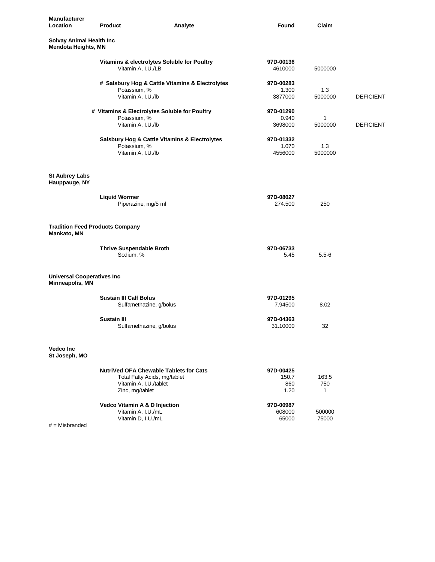| Manufacturer<br>Location                               | <b>Product</b>                                                                       | Analyte                                                                       | Found                             | Claim             |                  |
|--------------------------------------------------------|--------------------------------------------------------------------------------------|-------------------------------------------------------------------------------|-----------------------------------|-------------------|------------------|
| Solvay Animal Health Inc<br><b>Mendota Heights, MN</b> |                                                                                      |                                                                               |                                   |                   |                  |
|                                                        | Vitamin A, I.U./LB                                                                   | Vitamins & electrolytes Soluble for Poultry                                   | 97D-00136<br>4610000              | 5000000           |                  |
|                                                        | Potassium, %<br>Vitamin A, I.U./lb                                                   | # Salsbury Hog & Cattle Vitamins & Electrolytes                               | 97D-00283<br>1.300<br>3877000     | 1.3<br>5000000    | <b>DEFICIENT</b> |
|                                                        | Potassium, %                                                                         | # Vitamins & Electrolytes Soluble for Poultry                                 | 97D-01290<br>0.940                | 1                 |                  |
|                                                        | Vitamin A, I.U./lb                                                                   |                                                                               | 3698000                           | 5000000           | <b>DEFICIENT</b> |
|                                                        | Potassium, %<br>Vitamin A, I.U./lb                                                   | Salsbury Hog & Cattle Vitamins & Electrolytes                                 | 97D-01332<br>1.070<br>4556000     | 1.3<br>5000000    |                  |
| <b>St Aubrey Labs</b><br>Hauppauge, NY                 |                                                                                      |                                                                               |                                   |                   |                  |
|                                                        | <b>Liquid Wormer</b><br>Piperazine, mg/5 ml                                          |                                                                               | 97D-08027<br>274.500              | 250               |                  |
| Mankato, MN                                            | <b>Tradition Feed Products Company</b>                                               |                                                                               |                                   |                   |                  |
|                                                        | <b>Thrive Suspendable Broth</b><br>Sodium, %                                         |                                                                               | 97D-06733<br>5.45                 | $5.5 - 6$         |                  |
| <b>Universal Cooperatives Inc</b><br>Minneapolis, MN   |                                                                                      |                                                                               |                                   |                   |                  |
|                                                        | <b>Sustain III Calf Bolus</b>                                                        | Sulfamethazine, g/bolus                                                       | 97D-01295<br>7.94500              | 8.02              |                  |
|                                                        | Sustain III                                                                          | Sulfamethazine, g/bolus                                                       | 97D-04363<br>31.10000             | 32                |                  |
| <b>Vedco Inc</b><br>St Joseph, MO                      |                                                                                      |                                                                               |                                   |                   |                  |
|                                                        | Vitamin A, I.U./tablet<br>Zinc, mg/tablet                                            | <b>NutriVed OFA Chewable Tablets for Cats</b><br>Total Fatty Acids, mg/tablet | 97D-00425<br>150.7<br>860<br>1.20 | 163.5<br>750<br>1 |                  |
|                                                        | <b>Vedco Vitamin A &amp; D Injection</b><br>Vitamin A, I.U./mL<br>Vitamin D, I.U./mL |                                                                               | 97D-00987<br>608000<br>65000      | 500000<br>75000   |                  |
| $#$ = Misbranded                                       |                                                                                      |                                                                               |                                   |                   |                  |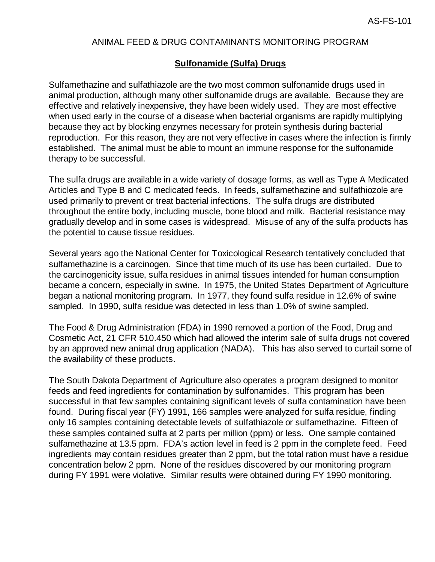## ANIMAL FEED & DRUG CONTAMINANTS MONITORING PROGRAM

## **Sulfonamide (Sulfa) Drugs**

Sulfamethazine and sulfathiazole are the two most common sulfonamide drugs used in animal production, although many other sulfonamide drugs are available. Because they are effective and relatively inexpensive, they have been widely used. They are most effective when used early in the course of a disease when bacterial organisms are rapidly multiplying because they act by blocking enzymes necessary for protein synthesis during bacterial reproduction. For this reason, they are not very effective in cases where the infection is firmly established. The animal must be able to mount an immune response for the sulfonamide therapy to be successful.

The sulfa drugs are available in a wide variety of dosage forms, as well as Type A Medicated Articles and Type B and C medicated feeds. In feeds, sulfamethazine and sulfathiozole are used primarily to prevent or treat bacterial infections. The sulfa drugs are distributed throughout the entire body, including muscle, bone blood and milk. Bacterial resistance may gradually develop and in some cases is widespread. Misuse of any of the sulfa products has the potential to cause tissue residues.

Several years ago the National Center for Toxicological Research tentatively concluded that sulfamethazine is a carcinogen. Since that time much of its use has been curtailed. Due to the carcinogenicity issue, sulfa residues in animal tissues intended for human consumption became a concern, especially in swine. In 1975, the United States Department of Agriculture began a national monitoring program. In 1977, they found sulfa residue in 12.6% of swine sampled. In 1990, sulfa residue was detected in less than 1.0% of swine sampled.

The Food & Drug Administration (FDA) in 1990 removed a portion of the Food, Drug and Cosmetic Act, 21 CFR 510.450 which had allowed the interim sale of sulfa drugs not covered by an approved new animal drug application (NADA). This has also served to curtail some of the availability of these products.

The South Dakota Department of Agriculture also operates a program designed to monitor feeds and feed ingredients for contamination by sulfonamides. This program has been successful in that few samples containing significant levels of sulfa contamination have been found. During fiscal year (FY) 1991, 166 samples were analyzed for sulfa residue, finding only 16 samples containing detectable levels of sulfathiazole or sulfamethazine. Fifteen of these samples contained sulfa at 2 parts per million (ppm) or less. One sample contained sulfamethazine at 13.5 ppm. FDA's action level in feed is 2 ppm in the complete feed. Feed ingredients may contain residues greater than 2 ppm, but the total ration must have a residue concentration below 2 ppm. None of the residues discovered by our monitoring program during FY 1991 were violative. Similar results were obtained during FY 1990 monitoring.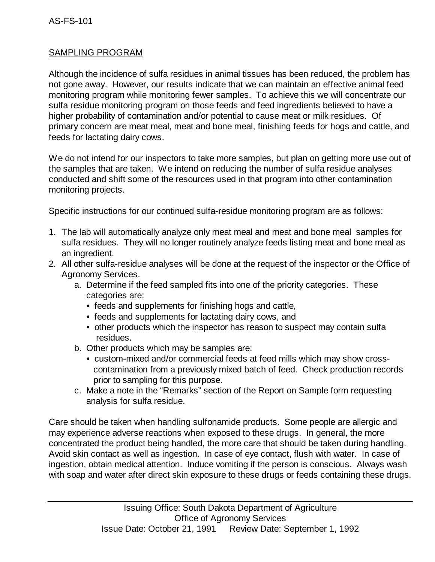# SAMPLING PROGRAM

Although the incidence of sulfa residues in animal tissues has been reduced, the problem has not gone away. However, our results indicate that we can maintain an effective animal feed monitoring program while monitoring fewer samples. To achieve this we will concentrate our sulfa residue monitoring program on those feeds and feed ingredients believed to have a higher probability of contamination and/or potential to cause meat or milk residues. Of primary concern are meat meal, meat and bone meal, finishing feeds for hogs and cattle, and feeds for lactating dairy cows.

We do not intend for our inspectors to take more samples, but plan on getting more use out of the samples that are taken. We intend on reducing the number of sulfa residue analyses conducted and shift some of the resources used in that program into other contamination monitoring projects.

Specific instructions for our continued sulfa-residue monitoring program are as follows:

- 1. The lab will automatically analyze only meat meal and meat and bone meal samples for sulfa residues. They will no longer routinely analyze feeds listing meat and bone meal as an ingredient.
- 2. All other sulfa-residue analyses will be done at the request of the inspector or the Office of Agronomy Services.
	- a. Determine if the feed sampled fits into one of the priority categories. These categories are:
		- feeds and supplements for finishing hogs and cattle,
		- feeds and supplements for lactating dairy cows, and
		- other products which the inspector has reason to suspect may contain sulfa residues.
	- b. Other products which may be samples are:
		- custom-mixed and/or commercial feeds at feed mills which may show cross contamination from a previously mixed batch of feed. Check production records prior to sampling for this purpose.
	- c. Make a note in the "Remarks" section of the Report on Sample form requesting analysis for sulfa residue.

Care should be taken when handling sulfonamide products. Some people are allergic and may experience adverse reactions when exposed to these drugs. In general, the more concentrated the product being handled, the more care that should be taken during handling. Avoid skin contact as well as ingestion. In case of eye contact, flush with water. In case of ingestion, obtain medical attention. Induce vomiting if the person is conscious. Always wash with soap and water after direct skin exposure to these drugs or feeds containing these drugs.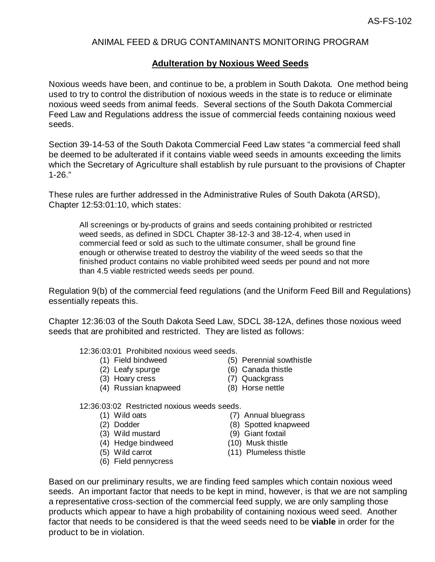# ANIMAL FEED & DRUG CONTAMINANTS MONITORING PROGRAM

# **Adulteration by Noxious Weed Seeds**

Noxious weeds have been, and continue to be, a problem in South Dakota. One method being used to try to control the distribution of noxious weeds in the state is to reduce or eliminate noxious weed seeds from animal feeds. Several sections of the South Dakota Commercial Feed Law and Regulations address the issue of commercial feeds containing noxious weed seeds.

Section 39-14-53 of the South Dakota Commercial Feed Law states "a commercial feed shall be deemed to be adulterated if it contains viable weed seeds in amounts exceeding the limits which the Secretary of Agriculture shall establish by rule pursuant to the provisions of Chapter 1-26."

These rules are further addressed in the Administrative Rules of South Dakota (ARSD), Chapter 12:53:01:10, which states:

All screenings or by-products of grains and seeds containing prohibited or restricted weed seeds, as defined in SDCL Chapter 38-12-3 and 38-12-4, when used in commercial feed or sold as such to the ultimate consumer, shall be ground fine enough or otherwise treated to destroy the viability of the weed seeds so that the finished product contains no viable prohibited weed seeds per pound and not more than 4.5 viable restricted weeds seeds per pound.

Regulation 9(b) of the commercial feed regulations (and the Uniform Feed Bill and Regulations) essentially repeats this.

Chapter 12:36:03 of the South Dakota Seed Law, SDCL 38-12A, defines those noxious weed seeds that are prohibited and restricted. They are listed as follows:

12:36:03:01 Prohibited noxious weed seeds.

- (1) Field bindweed (5) Perennial sowthistle
- (2) Leafy spurge (6) Canada thistle
- (3) Hoary cress (7) Quackgrass
- (4) Russian knapweed (8) Horse nettle
- 
- 
- 

12:36:03:02 Restricted noxious weeds seeds.

- 
- 
- $(3)$  Wild mustard
- (4) Hedge bindweed (10) Musk thistle
- 
- (6) Field pennycress
- (1) Wild oats (7) Annual bluegrass
	-
- (2) Dodder (8) Spotted knapweed<br>
(3) Wild mustard (9) Giant foxtail
	-
- (5) Wild carrot (11) Plumeless thistle

Based on our preliminary results, we are finding feed samples which contain noxious weed seeds. An important factor that needs to be kept in mind, however, is that we are not sampling a representative cross-section of the commercial feed supply, we are only sampling those products which appear to have a high probability of containing noxious weed seed. Another factor that needs to be considered is that the weed seeds need to be **viable** in order for the product to be in violation.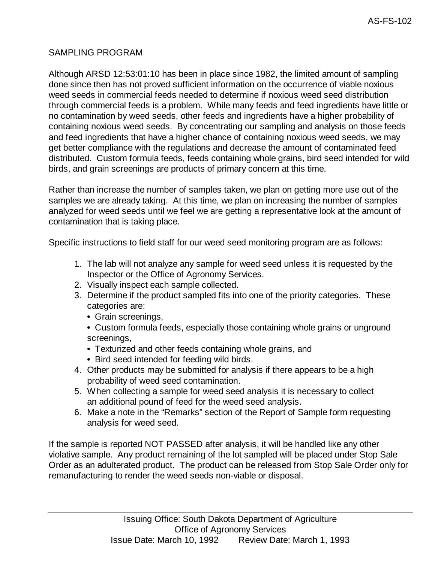# SAMPLING PROGRAM

Although ARSD 12:53:01:10 has been in place since 1982, the limited amount of sampling done since then has not proved sufficient information on the occurrence of viable noxious weed seeds in commercial feeds needed to determine if noxious weed seed distribution through commercial feeds is a problem. While many feeds and feed ingredients have little or no contamination by weed seeds, other feeds and ingredients have a higher probability of containing noxious weed seeds. By concentrating our sampling and analysis on those feeds and feed ingredients that have a higher chance of containing noxious weed seeds, we may get better compliance with the regulations and decrease the amount of contaminated feed distributed. Custom formula feeds, feeds containing whole grains, bird seed intended for wild birds, and grain screenings are products of primary concern at this time.

Rather than increase the number of samples taken, we plan on getting more use out of the samples we are already taking. At this time, we plan on increasing the number of samples analyzed for weed seeds until we feel we are getting a representative look at the amount of contamination that is taking place.

Specific instructions to field staff for our weed seed monitoring program are as follows:

- 1. The lab will not analyze any sample for weed seed unless it is requested by the Inspector or the Office of Agronomy Services.
- 2. Visually inspect each sample collected.
- 3. Determine if the product sampled fits into one of the priority categories. These categories are:
	- **•** Grain screenings,
	- Custom formula feeds, especially those containing whole grains or unground screenings,
	- Texturized and other feeds containing whole grains, and
	- **•** Bird seed intended for feeding wild birds.
- 4. Other products may be submitted for analysis if there appears to be a high probability of weed seed contamination.
- 5. When collecting a sample for weed seed analysis it is necessary to collect an additional pound of feed for the weed seed analysis.
- 6. Make a note in the "Remarks" section of the Report of Sample form requesting analysis for weed seed.

If the sample is reported NOT PASSED after analysis, it will be handled like any other violative sample. Any product remaining of the lot sampled will be placed under Stop Sale Order as an adulterated product. The product can be released from Stop Sale Order only for remanufacturing to render the weed seeds non-viable or disposal.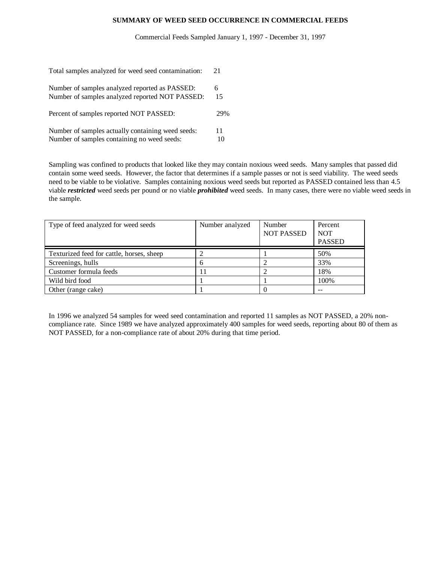#### **SUMMARY OF WEED SEED OCCURRENCE IN COMMERCIAL FEEDS**

#### Commercial Feeds Sampled January 1, 1997 - December 31, 1997

| Total samples analyzed for weed seed contamination: | 21  |
|-----------------------------------------------------|-----|
| Number of samples analyzed reported as PASSED:      | 6.  |
| Number of samples analyzed reported NOT PASSED:     | 15  |
| Percent of samples reported NOT PASSED:             | 29% |
| Number of samples actually containing weed seeds:   | 11  |
| Number of samples containing no weed seeds:         | 10  |

Sampling was confined to products that looked like they may contain noxious weed seeds. Many samples that passed did contain some weed seeds. However, the factor that determines if a sample passes or not is seed viability. The weed seeds need to be viable to be violative. Samples containing noxious weed seeds but reported as PASSED contained less than 4.5 viable *restricted* weed seeds per pound or no viable *prohibited* weed seeds. In many cases, there were no viable weed seeds in the sample.

| Type of feed analyzed for weed seeds      | Number analyzed | Number<br><b>NOT PASSED</b> | Percent<br><b>NOT</b><br><b>PASSED</b> |
|-------------------------------------------|-----------------|-----------------------------|----------------------------------------|
| Texturized feed for cattle, horses, sheep |                 |                             | 50%                                    |
| Screenings, hulls                         | h               |                             | 33%                                    |
| Customer formula feeds                    |                 |                             | 18%                                    |
| Wild bird food                            |                 |                             | 100%                                   |
| Other (range cake)                        |                 |                             | --                                     |

In 1996 we analyzed 54 samples for weed seed contamination and reported 11 samples as NOT PASSED, a 20% noncompliance rate. Since 1989 we have analyzed approximately 400 samples for weed seeds, reporting about 80 of them as NOT PASSED, for a non-compliance rate of about 20% during that time period.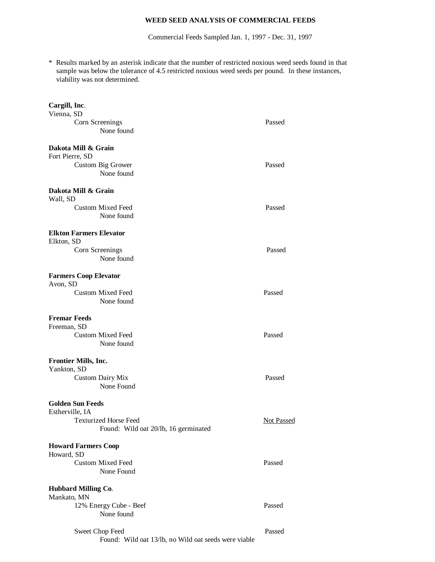#### **WEED SEED ANALYSIS OF COMMERCIAL FEEDS**

Commercial Feeds Sampled Jan. 1, 1997 - Dec. 31, 1997

\* Results marked by an asterisk indicate that the number of restricted noxious weed seeds found in that sample was below the tolerance of 4.5 restricted noxious weed seeds per pound. In these instances, viability was not determined.

| Cargill, Inc.<br>Vienna, SD<br>Corn Screenings<br>None found |                                                      | Passed            |
|--------------------------------------------------------------|------------------------------------------------------|-------------------|
|                                                              |                                                      |                   |
| Dakota Mill & Grain<br>Fort Pierre, SD                       |                                                      |                   |
| Custom Big Grower                                            |                                                      | Passed            |
| None found                                                   |                                                      |                   |
| Dakota Mill & Grain                                          |                                                      |                   |
| Wall, SD                                                     |                                                      |                   |
| <b>Custom Mixed Feed</b><br>None found                       |                                                      | Passed            |
| <b>Elkton Farmers Elevator</b>                               |                                                      |                   |
| Elkton, SD<br>Corn Screenings                                |                                                      | Passed            |
| None found                                                   |                                                      |                   |
| <b>Farmers Coop Elevator</b>                                 |                                                      |                   |
| Avon, SD<br><b>Custom Mixed Feed</b>                         |                                                      | Passed            |
| None found                                                   |                                                      |                   |
| <b>Fremar Feeds</b>                                          |                                                      |                   |
| Freeman, SD<br><b>Custom Mixed Feed</b>                      |                                                      | Passed            |
| None found                                                   |                                                      |                   |
| Frontier Mills, Inc.                                         |                                                      |                   |
| Yankton, SD                                                  |                                                      |                   |
| <b>Custom Dairy Mix</b><br>None Found                        |                                                      | Passed            |
| <b>Golden Sun Feeds</b>                                      |                                                      |                   |
| Estherville, IA<br>Texturized Horse Feed                     |                                                      | <b>Not Passed</b> |
|                                                              | Found: Wild oat 20/lb, 16 germinated                 |                   |
| <b>Howard Farmers Coop</b>                                   |                                                      |                   |
| Howard, SD<br><b>Custom Mixed Feed</b>                       |                                                      | Passed            |
| None Found                                                   |                                                      |                   |
| <b>Hubbard Milling Co.</b>                                   |                                                      |                   |
| Mankato, MN<br>12% Energy Cube - Beef                        |                                                      | Passed            |
| None found                                                   |                                                      |                   |
| Sweet Chop Feed                                              |                                                      | Passed            |
|                                                              | Found: Wild oat 13/lb, no Wild oat seeds were viable |                   |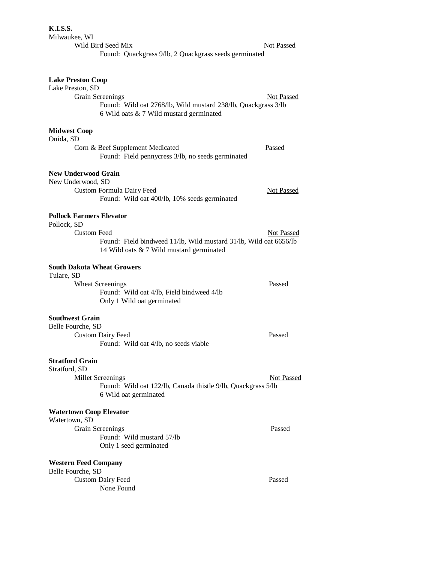| <b>K.I.S.S.</b><br>Milwaukee, WI                                     | Wild Bird Seed Mix                                                                                                           | <b>Not Passed</b> |
|----------------------------------------------------------------------|------------------------------------------------------------------------------------------------------------------------------|-------------------|
|                                                                      | Found: Quackgrass 9/lb, 2 Quackgrass seeds germinated                                                                        |                   |
| <b>Lake Preston Coop</b><br>Lake Preston, SD                         | Grain Screenings<br>Found: Wild oat 2768/lb, Wild mustard 238/lb, Quackgrass 3/lb<br>6 Wild oats & 7 Wild mustard germinated | <b>Not Passed</b> |
| <b>Midwest Coop</b><br>Onida, SD                                     |                                                                                                                              |                   |
|                                                                      | Corn & Beef Supplement Medicated<br>Found: Field pennycress 3/lb, no seeds germinated                                        | Passed            |
| <b>New Underwood Grain</b><br>New Underwood, SD                      |                                                                                                                              |                   |
|                                                                      | Custom Formula Dairy Feed<br>Found: Wild oat 400/lb, 10% seeds germinated                                                    | <b>Not Passed</b> |
| <b>Pollock Farmers Elevator</b><br>Pollock, SD<br><b>Custom Feed</b> | Found: Field bindweed 11/lb, Wild mustard 31/lb, Wild oat 6656/lb<br>14 Wild oats & 7 Wild mustard germinated                | <b>Not Passed</b> |
| <b>South Dakota Wheat Growers</b><br>Tulare, SD                      | <b>Wheat Screenings</b><br>Found: Wild oat 4/lb, Field bindweed 4/lb<br>Only 1 Wild oat germinated                           | Passed            |
| <b>Southwest Grain</b><br>Belle Fourche, SD                          | <b>Custom Dairy Feed</b><br>Found: Wild oat 4/lb, no seeds viable                                                            | Passed            |
| <b>Stratford Grain</b><br>Stratford, SD                              | Millet Screenings<br>Found: Wild oat 122/lb, Canada thistle 9/lb, Quackgrass 5/lb<br>6 Wild oat germinated                   | <b>Not Passed</b> |
| <b>Watertown Coop Elevator</b><br>Watertown, SD                      | Grain Screenings<br>Found: Wild mustard 57/lb<br>Only 1 seed germinated                                                      | Passed            |
| <b>Western Feed Company</b><br>Belle Fourche, SD                     | <b>Custom Dairy Feed</b><br>None Found                                                                                       | Passed            |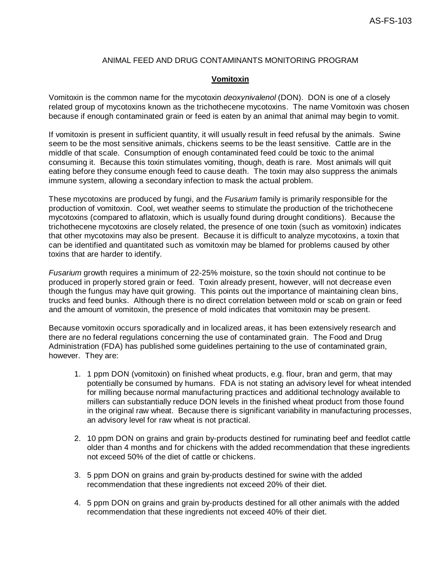#### ANIMAL FEED AND DRUG CONTAMINANTS MONITORING PROGRAM

#### **Vomitoxin**

Vomitoxin is the common name for the mycotoxin *deoxynivalenol* (DON). DON is one of a closely related group of mycotoxins known as the trichothecene mycotoxins. The name Vomitoxin was chosen because if enough contaminated grain or feed is eaten by an animal that animal may begin to vomit.

If vomitoxin is present in sufficient quantity, it will usually result in feed refusal by the animals. Swine seem to be the most sensitive animals, chickens seems to be the least sensitive. Cattle are in the middle of that scale. Consumption of enough contaminated feed could be toxic to the animal consuming it. Because this toxin stimulates vomiting, though, death is rare. Most animals will quit eating before they consume enough feed to cause death. The toxin may also suppress the animals immune system, allowing a secondary infection to mask the actual problem.

These mycotoxins are produced by fungi, and the *Fusarium* family is primarily responsible for the production of vomitoxin. Cool, wet weather seems to stimulate the production of the trichothecene mycotoxins (compared to aflatoxin, which is usually found during drought conditions). Because the trichothecene mycotoxins are closely related, the presence of one toxin (such as vomitoxin) indicates that other mycotoxins may also be present. Because it is difficult to analyze mycotoxins, a toxin that can be identified and quantitated such as vomitoxin may be blamed for problems caused by other toxins that are harder to identify.

*Fusarium* growth requires a minimum of 22-25% moisture, so the toxin should not continue to be produced in properly stored grain or feed. Toxin already present, however, will not decrease even though the fungus may have quit growing. This points out the importance of maintaining clean bins, trucks and feed bunks. Although there is no direct correlation between mold or scab on grain or feed and the amount of vomitoxin, the presence of mold indicates that vomitoxin may be present.

Because vomitoxin occurs sporadically and in localized areas, it has been extensively research and there are no federal regulations concerning the use of contaminated grain. The Food and Drug Administration (FDA) has published some guidelines pertaining to the use of contaminated grain, however. They are:

- 1. 1 ppm DON (vomitoxin) on finished wheat products, e.g. flour, bran and germ, that may potentially be consumed by humans. FDA is not stating an advisory level for wheat intended for milling because normal manufacturing practices and additional technology available to millers can substantially reduce DON levels in the finished wheat product from those found in the original raw wheat. Because there is significant variability in manufacturing processes, an advisory level for raw wheat is not practical.
- 2. 10 ppm DON on grains and grain by-products destined for ruminating beef and feedlot cattle older than 4 months and for chickens with the added recommendation that these ingredients not exceed 50% of the diet of cattle or chickens.
- 3. 5 ppm DON on grains and grain by-products destined for swine with the added recommendation that these ingredients not exceed 20% of their diet.
- 4. 5 ppm DON on grains and grain by-products destined for all other animals with the added recommendation that these ingredients not exceed 40% of their diet.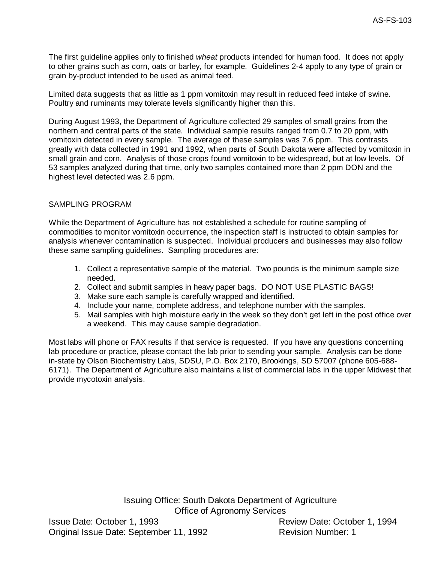The first guideline applies only to finished *wheat* products intended for human food. It does not apply to other grains such as corn, oats or barley, for example. Guidelines 2-4 apply to any type of grain or grain by-product intended to be used as animal feed.

Limited data suggests that as little as 1 ppm vomitoxin may result in reduced feed intake of swine. Poultry and ruminants may tolerate levels significantly higher than this.

During August 1993, the Department of Agriculture collected 29 samples of small grains from the northern and central parts of the state. Individual sample results ranged from 0.7 to 20 ppm, with vomitoxin detected in every sample. The average of these samples was 7.6 ppm. This contrasts greatly with data collected in 1991 and 1992, when parts of South Dakota were affected by vomitoxin in small grain and corn. Analysis of those crops found vomitoxin to be widespread, but at low levels. Of 53 samples analyzed during that time, only two samples contained more than 2 ppm DON and the highest level detected was 2.6 ppm.

#### SAMPLING PROGRAM

While the Department of Agriculture has not established a schedule for routine sampling of commodities to monitor vomitoxin occurrence, the inspection staff is instructed to obtain samples for analysis whenever contamination is suspected. Individual producers and businesses may also follow these same sampling guidelines. Sampling procedures are:

- 1. Collect a representative sample of the material. Two pounds is the minimum sample size needed.
- 2. Collect and submit samples in heavy paper bags. DO NOT USE PLASTIC BAGS!
- 3. Make sure each sample is carefully wrapped and identified.
- 4. Include your name, complete address, and telephone number with the samples.
- 5. Mail samples with high moisture early in the week so they don't get left in the post office over a weekend. This may cause sample degradation.

Most labs will phone or FAX results if that service is requested. If you have any questions concerning lab procedure or practice, please contact the lab prior to sending your sample. Analysis can be done in-state by Olson Biochemistry Labs, SDSU, P.O. Box 2170, Brookings, SD 57007 (phone 605-688- 6171). The Department of Agriculture also maintains a list of commercial labs in the upper Midwest that provide mycotoxin analysis.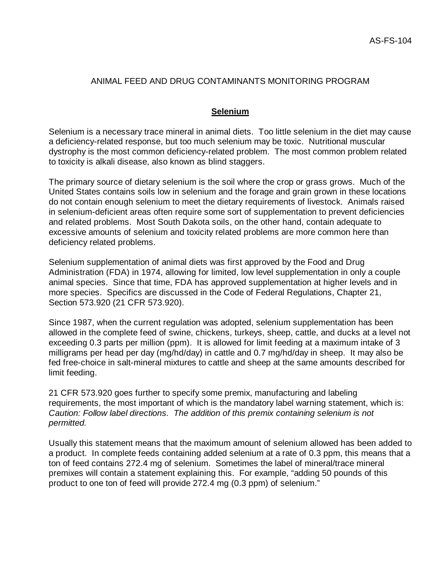#### ANIMAL FEED AND DRUG CONTAMINANTS MONITORING PROGRAM

#### **Selenium**

Selenium is a necessary trace mineral in animal diets. Too little selenium in the diet may cause a deficiency-related response, but too much selenium may be toxic. Nutritional muscular dystrophy is the most common deficiency-related problem. The most common problem related to toxicity is alkali disease, also known as blind staggers.

The primary source of dietary selenium is the soil where the crop or grass grows. Much of the United States contains soils low in selenium and the forage and grain grown in these locations do not contain enough selenium to meet the dietary requirements of livestock. Animals raised in selenium-deficient areas often require some sort of supplementation to prevent deficiencies and related problems. Most South Dakota soils, on the other hand, contain adequate to excessive amounts of selenium and toxicity related problems are more common here than deficiency related problems.

Selenium supplementation of animal diets was first approved by the Food and Drug Administration (FDA) in 1974, allowing for limited, low level supplementation in only a couple animal species. Since that time, FDA has approved supplementation at higher levels and in more species. Specifics are discussed in the Code of Federal Regulations, Chapter 21, Section 573.920 (21 CFR 573.920).

Since 1987, when the current regulation was adopted, selenium supplementation has been allowed in the complete feed of swine, chickens, turkeys, sheep, cattle, and ducks at a level not exceeding 0.3 parts per million (ppm). It is allowed for limit feeding at a maximum intake of 3 milligrams per head per day (mg/hd/day) in cattle and 0.7 mg/hd/day in sheep. It may also be fed free-choice in salt-mineral mixtures to cattle and sheep at the same amounts described for limit feeding.

21 CFR 573.920 goes further to specify some premix, manufacturing and labeling requirements, the most important of which is the mandatory label warning statement, which is: *Caution: Follow label directions. The addition of this premix containing selenium is not permitted.*

Usually this statement means that the maximum amount of selenium allowed has been added to a product. In complete feeds containing added selenium at a rate of 0.3 ppm, this means that a ton of feed contains 272.4 mg of selenium. Sometimes the label of mineral/trace mineral premixes will contain a statement explaining this. For example, "adding 50 pounds of this product to one ton of feed will provide 272.4 mg (0.3 ppm) of selenium."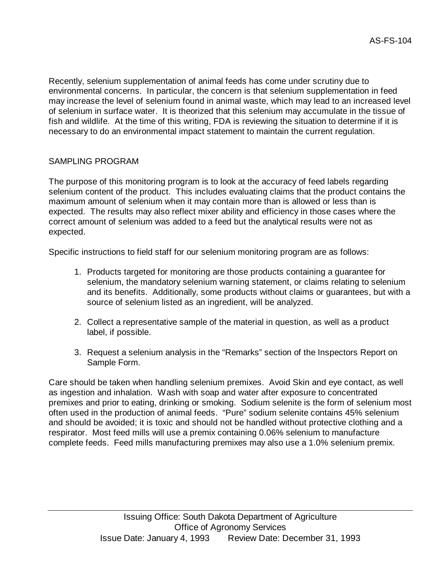Recently, selenium supplementation of animal feeds has come under scrutiny due to environmental concerns. In particular, the concern is that selenium supplementation in feed may increase the level of selenium found in animal waste, which may lead to an increased level of selenium in surface water. It is theorized that this selenium may accumulate in the tissue of fish and wildlife. At the time of this writing, FDA is reviewing the situation to determine if it is necessary to do an environmental impact statement to maintain the current regulation.

# SAMPLING PROGRAM

The purpose of this monitoring program is to look at the accuracy of feed labels regarding selenium content of the product. This includes evaluating claims that the product contains the maximum amount of selenium when it may contain more than is allowed or less than is expected. The results may also reflect mixer ability and efficiency in those cases where the correct amount of selenium was added to a feed but the analytical results were not as expected.

Specific instructions to field staff for our selenium monitoring program are as follows:

- 1. Products targeted for monitoring are those products containing a guarantee for selenium, the mandatory selenium warning statement, or claims relating to selenium and its benefits. Additionally, some products without claims or guarantees, but with a source of selenium listed as an ingredient, will be analyzed.
- 2. Collect a representative sample of the material in question, as well as a product label, if possible.
- 3. Request a selenium analysis in the "Remarks" section of the Inspectors Report on Sample Form.

Care should be taken when handling selenium premixes. Avoid Skin and eye contact, as well as ingestion and inhalation. Wash with soap and water after exposure to concentrated premixes and prior to eating, drinking or smoking. Sodium selenite is the form of selenium most often used in the production of animal feeds. "Pure" sodium selenite contains 45% selenium and should be avoided; it is toxic and should not be handled without protective clothing and a respirator. Most feed mills will use a premix containing 0.06% selenium to manufacture complete feeds. Feed mills manufacturing premixes may also use a 1.0% selenium premix.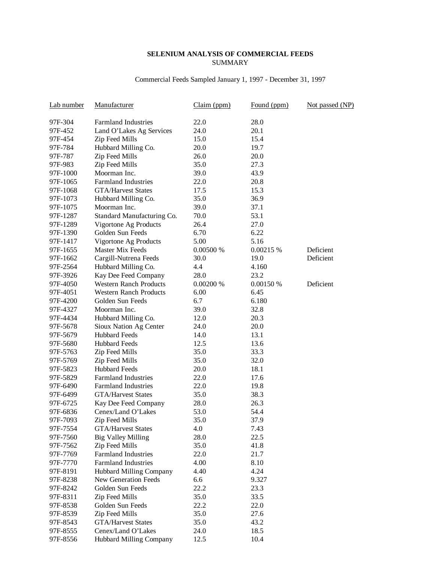#### **SELENIUM ANALYSIS OF COMMERCIAL FEEDS** SUMMARY

#### Commercial Feeds Sampled January 1, 1997 - December 31, 1997

| Lab number | Manufacturer                  | Claim (ppm) | Found (ppm) | Not passed (NP) |
|------------|-------------------------------|-------------|-------------|-----------------|
| 97F-304    | <b>Farmland Industries</b>    | 22.0        | 28.0        |                 |
| 97F-452    | Land O'Lakes Ag Services      | 24.0        | 20.1        |                 |
| 97F-454    | Zip Feed Mills                | 15.0        | 15.4        |                 |
| 97F-784    | Hubbard Milling Co.           | 20.0        | 19.7        |                 |
| 97F-787    | Zip Feed Mills                | 26.0        | 20.0        |                 |
| 97F-983    | Zip Feed Mills                | 35.0        | 27.3        |                 |
| 97F-1000   | Moorman Inc.                  | 39.0        | 43.9        |                 |
| 97F-1065   | <b>Farmland Industries</b>    | 22.0        | 20.8        |                 |
| 97F-1068   | <b>GTA/Harvest States</b>     | 17.5        | 15.3        |                 |
| 97F-1073   | Hubbard Milling Co.           | 35.0        | 36.9        |                 |
| 97F-1075   | Moorman Inc.                  | 39.0        | 37.1        |                 |
| 97F-1287   | Standard Manufacturing Co.    | 70.0        | 53.1        |                 |
| 97F-1289   | Vigortone Ag Products         | 26.4        | 27.0        |                 |
| 97F-1390   | Golden Sun Feeds              | 6.70        | 6.22        |                 |
| 97F-1417   | Vigortone Ag Products         | 5.00        | 5.16        |                 |
| 97F-1655   | <b>Master Mix Feeds</b>       | 0.00500 %   | 0.00215%    | Deficient       |
| 97F-1662   | Cargill-Nutrena Feeds         | 30.0        | 19.0        | Deficient       |
| 97F-2564   | Hubbard Milling Co.           | 4.4         | 4.160       |                 |
| 97F-3926   | Kay Dee Feed Company          | 28.0        | 23.2        |                 |
| 97F-4050   | <b>Western Ranch Products</b> | 0.00200%    | 0.00150 %   | Deficient       |
| 97F-4051   | <b>Western Ranch Products</b> | 6.00        | 6.45        |                 |
| 97F-4200   | Golden Sun Feeds              | 6.7         | 6.180       |                 |
| 97F-4327   | Moorman Inc.                  | 39.0        | 32.8        |                 |
| 97F-4434   | Hubbard Milling Co.           | 12.0        | 20.3        |                 |
| 97F-5678   | Sioux Nation Ag Center        | 24.0        | 20.0        |                 |
| 97F-5679   | <b>Hubbard Feeds</b>          | 14.0        | 13.1        |                 |
| 97F-5680   | Hubbard Feeds                 | 12.5        | 13.6        |                 |
| 97F-5763   | Zip Feed Mills                | 35.0        | 33.3        |                 |
| 97F-5769   | Zip Feed Mills                | 35.0        | 32.0        |                 |
| 97F-5823   | <b>Hubbard Feeds</b>          | 20.0        | 18.1        |                 |
| 97F-5829   | <b>Farmland Industries</b>    | 22.0        | 17.6        |                 |
| 97F-6490   | <b>Farmland Industries</b>    | 22.0        | 19.8        |                 |
| 97F-6499   | <b>GTA/Harvest States</b>     | 35.0        | 38.3        |                 |
| 97F-6725   | Kay Dee Feed Company          | 28.0        | 26.3        |                 |
| 97F-6836   | Cenex/Land O'Lakes            | 53.0        | 54.4        |                 |
| 97F-7093   | Zip Feed Mills                | 35.0        | 37.9        |                 |
| 97F-7554   | <b>GTA/Harvest States</b>     | 4.0         | 7.43        |                 |
| 97F-7560   | <b>Big Valley Milling</b>     | 28.0        | 22.5        |                 |
| 97F-7562   | Zip Feed Mills                | 35.0        | 41.8        |                 |
| 97F-7769   | <b>Farmland Industries</b>    | 22.0        | 21.7        |                 |
| 97F-7770   | <b>Farmland Industries</b>    | 4.00        | 8.10        |                 |
| 97F-8191   | Hubbard Milling Company       | 4.40        | 4.24        |                 |
| 97F-8238   | New Generation Feeds          | 6.6         | 9.327       |                 |
| 97F-8242   | Golden Sun Feeds              | 22.2        | 23.3        |                 |
| 97F-8311   | Zip Feed Mills                | 35.0        | 33.5        |                 |
| 97F-8538   | Golden Sun Feeds              | 22.2        | 22.0        |                 |
| 97F-8539   | Zip Feed Mills                | 35.0        | 27.6        |                 |
| 97F-8543   | <b>GTA/Harvest States</b>     | 35.0        | 43.2        |                 |
| 97F-8555   | Cenex/Land O'Lakes            | 24.0        | 18.5        |                 |
| 97F-8556   | Hubbard Milling Company       | 12.5        | 10.4        |                 |
|            |                               |             |             |                 |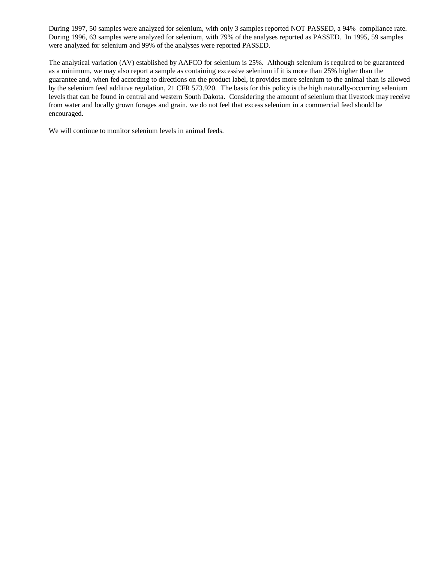During 1997, 50 samples were analyzed for selenium, with only 3 samples reported NOT PASSED, a 94% compliance rate. During 1996, 63 samples were analyzed for selenium, with 79% of the analyses reported as PASSED. In 1995, 59 samples were analyzed for selenium and 99% of the analyses were reported PASSED.

The analytical variation (AV) established by AAFCO for selenium is 25%. Although selenium is required to be guaranteed as a minimum, we may also report a sample as containing excessive selenium if it is more than 25% higher than the guarantee and, when fed according to directions on the product label, it provides more selenium to the animal than is allowed by the selenium feed additive regulation, 21 CFR 573.920. The basis for this policy is the high naturally-occurring selenium levels that can be found in central and western South Dakota. Considering the amount of selenium that livestock may receive from water and locally grown forages and grain, we do not feel that excess selenium in a commercial feed should be encouraged.

We will continue to monitor selenium levels in animal feeds.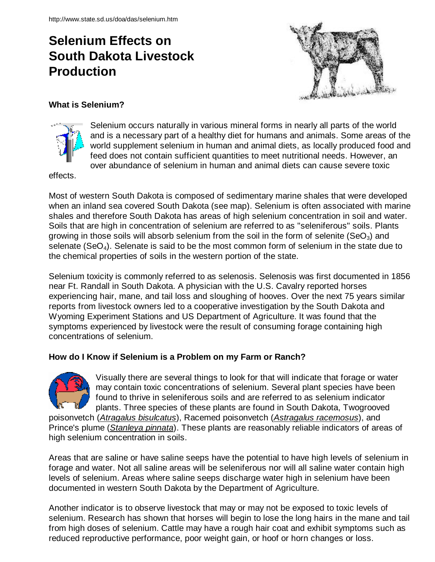# **Selenium Effects on South Dakota Livestock Production**



# **What is Selenium?**



Selenium occurs naturally in various mineral forms in nearly all parts of the world and is a necessary part of a healthy diet for humans and animals. Some areas of the world supplement selenium in human and animal diets, as locally produced food and feed does not contain sufficient quantities to meet nutritional needs. However, an over abundance of selenium in human and animal diets can cause severe toxic

effects.

Most of western South Dakota is composed of sedimentary marine shales that were developed when an inland sea covered South Dakota (see map). Selenium is often associated with marine shales and therefore South Dakota has areas of high selenium concentration in soil and water. Soils that are high in concentration of selenium are referred to as "seleniferous" soils. Plants growing in those soils will absorb selenium from the soil in the form of selenite (SeO<sub>3</sub>) and selenate (SeO<sub>4</sub>). Selenate is said to be the most common form of selenium in the state due to the chemical properties of soils in the western portion of the state.

Selenium toxicity is commonly referred to as selenosis. Selenosis was first documented in 1856 near Ft. Randall in South Dakota. A physician with the U.S. Cavalry reported horses experiencing hair, mane, and tail loss and sloughing of hooves. Over the next 75 years similar reports from livestock owners led to a cooperative investigation by the South Dakota and Wyoming Experiment Stations and US Department of Agriculture. It was found that the symptoms experienced by livestock were the result of consuming forage containing high concentrations of selenium.

# **How do I Know if Selenium is a Problem on my Farm or Ranch?**



Visually there are several things to look for that will indicate that forage or water may contain toxic concentrations of selenium. Several plant species have been found to thrive in seleniferous soils and are referred to as selenium indicator plants. Three species of these plants are found in South Dakota, Twogrooved

poisonvetch (*Atragalus bisulcatus*), Racemed poisonvetch (*Astragalus racemosus*), and Prince's plume (*Stanleya pinnata*). These plants are reasonably reliable indicators of areas of high selenium concentration in soils.

Areas that are saline or have saline seeps have the potential to have high levels of selenium in forage and water. Not all saline areas will be seleniferous nor will all saline water contain high levels of selenium. Areas where saline seeps discharge water high in selenium have been documented in western South Dakota by the Department of Agriculture.

Another indicator is to observe livestock that may or may not be exposed to toxic levels of selenium. Research has shown that horses will begin to lose the long hairs in the mane and tail from high doses of selenium. Cattle may have a rough hair coat and exhibit symptoms such as reduced reproductive performance, poor weight gain, or hoof or horn changes or loss.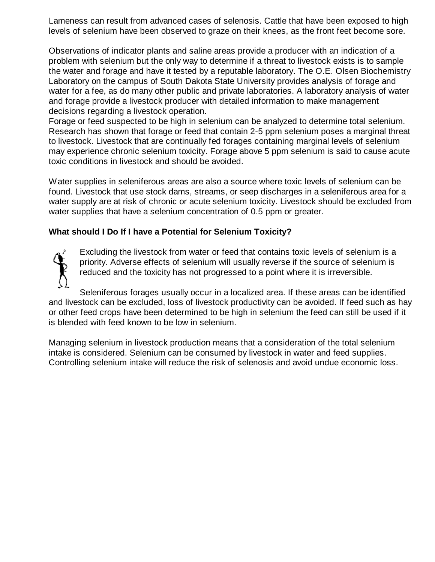Lameness can result from advanced cases of selenosis. Cattle that have been exposed to high levels of selenium have been observed to graze on their knees, as the front feet become sore.

Observations of indicator plants and saline areas provide a producer with an indication of a problem with selenium but the only way to determine if a threat to livestock exists is to sample the water and forage and have it tested by a reputable laboratory. The O.E. Olsen Biochemistry Laboratory on the campus of South Dakota State University provides analysis of forage and water for a fee, as do many other public and private laboratories. A laboratory analysis of water and forage provide a livestock producer with detailed information to make management decisions regarding a livestock operation.

Forage or feed suspected to be high in selenium can be analyzed to determine total selenium. Research has shown that forage or feed that contain 2-5 ppm selenium poses a marginal threat to livestock. Livestock that are continually fed forages containing marginal levels of selenium may experience chronic selenium toxicity. Forage above 5 ppm selenium is said to cause acute toxic conditions in livestock and should be avoided.

Water supplies in seleniferous areas are also a source where toxic levels of selenium can be found. Livestock that use stock dams, streams, or seep discharges in a seleniferous area for a water supply are at risk of chronic or acute selenium toxicity. Livestock should be excluded from water supplies that have a selenium concentration of 0.5 ppm or greater.

# **What should I Do If I have a Potential for Selenium Toxicity?**



Excluding the livestock from water or feed that contains toxic levels of selenium is a priority. Adverse effects of selenium will usually reverse if the source of selenium is reduced and the toxicity has not progressed to a point where it is irreversible.

Seleniferous forages usually occur in a localized area. If these areas can be identified and livestock can be excluded, loss of livestock productivity can be avoided. If feed such as hay or other feed crops have been determined to be high in selenium the feed can still be used if it is blended with feed known to be low in selenium.

Managing selenium in livestock production means that a consideration of the total selenium intake is considered. Selenium can be consumed by livestock in water and feed supplies. Controlling selenium intake will reduce the risk of selenosis and avoid undue economic loss.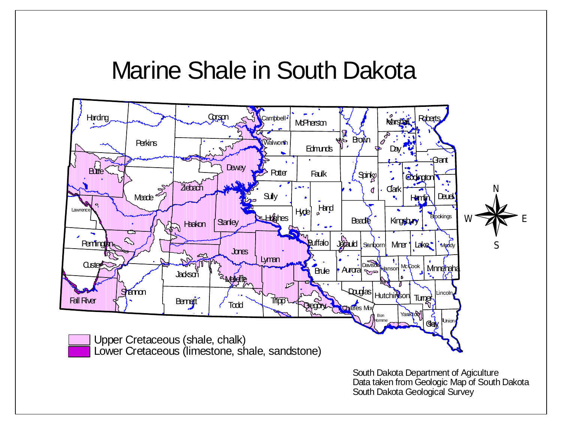# Marine Shale in South Dakota

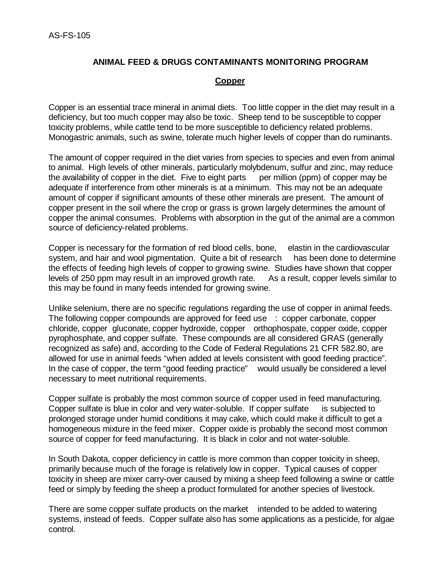#### **ANIMAL FEED & DRUGS CONTAMINANTS MONITORING PROGRAM**

#### **Copper**

Copper is an essential trace mineral in animal diets. Too little copper in the diet may result in a deficiency, but too much copper may also be toxic. Sheep tend to be susceptible to copper toxicity problems, while cattle tend to be more susceptible to deficiency related problems. Monogastric animals, such as swine, tolerate much higher levels of copper than do ruminants.

The amount of copper required in the diet varies from species to species and even from animal to animal. High levels of other minerals, particularly molybdenum, sulfur and zinc, may reduce the availability of copper in the diet. Five to eight parts per million (ppm) of copper may be adequate if interference from other minerals is at a minimum. This may not be an adequate amount of copper if significant amounts of these other minerals are present. The amount of copper present in the soil where the crop or grass is grown largely determines the amount of copper the animal consumes. Problems with absorption in the gut of the animal are a common source of deficiency-related problems.

Copper is necessary for the formation of red blood cells, bone, elastin in the cardiovascular system, and hair and wool pigmentation. Quite a bit of research has been done to determine the effects of feeding high levels of copper to growing swine. Studies have shown that copper levels of 250 ppm may result in an improved growth rate. As a result, copper levels similar to this may be found in many feeds intended for growing swine.

Unlike selenium, there are no specific regulations regarding the use of copper in animal feeds. The following copper compounds are approved for feed use : copper carbonate, copper chloride, copper gluconate, copper hydroxide, copper orthophospate, copper oxide, copper pyrophosphate, and copper sulfate. These compounds are all considered GRAS (generally recognized as safe) and, according to the Code of Federal Regulations 21 CFR 582.80, are allowed for use in animal feeds "when added at levels consistent with good feeding practice". In the case of copper, the term "good feeding practice" would usually be considered a level necessary to meet nutritional requirements.

Copper sulfate is probably the most common source of copper used in feed manufacturing. Copper sulfate is blue in color and very water-soluble. If copper sulfate is subjected to prolonged storage under humid conditions it may cake, which could make it difficult to get a homogeneous mixture in the feed mixer. Copper oxide is probably the second most common source of copper for feed manufacturing. It is black in color and not water-soluble.

In South Dakota, copper deficiency in cattle is more common than copper toxicity in sheep, primarily because much of the forage is relatively low in copper. Typical causes of copper toxicity in sheep are mixer carry-over caused by mixing a sheep feed following a swine or cattle feed or simply by feeding the sheep a product formulated for another species of livestock.

There are some copper sulfate products on the market intended to be added to watering systems, instead of feeds. Copper sulfate also has some applications as a pesticide, for algae control.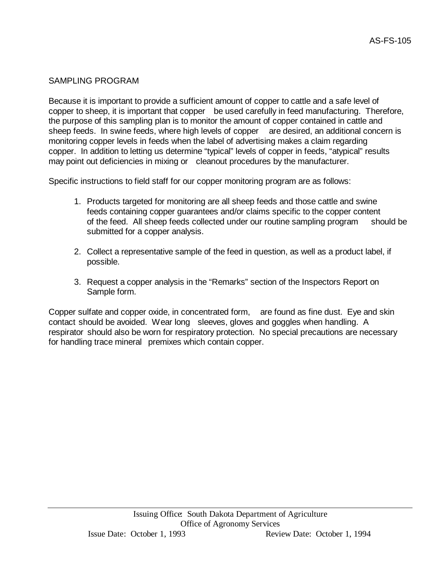#### SAMPLING PROGRAM

Because it is important to provide a sufficient amount of copper to cattle and a safe level of copper to sheep, it is important that copper be used carefully in feed manufacturing. Therefore, the purpose of this sampling plan is to monitor the amount of copper contained in cattle and sheep feeds. In swine feeds, where high levels of copper are desired, an additional concern is monitoring copper levels in feeds when the label of advertising makes a claim regarding copper. In addition to letting us determine "typical" levels of copper in feeds, "atypical" results may point out deficiencies in mixing or cleanout procedures by the manufacturer.

Specific instructions to field staff for our copper monitoring program are as follows:

- 1. Products targeted for monitoring are all sheep feeds and those cattle and swine feeds containing copper guarantees and/or claims specific to the copper content of the feed. All sheep feeds collected under our routine sampling program should be submitted for a copper analysis.
- 2. Collect a representative sample of the feed in question, as well as a product label, if possible.
- 3. Request a copper analysis in the "Remarks" section of the Inspectors Report on Sample form.

Copper sulfate and copper oxide, in concentrated form, are found as fine dust. Eye and skin contact should be avoided. Wear long sleeves, gloves and goggles when handling. A respirator should also be worn for respiratory protection. No special precautions are necessary for handling trace mineral premixes which contain copper.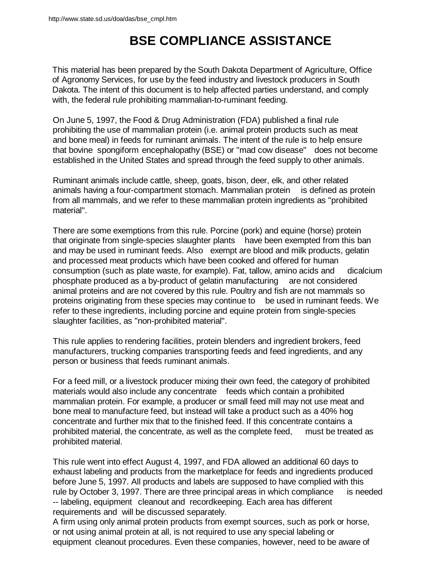# **BSE COMPLIANCE ASSISTANCE**

This material has been prepared by the South Dakota Department of Agriculture, Office of Agronomy Services, for use by the feed industry and livestock producers in South Dakota. The intent of this document is to help affected parties understand, and comply with, the federal rule prohibiting mammalian-to-ruminant feeding.

On June 5, 1997, the Food & Drug Administration (FDA) published a final rule prohibiting the use of mammalian protein (i.e. animal protein products such as meat and bone meal) in feeds for ruminant animals. The intent of the rule is to help ensure that bovine spongiform encephalopathy (BSE) or "mad cow disease" does not become established in the United States and spread through the feed supply to other animals.

Ruminant animals include cattle, sheep, goats, bison, deer, elk, and other related animals having a four-compartment stomach. Mammalian protein is defined as protein from all mammals, and we refer to these mammalian protein ingredients as "prohibited material".

There are some exemptions from this rule. Porcine (pork) and equine (horse) protein that originate from single-species slaughter plants have been exempted from this ban and may be used in ruminant feeds. Also exempt are blood and milk products, gelatin and processed meat products which have been cooked and offered for human consumption (such as plate waste, for example). Fat, tallow, amino acids and dicalcium phosphate produced as a by-product of gelatin manufacturing are not considered animal proteins and are not covered by this rule. Poultry and fish are not mammals so proteins originating from these species may continue to be used in ruminant feeds. We refer to these ingredients, including porcine and equine protein from single-species slaughter facilities, as "non-prohibited material".

This rule applies to rendering facilities, protein blenders and ingredient brokers, feed manufacturers, trucking companies transporting feeds and feed ingredients, and any person or business that feeds ruminant animals.

For a feed mill, or a livestock producer mixing their own feed, the category of prohibited materials would also include any concentrate feeds which contain a prohibited mammalian protein. For example, a producer or small feed mill may not use meat and bone meal to manufacture feed, but instead will take a product such as a 40% hog concentrate and further mix that to the finished feed. If this concentrate contains a prohibited material, the concentrate, as well as the complete feed, must be treated as prohibited material.

This rule went into effect August 4, 1997, and FDA allowed an additional 60 days to exhaust labeling and products from the marketplace for feeds and ingredients produced before June 5, 1997. All products and labels are supposed to have complied with this rule by October 3, 1997. There are three principal areas in which compliance is needed -- labeling, equipment cleanout and recordkeeping. Each area has different requirements and will be discussed separately.

A firm using only animal protein products from exempt sources, such as pork or horse, or not using animal protein at all, is not required to use any special labeling or equipment cleanout procedures. Even these companies, however, need to be aware of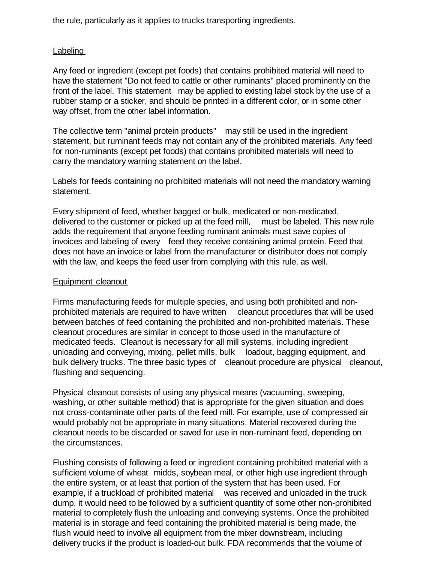the rule, particularly as it applies to trucks transporting ingredients.

#### Labeling

Any feed or ingredient (except pet foods) that contains prohibited material will need to have the statement "Do not feed to cattle or other ruminants" placed prominently on the front of the label. This statement may be applied to existing label stock by the use of a rubber stamp or a sticker, and should be printed in a different color, or in some other way offset, from the other label information.

The collective term "animal protein products" may still be used in the ingredient statement, but ruminant feeds may not contain any of the prohibited materials. Any feed for non-ruminants (except pet foods) that contains prohibited materials will need to carry the mandatory warning statement on the label.

Labels for feeds containing no prohibited materials will not need the mandatory warning statement.

Every shipment of feed, whether bagged or bulk, medicated or non-medicated, delivered to the customer or picked up at the feed mill, must be labeled. This new rule adds the requirement that anyone feeding ruminant animals must save copies of invoices and labeling of every feed they receive containing animal protein. Feed that does not have an invoice or label from the manufacturer or distributor does not comply with the law, and keeps the feed user from complying with this rule, as well.

#### Equipment cleanout

Firms manufacturing feeds for multiple species, and using both prohibited and nonprohibited materials are required to have written cleanout procedures that will be used between batches of feed containing the prohibited and non-prohibited materials. These cleanout procedures are similar in concept to those used in the manufacture of medicated feeds. Cleanout is necessary for all mill systems, including ingredient unloading and conveying, mixing, pellet mills, bulk loadout, bagging equipment, and bulk delivery trucks. The three basic types of cleanout procedure are physical cleanout, flushing and sequencing.

Physical cleanout consists of using any physical means (vacuuming, sweeping, washing, or other suitable method) that is appropriate for the given situation and does not cross-contaminate other parts of the feed mill. For example, use of compressed air would probably not be appropriate in many situations. Material recovered during the cleanout needs to be discarded or saved for use in non-ruminant feed, depending on the circumstances.

Flushing consists of following a feed or ingredient containing prohibited material with a sufficient volume of wheat midds, soybean meal, or other high use ingredient through the entire system, or at least that portion of the system that has been used. For example, if a truckload of prohibited material was received and unloaded in the truck dump, it would need to be followed by a sufficient quantity of some other non-prohibited material to completely flush the unloading and conveying systems. Once the prohibited material is in storage and feed containing the prohibited material is being made, the flush would need to involve all equipment from the mixer downstream, including delivery trucks if the product is loaded-out bulk. FDA recommends that the volume of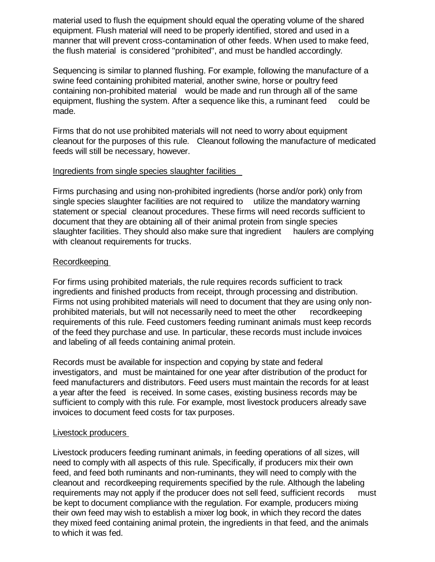material used to flush the equipment should equal the operating volume of the shared equipment. Flush material will need to be properly identified, stored and used in a manner that will prevent cross-contamination of other feeds. When used to make feed, the flush material is considered "prohibited", and must be handled accordingly.

Sequencing is similar to planned flushing. For example, following the manufacture of a swine feed containing prohibited material, another swine, horse or poultry feed containing non-prohibited material would be made and run through all of the same equipment, flushing the system. After a sequence like this, a ruminant feed could be made.

Firms that do not use prohibited materials will not need to worry about equipment cleanout for the purposes of this rule. Cleanout following the manufacture of medicated feeds will still be necessary, however.

#### Ingredients from single species slaughter facilities

Firms purchasing and using non-prohibited ingredients (horse and/or pork) only from single species slaughter facilities are not required to utilize the mandatory warning statement or special cleanout procedures. These firms will need records sufficient to document that they are obtaining all of their animal protein from single species slaughter facilities. They should also make sure that ingredient haulers are complying with cleanout requirements for trucks.

#### Recordkeeping

For firms using prohibited materials, the rule requires records sufficient to track ingredients and finished products from receipt, through processing and distribution. Firms not using prohibited materials will need to document that they are using only nonprohibited materials, but will not necessarily need to meet the other recordkeeping requirements of this rule. Feed customers feeding ruminant animals must keep records of the feed they purchase and use. In particular, these records must include invoices and labeling of all feeds containing animal protein.

Records must be available for inspection and copying by state and federal investigators, and must be maintained for one year after distribution of the product for feed manufacturers and distributors. Feed users must maintain the records for at least a year after the feed is received. In some cases, existing business records may be sufficient to comply with this rule. For example, most livestock producers already save invoices to document feed costs for tax purposes.

# Livestock producers

Livestock producers feeding ruminant animals, in feeding operations of all sizes, will need to comply with all aspects of this rule. Specifically, if producers mix their own feed, and feed both ruminants and non-ruminants, they will need to comply with the cleanout and recordkeeping requirements specified by the rule. Although the labeling requirements may not apply if the producer does not sell feed, sufficient records must be kept to document compliance with the regulation. For example, producers mixing their own feed may wish to establish a mixer log book, in which they record the dates they mixed feed containing animal protein, the ingredients in that feed, and the animals to which it was fed.